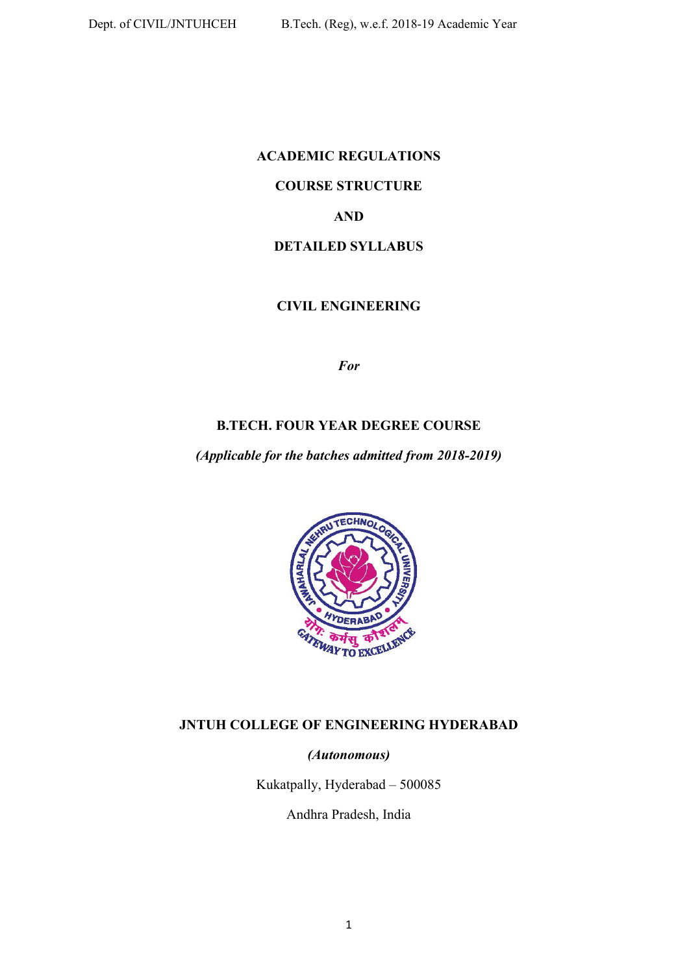# **ACADEMIC REGULATIONS COURSE STRUCTURE AND DETAILED SYLLABUS**

# **CIVIL ENGINEERING**

*For* 

# **B.TECH. FOUR YEAR DEGREE COURSE**

*(Applicable for the batches admitted from 2018-2019)* 



# **JNTUH COLLEGE OF ENGINEERING HYDERABAD**

# *(Autonomous)*

Kukatpally, Hyderabad – 500085

Andhra Pradesh, India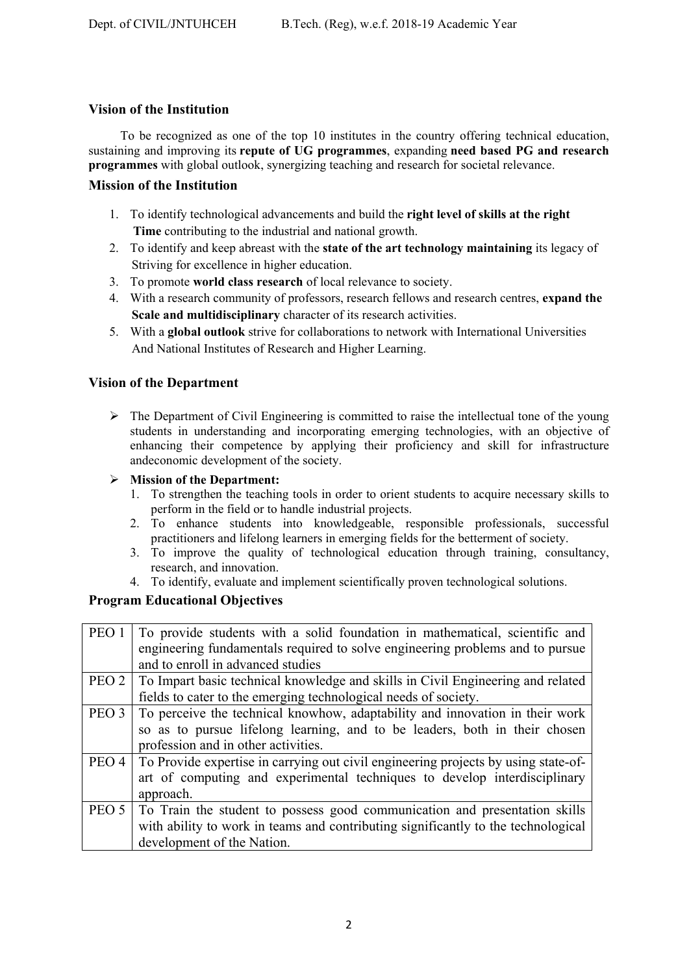# **Vision of the Institution**

 To be recognized as one of the top 10 institutes in the country offering technical education, sustaining and improving its **repute of UG programmes**, expanding **need based PG and research programmes** with global outlook, synergizing teaching and research for societal relevance.

# **Mission of the Institution**

- 1. To identify technological advancements and build the **right level of skills at the right Time** contributing to the industrial and national growth.
- 2. To identify and keep abreast with the **state of the art technology maintaining** its legacy of Striving for excellence in higher education.
- 3. To promote **world class research** of local relevance to society.
- 4. With a research community of professors, research fellows and research centres, **expand the Scale and multidisciplinary** character of its research activities.
- 5. With a **global outlook** strive for collaborations to network with International Universities And National Institutes of Research and Higher Learning.

# **Vision of the Department**

 $\triangleright$  The Department of Civil Engineering is committed to raise the intellectual tone of the young students in understanding and incorporating emerging technologies, with an objective of enhancing their competence by applying their proficiency and skill for infrastructure andeconomic development of the society.

# **Mission of the Department:**

- 1. To strengthen the teaching tools in order to orient students to acquire necessary skills to perform in the field or to handle industrial projects.
- 2. To enhance students into knowledgeable, responsible professionals, successful practitioners and lifelong learners in emerging fields for the betterment of society.
- 3. To improve the quality of technological education through training, consultancy, research, and innovation.
- 4. To identify, evaluate and implement scientifically proven technological solutions.

# **Program Educational Objectives**

| PEO 1   | To provide students with a solid foundation in mathematical, scientific and              |
|---------|------------------------------------------------------------------------------------------|
|         | engineering fundamentals required to solve engineering problems and to pursue            |
|         | and to enroll in advanced studies                                                        |
| PEO 2   | To Impart basic technical knowledge and skills in Civil Engineering and related          |
|         | fields to cater to the emerging technological needs of society.                          |
| PEO 3   | To perceive the technical knowhow, adaptability and innovation in their work             |
|         | so as to pursue lifelong learning, and to be leaders, both in their chosen               |
|         | profession and in other activities.                                                      |
|         | PEO 4 To Provide expertise in carrying out civil engineering projects by using state-of- |
|         | art of computing and experimental techniques to develop interdisciplinary                |
|         | approach.                                                                                |
| PEO $5$ | To Train the student to possess good communication and presentation skills               |
|         | with ability to work in teams and contributing significantly to the technological        |
|         | development of the Nation.                                                               |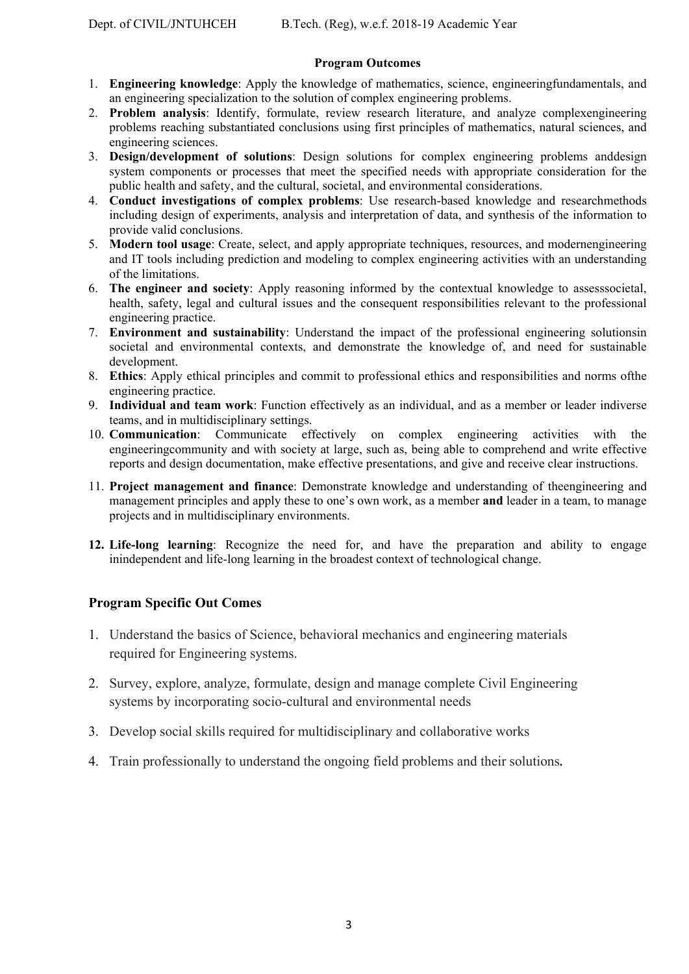# **Program Outcomes**

- 1. **Engineering knowledge**: Apply the knowledge of mathematics, science, engineeringfundamentals, and an engineering specialization to the solution of complex engineering problems.
- 2. **Problem analysis**: Identify, formulate, review research literature, and analyze complexengineering problems reaching substantiated conclusions using first principles of mathematics, natural sciences, and engineering sciences.
- 3. **Design/development of solutions**: Design solutions for complex engineering problems anddesign system components or processes that meet the specified needs with appropriate consideration for the public health and safety, and the cultural, societal, and environmental considerations.
- 4. **Conduct investigations of complex problems**: Use research-based knowledge and researchmethods including design of experiments, analysis and interpretation of data, and synthesis of the information to provide valid conclusions.
- 5. **Modern tool usage**: Create, select, and apply appropriate techniques, resources, and modernengineering and IT tools including prediction and modeling to complex engineering activities with an understanding of the limitations.
- 6. **The engineer and society**: Apply reasoning informed by the contextual knowledge to assesssocietal, health, safety, legal and cultural issues and the consequent responsibilities relevant to the professional engineering practice.
- 7. **Environment and sustainability**: Understand the impact of the professional engineering solutionsin societal and environmental contexts, and demonstrate the knowledge of, and need for sustainable development.
- 8. **Ethics**: Apply ethical principles and commit to professional ethics and responsibilities and norms ofthe engineering practice.
- 9. **Individual and team work**: Function effectively as an individual, and as a member or leader indiverse teams, and in multidisciplinary settings.
- 10. **Communication**: Communicate effectively on complex engineering activities with the engineeringcommunity and with society at large, such as, being able to comprehend and write effective reports and design documentation, make effective presentations, and give and receive clear instructions.
- 11. **Project management and finance**: Demonstrate knowledge and understanding of theengineering and management principles and apply these to one's own work, as a member **and** leader in a team, to manage projects and in multidisciplinary environments.
- **12. Life-long learning**: Recognize the need for, and have the preparation and ability to engage inindependent and life-long learning in the broadest context of technological change.

# **Program Specific Out Comes**

- 1. Understand the basics of Science, behavioral mechanics and engineering materials required for Engineering systems.
- 2. Survey, explore, analyze, formulate, design and manage complete Civil Engineering systems by incorporating socio-cultural and environmental needs
- 3. Develop social skills required for multidisciplinary and collaborative works
- 4. Train professionally to understand the ongoing field problems and their solutions**.**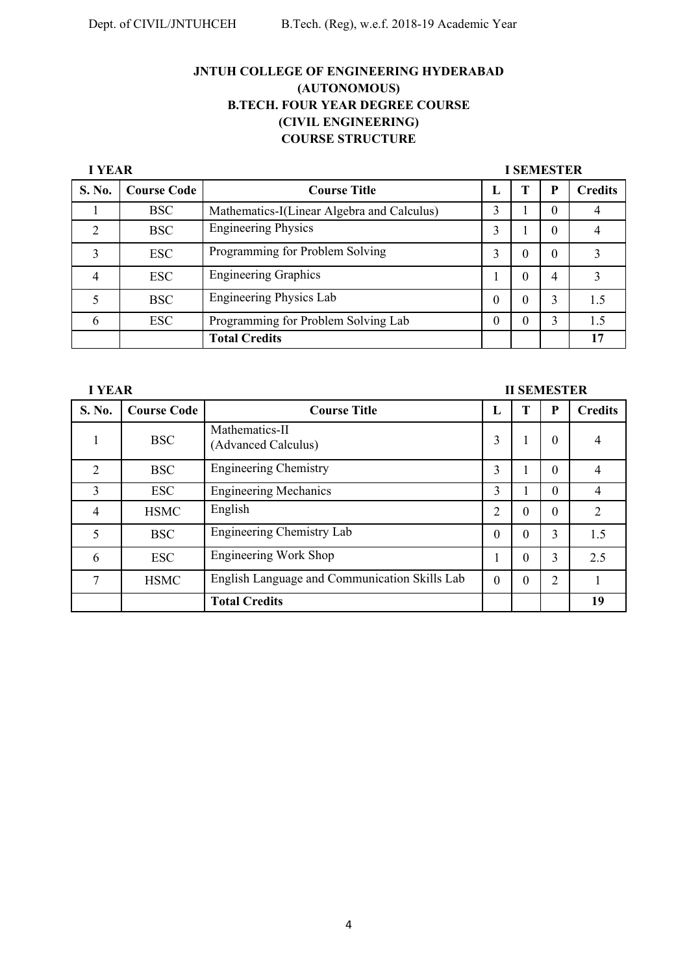**I YEAR I SEMESTER** 

| S. No. | <b>Course Code</b> | <b>Course Title</b>                        | п.       |   |          | <b>Credits</b> |
|--------|--------------------|--------------------------------------------|----------|---|----------|----------------|
|        | <b>BSC</b>         | Mathematics-I(Linear Algebra and Calculus) | 3        |   | $\theta$ |                |
| C      | <b>BSC</b>         | <b>Engineering Physics</b>                 | 3        |   | 0        |                |
| 3      | <b>ESC</b>         | Programming for Problem Solving            | 3        | 0 | $\Omega$ |                |
| 4      | <b>ESC</b>         | <b>Engineering Graphics</b>                |          | 0 | 4        |                |
|        | <b>BSC</b>         | <b>Engineering Physics Lab</b>             | $\Omega$ | 0 | 3        | 1.5            |
| 6      | <b>ESC</b>         | Programming for Problem Solving Lab        |          |   | 3        | 1.5            |
|        |                    | <b>Total Credits</b>                       |          |   |          | 17             |

| <b>I YEAR</b><br><b>II SEMESTER</b> |                    |                                               |          |   |                |                |
|-------------------------------------|--------------------|-----------------------------------------------|----------|---|----------------|----------------|
| S. No.                              | <b>Course Code</b> | <b>Course Title</b>                           | L        | н | P              | <b>Credits</b> |
|                                     | <b>BSC</b>         | Mathematics-II<br>(Advanced Calculus)         | 3        |   | $\Omega$       | 4              |
| $\overline{2}$                      | <b>BSC</b>         | <b>Engineering Chemistry</b>                  | 3        |   | $\Omega$       | 4              |
| 3                                   | <b>ESC</b>         | <b>Engineering Mechanics</b>                  | 3        |   | $\Omega$       | $\overline{4}$ |
| 4                                   | <b>HSMC</b>        | English                                       | 2        | 0 | 0              | $\overline{2}$ |
| 5                                   | <b>BSC</b>         | Engineering Chemistry Lab                     | $\theta$ | 0 | 3              | 1.5            |
| 6                                   | <b>ESC</b>         | Engineering Work Shop                         |          | 0 | 3              | 2.5            |
|                                     | <b>HSMC</b>        | English Language and Communication Skills Lab | $\Omega$ | 0 | $\overline{2}$ |                |
|                                     |                    | <b>Total Credits</b>                          |          |   |                | 19             |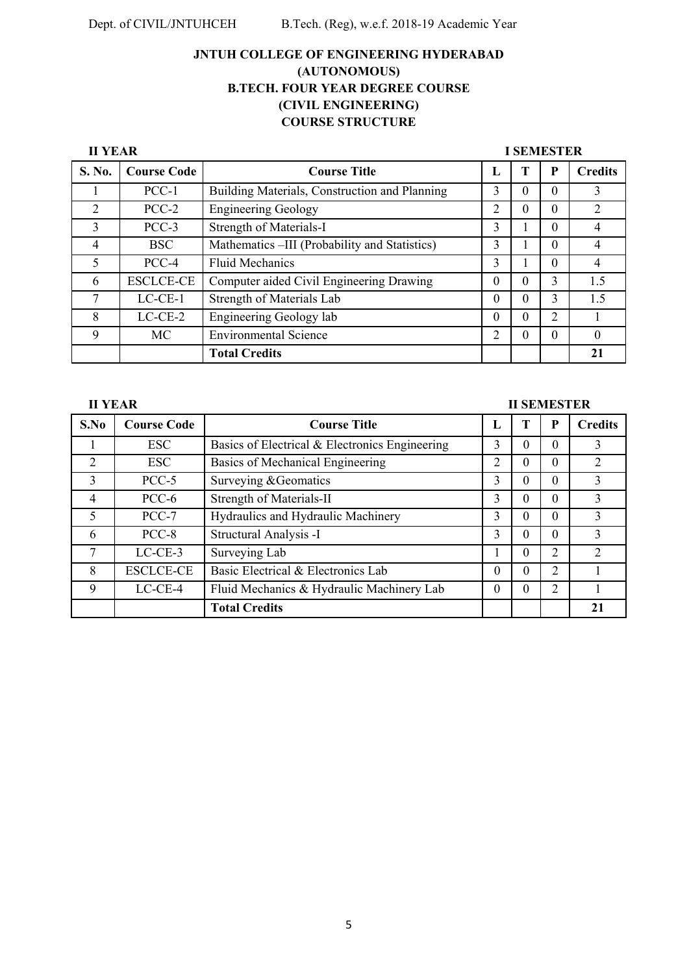| <b>II YEAR</b> |                    |                                               |          | <b>I SEMESTER</b> |                |                |
|----------------|--------------------|-----------------------------------------------|----------|-------------------|----------------|----------------|
| S. No.         | <b>Course Code</b> | <b>Course Title</b>                           | L        |                   | P              | <b>Credits</b> |
|                | $PCC-1$            | Building Materials, Construction and Planning | 3        | 0                 | $\theta$       | 3              |
| $\overline{2}$ | $PCC-2$            | <b>Engineering Geology</b>                    | 2        | 0                 | 0              | 2              |
| 3              | $PCC-3$            | Strength of Materials-I                       | 3        |                   | 0              | 4              |
| 4              | <b>BSC</b>         | Mathematics –III (Probability and Statistics) | 3        |                   | $\Omega$       | 4              |
| 5              | PCC-4              | <b>Fluid Mechanics</b>                        | 3        |                   | 0              | 4              |
| 6              | <b>ESCLCE-CE</b>   | Computer aided Civil Engineering Drawing      | $\Omega$ | 0                 | 3              | 1.5            |
| 7              | $LC-CE-1$          | Strength of Materials Lab                     | $\theta$ | 0                 | 3              | 1.5            |
| 8              | $LC-CE-2$          | Engineering Geology lab                       | $\theta$ | 0                 | $\overline{2}$ |                |
| 9              | MC                 | <b>Environmental Science</b>                  | 2        | 0                 | 0              |                |
|                |                    | <b>Total Credits</b>                          |          |                   |                | 21             |

# **II SEMESTER**

| S.No | <b>Course Code</b> | <b>Course Title</b>                            | L |   | P                           | <b>Credits</b> |
|------|--------------------|------------------------------------------------|---|---|-----------------------------|----------------|
|      | <b>ESC</b>         | Basics of Electrical & Electronics Engineering | 3 | 0 | $\Omega$                    | 3              |
| 2    | <b>ESC</b>         | Basics of Mechanical Engineering               | 2 | 0 | $\Omega$                    | 2              |
| 3    | $PCC-5$            | Surveying & Geomatics                          | 3 | 0 | $\theta$                    | 3              |
| 4    | PCC-6              | Strength of Materials-II                       | 3 | 0 | $\Omega$                    | 3              |
| 5    | $PCC-7$            | Hydraulics and Hydraulic Machinery             | 3 | 0 | $\Omega$                    | 3              |
| 6    | PCC-8              | Structural Analysis -I                         | 3 | 0 | $\Omega$                    | 3              |
| 7    | $LC-CE-3$          | Surveying Lab                                  |   | 0 | 2                           | 2              |
| 8    | <b>ESCLCE-CE</b>   | Basic Electrical & Electronics Lab             | 0 | 0 | $\mathcal{D}_{\mathcal{L}}$ |                |
| 9    | $LC-CE-4$          | Fluid Mechanics & Hydraulic Machinery Lab      | 0 | 0 | 2                           |                |
|      |                    | <b>Total Credits</b>                           |   |   |                             | 21             |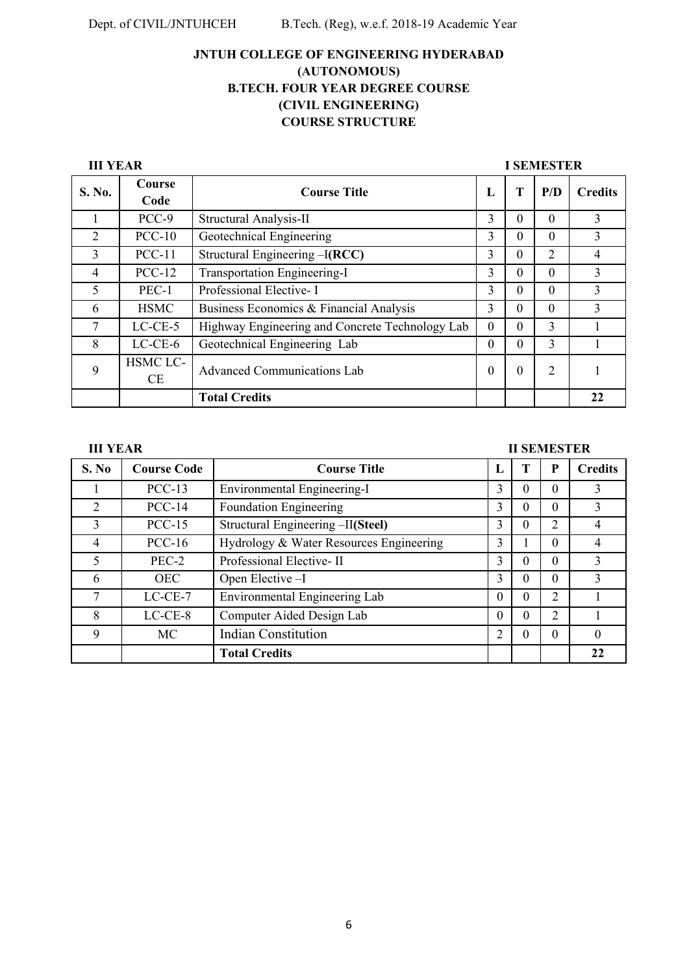| <b>III YEAR</b> |                |                                                 | <b>I SEMESTER</b> |          |                |                |
|-----------------|----------------|-------------------------------------------------|-------------------|----------|----------------|----------------|
| S. No.          | Course<br>Code | <b>Course Title</b>                             | L                 | T        | P/D            | <b>Credits</b> |
|                 | PCC-9          | Structural Analysis-II                          | 3                 | $\Omega$ | $\Omega$       | 3              |
| 2               | $PCC-10$       | Geotechnical Engineering                        | 3                 | $\theta$ | $\Omega$       | 3              |
| 3               | $PCC-11$       | Structural Engineering –I(RCC)                  | 3                 | $\Omega$ | $\overline{2}$ | 4              |
| $\overline{4}$  | $PCC-12$       | Transportation Engineering-I                    | 3                 | $\theta$ | $\Omega$       | 3              |
| 5               | $PEC-1$        | Professional Elective-I                         | 3                 | $\theta$ | $\Omega$       | 3              |
| 6               | <b>HSMC</b>    | Business Economics & Financial Analysis         | 3                 | $\Omega$ | $\Omega$       | 3              |
| 7               | $LC-CE-5$      | Highway Engineering and Concrete Technology Lab | $\Omega$          | $\Omega$ | 3              |                |
| 8               | $LC-CE-6$      | Geotechnical Engineering Lab                    | $\theta$          | $\Omega$ | 3              |                |
| 9               | HSMC LC-<br>CE | <b>Advanced Communications Lab</b>              | $\theta$          | $\theta$ | 2              |                |
|                 |                | <b>Total Credits</b>                            |                   |          |                | 22             |

## **III YEAR III SEMESTER**

| S. No         | <b>Course Code</b> | <b>Course Title</b>                     | L        |          | P              | <b>Credits</b> |
|---------------|--------------------|-----------------------------------------|----------|----------|----------------|----------------|
|               | $PCC-13$           | Environmental Engineering-I             | 3        | 0        | 0              |                |
| 2             | $PCC-14$           | <b>Foundation Engineering</b>           | 3        | 0        | 0              | 3              |
| $\mathcal{E}$ | $PCC-15$           | Structural Engineering -II(Steel)       | 3        | 0        | $\overline{2}$ | 4              |
| 4             | $PCC-16$           | Hydrology & Water Resources Engineering | 3        |          | 0              |                |
| 5             | PEC-2              | Professional Elective-II                | 3        | 0        | 0              | 3              |
| 6             | <b>OEC</b>         | Open Elective -I                        | 3        | 0        | 0              | $\mathcal{E}$  |
| 7             | $LC-CE-7$          | Environmental Engineering Lab           | $\theta$ | 0        | $\overline{2}$ |                |
| 8             | $LC-CE-8$          | Computer Aided Design Lab               | $\Omega$ | $\Omega$ | $\overline{2}$ |                |
| 9             | MC.                | <b>Indian Constitution</b>              | 2        | 0        | $\Omega$       | $\Omega$       |
|               |                    | <b>Total Credits</b>                    |          |          |                | 22             |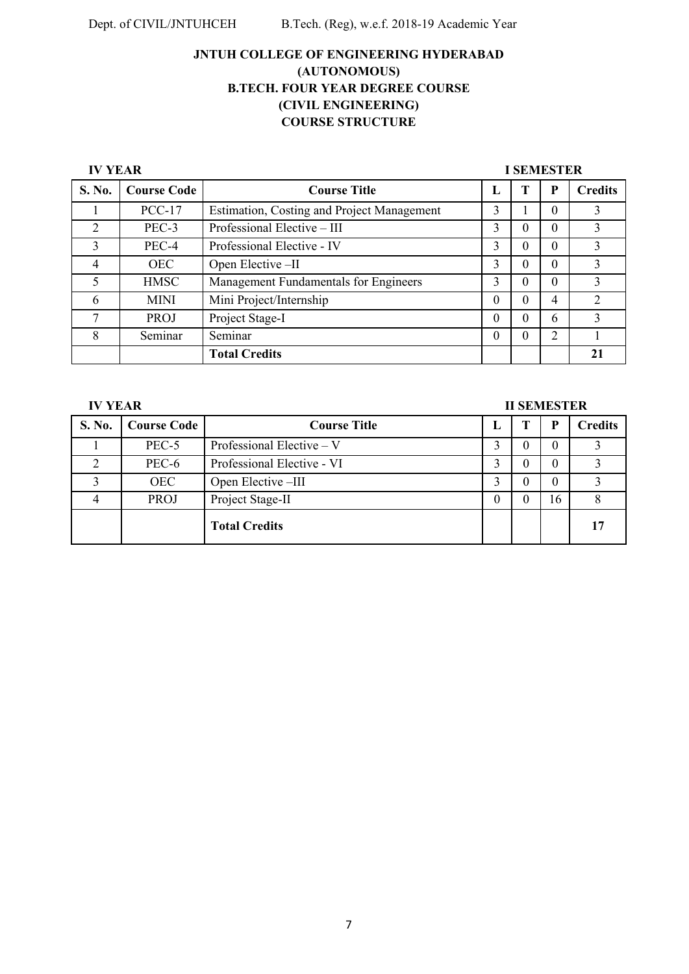**IV YEAR I SEMESTER** 

| S. No.         | <b>Course Code</b> | <b>Course Title</b>                               | L        | P | <b>Credits</b> |
|----------------|--------------------|---------------------------------------------------|----------|---|----------------|
|                | $PCC-17$           | <b>Estimation, Costing and Project Management</b> | 3        | 0 | 3              |
| $\overline{2}$ | PEC-3              | Professional Elective - III                       |          | 0 |                |
| 3              | PEC-4              | Professional Elective - IV                        | 3        | 0 |                |
| 4              | <b>OEC</b>         | Open Elective -II                                 | 3        | 0 | 3              |
|                | <b>HMSC</b>        | Management Fundamentals for Engineers             | 3        | 0 | 3              |
| 6              | <b>MINI</b>        | Mini Project/Internship                           | $\theta$ | 4 | $\mathcal{D}$  |
| 7              | PROJ               | Project Stage-I                                   | $\theta$ | 6 | $\mathcal{E}$  |
| 8              | Seminar            | Seminar                                           | 0        | າ |                |
|                |                    | <b>Total Credits</b>                              |          |   | 21             |

| <b>IV YEAR</b> |                    | <b>II SEMESTER</b>          |   |   |    |                |
|----------------|--------------------|-----------------------------|---|---|----|----------------|
| S. No.         | <b>Course Code</b> | <b>Course Title</b>         | ы | т | P  | <b>Credits</b> |
|                | PEC-5              | Professional Elective $-$ V |   |   |    |                |
| ∍              | PEC-6              | Professional Elective - VI  |   |   |    |                |
|                | <b>OEC</b>         | Open Elective -III          |   |   |    |                |
|                | <b>PROJ</b>        | Project Stage-II            | 0 |   | 16 |                |
|                |                    | <b>Total Credits</b>        |   |   |    |                |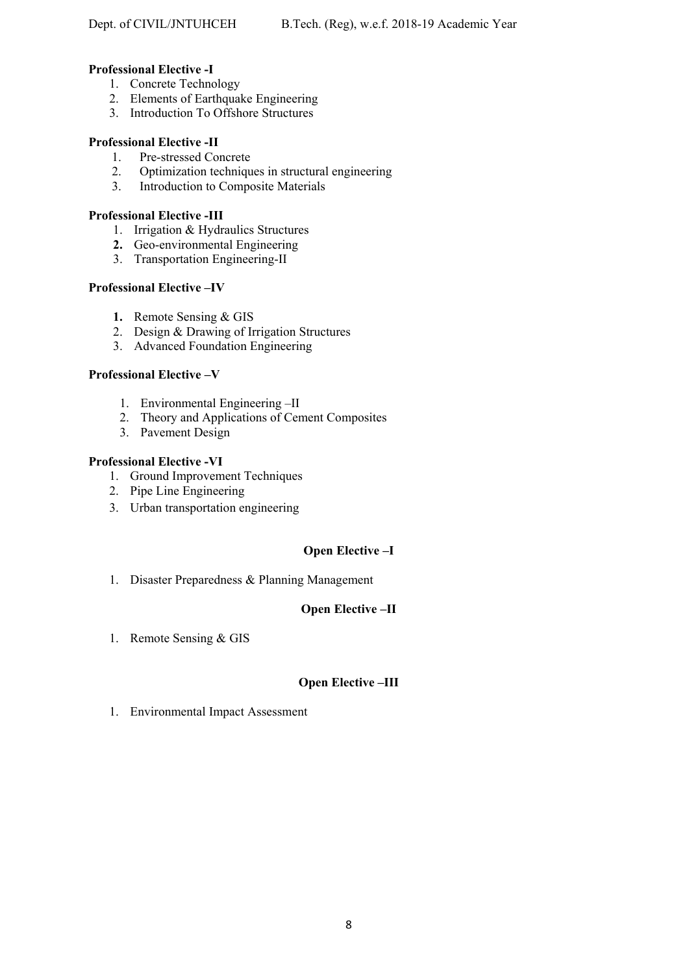# **Professional Elective -I**

- 1. Concrete Technology
- 2. Elements of Earthquake Engineering
- 3. Introduction To Offshore Structures

# **Professional Elective -II**

- 1. Pre-stressed Concrete
- 2. Optimization techniques in structural engineering
- 3. Introduction to Composite Materials

# **Professional Elective -III**

- 1. Irrigation & Hydraulics Structures
- **2.** Geo-environmental Engineering
- 3. Transportation Engineering-II

# **Professional Elective –IV**

- **1.** Remote Sensing & GIS
- 2. Design & Drawing of Irrigation Structures
- 3. Advanced Foundation Engineering

# **Professional Elective –V**

- 1. Environmental Engineering –II
- 2. Theory and Applications of Cement Composites
- 3. Pavement Design

# **Professional Elective -VI**

- 1. Ground Improvement Techniques
- 2. Pipe Line Engineering
- 3. Urban transportation engineering

# **Open Elective –I**

1. Disaster Preparedness & Planning Management

# **Open Elective –II**

1. Remote Sensing & GIS

# **Open Elective –III**

1. Environmental Impact Assessment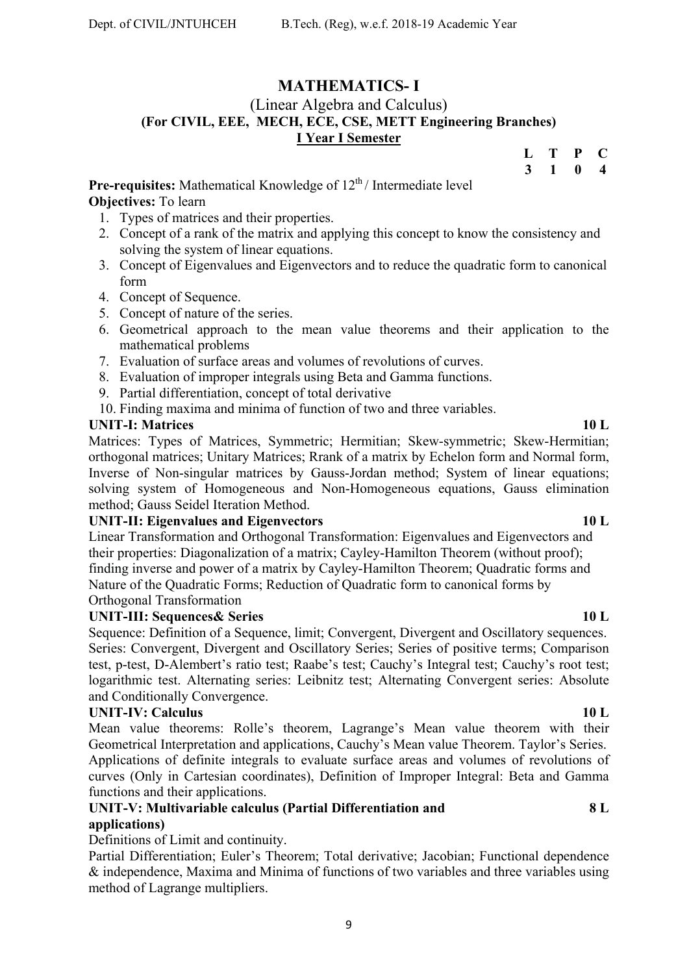# **MATHEMATICS- I**

# (Linear Algebra and Calculus) **(For CIVIL, EEE, MECH, ECE, CSE, METT Engineering Branches) I Year I Semester**

**L T P C** 

**3 1 0 4** 

**Pre-requisites:** Mathematical Knowledge of 12<sup>th</sup>/Intermediate level **Objectives:** To learn

- 1. Types of matrices and their properties.
- 2. Concept of a rank of the matrix and applying this concept to know the consistency and solving the system of linear equations.
- 3. Concept of Eigenvalues and Eigenvectors and to reduce the quadratic form to canonical form
- 4. Concept of Sequence.
- 5. Concept of nature of the series.
- 6. Geometrical approach to the mean value theorems and their application to the mathematical problems
- 7. Evaluation of surface areas and volumes of revolutions of curves.
- 8. Evaluation of improper integrals using Beta and Gamma functions.
- 9. Partial differentiation, concept of total derivative
- 10. Finding maxima and minima of function of two and three variables.

# **UNIT-I: Matrices 10 L**

Matrices: Types of Matrices, Symmetric; Hermitian; Skew-symmetric; Skew-Hermitian; orthogonal matrices; Unitary Matrices; Rrank of a matrix by Echelon form and Normal form, Inverse of Non-singular matrices by Gauss-Jordan method; System of linear equations; solving system of Homogeneous and Non-Homogeneous equations, Gauss elimination method; Gauss Seidel Iteration Method.

# UNIT-II: Eigenvalues and Eigenvectors **10 L**

Linear Transformation and Orthogonal Transformation: Eigenvalues and Eigenvectors and their properties: Diagonalization of a matrix; Cayley-Hamilton Theorem (without proof); finding inverse and power of a matrix by Cayley-Hamilton Theorem; Quadratic forms and Nature of the Quadratic Forms; Reduction of Quadratic form to canonical forms by Orthogonal Transformation

# **UNIT-III: Sequences& Series 10 L**

Sequence: Definition of a Sequence, limit; Convergent, Divergent and Oscillatory sequences. Series: Convergent, Divergent and Oscillatory Series; Series of positive terms; Comparison test, p-test, D-Alembert's ratio test; Raabe's test; Cauchy's Integral test; Cauchy's root test; logarithmic test. Alternating series: Leibnitz test; Alternating Convergent series: Absolute and Conditionally Convergence.

# **UNIT-IV: Calculus** 10 L

Mean value theorems: Rolle's theorem, Lagrange's Mean value theorem with their Geometrical Interpretation and applications, Cauchy's Mean value Theorem. Taylor's Series. Applications of definite integrals to evaluate surface areas and volumes of revolutions of curves (Only in Cartesian coordinates), Definition of Improper Integral: Beta and Gamma functions and their applications.

# **UNIT-V: Multivariable calculus (Partial Differentiation and applications)**

Definitions of Limit and continuity.

Partial Differentiation; Euler's Theorem; Total derivative; Jacobian; Functional dependence & independence, Maxima and Minima of functions of two variables and three variables using method of Lagrange multipliers.

# **8 L**

# 9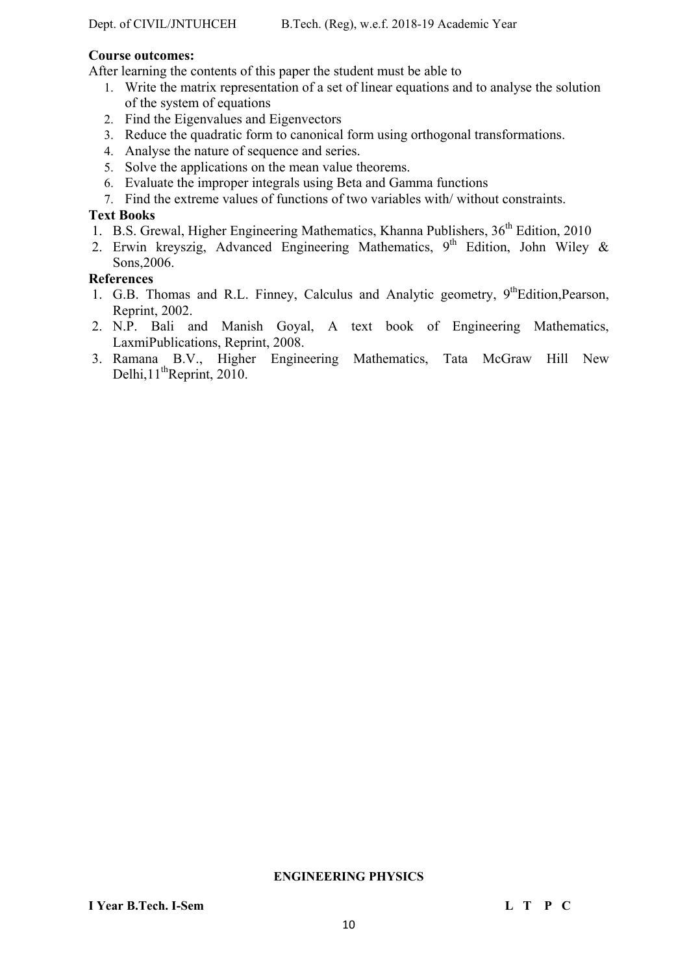# **Course outcomes:**

After learning the contents of this paper the student must be able to

- 1. Write the matrix representation of a set of linear equations and to analyse the solution of the system of equations
- 2. Find the Eigenvalues and Eigenvectors
- 3. Reduce the quadratic form to canonical form using orthogonal transformations.
- 4. Analyse the nature of sequence and series.
- 5. Solve the applications on the mean value theorems.
- 6. Evaluate the improper integrals using Beta and Gamma functions
- 7. Find the extreme values of functions of two variables with/ without constraints.

# **Text Books**

- 1. B.S. Grewal, Higher Engineering Mathematics, Khanna Publishers, 36<sup>th</sup> Edition, 2010
- 2. Erwin kreyszig, Advanced Engineering Mathematics,  $9<sup>th</sup>$  Edition, John Wiley & Sons,2006.

# **References**

- 1. G.B. Thomas and R.L. Finney, Calculus and Analytic geometry, 9<sup>th</sup>Edition, Pearson, Reprint, 2002.
- 2. N.P. Bali and Manish Goyal, A text book of Engineering Mathematics, LaxmiPublications, Reprint, 2008.
- 3. Ramana B.V., Higher Engineering Mathematics, Tata McGraw Hill New Delhi,  $11^{th}$ Reprint, 2010.

### **ENGINEERING PHYSICS**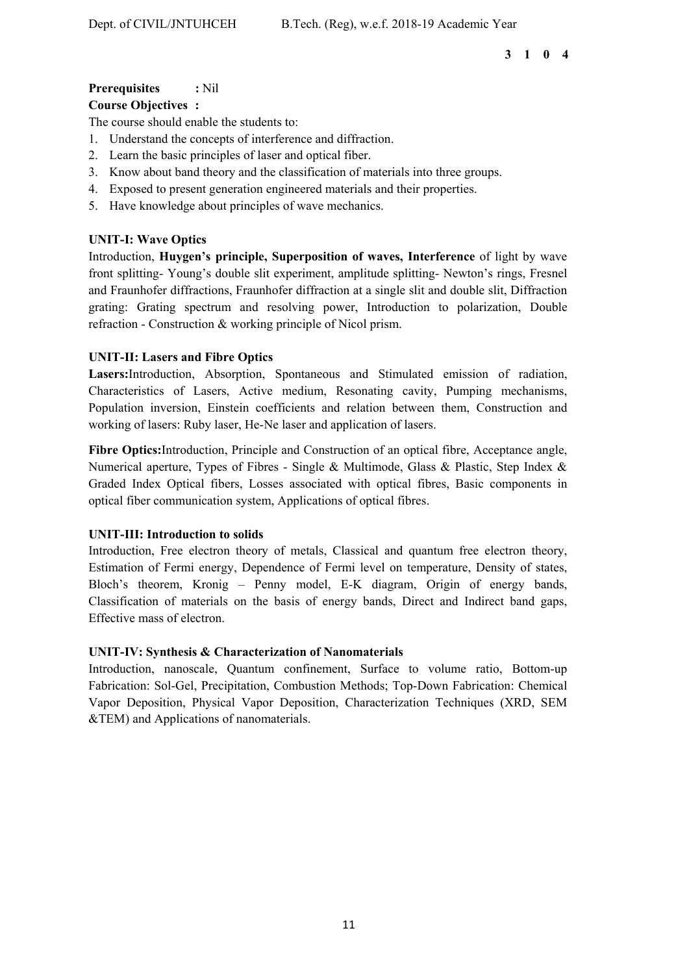### **3 1 0 4**

# **Prerequisites :** Nil

## **Course Objectives :**

The course should enable the students to:

- 1. Understand the concepts of interference and diffraction.
- 2. Learn the basic principles of laser and optical fiber.
- 3. Know about band theory and the classification of materials into three groups.
- 4. Exposed to present generation engineered materials and their properties.
- 5. Have knowledge about principles of wave mechanics.

# **UNIT-I: Wave Optics**

Introduction, **Huygen's principle, Superposition of waves, Interference** of light by wave front splitting- Young's double slit experiment, amplitude splitting- Newton's rings, Fresnel and Fraunhofer diffractions, Fraunhofer diffraction at a single slit and double slit, Diffraction grating: Grating spectrum and resolving power, Introduction to polarization, Double refraction - Construction & working principle of Nicol prism.

# **UNIT-II: Lasers and Fibre Optics**

**Lasers:**Introduction, Absorption, Spontaneous and Stimulated emission of radiation, Characteristics of Lasers, Active medium, Resonating cavity, Pumping mechanisms, Population inversion, Einstein coefficients and relation between them, Construction and working of lasers: Ruby laser, He-Ne laser and application of lasers.

**Fibre Optics:**Introduction, Principle and Construction of an optical fibre, Acceptance angle, Numerical aperture, Types of Fibres - Single & Multimode, Glass & Plastic, Step Index & Graded Index Optical fibers, Losses associated with optical fibres, Basic components in optical fiber communication system, Applications of optical fibres.

### **UNIT-III: Introduction to solids**

Introduction, Free electron theory of metals, Classical and quantum free electron theory, Estimation of Fermi energy, Dependence of Fermi level on temperature, Density of states, Bloch's theorem, Kronig – Penny model, E-K diagram, Origin of energy bands, Classification of materials on the basis of energy bands, Direct and Indirect band gaps, Effective mass of electron.

### **UNIT-IV: Synthesis & Characterization of Nanomaterials**

Introduction, nanoscale, Quantum confinement, Surface to volume ratio, Bottom-up Fabrication: Sol-Gel, Precipitation, Combustion Methods; Top-Down Fabrication: Chemical Vapor Deposition, Physical Vapor Deposition, Characterization Techniques (XRD, SEM &TEM) and Applications of nanomaterials.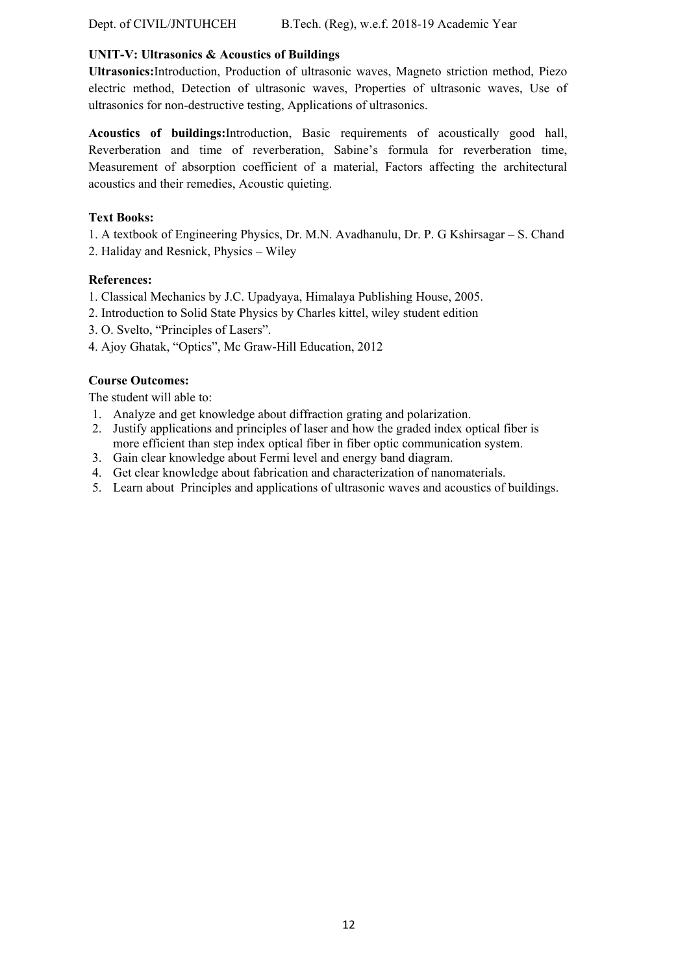Dept. of CIVIL/JNTUHCEH B.Tech. (Reg), w.e.f. 2018-19 Academic Year

### **UNIT-V: Ultrasonics & Acoustics of Buildings**

**Ultrasonics:**Introduction, Production of ultrasonic waves, Magneto striction method, Piezo electric method, Detection of ultrasonic waves, Properties of ultrasonic waves, Use of ultrasonics for non-destructive testing, Applications of ultrasonics.

**Acoustics of buildings:**Introduction, Basic requirements of acoustically good hall, Reverberation and time of reverberation, Sabine's formula for reverberation time, Measurement of absorption coefficient of a material, Factors affecting the architectural acoustics and their remedies, Acoustic quieting.

### **Text Books:**

1. A textbook of Engineering Physics, Dr. M.N. Avadhanulu, Dr. P. G Kshirsagar – S. Chand

2. Haliday and Resnick, Physics – Wiley

# **References:**

1. Classical Mechanics by J.C. Upadyaya, Himalaya Publishing House, 2005.

- 2. Introduction to Solid State Physics by Charles kittel, wiley student edition
- 3. O. Svelto, "Principles of Lasers".
- 4. Ajoy Ghatak, "Optics", Mc Graw-Hill Education, 2012

# **Course Outcomes:**

The student will able to:

- 1. Analyze and get knowledge about diffraction grating and polarization.
- 2. Justify applications and principles of laser and how the graded index optical fiber is more efficient than step index optical fiber in fiber optic communication system.
- 3. Gain clear knowledge about Fermi level and energy band diagram.
- 4. Get clear knowledge about fabrication and characterization of nanomaterials.
- 5. Learn about Principles and applications of ultrasonic waves and acoustics of buildings.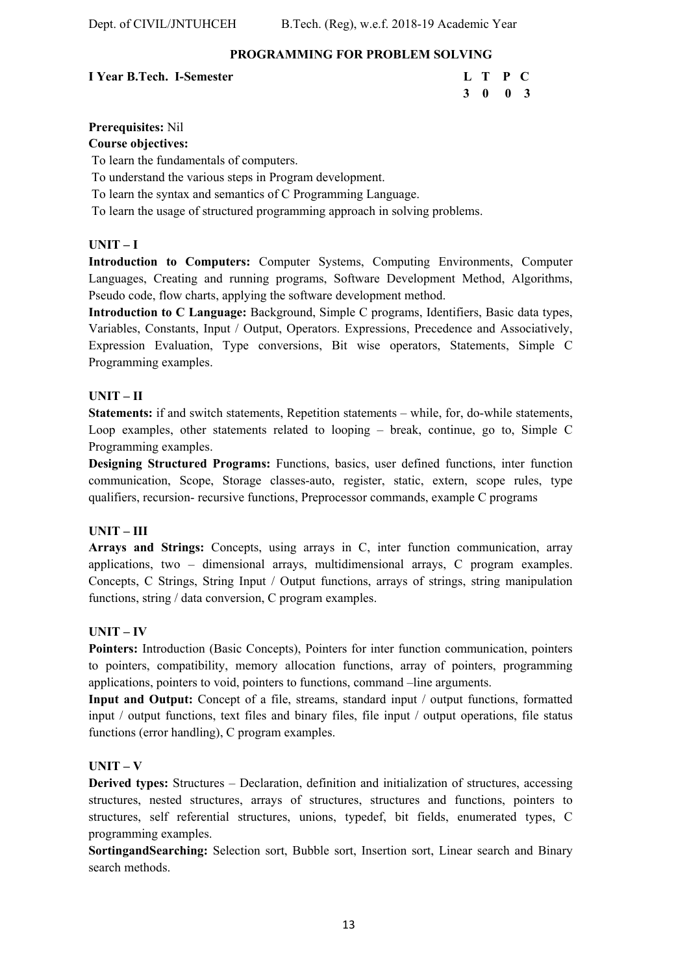# **PROGRAMMING FOR PROBLEM SOLVING**

# **I Year B.Tech. I-Semester**

| I Year B.Tech. I-Semester | L T P C |  |  |
|---------------------------|---------|--|--|
|                           | 3 0 0 3 |  |  |

# **Prerequisites:** Nil

**Course objectives:** 

To learn the fundamentals of computers.

To understand the various steps in Program development.

To learn the syntax and semantics of C Programming Language.

To learn the usage of structured programming approach in solving problems.

# **UNIT – I**

**Introduction to Computers:** Computer Systems, Computing Environments, Computer Languages, Creating and running programs, Software Development Method, Algorithms, Pseudo code, flow charts, applying the software development method.

**Introduction to C Language:** Background, Simple C programs, Identifiers, Basic data types, Variables, Constants, Input / Output, Operators. Expressions, Precedence and Associatively, Expression Evaluation, Type conversions, Bit wise operators, Statements, Simple C Programming examples.

# **UNIT – II**

**Statements:** if and switch statements, Repetition statements – while, for, do-while statements, Loop examples, other statements related to looping – break, continue, go to, Simple C Programming examples.

**Designing Structured Programs:** Functions, basics, user defined functions, inter function communication, Scope, Storage classes-auto, register, static, extern, scope rules, type qualifiers, recursion- recursive functions, Preprocessor commands, example C programs

# **UNIT – III**

**Arrays and Strings:** Concepts, using arrays in C, inter function communication, array applications, two – dimensional arrays, multidimensional arrays, C program examples. Concepts, C Strings, String Input / Output functions, arrays of strings, string manipulation functions, string / data conversion, C program examples.

# **UNIT – IV**

**Pointers:** Introduction (Basic Concepts), Pointers for inter function communication, pointers to pointers, compatibility, memory allocation functions, array of pointers, programming applications, pointers to void, pointers to functions, command –line arguments.

**Input and Output:** Concept of a file, streams, standard input / output functions, formatted input / output functions, text files and binary files, file input / output operations, file status functions (error handling), C program examples.

# **UNIT – V**

**Derived types:** Structures – Declaration, definition and initialization of structures, accessing structures, nested structures, arrays of structures, structures and functions, pointers to structures, self referential structures, unions, typedef, bit fields, enumerated types, C programming examples.

**SortingandSearching:** Selection sort, Bubble sort, Insertion sort, Linear search and Binary search methods.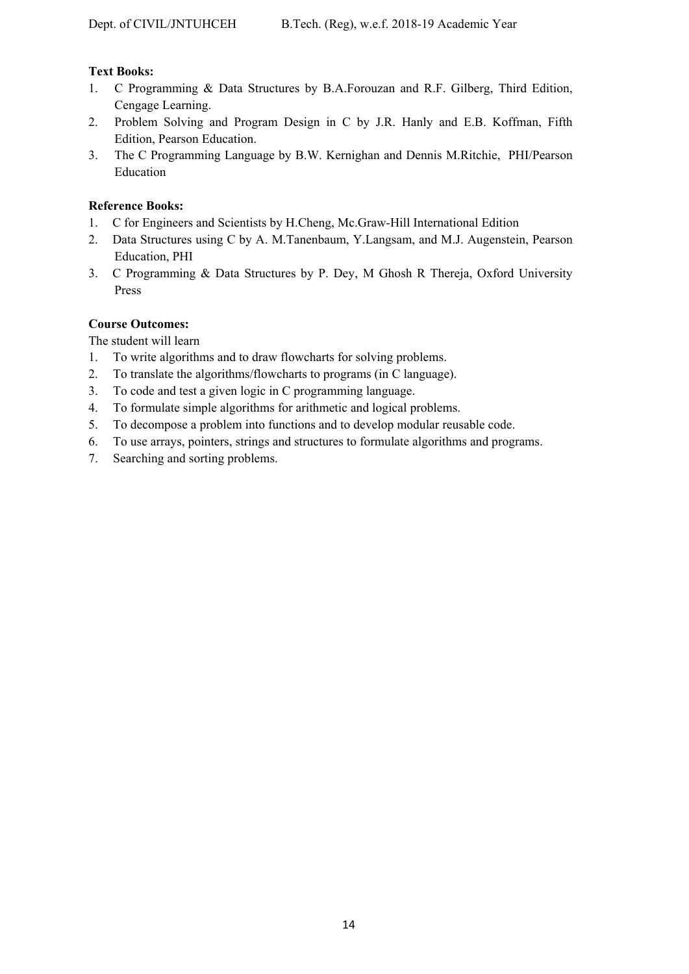# **Text Books:**

- 1. C Programming & Data Structures by B.A.Forouzan and R.F. Gilberg, Third Edition, Cengage Learning.
- 2. Problem Solving and Program Design in C by J.R. Hanly and E.B. Koffman, Fifth Edition, Pearson Education.
- 3. The C Programming Language by B.W. Kernighan and Dennis M.Ritchie, PHI/Pearson Education

# **Reference Books:**

- 1. C for Engineers and Scientists by H.Cheng, Mc.Graw-Hill International Edition
- 2. Data Structures using C by A. M.Tanenbaum, Y.Langsam, and M.J. Augenstein, Pearson Education, PHI
- 3. C Programming & Data Structures by P. Dey, M Ghosh R Thereja, Oxford University Press

# **Course Outcomes:**

The student will learn

- 1. To write algorithms and to draw flowcharts for solving problems.
- 2. To translate the algorithms/flowcharts to programs (in C language).
- 3. To code and test a given logic in C programming language.
- 4. To formulate simple algorithms for arithmetic and logical problems.
- 5. To decompose a problem into functions and to develop modular reusable code.
- 6. To use arrays, pointers, strings and structures to formulate algorithms and programs.
- 7. Searching and sorting problems.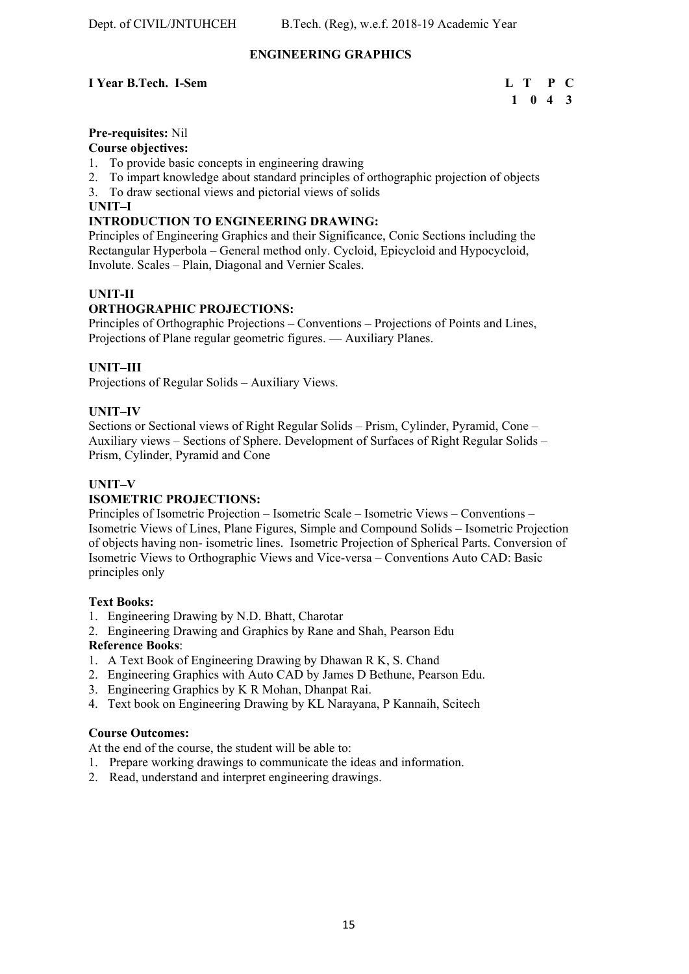# **ENGINEERING GRAPHICS**

# **I** Year B.Tech. I-Sem L T P C

# **1 0 4 3**

# **Pre-requisites:** Nil

# **Course objectives:**

- 1. To provide basic concepts in engineering drawing
- 2. To impart knowledge about standard principles of orthographic projection of objects
- 3. To draw sectional views and pictorial views of solids

### **UNIT–I**

# **INTRODUCTION TO ENGINEERING DRAWING:**

Principles of Engineering Graphics and their Significance, Conic Sections including the Rectangular Hyperbola – General method only. Cycloid, Epicycloid and Hypocycloid, Involute. Scales – Plain, Diagonal and Vernier Scales.

# **UNIT-II**

# **ORTHOGRAPHIC PROJECTIONS:**

Principles of Orthographic Projections – Conventions – Projections of Points and Lines, Projections of Plane regular geometric figures. — Auxiliary Planes.

# **UNIT–III**

Projections of Regular Solids – Auxiliary Views.

### **UNIT–IV**

Sections or Sectional views of Right Regular Solids – Prism, Cylinder, Pyramid, Cone – Auxiliary views – Sections of Sphere. Development of Surfaces of Right Regular Solids – Prism, Cylinder, Pyramid and Cone

### **UNIT–V**

### **ISOMETRIC PROJECTIONS:**

Principles of Isometric Projection – Isometric Scale – Isometric Views – Conventions – Isometric Views of Lines, Plane Figures, Simple and Compound Solids – Isometric Projection of objects having non- isometric lines. Isometric Projection of Spherical Parts. Conversion of Isometric Views to Orthographic Views and Vice-versa – Conventions Auto CAD: Basic principles only

### **Text Books:**

- 1. Engineering Drawing by N.D. Bhatt, Charotar
- 2. Engineering Drawing and Graphics by Rane and Shah, Pearson Edu

### **Reference Books**:

- 1. A Text Book of Engineering Drawing by Dhawan R K, S. Chand
- 2. Engineering Graphics with Auto CAD by James D Bethune, Pearson Edu.
- 3. Engineering Graphics by K R Mohan, Dhanpat Rai.
- 4. Text book on Engineering Drawing by KL Narayana, P Kannaih, Scitech

### **Course Outcomes:**

At the end of the course, the student will be able to:

- 1. Prepare working drawings to communicate the ideas and information.
- 2. Read, understand and interpret engineering drawings.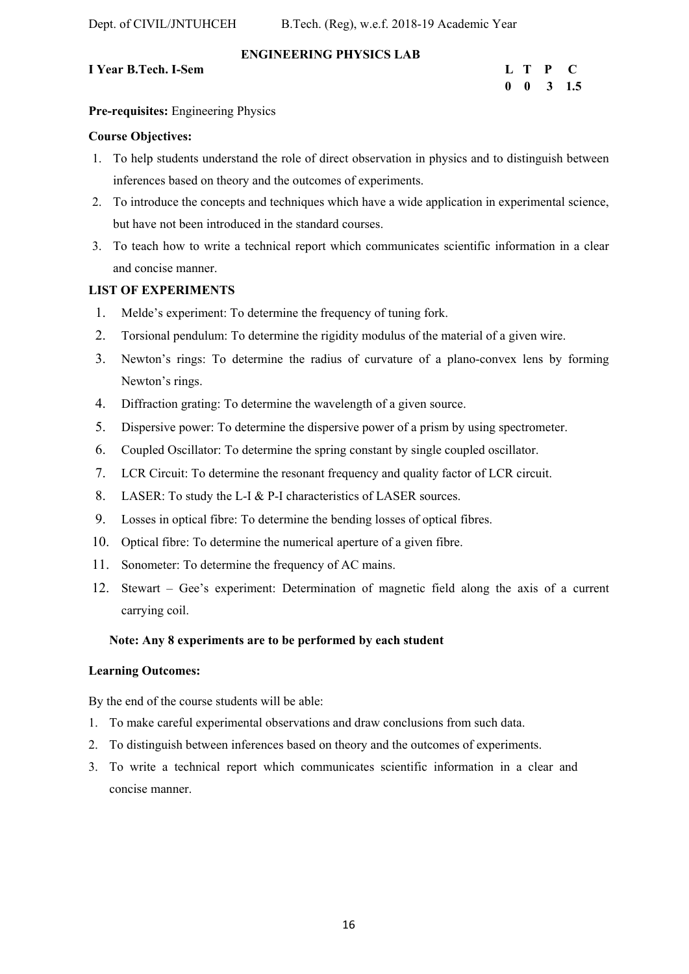# **ENGINEERING PHYSICS LAB**

# **I Year B.Tech. I-Sem**

| I Year B.Tech. I-Sem |  | L T P C              |
|----------------------|--|----------------------|
|                      |  | $0 \t 0 \t 3 \t 1.5$ |

## **Pre-requisites:** Engineering Physics

# **Course Objectives:**

- 1. To help students understand the role of direct observation in physics and to distinguish between inferences based on theory and the outcomes of experiments.
- 2. To introduce the concepts and techniques which have a wide application in experimental science, but have not been introduced in the standard courses.
- 3. To teach how to write a technical report which communicates scientific information in a clear and concise manner.

# **LIST OF EXPERIMENTS**

- 1. Melde's experiment: To determine the frequency of tuning fork.
- 2. Torsional pendulum: To determine the rigidity modulus of the material of a given wire.
- 3. Newton's rings: To determine the radius of curvature of a plano-convex lens by forming Newton's rings.
- 4. Diffraction grating: To determine the wavelength of a given source.
- 5. Dispersive power: To determine the dispersive power of a prism by using spectrometer.
- 6. Coupled Oscillator: To determine the spring constant by single coupled oscillator.
- 7. LCR Circuit: To determine the resonant frequency and quality factor of LCR circuit.
- 8. LASER: To study the L-I & P-I characteristics of LASER sources.
- 9. Losses in optical fibre: To determine the bending losses of optical fibres.
- 10. Optical fibre: To determine the numerical aperture of a given fibre.
- 11. Sonometer: To determine the frequency of AC mains.
- 12. Stewart Gee's experiment: Determination of magnetic field along the axis of a current carrying coil.

# **Note: Any 8 experiments are to be performed by each student**

### **Learning Outcomes:**

By the end of the course students will be able:

- 1. To make careful experimental observations and draw conclusions from such data.
- 2. To distinguish between inferences based on theory and the outcomes of experiments.
- 3. To write a technical report which communicates scientific information in a clear and concise manner.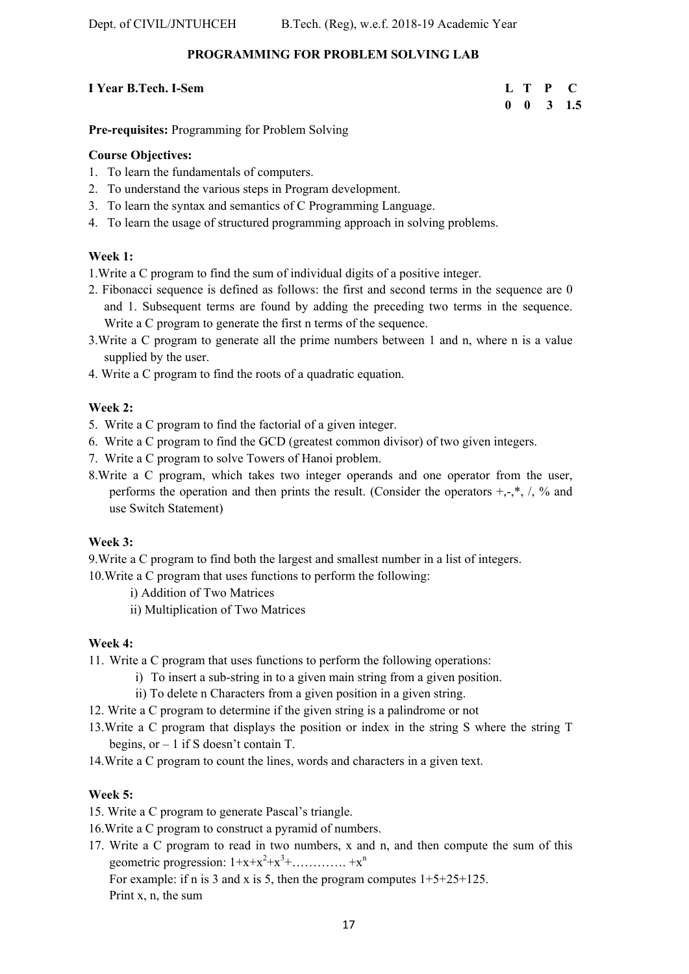# **PROGRAMMING FOR PROBLEM SOLVING LAB**

# **I** Year B.Tech. I-Sem **L** T P C

# **0 0 3 1.5**

**Pre-requisites:** Programming for Problem Solving

# **Course Objectives:**

- 1. To learn the fundamentals of computers.
- 2. To understand the various steps in Program development.
- 3. To learn the syntax and semantics of C Programming Language.
- 4. To learn the usage of structured programming approach in solving problems.

# **Week 1:**

1.Write a C program to find the sum of individual digits of a positive integer.

- 2. Fibonacci sequence is defined as follows: the first and second terms in the sequence are 0 and 1. Subsequent terms are found by adding the preceding two terms in the sequence. Write a C program to generate the first n terms of the sequence.
- 3.Write a C program to generate all the prime numbers between 1 and n, where n is a value supplied by the user.
- 4. Write a C program to find the roots of a quadratic equation.

# **Week 2:**

- 5. Write a C program to find the factorial of a given integer.
- 6. Write a C program to find the GCD (greatest common divisor) of two given integers.
- 7. Write a C program to solve Towers of Hanoi problem.
- 8.Write a C program, which takes two integer operands and one operator from the user, performs the operation and then prints the result. (Consider the operators  $+, \cdot, *, ',$ , % and use Switch Statement)

# **Week 3:**

9.Write a C program to find both the largest and smallest number in a list of integers.

10.Write a C program that uses functions to perform the following:

- i) Addition of Two Matrices
- ii) Multiplication of Two Matrices

# **Week 4:**

11. Write a C program that uses functions to perform the following operations:

- i) To insert a sub-string in to a given main string from a given position.
- ii) To delete n Characters from a given position in a given string.
- 12. Write a C program to determine if the given string is a palindrome or not
- 13.Write a C program that displays the position or index in the string S where the string T begins, or – 1 if S doesn't contain T.
- 14.Write a C program to count the lines, words and characters in a given text.

# **Week 5:**

- 15. Write a C program to generate Pascal's triangle.
- 16.Write a C program to construct a pyramid of numbers.
- 17. Write a C program to read in two numbers, x and n, and then compute the sum of this geometric progression:  $1+x+x^2+x^3+\ldots+x^n$

For example: if n is 3 and x is 5, then the program computes  $1+5+25+125$ .

Print x, n, the sum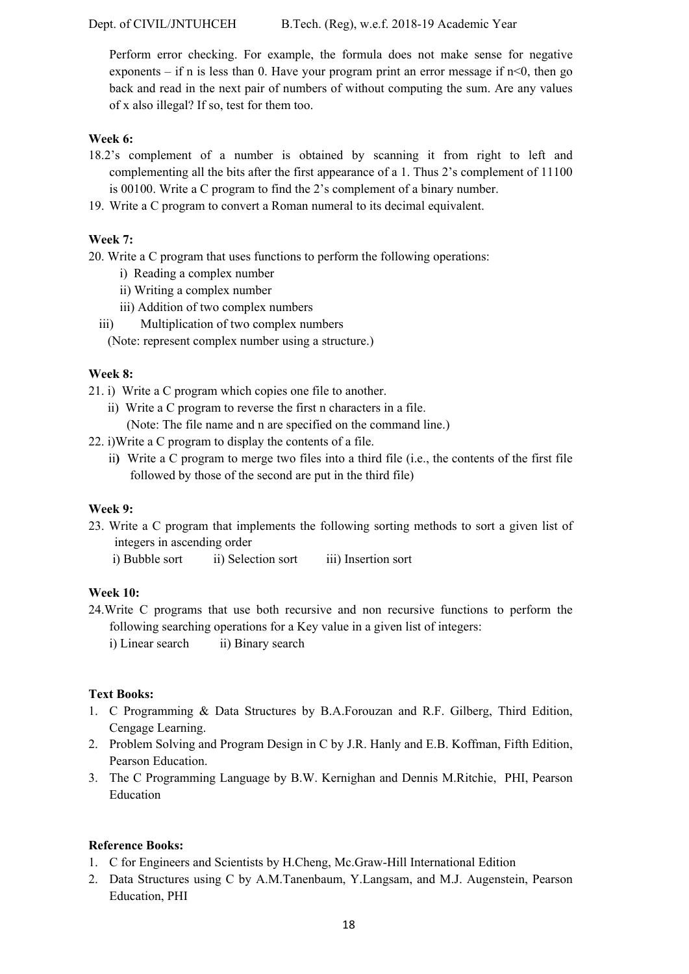Perform error checking. For example, the formula does not make sense for negative exponents – if n is less than 0. Have your program print an error message if  $n < 0$ , then go back and read in the next pair of numbers of without computing the sum. Are any values of x also illegal? If so, test for them too.

# **Week 6:**

- 18.2's complement of a number is obtained by scanning it from right to left and complementing all the bits after the first appearance of a 1. Thus 2's complement of 11100 is 00100. Write a C program to find the 2's complement of a binary number.
- 19. Write a C program to convert a Roman numeral to its decimal equivalent.

# **Week 7:**

20. Write a C program that uses functions to perform the following operations:

- i) Reading a complex number
- ii) Writing a complex number
- iii) Addition of two complex numbers
- iii) Multiplication of two complex numbers

(Note: represent complex number using a structure.)

# **Week 8:**

21. i) Write a C program which copies one file to another.

- ii) Write a C program to reverse the first n characters in a file. (Note: The file name and n are specified on the command line.)
- 22. i)Write a C program to display the contents of a file.
	- ii**)** Write a C program to merge two files into a third file (i.e., the contents of the first file followed by those of the second are put in the third file)

# **Week 9:**

- 23. Write a C program that implements the following sorting methods to sort a given list of integers in ascending order
	- i) Bubble sort ii) Selection sort iii) Insertion sort

# **Week 10:**

24.Write C programs that use both recursive and non recursive functions to perform the following searching operations for a Key value in a given list of integers: i) Linear search ii) Binary search

# **Text Books:**

- 1. C Programming & Data Structures by B.A.Forouzan and R.F. Gilberg, Third Edition, Cengage Learning.
- 2. Problem Solving and Program Design in C by J.R. Hanly and E.B. Koffman, Fifth Edition, Pearson Education.
- 3. The C Programming Language by B.W. Kernighan and Dennis M.Ritchie, PHI, Pearson Education

# **Reference Books:**

- 1. C for Engineers and Scientists by H.Cheng, Mc.Graw-Hill International Edition
- 2. Data Structures using C by A.M.Tanenbaum, Y.Langsam, and M.J. Augenstein, Pearson Education, PHI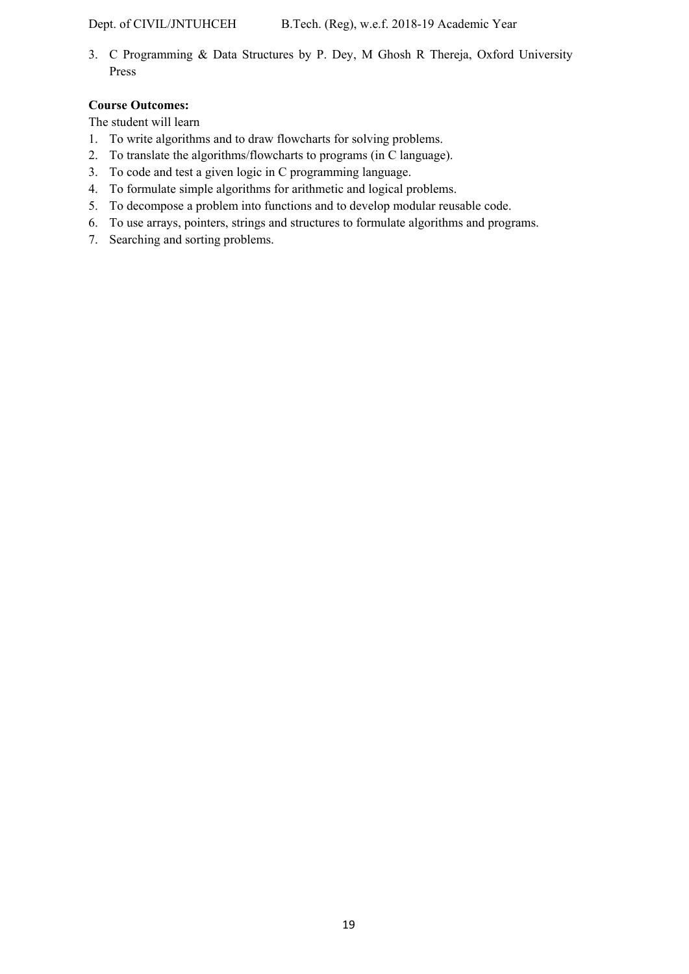3. C Programming & Data Structures by P. Dey, M Ghosh R Thereja, Oxford University Press

# **Course Outcomes:**

The student will learn

- 1. To write algorithms and to draw flowcharts for solving problems.
- 2. To translate the algorithms/flowcharts to programs (in C language).
- 3. To code and test a given logic in C programming language.
- 4. To formulate simple algorithms for arithmetic and logical problems.
- 5. To decompose a problem into functions and to develop modular reusable code.
- 6. To use arrays, pointers, strings and structures to formulate algorithms and programs.
- 7. Searching and sorting problems.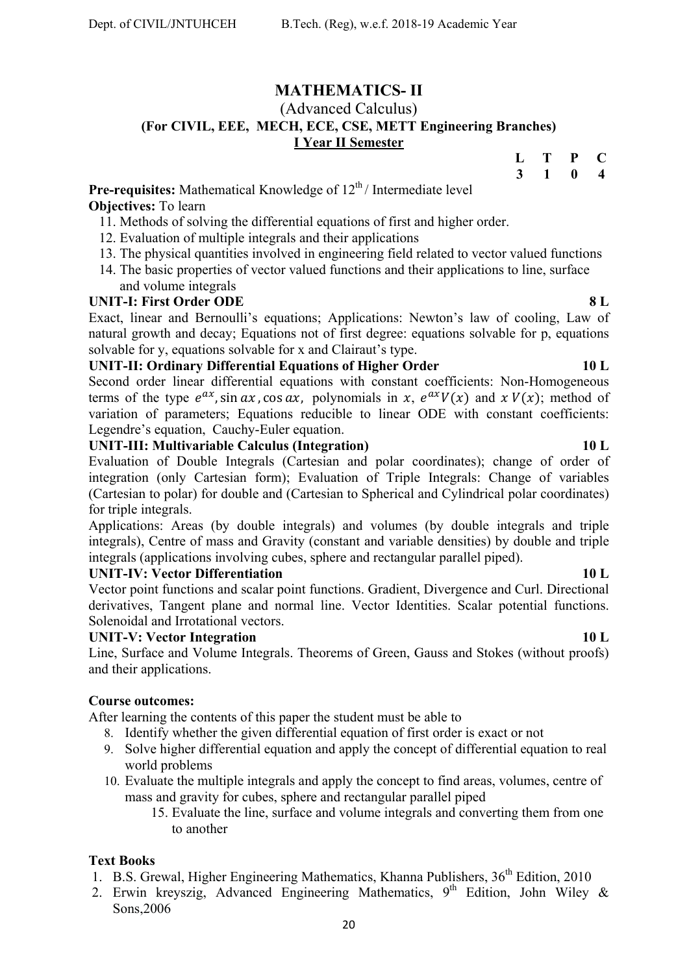# **MATHEMATICS- II**

# (Advanced Calculus) **(For CIVIL, EEE, MECH, ECE, CSE, METT Engineering Branches) I Year II Semester**

| L | Т | P | C |
|---|---|---|---|
| 3 |   | 0 | 4 |

**Pre-requisites:** Mathematical Knowledge of 12<sup>th</sup>/Intermediate level **Objectives:** To learn

- 11. Methods of solving the differential equations of first and higher order.
- 12. Evaluation of multiple integrals and their applications
- 13. The physical quantities involved in engineering field related to vector valued functions
- 14. The basic properties of vector valued functions and their applications to line, surface and volume integrals

# **UNIT-I: First Order ODE 8 L**

Exact, linear and Bernoulli's equations; Applications: Newton's law of cooling, Law of natural growth and decay; Equations not of first degree: equations solvable for p, equations solvable for y, equations solvable for x and Clairaut's type.

# **UNIT-II: Ordinary Differential Equations of Higher Order 10 L**

Second order linear differential equations with constant coefficients: Non-Homogeneous terms of the type  $e^{ax}$ , sin  $ax$ , cos  $ax$ , polynomials in x,  $e^{ax}V(x)$  and  $x V(x)$ ; method of variation of parameters; Equations reducible to linear ODE with constant coefficients: Legendre's equation, Cauchy-Euler equation.

# **UNIT-III: Multivariable Calculus (Integration) 10 L**

Evaluation of Double Integrals (Cartesian and polar coordinates); change of order of integration (only Cartesian form); Evaluation of Triple Integrals: Change of variables (Cartesian to polar) for double and (Cartesian to Spherical and Cylindrical polar coordinates) for triple integrals.

Applications: Areas (by double integrals) and volumes (by double integrals and triple integrals), Centre of mass and Gravity (constant and variable densities) by double and triple integrals (applications involving cubes, sphere and rectangular parallel piped).

# **UNIT-IV: Vector Differentiation** 10 L

Vector point functions and scalar point functions. Gradient, Divergence and Curl. Directional derivatives, Tangent plane and normal line. Vector Identities. Scalar potential functions. Solenoidal and Irrotational vectors.

# **UNIT-V: Vector Integration** 10 L

Line, Surface and Volume Integrals. Theorems of Green, Gauss and Stokes (without proofs) and their applications.

# **Course outcomes:**

After learning the contents of this paper the student must be able to

- 8. Identify whether the given differential equation of first order is exact or not
- 9. Solve higher differential equation and apply the concept of differential equation to real world problems
- 10. Evaluate the multiple integrals and apply the concept to find areas, volumes, centre of mass and gravity for cubes, sphere and rectangular parallel piped
	- 15. Evaluate the line, surface and volume integrals and converting them from one to another

# **Text Books**

- 1. B.S. Grewal, Higher Engineering Mathematics, Khanna Publishers, 36<sup>th</sup> Edition, 2010
- 2. Erwin kreyszig, Advanced Engineering Mathematics, 9<sup>th</sup> Edition, John Wiley & Sons,2006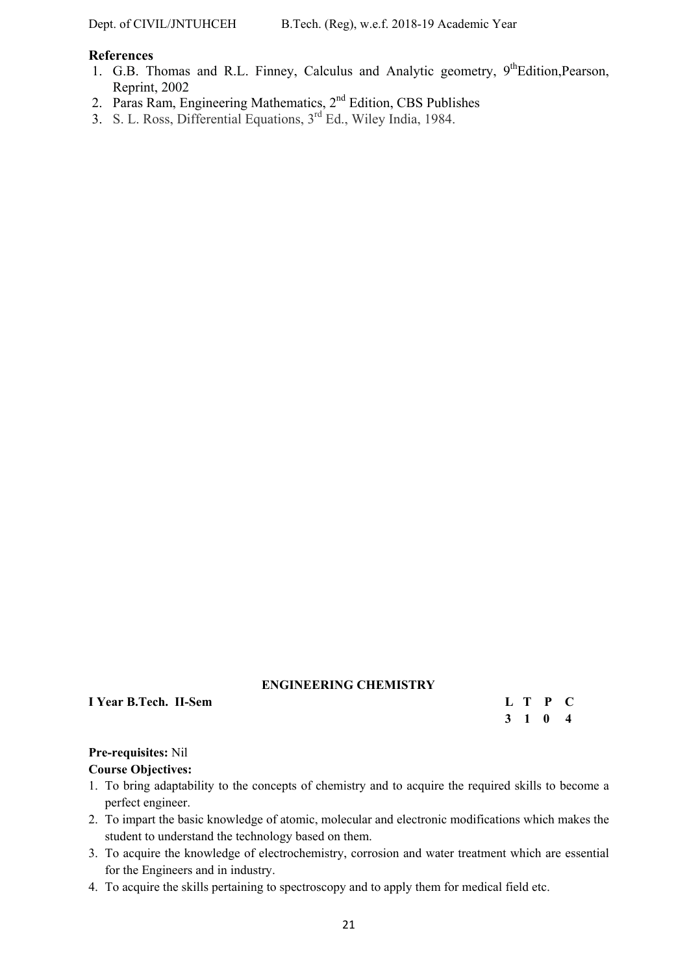### **References**

- 1. G.B. Thomas and R.L. Finney, Calculus and Analytic geometry, 9<sup>th</sup>Edition, Pearson, Reprint, 2002
- 2. Paras Ram, Engineering Mathematics,  $2<sup>nd</sup>$  Edition, CBS Publishes
- 3. S. L. Ross, Differential Equations, 3<sup>rd</sup> Ed., Wiley India, 1984.

### **ENGINEERING CHEMISTRY**

**I** Year B.Tech. II-Sem **L** T P C

 **3 1 0 4** 

# **Pre-requisites:** Nil

### **Course Objectives:**

- 1. To bring adaptability to the concepts of chemistry and to acquire the required skills to become a perfect engineer.
- 2. To impart the basic knowledge of atomic, molecular and electronic modifications which makes the student to understand the technology based on them.
- 3. To acquire the knowledge of electrochemistry, corrosion and water treatment which are essential for the Engineers and in industry.
- 4. To acquire the skills pertaining to spectroscopy and to apply them for medical field etc.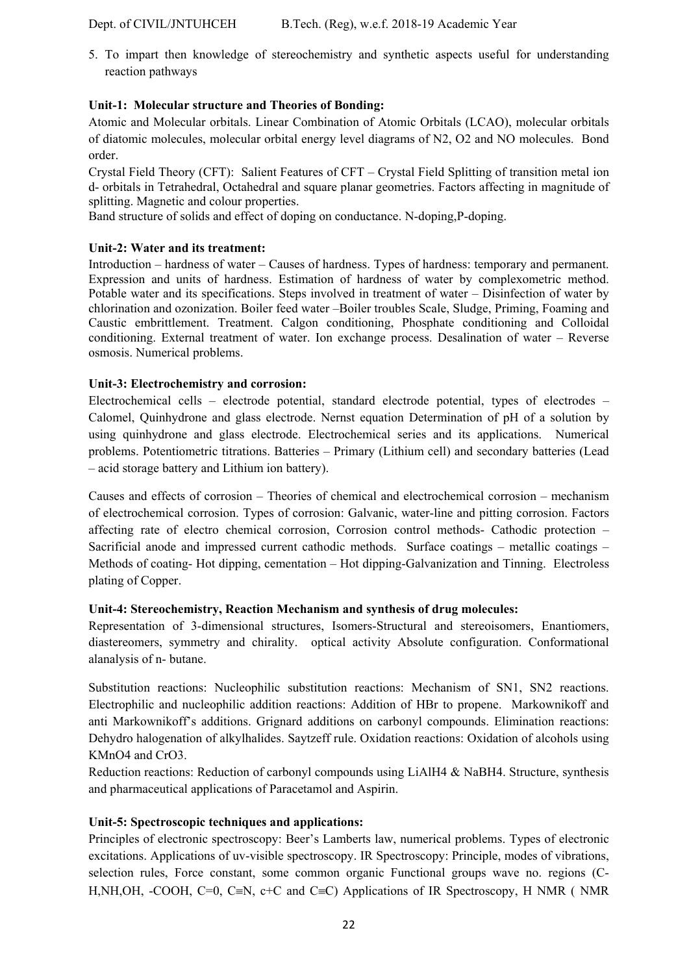Dept. of CIVIL/JNTUHCEH B.Tech. (Reg), w.e.f. 2018-19 Academic Year

5. To impart then knowledge of stereochemistry and synthetic aspects useful for understanding reaction pathways

# **Unit-1: Molecular structure and Theories of Bonding:**

Atomic and Molecular orbitals. Linear Combination of Atomic Orbitals (LCAO), molecular orbitals of diatomic molecules, molecular orbital energy level diagrams of N2, O2 and NO molecules. Bond order.

Crystal Field Theory (CFT): Salient Features of CFT – Crystal Field Splitting of transition metal ion d- orbitals in Tetrahedral, Octahedral and square planar geometries. Factors affecting in magnitude of splitting. Magnetic and colour properties.

Band structure of solids and effect of doping on conductance. N-doping,P-doping.

# **Unit-2: Water and its treatment:**

Introduction – hardness of water – Causes of hardness. Types of hardness: temporary and permanent. Expression and units of hardness. Estimation of hardness of water by complexometric method. Potable water and its specifications. Steps involved in treatment of water – Disinfection of water by chlorination and ozonization. Boiler feed water –Boiler troubles Scale, Sludge, Priming, Foaming and Caustic embrittlement. Treatment. Calgon conditioning, Phosphate conditioning and Colloidal conditioning. External treatment of water. Ion exchange process. Desalination of water – Reverse osmosis. Numerical problems.

# **Unit-3: Electrochemistry and corrosion:**

Electrochemical cells – electrode potential, standard electrode potential, types of electrodes – Calomel, Quinhydrone and glass electrode. Nernst equation Determination of pH of a solution by using quinhydrone and glass electrode. Electrochemical series and its applications. Numerical problems. Potentiometric titrations. Batteries – Primary (Lithium cell) and secondary batteries (Lead – acid storage battery and Lithium ion battery).

Causes and effects of corrosion – Theories of chemical and electrochemical corrosion – mechanism of electrochemical corrosion. Types of corrosion: Galvanic, water-line and pitting corrosion. Factors affecting rate of electro chemical corrosion, Corrosion control methods- Cathodic protection – Sacrificial anode and impressed current cathodic methods. Surface coatings – metallic coatings – Methods of coating- Hot dipping, cementation – Hot dipping-Galvanization and Tinning. Electroless plating of Copper.

### **Unit-4: Stereochemistry, Reaction Mechanism and synthesis of drug molecules:**

Representation of 3-dimensional structures, Isomers-Structural and stereoisomers, Enantiomers, diastereomers, symmetry and chirality. optical activity Absolute configuration. Conformational alanalysis of n- butane.

Substitution reactions: Nucleophilic substitution reactions: Mechanism of SN1, SN2 reactions. Electrophilic and nucleophilic addition reactions: Addition of HBr to propene. Markownikoff and anti Markownikoff's additions. Grignard additions on carbonyl compounds. Elimination reactions: Dehydro halogenation of alkylhalides. Saytzeff rule. Oxidation reactions: Oxidation of alcohols using KMnO4 and CrO3.

Reduction reactions: Reduction of carbonyl compounds using LiAlH4 & NaBH4. Structure, synthesis and pharmaceutical applications of Paracetamol and Aspirin.

# **Unit-5: Spectroscopic techniques and applications:**

Principles of electronic spectroscopy: Beer's Lamberts law, numerical problems. Types of electronic excitations. Applications of uv-visible spectroscopy. IR Spectroscopy: Principle, modes of vibrations, selection rules, Force constant, some common organic Functional groups wave no. regions (C-H,NH,OH, -COOH, C=0, C=N, c+C and C=C) Applications of IR Spectroscopy, H NMR (NMR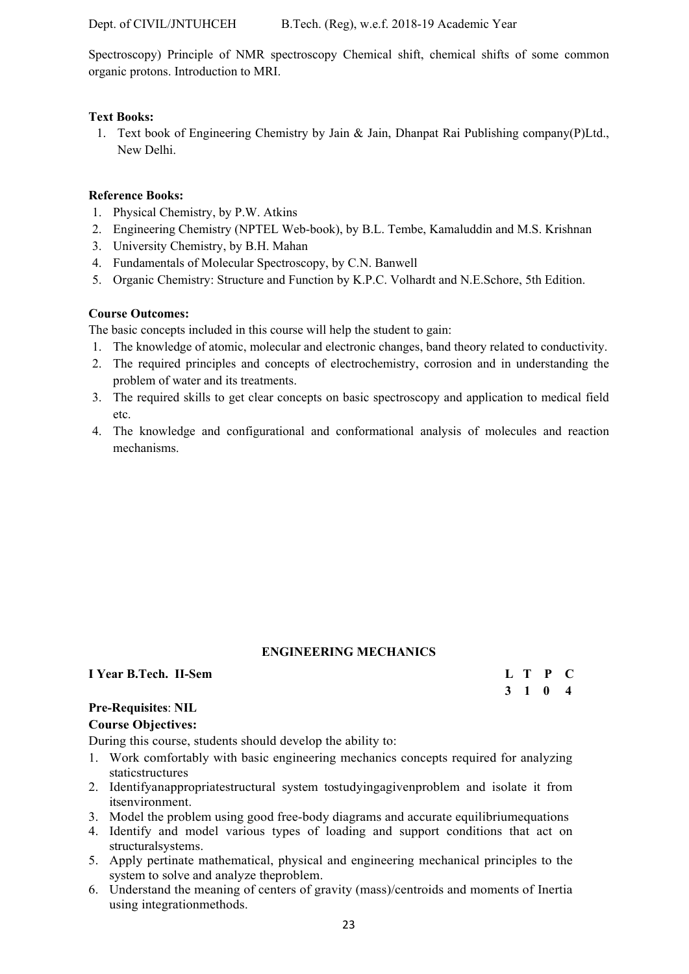Dept. of CIVIL/JNTUHCEH B.Tech. (Reg), w.e.f. 2018-19 Academic Year

Spectroscopy) Principle of NMR spectroscopy Chemical shift, chemical shifts of some common organic protons. Introduction to MRI.

# **Text Books:**

1. Text book of Engineering Chemistry by Jain & Jain, Dhanpat Rai Publishing company(P)Ltd., New Delhi.

# **Reference Books:**

- 1. Physical Chemistry, by P.W. Atkins
- 2. Engineering Chemistry (NPTEL Web-book), by B.L. Tembe, Kamaluddin and M.S. Krishnan
- 3. University Chemistry, by B.H. Mahan
- 4. Fundamentals of Molecular Spectroscopy, by C.N. Banwell
- 5. Organic Chemistry: Structure and Function by K.P.C. Volhardt and N.E.Schore, 5th Edition.

# **Course Outcomes:**

The basic concepts included in this course will help the student to gain:

- 1. The knowledge of atomic, molecular and electronic changes, band theory related to conductivity.
- 2. The required principles and concepts of electrochemistry, corrosion and in understanding the problem of water and its treatments.
- 3. The required skills to get clear concepts on basic spectroscopy and application to medical field etc.
- 4. The knowledge and configurational and conformational analysis of molecules and reaction mechanisms.

# **ENGINEERING MECHANICS**

# **I Year B.Tech. II-Sem**

| I Year B.Tech. II-Sem |  | L T P C |  |
|-----------------------|--|---------|--|
|                       |  | 3 1 0 4 |  |

# **Pre-Requisites**: **NIL**

### **Course Objectives:**

During this course, students should develop the ability to:

- 1. Work comfortably with basic engineering mechanics concepts required for analyzing staticstructures
- 2. Identifyanappropriatestructural system tostudyingagivenproblem and isolate it from itsenvironment.
- 3. Model the problem using good free-body diagrams and accurate equilibriumequations
- 4. Identify and model various types of loading and support conditions that act on structuralsystems.
- 5. Apply pertinate mathematical, physical and engineering mechanical principles to the system to solve and analyze theproblem.
- 6. Understand the meaning of centers of gravity (mass)/centroids and moments of Inertia using integrationmethods.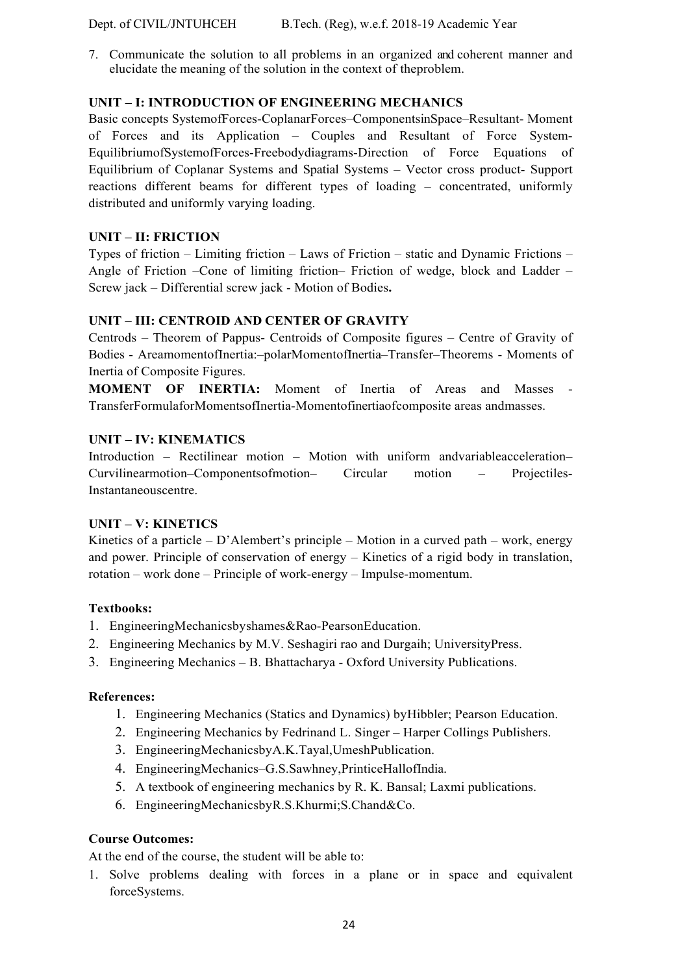7. Communicate the solution to all problems in an organized and coherent manner and elucidate the meaning of the solution in the context of theproblem.

# **UNIT – I: INTRODUCTION OF ENGINEERING MECHANICS**

Basic concepts SystemofForces-CoplanarForces–ComponentsinSpace–Resultant- Moment of Forces and its Application – Couples and Resultant of Force System-EquilibriumofSystemofForces-Freebodydiagrams-Direction of Force Equations of Equilibrium of Coplanar Systems and Spatial Systems – Vector cross product- Support reactions different beams for different types of loading – concentrated, uniformly distributed and uniformly varying loading.

# **UNIT – II: FRICTION**

Types of friction – Limiting friction – Laws of Friction – static and Dynamic Frictions – Angle of Friction –Cone of limiting friction– Friction of wedge, block and Ladder – Screw jack – Differential screw jack - Motion of Bodies**.**

# **UNIT – III: CENTROID AND CENTER OF GRAVITY**

Centrods – Theorem of Pappus- Centroids of Composite figures – Centre of Gravity of Bodies - AreamomentofInertia:–polarMomentofInertia–Transfer–Theorems - Moments of Inertia of Composite Figures.

**MOMENT OF INERTIA:** Moment of Inertia of Areas and Masses TransferFormulaforMomentsofInertia-Momentofinertiaofcomposite areas andmasses.

# **UNIT – IV: KINEMATICS**

Introduction – Rectilinear motion – Motion with uniform andvariableacceleration– Curvilinearmotion–Componentsofmotion– Circular motion – Projectiles-Instantaneouscentre.

# **UNIT – V: KINETICS**

Kinetics of a particle – D'Alembert's principle – Motion in a curved path – work, energy and power. Principle of conservation of energy – Kinetics of a rigid body in translation, rotation – work done – Principle of work-energy – Impulse-momentum.

# **Textbooks:**

- 1. EngineeringMechanicsbyshames&Rao-PearsonEducation.
- 2. Engineering Mechanics by M.V. Seshagiri rao and Durgaih; UniversityPress.
- 3. Engineering Mechanics B. Bhattacharya Oxford University Publications.

# **References:**

- 1. Engineering Mechanics (Statics and Dynamics) byHibbler; Pearson Education.
- 2. Engineering Mechanics by Fedrinand L. Singer Harper Collings Publishers.
- 3. EngineeringMechanicsbyA.K.Tayal,UmeshPublication.
- 4. EngineeringMechanics–G.S.Sawhney,PrinticeHallofIndia.
- 5. A textbook of engineering mechanics by R. K. Bansal; Laxmi publications.
- 6. EngineeringMechanicsbyR.S.Khurmi;S.Chand&Co.

# **Course Outcomes:**

At the end of the course, the student will be able to:

1. Solve problems dealing with forces in a plane or in space and equivalent forceSystems.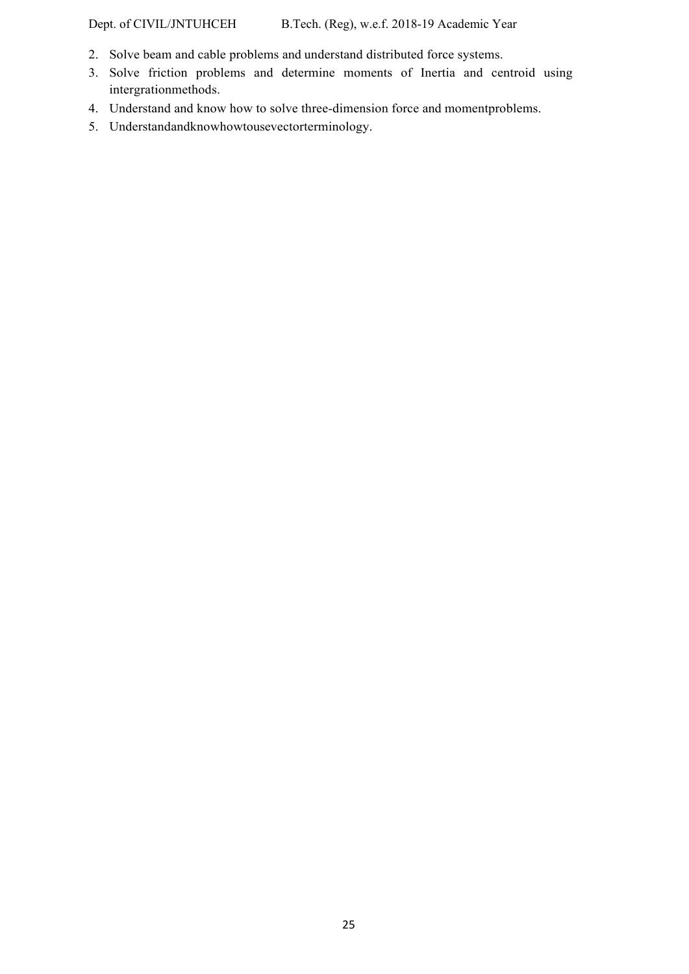Dept. of CIVIL/JNTUHCEH B.Tech. (Reg), w.e.f. 2018-19 Academic Year

- 2. Solve beam and cable problems and understand distributed force systems.
- 3. Solve friction problems and determine moments of Inertia and centroid using intergrationmethods.
- 4. Understand and know how to solve three-dimension force and momentproblems.
- 5. Understandandknowhowtousevectorterminology.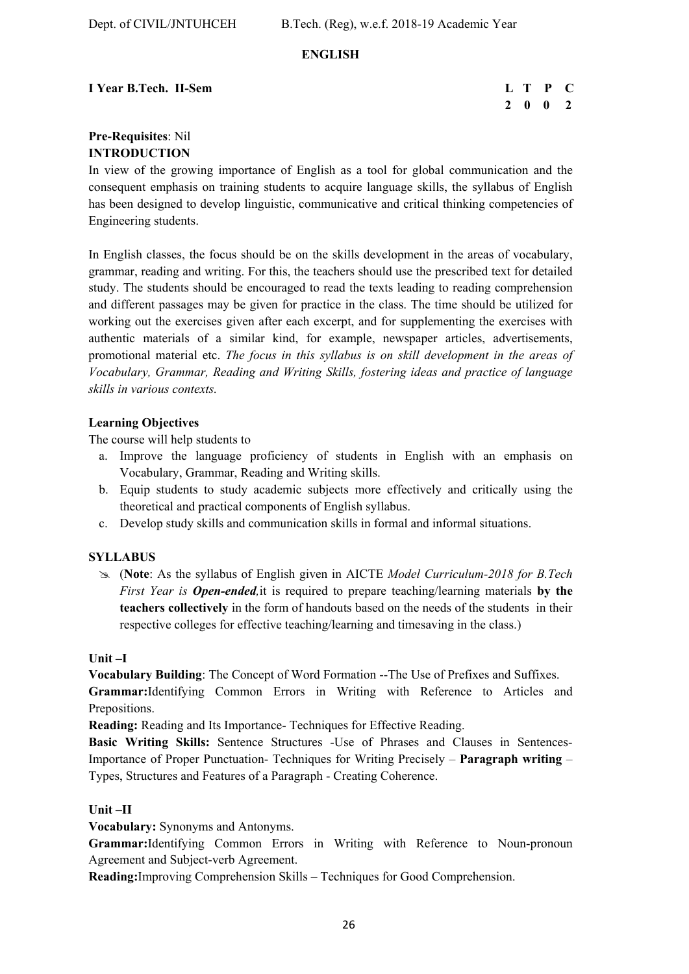# **ENGLISH**

# **I** Year B.Tech. II-Sem **L** T P C

# **2 0 0 2**

# **Pre-Requisites**: Nil **INTRODUCTION**

In view of the growing importance of English as a tool for global communication and the consequent emphasis on training students to acquire language skills, the syllabus of English has been designed to develop linguistic, communicative and critical thinking competencies of Engineering students.

In English classes, the focus should be on the skills development in the areas of vocabulary, grammar, reading and writing. For this, the teachers should use the prescribed text for detailed study. The students should be encouraged to read the texts leading to reading comprehension and different passages may be given for practice in the class. The time should be utilized for working out the exercises given after each excerpt, and for supplementing the exercises with authentic materials of a similar kind, for example, newspaper articles, advertisements, promotional material etc. *The focus in this syllabus is on skill development in the areas of Vocabulary, Grammar, Reading and Writing Skills, fostering ideas and practice of language skills in various contexts.* 

# **Learning Objectives**

The course will help students to

- a. Improve the language proficiency of students in English with an emphasis on Vocabulary, Grammar, Reading and Writing skills.
- b. Equip students to study academic subjects more effectively and critically using the theoretical and practical components of English syllabus.
- c. Develop study skills and communication skills in formal and informal situations.

# **SYLLABUS**

 (**Note**: As the syllabus of English given in AICTE *Model Curriculum-2018 for B.Tech First Year is Open-ended,*it is required to prepare teaching/learning materials **by the teachers collectively** in the form of handouts based on the needs of the students in their respective colleges for effective teaching/learning and timesaving in the class.)

### **Unit –I**

**Vocabulary Building**: The Concept of Word Formation --The Use of Prefixes and Suffixes. **Grammar:**Identifying Common Errors in Writing with Reference to Articles and Prepositions.

**Reading:** Reading and Its Importance- Techniques for Effective Reading.

**Basic Writing Skills:** Sentence Structures -Use of Phrases and Clauses in Sentences-Importance of Proper Punctuation- Techniques for Writing Precisely – **Paragraph writing** – Types, Structures and Features of a Paragraph - Creating Coherence.

### **Unit –II**

**Vocabulary:** Synonyms and Antonyms.

**Grammar:**Identifying Common Errors in Writing with Reference to Noun-pronoun Agreement and Subject-verb Agreement.

**Reading:**Improving Comprehension Skills – Techniques for Good Comprehension.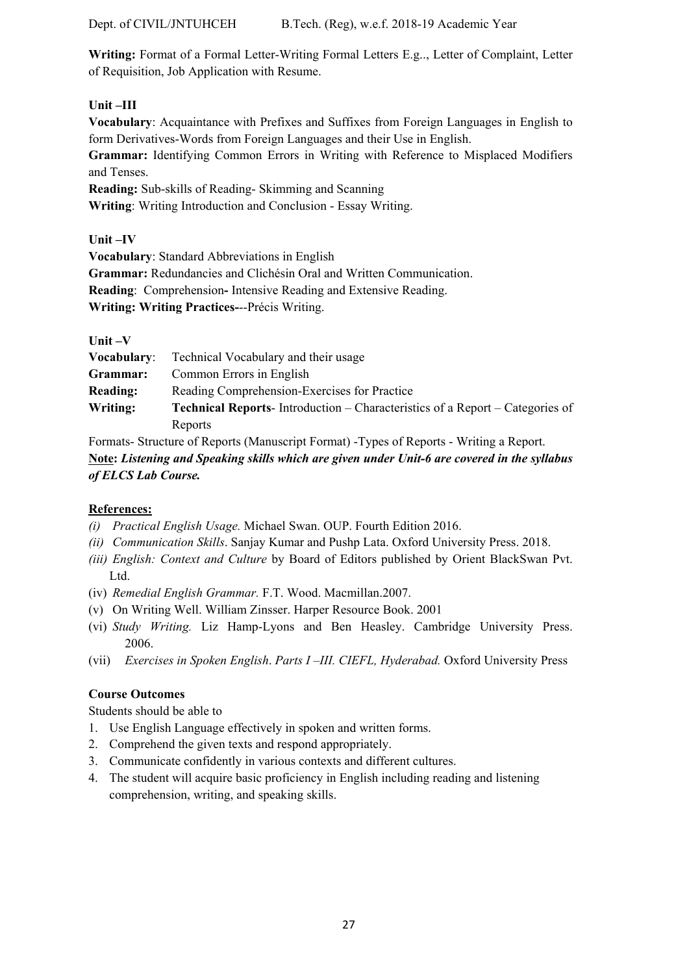**Writing:** Format of a Formal Letter-Writing Formal Letters E.g.., Letter of Complaint, Letter of Requisition, Job Application with Resume.

# **Unit –III**

**Vocabulary**: Acquaintance with Prefixes and Suffixes from Foreign Languages in English to form Derivatives-Words from Foreign Languages and their Use in English. **Grammar:** Identifying Common Errors in Writing with Reference to Misplaced Modifiers and Tenses. **Reading:** Sub-skills of Reading- Skimming and Scanning **Writing**: Writing Introduction and Conclusion - Essay Writing.

**Unit –IV** 

**Vocabulary**: Standard Abbreviations in English **Grammar:** Redundancies and Clichésin Oral and Written Communication. **Reading**: Comprehension**-** Intensive Reading and Extensive Reading. **Writing: Writing Practices-**--Précis Writing.

| ш |  |
|---|--|
|---|--|

| <b>Vocabulary:</b> | Technical Vocabulary and their usage                                                 |
|--------------------|--------------------------------------------------------------------------------------|
| Grammar:           | Common Errors in English                                                             |
| <b>Reading:</b>    | Reading Comprehension-Exercises for Practice                                         |
| Writing:           | <b>Technical Reports-</b> Introduction – Characteristics of a Report – Categories of |
|                    | Reports                                                                              |

Formats- Structure of Reports (Manuscript Format) -Types of Reports - Writing a Report.  **Note:** *Listening and Speaking skills which are given under Unit-6 are covered in the syllabus of ELCS Lab Course.* 

# **References:**

- *(i) Practical English Usage.* Michael Swan. OUP. Fourth Edition 2016.
- *(ii) Communication Skills*. Sanjay Kumar and Pushp Lata. Oxford University Press. 2018.
- *(iii) English: Context and Culture* by Board of Editors published by Orient BlackSwan Pvt. Ltd.
- (iv) *Remedial English Grammar.* F.T. Wood. Macmillan.2007.
- (v) On Writing Well. William Zinsser. Harper Resource Book. 2001
- (vi) *Study Writing.* Liz Hamp-Lyons and Ben Heasley. Cambridge University Press. 2006.
- (vii) *Exercises in Spoken English*. *Parts I –III. CIEFL, Hyderabad.* Oxford University Press

# **Course Outcomes**

Students should be able to

- 1. Use English Language effectively in spoken and written forms.
- 2. Comprehend the given texts and respond appropriately.
- 3. Communicate confidently in various contexts and different cultures.
- 4. The student will acquire basic proficiency in English including reading and listening comprehension, writing, and speaking skills.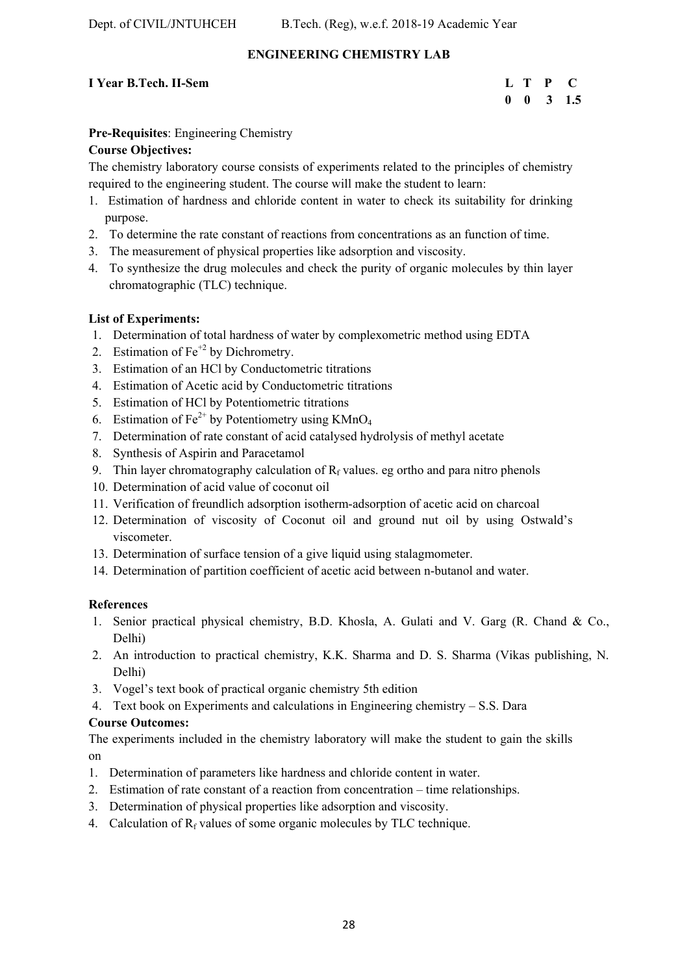# **ENGINEERING CHEMISTRY LAB**

# **I Year B.Tech. II-Sem**

| I Year B.Tech. II-Sem |  | L T P C              |
|-----------------------|--|----------------------|
|                       |  | $0 \t 0 \t 3 \t 1.5$ |

# **Pre-Requisites**: Engineering Chemistry

# **Course Objectives:**

The chemistry laboratory course consists of experiments related to the principles of chemistry required to the engineering student. The course will make the student to learn:

- 1. Estimation of hardness and chloride content in water to check its suitability for drinking purpose.
- 2. To determine the rate constant of reactions from concentrations as an function of time.
- 3. The measurement of physical properties like adsorption and viscosity.
- 4. To synthesize the drug molecules and check the purity of organic molecules by thin layer chromatographic (TLC) technique.

# **List of Experiments:**

- 1. Determination of total hardness of water by complexometric method using EDTA
- 2. Estimation of  $Fe^{+2}$  by Dichrometry.
- 3. Estimation of an HCl by Conductometric titrations
- 4. Estimation of Acetic acid by Conductometric titrations
- 5. Estimation of HCl by Potentiometric titrations
- 6. Estimation of  $Fe^{2+}$  by Potentiometry using KMnO<sub>4</sub>
- 7. Determination of rate constant of acid catalysed hydrolysis of methyl acetate
- 8. Synthesis of Aspirin and Paracetamol
- 9. Thin layer chromatography calculation of  $R_f$  values. eg ortho and para nitro phenols
- 10. Determination of acid value of coconut oil
- 11. Verification of freundlich adsorption isotherm-adsorption of acetic acid on charcoal
- 12. Determination of viscosity of Coconut oil and ground nut oil by using Ostwald's viscometer.
- 13. Determination of surface tension of a give liquid using stalagmometer.
- 14. Determination of partition coefficient of acetic acid between n-butanol and water.

# **References**

- 1. Senior practical physical chemistry, B.D. Khosla, A. Gulati and V. Garg (R. Chand & Co., Delhi)
- 2. An introduction to practical chemistry, K.K. Sharma and D. S. Sharma (Vikas publishing, N. Delhi)
- 3. Vogel's text book of practical organic chemistry 5th edition
- 4. Text book on Experiments and calculations in Engineering chemistry S.S. Dara

# **Course Outcomes:**

The experiments included in the chemistry laboratory will make the student to gain the skills on

- 1. Determination of parameters like hardness and chloride content in water.
- 2. Estimation of rate constant of a reaction from concentration time relationships.
- 3. Determination of physical properties like adsorption and viscosity.
- 4. Calculation of  $R_f$  values of some organic molecules by TLC technique.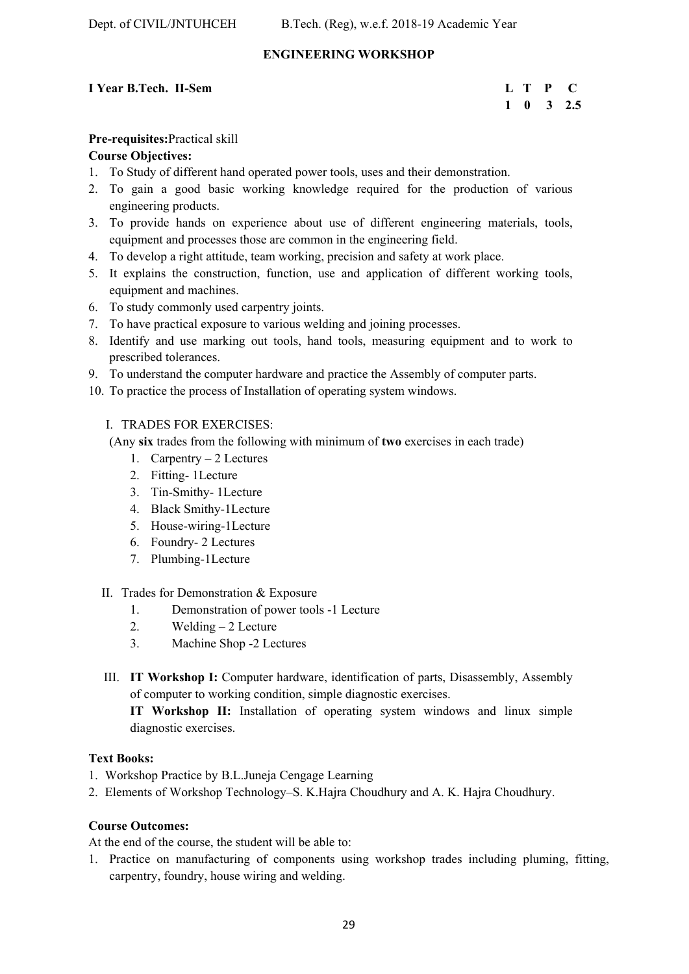# **ENGINEERING WORKSHOP**

# **I** Year B.Tech. II-Sem **L** T P C

# **1 0 3 2.5**

# **Pre-requisites:**Practical skill

### **Course Objectives:**

- 1. To Study of different hand operated power tools, uses and their demonstration.
- 2. To gain a good basic working knowledge required for the production of various engineering products.
- 3. To provide hands on experience about use of different engineering materials, tools, equipment and processes those are common in the engineering field.
- 4. To develop a right attitude, team working, precision and safety at work place.
- 5. It explains the construction, function, use and application of different working tools, equipment and machines.
- 6. To study commonly used carpentry joints.
- 7. To have practical exposure to various welding and joining processes.
- 8. Identify and use marking out tools, hand tools, measuring equipment and to work to prescribed tolerances.
- 9. To understand the computer hardware and practice the Assembly of computer parts.
- 10. To practice the process of Installation of operating system windows.

# I. TRADES FOR EXERCISES:

(Any **six** trades from the following with minimum of **two** exercises in each trade)

- 1. Carpentry 2 Lectures
- 2. Fitting- 1Lecture
- 3. Tin-Smithy- 1Lecture
- 4. Black Smithy-1Lecture
- 5. House-wiring-1Lecture
- 6. Foundry- 2 Lectures
- 7. Plumbing-1Lecture
- II. Trades for Demonstration & Exposure
	- 1. Demonstration of power tools -1 Lecture
	- 2. Welding  $-2$  Lecture
	- 3. Machine Shop -2 Lectures
- III. **IT Workshop I:** Computer hardware, identification of parts, Disassembly, Assembly of computer to working condition, simple diagnostic exercises.

**IT Workshop II:** Installation of operating system windows and linux simple diagnostic exercises.

### **Text Books:**

- 1. Workshop Practice by B.L.Juneja Cengage Learning
- 2. Elements of Workshop Technology–S. K.Hajra Choudhury and A. K. Hajra Choudhury.

### **Course Outcomes:**

At the end of the course, the student will be able to:

1. Practice on manufacturing of components using workshop trades including pluming, fitting, carpentry, foundry, house wiring and welding.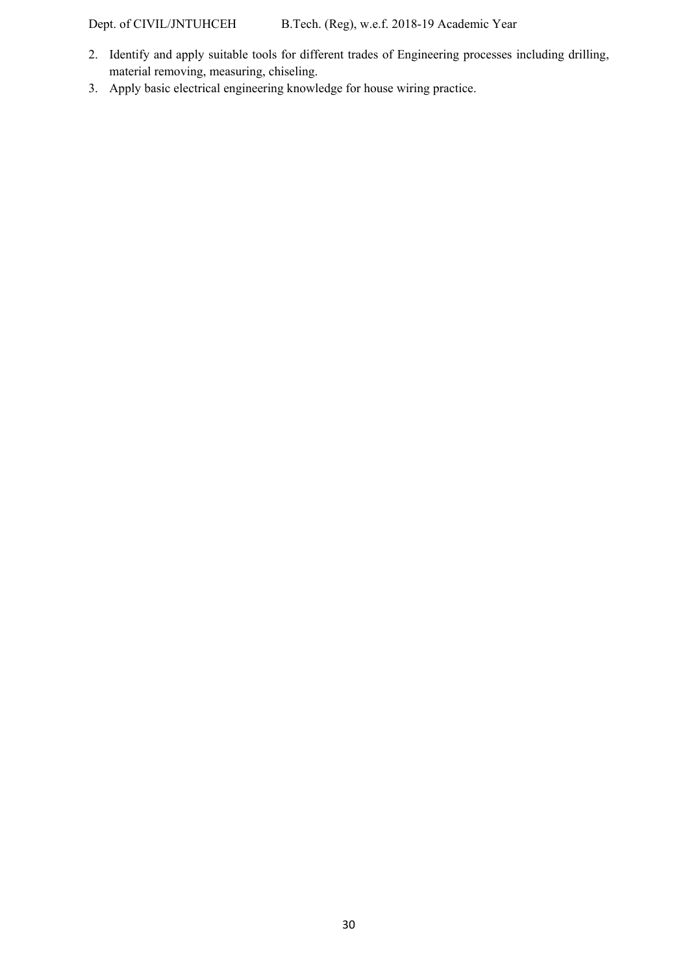Dept. of CIVIL/JNTUHCEH B.Tech. (Reg), w.e.f. 2018-19 Academic Year

- 2. Identify and apply suitable tools for different trades of Engineering processes including drilling, material removing, measuring, chiseling.
- 3. Apply basic electrical engineering knowledge for house wiring practice.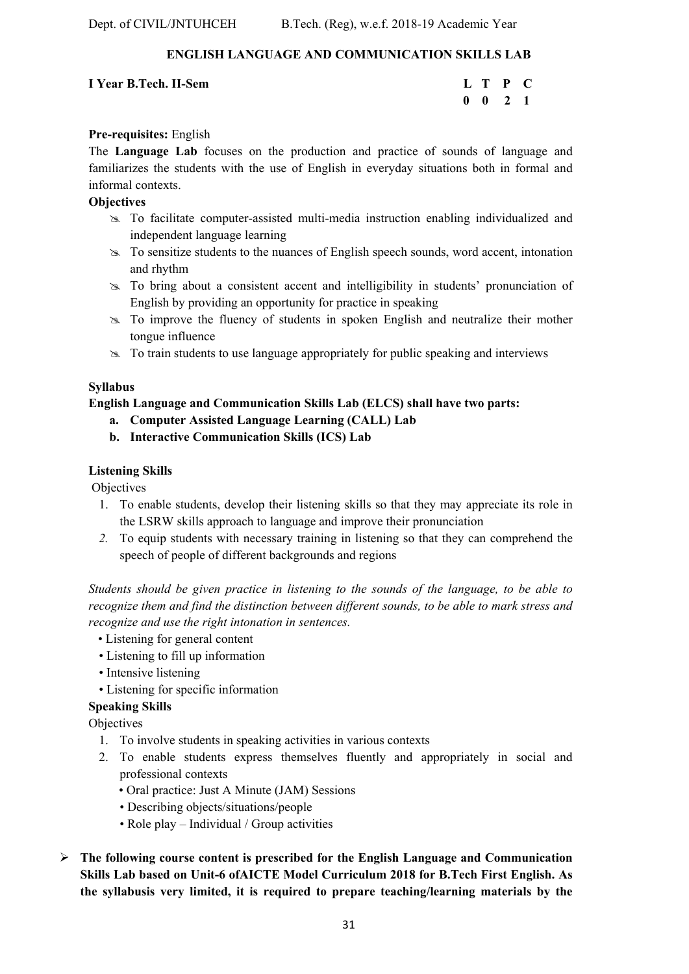# **ENGLISH LANGUAGE AND COMMUNICATION SKILLS LAB**

### **I Year B.Tech. II-Sem**

| I Year B.Tech. II-Sem |  | L T P C            |  |
|-----------------------|--|--------------------|--|
|                       |  | $0 \t 0 \t 2 \t 1$ |  |

# **Pre-requisites:** English

The **Language Lab** focuses on the production and practice of sounds of language and familiarizes the students with the use of English in everyday situations both in formal and informal contexts.

# **Objectives**

- To facilitate computer-assisted multi-media instruction enabling individualized and independent language learning
- To sensitize students to the nuances of English speech sounds, word accent, intonation and rhythm
- To bring about a consistent accent and intelligibility in students' pronunciation of English by providing an opportunity for practice in speaking
- To improve the fluency of students in spoken English and neutralize their mother tongue influence
- $\infty$  To train students to use language appropriately for public speaking and interviews

# **Syllabus**

**English Language and Communication Skills Lab (ELCS) shall have two parts:** 

- **a. Computer Assisted Language Learning (CALL) Lab**
- **b. Interactive Communication Skills (ICS) Lab**

# **Listening Skills**

Objectives

- 1. To enable students, develop their listening skills so that they may appreciate its role in the LSRW skills approach to language and improve their pronunciation
- *2.* To equip students with necessary training in listening so that they can comprehend the speech of people of different backgrounds and regions

*Students should be given practice in listening to the sounds of the language, to be able to recognize them and find the distinction between different sounds, to be able to mark stress and recognize and use the right intonation in sentences.* 

- Listening for general content
- Listening to fill up information
- Intensive listening
- Listening for specific information

# **Speaking Skills**

Objectives

- 1. To involve students in speaking activities in various contexts
- 2. To enable students express themselves fluently and appropriately in social and professional contexts
	- Oral practice: Just A Minute (JAM) Sessions
	- Describing objects/situations/people
	- Role play Individual / Group activities
- **The following course content is prescribed for the English Language and Communication Skills Lab based on Unit-6 ofAICTE Model Curriculum 2018 for B.Tech First English. As the syllabusis very limited, it is required to prepare teaching/learning materials by the**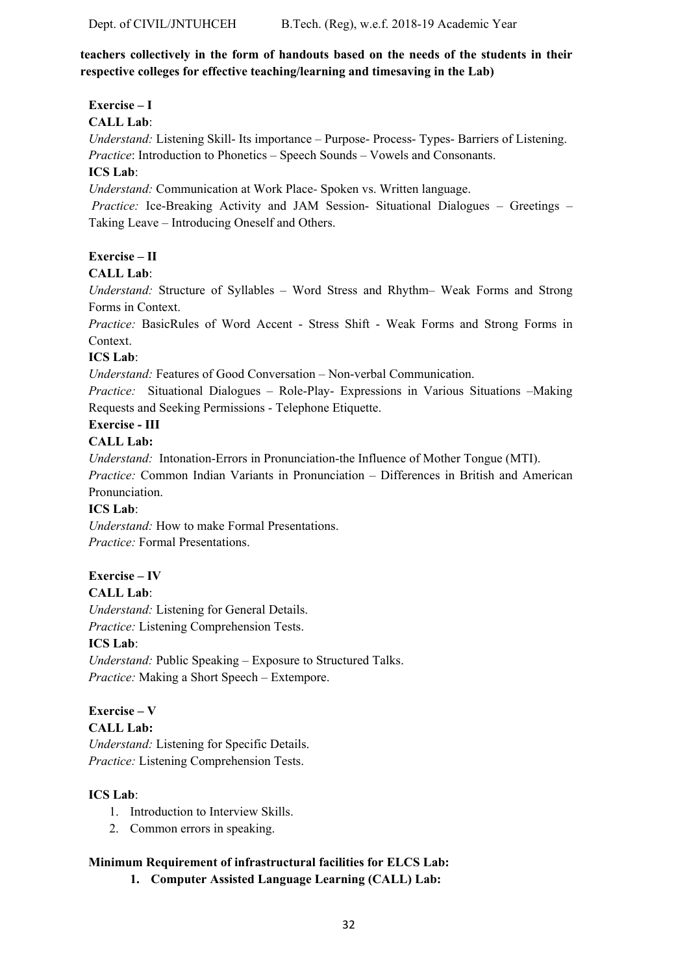# **teachers collectively in the form of handouts based on the needs of the students in their respective colleges for effective teaching/learning and timesaving in the Lab)**

# **Exercise – I**

# **CALL Lab**:

*Understand:* Listening Skill- Its importance – Purpose- Process- Types- Barriers of Listening. *Practice*: Introduction to Phonetics – Speech Sounds – Vowels and Consonants.

# **ICS Lab**:

*Understand:* Communication at Work Place*-* Spoken vs. Written language.

 *Practice:* Ice-Breaking Activity and JAM Session- Situational Dialogues – Greetings – Taking Leave – Introducing Oneself and Others.

# **Exercise – II**

# **CALL Lab**:

*Understand:* Structure of Syllables – Word Stress and Rhythm– Weak Forms and Strong Forms in Context.

*Practice:* BasicRules of Word Accent - Stress Shift - Weak Forms and Strong Forms in Context.

# **ICS Lab**:

*Understand:* Features of Good Conversation – Non-verbal Communication.

*Practice:* Situational Dialogues – Role-Play- Expressions in Various Situations –Making Requests and Seeking Permissions - Telephone Etiquette.

# **Exercise - III**

# **CALL Lab:**

*Understand:* Intonation-Errors in Pronunciation-the Influence of Mother Tongue (MTI).

*Practice:* Common Indian Variants in Pronunciation *–* Differences in British and American Pronunciation.

# **ICS Lab**:

*Understand:* How to make Formal Presentations. *Practice:* Formal Presentations.

# **Exercise – IV**

**CALL Lab**:

*Understand:* Listening for General Details. *Practice:* Listening Comprehension Tests.

# **ICS Lab**:

*Understand:* Public Speaking – Exposure to Structured Talks. *Practice:* Making a Short Speech – Extempore.

# **Exercise – V**

**CALL Lab:**

*Understand:* Listening for Specific Details. *Practice:* Listening Comprehension Tests.

# **ICS Lab**:

- 1. Introduction to Interview Skills.
- 2. Common errors in speaking.

# **Minimum Requirement of infrastructural facilities for ELCS Lab:**

**1. Computer Assisted Language Learning (CALL) Lab:**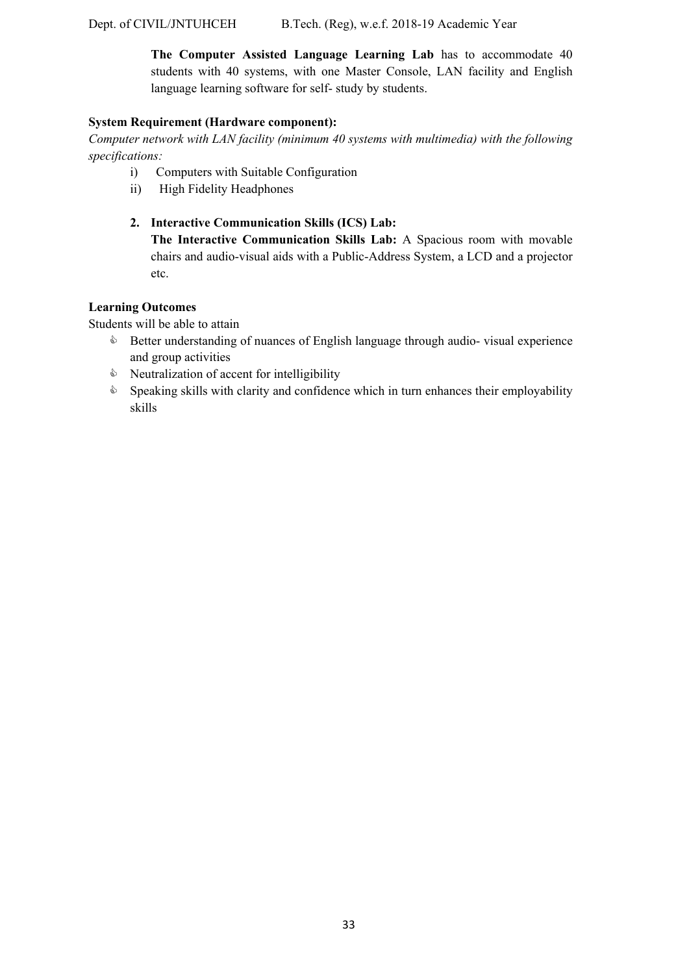**The Computer Assisted Language Learning Lab** has to accommodate 40 students with 40 systems, with one Master Console, LAN facility and English language learning software for self- study by students.

# **System Requirement (Hardware component):**

*Computer network with LAN facility (minimum 40 systems with multimedia) with the following specifications:* 

- i) Computers with Suitable Configuration
- ii) High Fidelity Headphones

# **2. Interactive Communication Skills (ICS) Lab:**

**The Interactive Communication Skills Lab:** A Spacious room with movable chairs and audio-visual aids with a Public-Address System, a LCD and a projector etc.

# **Learning Outcomes**

Students will be able to attain

- **Better understanding of nuances of English language through audio- visual experience** and group activities
- $\Diamond$  Neutralization of accent for intelligibility
- $\Diamond$  Speaking skills with clarity and confidence which in turn enhances their employability skills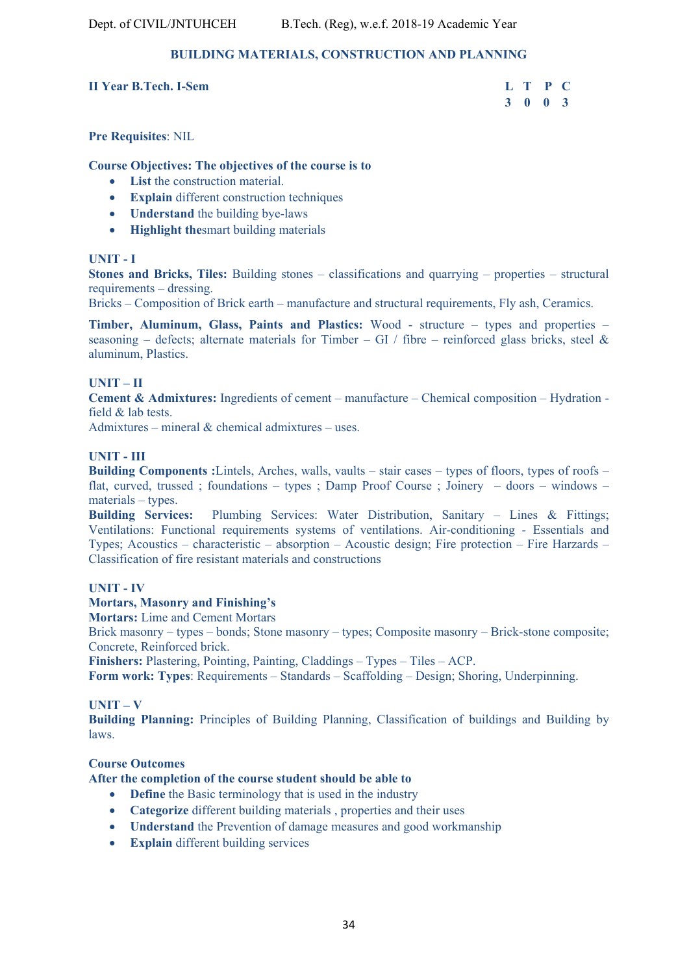# **BUILDING MATERIALS, CONSTRUCTION AND PLANNING**

**II Year B. Tech. I-Sem** 

| <b>II Year B.Tech. I-Sem</b> | L T P C |  |
|------------------------------|---------|--|
|                              | 3 0 0 3 |  |

**Pre Requisites**: NIL

### **Course Objectives: The objectives of the course is to**

- **List** the construction material.
- **Explain** different construction techniques
- **Understand** the building bye-laws
- **Highlight the**smart building materials

# **UNIT - I**

**Stones and Bricks, Tiles:** Building stones – classifications and quarrying – properties – structural requirements – dressing.

Bricks – Composition of Brick earth – manufacture and structural requirements, Fly ash, Ceramics.

**Timber, Aluminum, Glass, Paints and Plastics:** Wood - structure – types and properties – seasoning – defects; alternate materials for Timber – GI / fibre – reinforced glass bricks, steel & aluminum, Plastics.

### **UNIT – II**

**Cement & Admixtures:** Ingredients of cement – manufacture – Chemical composition – Hydration field & lab tests.

Admixtures – mineral  $\&$  chemical admixtures – uses.

# **UNIT - III**

**Building Components :**Lintels, Arches, walls, vaults – stair cases – types of floors, types of roofs – flat, curved, trussed ; foundations – types ; Damp Proof Course ; Joinery – doors – windows – materials – types.

**Building Services:** Plumbing Services: Water Distribution, Sanitary – Lines & Fittings; Ventilations: Functional requirements systems of ventilations. Air-conditioning - Essentials and Types; Acoustics – characteristic – absorption – Acoustic design; Fire protection – Fire Harzards – Classification of fire resistant materials and constructions

### **UNIT - IV**

### **Mortars, Masonry and Finishing's**

**Mortars:** Lime and Cement Mortars

Brick masonry – types – bonds; Stone masonry – types; Composite masonry – Brick-stone composite; Concrete, Reinforced brick.

**Finishers:** Plastering, Pointing, Painting, Claddings – Types – Tiles – ACP.

**Form work: Types**: Requirements – Standards – Scaffolding – Design; Shoring, Underpinning.

### **UNIT – V**

**Building Planning:** Principles of Building Planning, Classification of buildings and Building by laws.

### **Course Outcomes**

## **After the completion of the course student should be able to**

- **Define** the Basic terminology that is used in the industry
- **Categorize** different building materials , properties and their uses
- **Understand** the Prevention of damage measures and good workmanship
- **Explain** different building services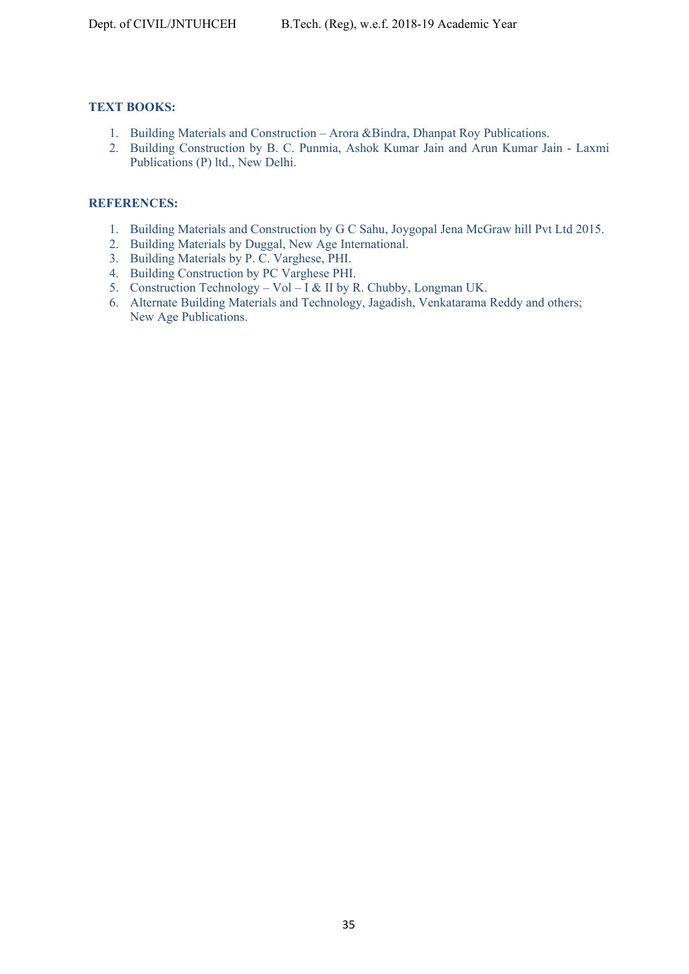# **TEXT BOOKS:**

- 1. Building Materials and Construction Arora &Bindra, Dhanpat Roy Publications.
- 2. Building Construction by B. C. Punmia, Ashok Kumar Jain and Arun Kumar Jain Laxmi Publications (P) ltd., New Delhi.

# **REFERENCES:**

- 1. Building Materials and Construction by G C Sahu, Joygopal Jena McGraw hill Pvt Ltd 2015.
- 2. Building Materials by Duggal, New Age International.
- 3. Building Materials by P. C. Varghese, PHI.
- 4. Building Construction by PC Varghese PHI.
- 5. Construction Technology Vol I & II by R. Chubby, Longman UK.
- 6. Alternate Building Materials and Technology, Jagadish, Venkatarama Reddy and others; New Age Publications.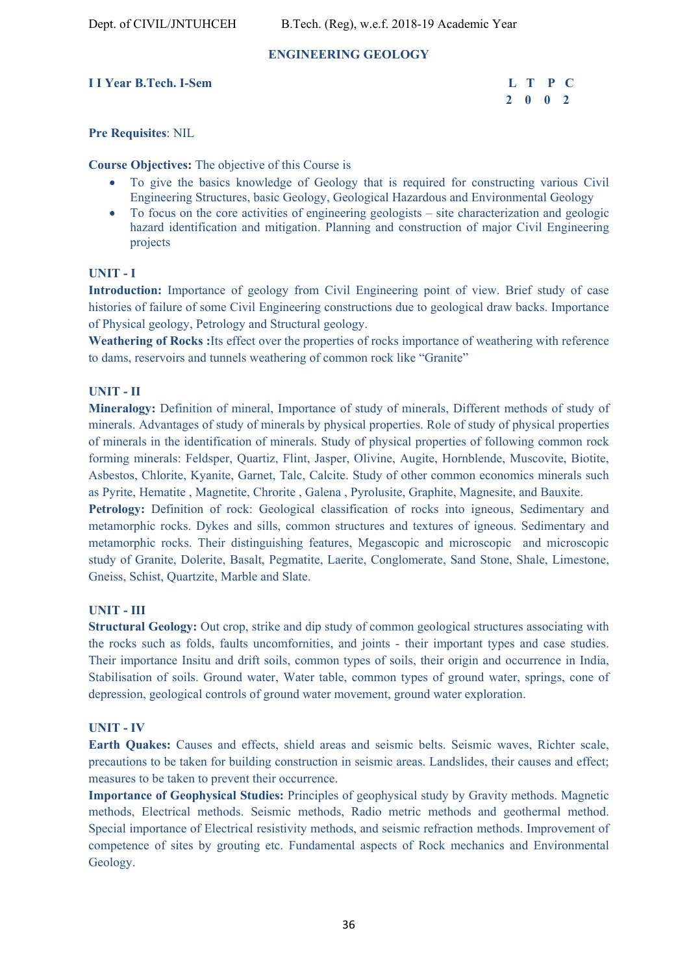# **ENGINEERING GEOLOGY**

# **I I Year B.Tech. I-Sem**

| r B.Tech. I-Sem |         | L T P C |  |
|-----------------|---------|---------|--|
|                 | 2 0 0 2 |         |  |

### **Pre Requisites**: NIL

**Course Objectives:** The objective of this Course is

- To give the basics knowledge of Geology that is required for constructing various Civil Engineering Structures, basic Geology, Geological Hazardous and Environmental Geology
- To focus on the core activities of engineering geologists site characterization and geologic hazard identification and mitigation. Planning and construction of major Civil Engineering projects

### **UNIT - I**

**Introduction:** Importance of geology from Civil Engineering point of view. Brief study of case histories of failure of some Civil Engineering constructions due to geological draw backs. Importance of Physical geology, Petrology and Structural geology.

**Weathering of Rocks :**Its effect over the properties of rocks importance of weathering with reference to dams, reservoirs and tunnels weathering of common rock like "Granite"

### **UNIT - II**

**Mineralogy:** Definition of mineral, Importance of study of minerals, Different methods of study of minerals. Advantages of study of minerals by physical properties. Role of study of physical properties of minerals in the identification of minerals. Study of physical properties of following common rock forming minerals: Feldsper, Quartiz, Flint, Jasper, Olivine, Augite, Hornblende, Muscovite, Biotite, Asbestos, Chlorite, Kyanite, Garnet, Talc, Calcite. Study of other common economics minerals such as Pyrite, Hematite , Magnetite, Chrorite , Galena , Pyrolusite, Graphite, Magnesite, and Bauxite.

**Petrology:** Definition of rock: Geological classification of rocks into igneous, Sedimentary and metamorphic rocks. Dykes and sills, common structures and textures of igneous. Sedimentary and metamorphic rocks. Their distinguishing features, Megascopic and microscopic and microscopic study of Granite, Dolerite, Basalt, Pegmatite, Laerite, Conglomerate, Sand Stone, Shale, Limestone, Gneiss, Schist, Quartzite, Marble and Slate.

### **UNIT - III**

**Structural Geology:** Out crop, strike and dip study of common geological structures associating with the rocks such as folds, faults uncomfornities, and joints - their important types and case studies. Their importance Insitu and drift soils, common types of soils, their origin and occurrence in India, Stabilisation of soils. Ground water, Water table, common types of ground water, springs, cone of depression, geological controls of ground water movement, ground water exploration.

### **UNIT - IV**

**Earth Quakes:** Causes and effects, shield areas and seismic belts. Seismic waves, Richter scale, precautions to be taken for building construction in seismic areas. Landslides, their causes and effect; measures to be taken to prevent their occurrence.

**Importance of Geophysical Studies:** Principles of geophysical study by Gravity methods. Magnetic methods, Electrical methods. Seismic methods, Radio metric methods and geothermal method. Special importance of Electrical resistivity methods, and seismic refraction methods. Improvement of competence of sites by grouting etc. Fundamental aspects of Rock mechanics and Environmental Geology.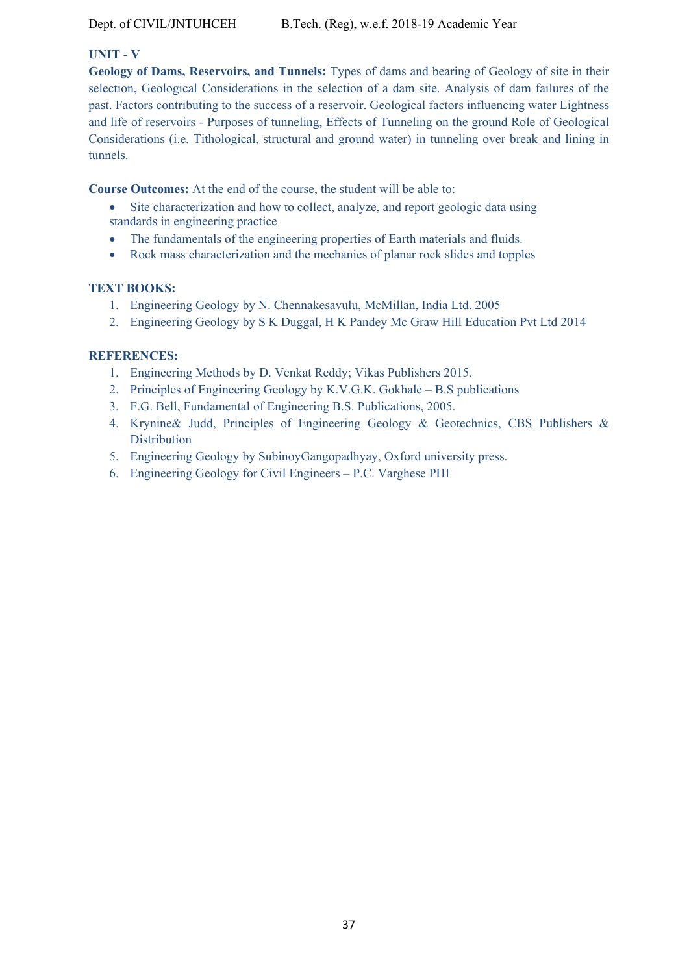#### **UNIT - V**

**Geology of Dams, Reservoirs, and Tunnels:** Types of dams and bearing of Geology of site in their selection, Geological Considerations in the selection of a dam site. Analysis of dam failures of the past. Factors contributing to the success of a reservoir. Geological factors influencing water Lightness and life of reservoirs - Purposes of tunneling, Effects of Tunneling on the ground Role of Geological Considerations (i.e. Tithological, structural and ground water) in tunneling over break and lining in tunnels.

**Course Outcomes:** At the end of the course, the student will be able to:

- Site characterization and how to collect, analyze, and report geologic data using standards in engineering practice
- The fundamentals of the engineering properties of Earth materials and fluids.
- Rock mass characterization and the mechanics of planar rock slides and topples

### **TEXT BOOKS:**

- 1. Engineering Geology by N. Chennakesavulu, McMillan, India Ltd. 2005
- 2. Engineering Geology by S K Duggal, H K Pandey Mc Graw Hill Education Pvt Ltd 2014

### **REFERENCES:**

- 1. Engineering Methods by D. Venkat Reddy; Vikas Publishers 2015.
- 2. Principles of Engineering Geology by K.V.G.K. Gokhale B.S publications
- 3. F.G. Bell, Fundamental of Engineering B.S. Publications, 2005.
- 4. Krynine& Judd, Principles of Engineering Geology & Geotechnics, CBS Publishers & **Distribution**
- 5. Engineering Geology by SubinoyGangopadhyay, Oxford university press.
- 6. Engineering Geology for Civil Engineers P.C. Varghese PHI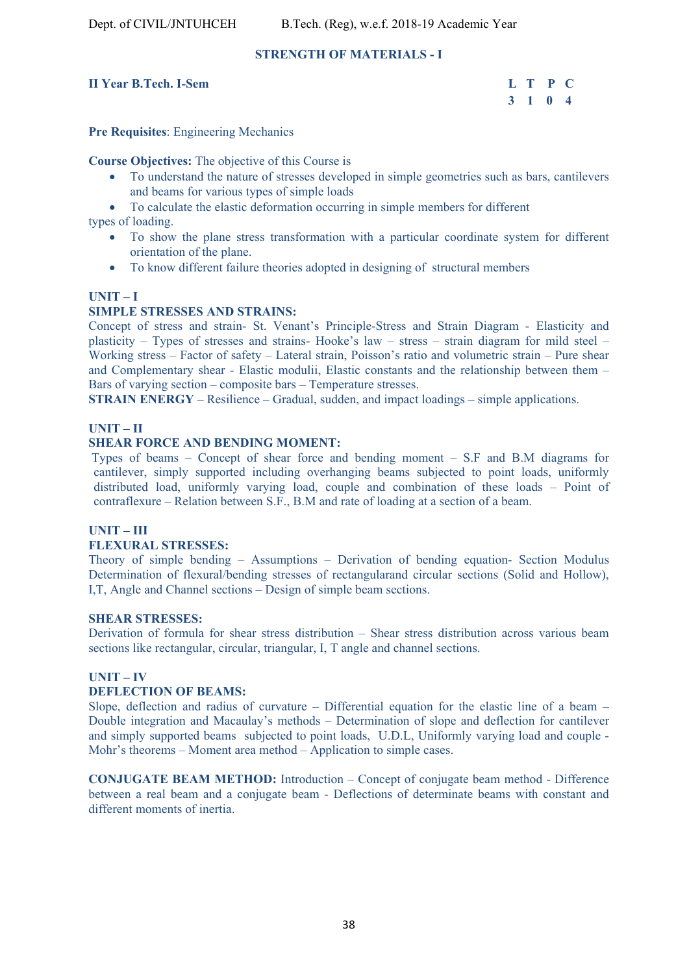#### **STRENGTH OF MATERIALS - I**

### **II Year B.Tech. I-Sem L T P C**

# **3 1 0 4**

**Pre Requisites**: Engineering Mechanics

**Course Objectives:** The objective of this Course is

- To understand the nature of stresses developed in simple geometries such as bars, cantilevers and beams for various types of simple loads
- To calculate the elastic deformation occurring in simple members for different

types of loading.

- To show the plane stress transformation with a particular coordinate system for different orientation of the plane.
- To know different failure theories adopted in designing of structural members

#### **UNIT – I**

### **SIMPLE STRESSES AND STRAINS:**

Concept of stress and strain- St. Venant's Principle-Stress and Strain Diagram - Elasticity and plasticity – Types of stresses and strains- Hooke's law – stress – strain diagram for mild steel – Working stress – Factor of safety – Lateral strain, Poisson's ratio and volumetric strain – Pure shear and Complementary shear - Elastic modulii, Elastic constants and the relationship between them – Bars of varying section – composite bars – Temperature stresses.

**STRAIN ENERGY** – Resilience – Gradual, sudden, and impact loadings – simple applications.

#### **UNIT – II**

#### **SHEAR FORCE AND BENDING MOMENT:**

 Types of beams – Concept of shear force and bending moment – S.F and B.M diagrams for cantilever, simply supported including overhanging beams subjected to point loads, uniformly distributed load, uniformly varying load, couple and combination of these loads – Point of contraflexure – Relation between S.F., B.M and rate of loading at a section of a beam.

#### **UNIT – III**

#### **FLEXURAL STRESSES:**

Theory of simple bending – Assumptions – Derivation of bending equation- Section Modulus Determination of flexural/bending stresses of rectangularand circular sections (Solid and Hollow), I,T, Angle and Channel sections – Design of simple beam sections.

#### **SHEAR STRESSES:**

Derivation of formula for shear stress distribution – Shear stress distribution across various beam sections like rectangular, circular, triangular, I, T angle and channel sections.

#### **UNIT – IV**

#### **DEFLECTION OF BEAMS:**

Slope, deflection and radius of curvature – Differential equation for the elastic line of a beam – Double integration and Macaulay's methods – Determination of slope and deflection for cantilever and simply supported beams subjected to point loads, U.D.L, Uniformly varying load and couple - Mohr's theorems – Moment area method – Application to simple cases.

**CONJUGATE BEAM METHOD:** Introduction – Concept of conjugate beam method - Difference between a real beam and a conjugate beam - Deflections of determinate beams with constant and different moments of inertia.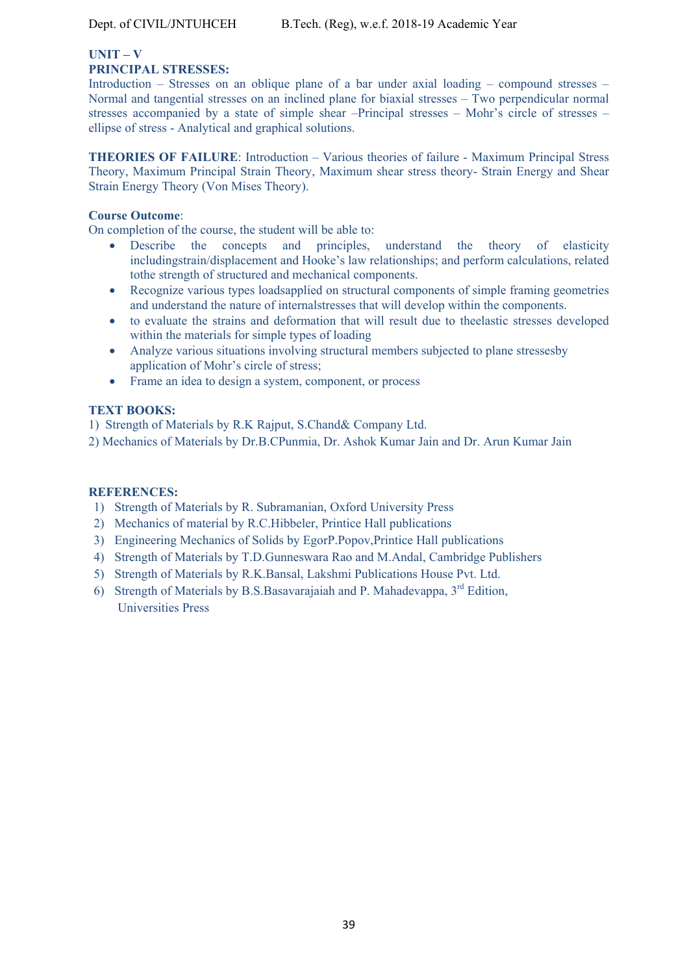#### **UNIT – V PRINCIPAL STRESSES:**

Introduction – Stresses on an oblique plane of a bar under axial loading – compound stresses – Normal and tangential stresses on an inclined plane for biaxial stresses – Two perpendicular normal stresses accompanied by a state of simple shear –Principal stresses – Mohr's circle of stresses – ellipse of stress - Analytical and graphical solutions.

**THEORIES OF FAILURE**: Introduction – Various theories of failure - Maximum Principal Stress Theory, Maximum Principal Strain Theory, Maximum shear stress theory- Strain Energy and Shear Strain Energy Theory (Von Mises Theory).

#### **Course Outcome**:

On completion of the course, the student will be able to:

- Describe the concepts and principles, understand the theory of elasticity includingstrain/displacement and Hooke's law relationships; and perform calculations, related tothe strength of structured and mechanical components.
- Recognize various types loadsapplied on structural components of simple framing geometries and understand the nature of internalstresses that will develop within the components.
- to evaluate the strains and deformation that will result due to theelastic stresses developed within the materials for simple types of loading
- Analyze various situations involving structural members subjected to plane stressesby application of Mohr's circle of stress;
- Frame an idea to design a system, component, or process

### **TEXT BOOKS:**

1) Strength of Materials by R.K Rajput, S.Chand& Company Ltd.

2) Mechanics of Materials by Dr.B.CPunmia, Dr. Ashok Kumar Jain and Dr. Arun Kumar Jain

#### **REFERENCES:**

- 1) Strength of Materials by R. Subramanian, Oxford University Press
- 2) Mechanics of material by R.C.Hibbeler, Printice Hall publications
- 3) Engineering Mechanics of Solids by EgorP.Popov,Printice Hall publications
- 4) Strength of Materials by T.D.Gunneswara Rao and M.Andal, Cambridge Publishers
- 5) Strength of Materials by R.K.Bansal, Lakshmi Publications House Pvt. Ltd.
- 6) Strength of Materials by B.S.Basavarajaiah and P. Mahadevappa,  $3<sup>rd</sup>$  Edition, Universities Press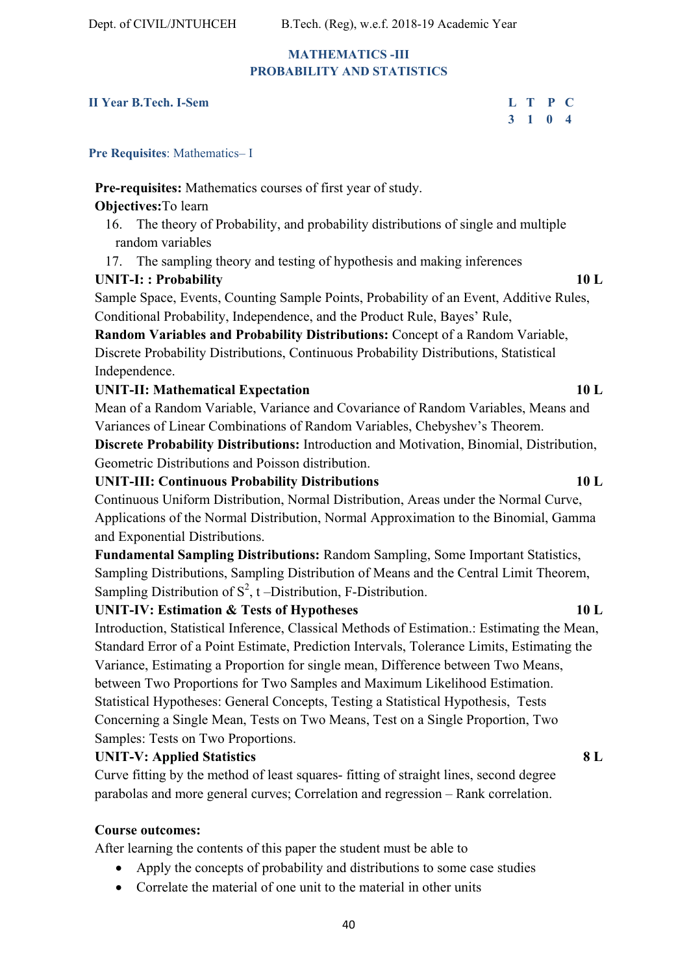# **MATHEMATICS -III PROBABILITY AND STATISTICS**

# **II Year B.Tech. I-Sem L T P C**

# **3 1 0 4**

**Pre Requisites**: Mathematics– I

# **Pre-requisites:** Mathematics courses of first year of study.

# **Objectives:**To learn

- 16. The theory of Probability, and probability distributions of single and multiple random variables
- 17. The sampling theory and testing of hypothesis and making inferences

# **UNIT-I: : Probability 10 L**

Sample Space, Events, Counting Sample Points, Probability of an Event, Additive Rules, Conditional Probability, Independence, and the Product Rule, Bayes' Rule,

**Random Variables and Probability Distributions:** Concept of a Random Variable, Discrete Probability Distributions, Continuous Probability Distributions, Statistical Independence.

# **UNIT-II: Mathematical Expectation 10 L**

Mean of a Random Variable, Variance and Covariance of Random Variables, Means and Variances of Linear Combinations of Random Variables, Chebyshev's Theorem.

**Discrete Probability Distributions:** Introduction and Motivation, Binomial, Distribution, Geometric Distributions and Poisson distribution.

**UNIT-III: Continuous Probability Distributions 10 L** 

Continuous Uniform Distribution, Normal Distribution, Areas under the Normal Curve, Applications of the Normal Distribution, Normal Approximation to the Binomial, Gamma and Exponential Distributions.

**Fundamental Sampling Distributions:** Random Sampling, Some Important Statistics, Sampling Distributions, Sampling Distribution of Means and the Central Limit Theorem, Sampling Distribution of  $S^2$ , t –Distribution, F-Distribution.

# **UNIT-IV: Estimation & Tests of Hypotheses 10 L**

Introduction, Statistical Inference, Classical Methods of Estimation.: Estimating the Mean, Standard Error of a Point Estimate, Prediction Intervals, Tolerance Limits, Estimating the Variance, Estimating a Proportion for single mean, Difference between Two Means, between Two Proportions for Two Samples and Maximum Likelihood Estimation. Statistical Hypotheses: General Concepts, Testing a Statistical Hypothesis, Tests Concerning a Single Mean, Tests on Two Means, Test on a Single Proportion, Two Samples: Tests on Two Proportions.

# **UNIT-V: Applied Statistics 8 L**

Curve fitting by the method of least squares- fitting of straight lines, second degree parabolas and more general curves; Correlation and regression – Rank correlation.

# **Course outcomes:**

After learning the contents of this paper the student must be able to

- Apply the concepts of probability and distributions to some case studies
- Correlate the material of one unit to the material in other units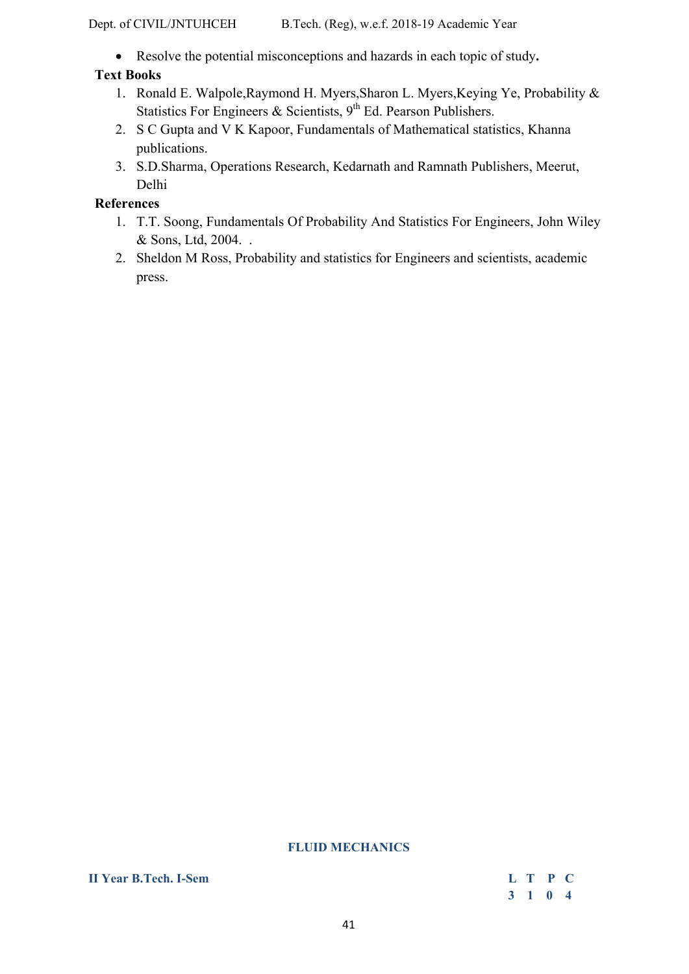Resolve the potential misconceptions and hazards in each topic of study**.** 

# **Text Books**

- 1. Ronald E. Walpole,Raymond H. Myers,Sharon L. Myers,Keying Ye, Probability & Statistics For Engineers & Scientists,  $9<sup>th</sup>$  Ed. Pearson Publishers.
- 2. S C Gupta and V K Kapoor, Fundamentals of Mathematical statistics, Khanna publications.
- 3. S.D.Sharma, Operations Research, Kedarnath and Ramnath Publishers, Meerut, Delhi

# **References**

- 1. T.T. Soong, Fundamentals Of Probability And Statistics For Engineers, John Wiley & Sons, Ltd, 2004. .
- 2. Sheldon M Ross, Probability and statistics for Engineers and scientists, academic press.

#### **FLUID MECHANICS**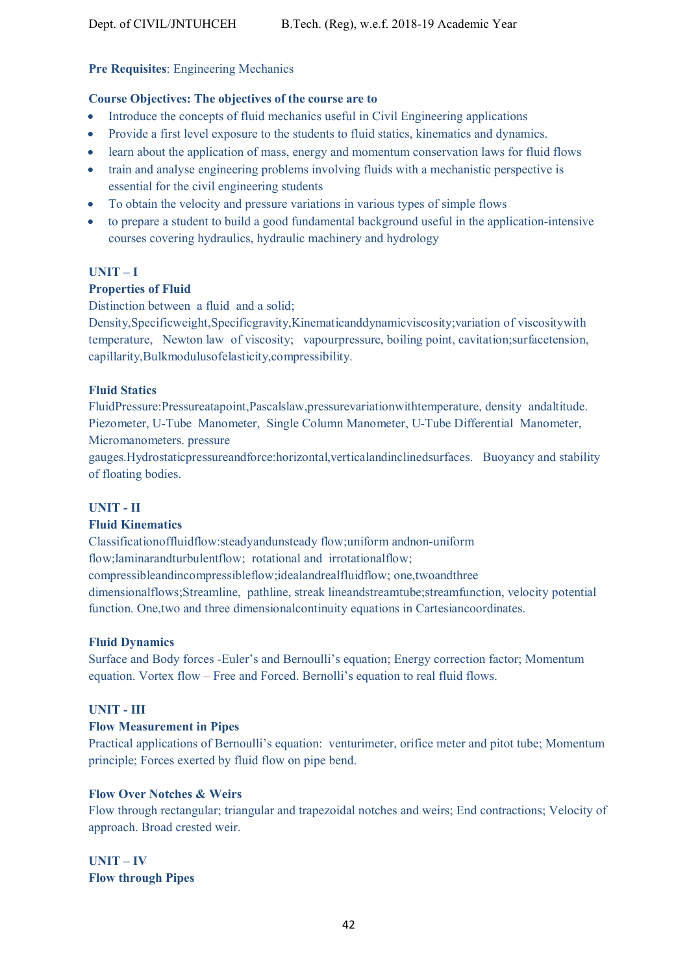#### **Pre Requisites**: Engineering Mechanics

#### **Course Objectives: The objectives of the course are to**

- Introduce the concepts of fluid mechanics useful in Civil Engineering applications
- Provide a first level exposure to the students to fluid statics, kinematics and dynamics.
- learn about the application of mass, energy and momentum conservation laws for fluid flows
- train and analyse engineering problems involving fluids with a mechanistic perspective is essential for the civil engineering students
- To obtain the velocity and pressure variations in various types of simple flows
- to prepare a student to build a good fundamental background useful in the application-intensive courses covering hydraulics, hydraulic machinery and hydrology

#### **UNIT – I**

#### **Properties of Fluid**

Distinction between a fluid and a solid;

Density,Specificweight,Specificgravity,Kinematicanddynamicviscosity;variation of viscositywith temperature, Newton law of viscosity; vapourpressure, boiling point, cavitation;surfacetension, capillarity,Bulkmodulusofelasticity,compressibility.

#### **Fluid Statics**

FluidPressure:Pressureatapoint,Pascalslaw,pressurevariationwithtemperature, density andaltitude. Piezometer, U-Tube Manometer, Single Column Manometer, U-Tube Differential Manometer, Micromanometers. pressure

gauges.Hydrostaticpressureandforce:horizontal,verticalandinclinedsurfaces. Buoyancy and stability of floating bodies.

#### **UNIT - II**

#### **Fluid Kinematics**

Classificationoffluidflow:steadyandunsteady flow;uniform andnon-uniform

flow;laminarandturbulentflow; rotational and irrotationalflow;

compressibleandincompressibleflow;idealandrealfluidflow; one,twoandthree

dimensionalflows;Streamline, pathline, streak lineandstreamtube;streamfunction, velocity potential function. One,two and three dimensionalcontinuity equations in Cartesiancoordinates.

#### **Fluid Dynamics**

Surface and Body forces -Euler's and Bernoulli's equation; Energy correction factor; Momentum equation. Vortex flow – Free and Forced. Bernolli's equation to real fluid flows.

### **UNIT - III**

#### **Flow Measurement in Pipes**

Practical applications of Bernoulli's equation: venturimeter, orifice meter and pitot tube; Momentum principle; Forces exerted by fluid flow on pipe bend.

### **Flow Over Notches & Weirs**

Flow through rectangular; triangular and trapezoidal notches and weirs; End contractions; Velocity of approach. Broad crested weir.

**UNIT – IV Flow through Pipes**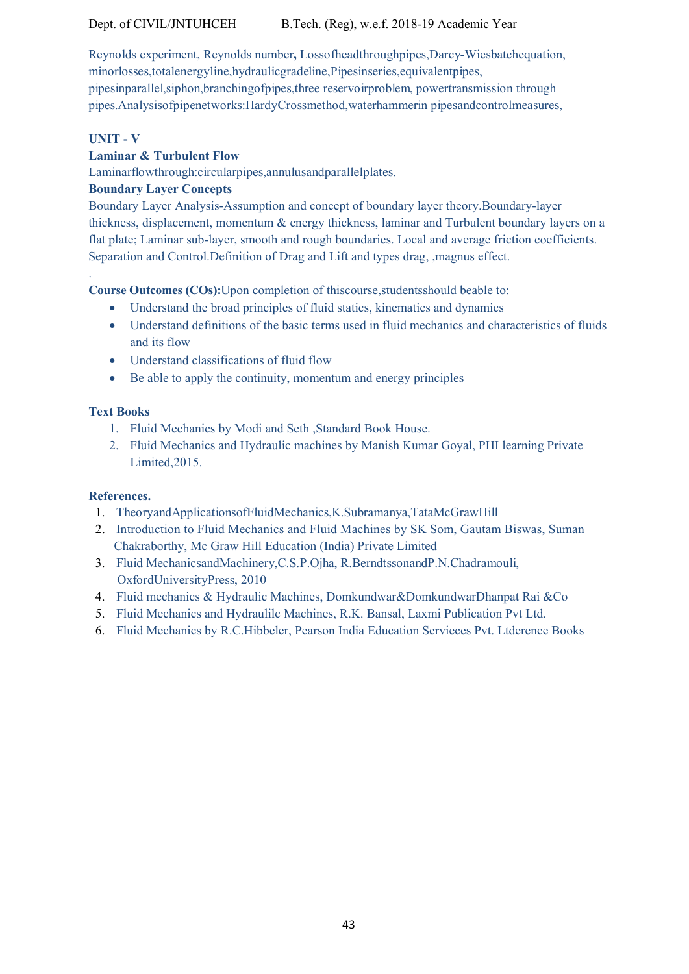# Dept. of CIVIL/JNTUHCEH B.Tech. (Reg), w.e.f. 2018-19 Academic Year

Reynolds experiment, Reynolds number**,** Lossofheadthroughpipes,Darcy-Wiesbatchequation, minorlosses,totalenergyline,hydraulicgradeline,Pipesinseries,equivalentpipes, pipesinparallel,siphon,branchingofpipes,three reservoirproblem, powertransmission through pipes.Analysisofpipenetworks:HardyCrossmethod,waterhammerin pipesandcontrolmeasures,

### **UNIT - V**

.

# **Laminar & Turbulent Flow**

Laminarflowthrough:circularpipes,annulusandparallelplates.

# **Boundary Layer Concepts**

Boundary Layer Analysis-Assumption and concept of boundary layer theory.Boundary-layer thickness, displacement, momentum & energy thickness, laminar and Turbulent boundary layers on a flat plate; Laminar sub-layer, smooth and rough boundaries. Local and average friction coefficients. Separation and Control.Definition of Drag and Lift and types drag, ,magnus effect.

**Course Outcomes (COs):**Upon completion of thiscourse,studentsshould beable to:

- Understand the broad principles of fluid statics, kinematics and dynamics
- Understand definitions of the basic terms used in fluid mechanics and characteristics of fluids and its flow
- Understand classifications of fluid flow
- Be able to apply the continuity, momentum and energy principles

### **Text Books**

- 1. Fluid Mechanics by Modi and Seth ,Standard Book House.
- 2. Fluid Mechanics and Hydraulic machines by Manish Kumar Goyal, PHI learning Private Limited,2015.

### **References.**

- 1. TheoryandApplicationsofFluidMechanics,K.Subramanya,TataMcGrawHill
- 2. Introduction to Fluid Mechanics and Fluid Machines by SK Som, Gautam Biswas, Suman Chakraborthy, Mc Graw Hill Education (India) Private Limited
- 3. Fluid MechanicsandMachinery,C.S.P.Ojha, R.BerndtssonandP.N.Chadramouli, OxfordUniversityPress, 2010
- 4. Fluid mechanics & Hydraulic Machines, Domkundwar&DomkundwarDhanpat Rai &Co
- 5. Fluid Mechanics and Hydraulilc Machines, R.K. Bansal, Laxmi Publication Pvt Ltd.
- 6. Fluid Mechanics by R.C.Hibbeler, Pearson India Education Servieces Pvt. Ltderence Books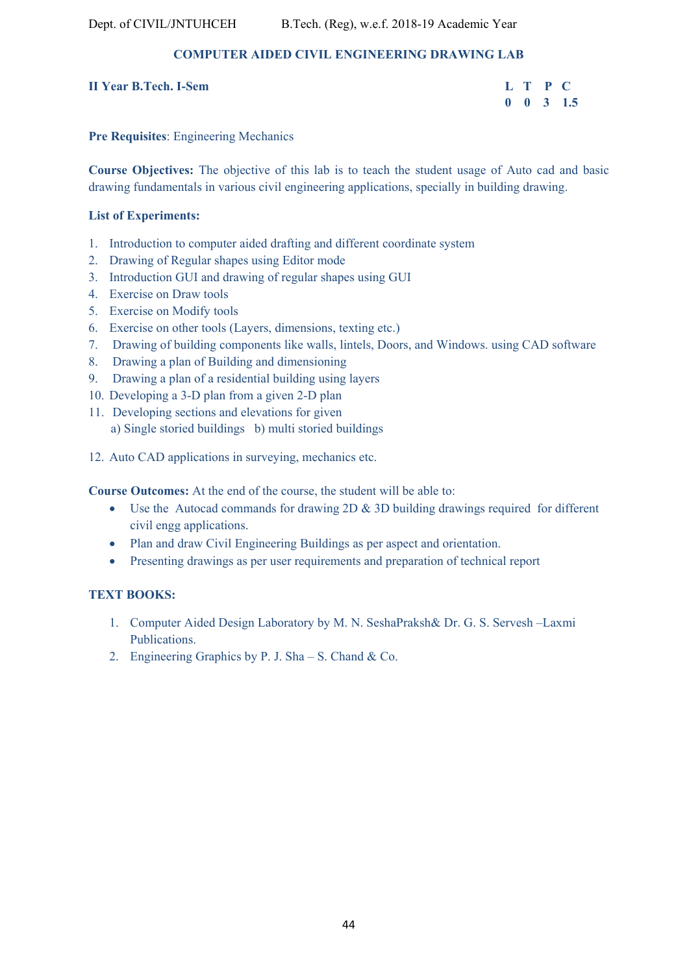# **COMPUTER AIDED CIVIL ENGINEERING DRAWING LAB**

| <b>II Year B.Tech. I-Sem</b> |  | L T P C |  |  |
|------------------------------|--|---------|--|--|
|------------------------------|--|---------|--|--|

| II Year B.Tech. I-Sem |  | L T P C |                      |
|-----------------------|--|---------|----------------------|
|                       |  |         | $0 \t 0 \t 3 \t 1.5$ |

#### **Pre Requisites**: Engineering Mechanics

**Course Objectives:** The objective of this lab is to teach the student usage of Auto cad and basic drawing fundamentals in various civil engineering applications, specially in building drawing.

#### **List of Experiments:**

- 1. Introduction to computer aided drafting and different coordinate system
- 2. Drawing of Regular shapes using Editor mode
- 3. Introduction GUI and drawing of regular shapes using GUI
- 4. Exercise on Draw tools
- 5. Exercise on Modify tools
- 6. Exercise on other tools (Layers, dimensions, texting etc.)
- 7. Drawing of building components like walls, lintels, Doors, and Windows. using CAD software
- 8. Drawing a plan of Building and dimensioning
- 9. Drawing a plan of a residential building using layers
- 10. Developing a 3-D plan from a given 2-D plan
- 11. Developing sections and elevations for given a) Single storied buildings b) multi storied buildings
- 12. Auto CAD applications in surveying, mechanics etc.

**Course Outcomes:** At the end of the course, the student will be able to:

- Use the Autocad commands for drawing 2D & 3D building drawings required for different civil engg applications.
- Plan and draw Civil Engineering Buildings as per aspect and orientation.
- Presenting drawings as per user requirements and preparation of technical report

#### **TEXT BOOKS:**

- 1. Computer Aided Design Laboratory by M. N. SeshaPraksh& Dr. G. S. Servesh –Laxmi Publications.
- 2. Engineering Graphics by P. J. Sha S. Chand & Co.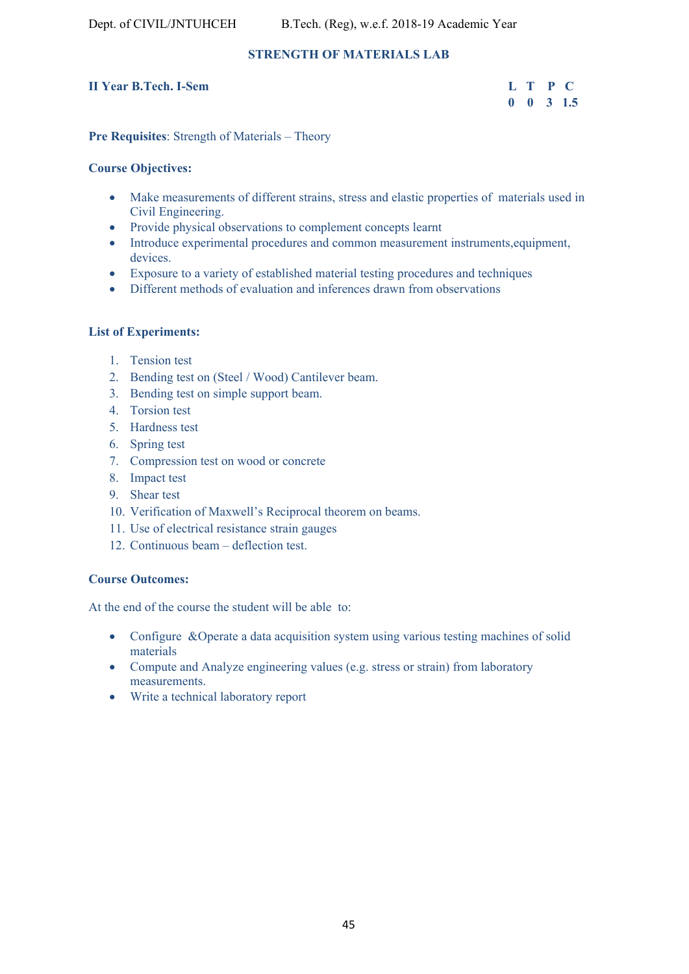# **STRENGTH OF MATERIALS LAB**

# **II Year B.Tech. I-Sem**

| <b>II Year B.Tech. I-Sem</b> |  | L T P C              |
|------------------------------|--|----------------------|
|                              |  | $0 \t 0 \t 3 \t 1.5$ |

#### **Pre Requisites**: Strength of Materials – Theory

#### **Course Objectives:**

- Make measurements of different strains, stress and elastic properties of materials used in Civil Engineering.
- Provide physical observations to complement concepts learnt
- Introduce experimental procedures and common measurement instruments,equipment, devices.
- Exposure to a variety of established material testing procedures and techniques
- Different methods of evaluation and inferences drawn from observations

### **List of Experiments:**

- 1. Tension test
- 2. Bending test on (Steel / Wood) Cantilever beam.
- 3. Bending test on simple support beam.
- 4. Torsion test
- 5. Hardness test
- 6. Spring test
- 7. Compression test on wood or concrete
- 8. Impact test
- 9. Shear test
- 10. Verification of Maxwell's Reciprocal theorem on beams.
- 11. Use of electrical resistance strain gauges
- 12. Continuous beam deflection test.

### **Course Outcomes:**

At the end of the course the student will be able to:

- Configure &Operate a data acquisition system using various testing machines of solid materials
- Compute and Analyze engineering values (e.g. stress or strain) from laboratory measurements.
- Write a technical laboratory report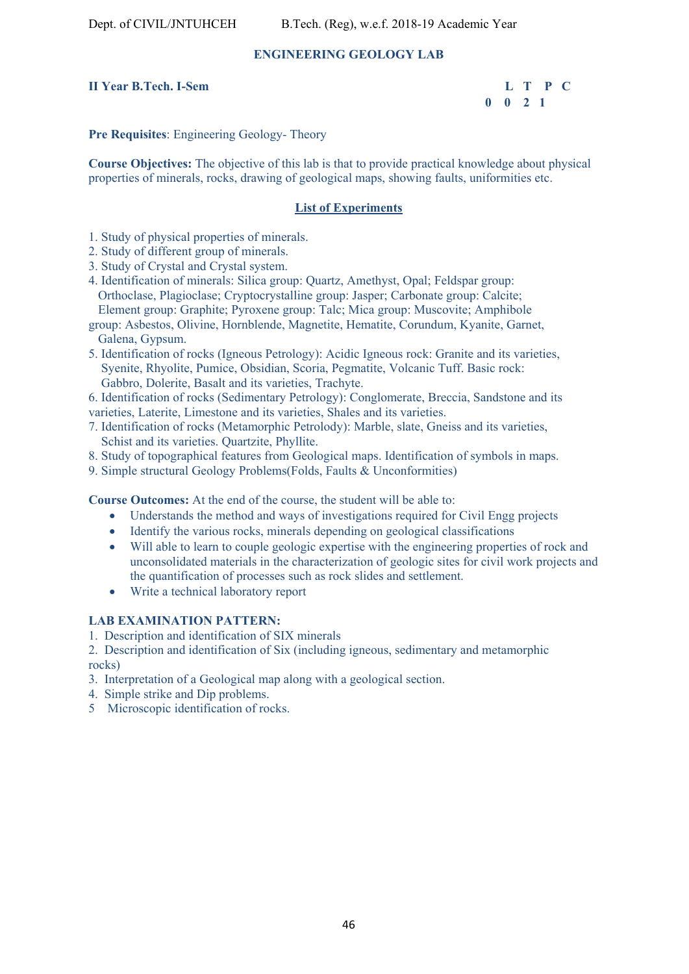### **ENGINEERING GEOLOGY LAB**

#### **II Year B.Tech. I-Sem L T P C**

 **0 0 2 1** 

#### **Pre Requisites**: Engineering Geology- Theory

**Course Objectives:** The objective of this lab is that to provide practical knowledge about physical properties of minerals, rocks, drawing of geological maps, showing faults, uniformities etc.

#### **List of Experiments**

- 1. Study of physical properties of minerals.
- 2. Study of different group of minerals.
- 3. Study of Crystal and Crystal system.
- 4. Identification of minerals: Silica group: Quartz, Amethyst, Opal; Feldspar group: Orthoclase, Plagioclase; Cryptocrystalline group: Jasper; Carbonate group: Calcite; Element group: Graphite; Pyroxene group: Talc; Mica group: Muscovite; Amphibole
- group: Asbestos, Olivine, Hornblende, Magnetite, Hematite, Corundum, Kyanite, Garnet, Galena, Gypsum.
- 5. Identification of rocks (Igneous Petrology): Acidic Igneous rock: Granite and its varieties, Syenite, Rhyolite, Pumice, Obsidian, Scoria, Pegmatite, Volcanic Tuff. Basic rock: Gabbro, Dolerite, Basalt and its varieties, Trachyte.

6. Identification of rocks (Sedimentary Petrology): Conglomerate, Breccia, Sandstone and its varieties, Laterite, Limestone and its varieties, Shales and its varieties.

- 7. Identification of rocks (Metamorphic Petrolody): Marble, slate, Gneiss and its varieties, Schist and its varieties. Quartzite, Phyllite.
- 8. Study of topographical features from Geological maps. Identification of symbols in maps.
- 9. Simple structural Geology Problems(Folds, Faults & Unconformities)

**Course Outcomes:** At the end of the course, the student will be able to:

- Understands the method and ways of investigations required for Civil Engg projects
- Identify the various rocks, minerals depending on geological classifications
- Will able to learn to couple geologic expertise with the engineering properties of rock and unconsolidated materials in the characterization of geologic sites for civil work projects and the quantification of processes such as rock slides and settlement.
- Write a technical laboratory report

#### **LAB EXAMINATION PATTERN:**

1. Description and identification of SIX minerals

2. Description and identification of Six (including igneous, sedimentary and metamorphic rocks)

- 3. Interpretation of a Geological map along with a geological section.
- 4. Simple strike and Dip problems.
- 5 Microscopic identification of rocks.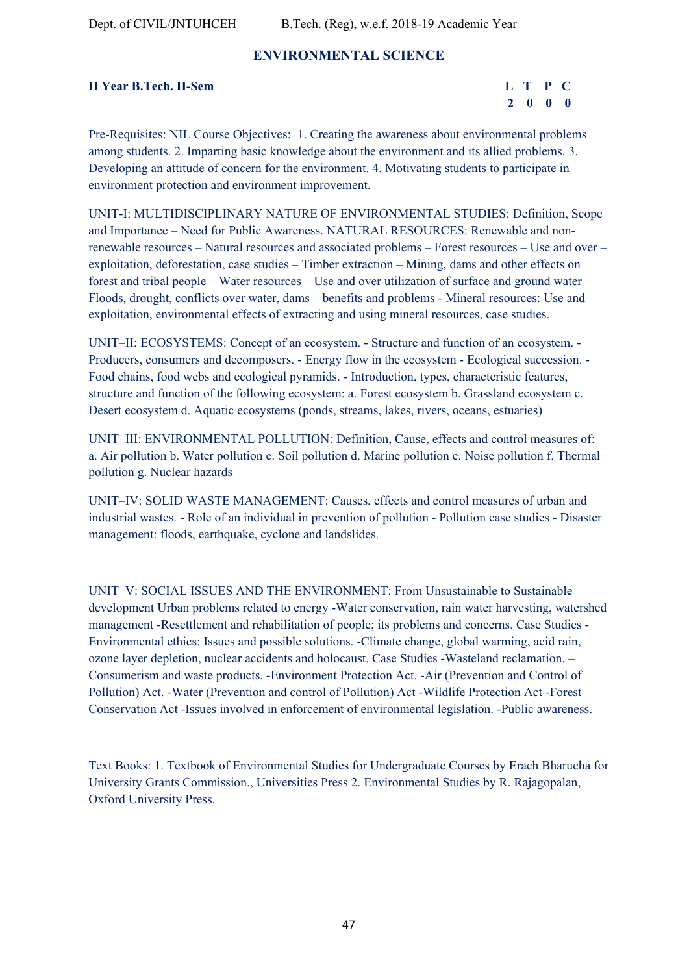# **ENVIRONMENTAL SCIENCE**

#### **II Year B.Tech. II-Sem**

| <b>II Year B.Tech. II-Sem</b> | L T P C |  |
|-------------------------------|---------|--|
|                               | 2000    |  |

Pre-Requisites: NIL Course Objectives: 1. Creating the awareness about environmental problems among students. 2. Imparting basic knowledge about the environment and its allied problems. 3. Developing an attitude of concern for the environment. 4. Motivating students to participate in environment protection and environment improvement.

UNIT-I: MULTIDISCIPLINARY NATURE OF ENVIRONMENTAL STUDIES: Definition, Scope and Importance – Need for Public Awareness. NATURAL RESOURCES: Renewable and nonrenewable resources – Natural resources and associated problems – Forest resources – Use and over – exploitation, deforestation, case studies – Timber extraction – Mining, dams and other effects on forest and tribal people – Water resources – Use and over utilization of surface and ground water – Floods, drought, conflicts over water, dams – benefits and problems - Mineral resources: Use and exploitation, environmental effects of extracting and using mineral resources, case studies.

UNIT–II: ECOSYSTEMS: Concept of an ecosystem. - Structure and function of an ecosystem. - Producers, consumers and decomposers. - Energy flow in the ecosystem - Ecological succession. - Food chains, food webs and ecological pyramids. - Introduction, types, characteristic features, structure and function of the following ecosystem: a. Forest ecosystem b. Grassland ecosystem c. Desert ecosystem d. Aquatic ecosystems (ponds, streams, lakes, rivers, oceans, estuaries)

UNIT–III: ENVIRONMENTAL POLLUTION: Definition, Cause, effects and control measures of: a. Air pollution b. Water pollution c. Soil pollution d. Marine pollution e. Noise pollution f. Thermal pollution g. Nuclear hazards

UNIT–IV: SOLID WASTE MANAGEMENT: Causes, effects and control measures of urban and industrial wastes. - Role of an individual in prevention of pollution - Pollution case studies - Disaster management: floods, earthquake, cyclone and landslides.

UNIT–V: SOCIAL ISSUES AND THE ENVIRONMENT: From Unsustainable to Sustainable development Urban problems related to energy -Water conservation, rain water harvesting, watershed management -Resettlement and rehabilitation of people; its problems and concerns. Case Studies - Environmental ethics: Issues and possible solutions. -Climate change, global warming, acid rain, ozone layer depletion, nuclear accidents and holocaust. Case Studies -Wasteland reclamation. – Consumerism and waste products. -Environment Protection Act. -Air (Prevention and Control of Pollution) Act. -Water (Prevention and control of Pollution) Act -Wildlife Protection Act -Forest Conservation Act -Issues involved in enforcement of environmental legislation. -Public awareness.

Text Books: 1. Textbook of Environmental Studies for Undergraduate Courses by Erach Bharucha for University Grants Commission., Universities Press 2. Environmental Studies by R. Rajagopalan, Oxford University Press.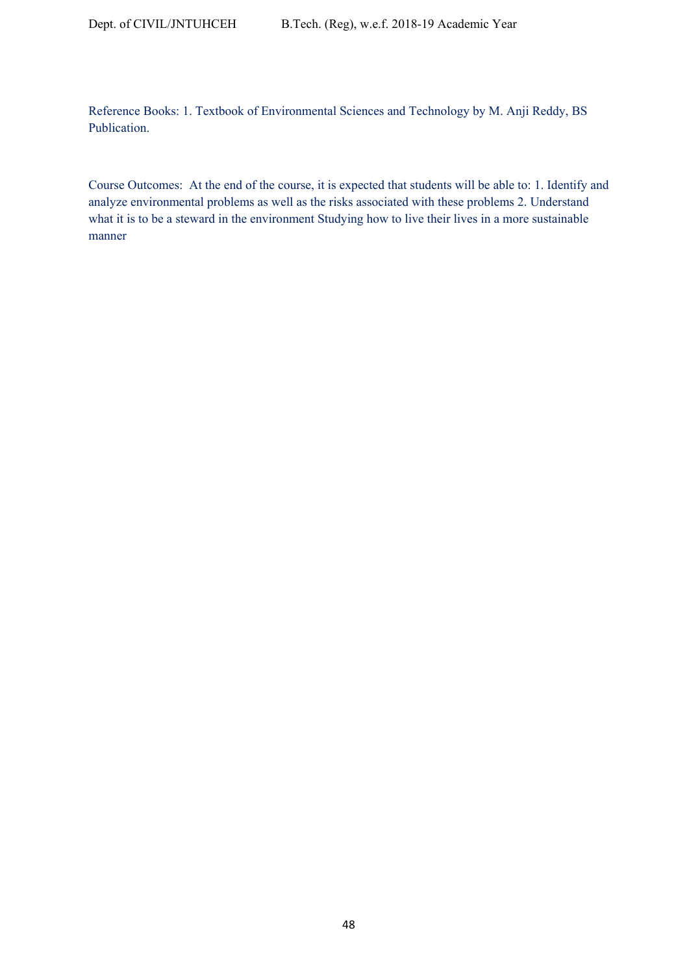Reference Books: 1. Textbook of Environmental Sciences and Technology by M. Anji Reddy, BS Publication.

Course Outcomes: At the end of the course, it is expected that students will be able to: 1. Identify and analyze environmental problems as well as the risks associated with these problems 2. Understand what it is to be a steward in the environment Studying how to live their lives in a more sustainable manner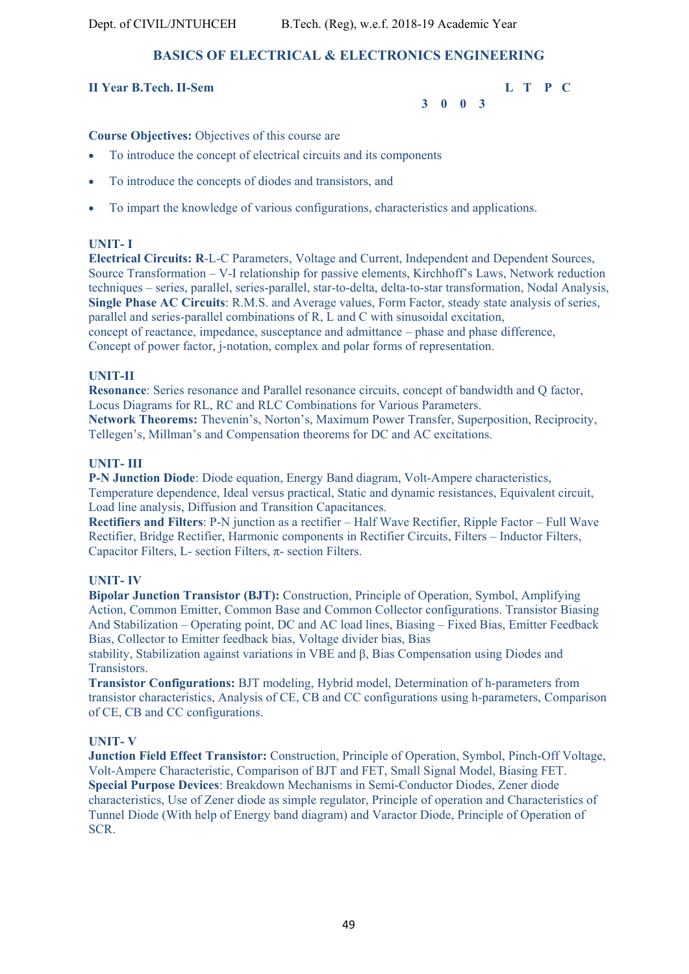# **BASICS OF ELECTRICAL & ELECTRONICS ENGINEERING**

# **II Year B.Tech. II-Sem L T P C**

 **3 0 0 3** 

**Course Objectives:** Objectives of this course are

- To introduce the concept of electrical circuits and its components
- To introduce the concepts of diodes and transistors, and
- To impart the knowledge of various configurations, characteristics and applications.

# **UNIT- I**

**Electrical Circuits: R**-L-C Parameters, Voltage and Current, Independent and Dependent Sources, Source Transformation – V-I relationship for passive elements, Kirchhoff's Laws, Network reduction techniques – series, parallel, series-parallel, star-to-delta, delta-to-star transformation, Nodal Analysis, **Single Phase AC Circuits**: R.M.S. and Average values, Form Factor, steady state analysis of series, parallel and series-parallel combinations of R, L and C with sinusoidal excitation, concept of reactance, impedance, susceptance and admittance – phase and phase difference, Concept of power factor, j-notation, complex and polar forms of representation.

# **UNIT-II**

**Resonance**: Series resonance and Parallel resonance circuits, concept of bandwidth and Q factor, Locus Diagrams for RL, RC and RLC Combinations for Various Parameters. **Network Theorems:** Thevenin's, Norton's, Maximum Power Transfer, Superposition, Reciprocity, Tellegen's, Millman's and Compensation theorems for DC and AC excitations.

#### **UNIT- III**

**P-N Junction Diode**: Diode equation, Energy Band diagram, Volt-Ampere characteristics, Temperature dependence, Ideal versus practical, Static and dynamic resistances, Equivalent circuit, Load line analysis, Diffusion and Transition Capacitances.

**Rectifiers and Filters**: P-N junction as a rectifier – Half Wave Rectifier, Ripple Factor – Full Wave Rectifier, Bridge Rectifier, Harmonic components in Rectifier Circuits, Filters – Inductor Filters, Capacitor Filters, L- section Filters, π- section Filters.

### **UNIT- IV**

**Bipolar Junction Transistor (BJT):** Construction, Principle of Operation, Symbol, Amplifying Action, Common Emitter, Common Base and Common Collector configurations. Transistor Biasing And Stabilization – Operating point, DC and AC load lines, Biasing – Fixed Bias, Emitter Feedback Bias, Collector to Emitter feedback bias, Voltage divider bias, Bias

stability, Stabilization against variations in VBE and β, Bias Compensation using Diodes and Transistors.

**Transistor Configurations:** BJT modeling, Hybrid model, Determination of h-parameters from transistor characteristics, Analysis of CE, CB and CC configurations using h-parameters, Comparison of CE, CB and CC configurations.

### **UNIT- V**

**Junction Field Effect Transistor:** Construction, Principle of Operation, Symbol, Pinch-Off Voltage, Volt-Ampere Characteristic, Comparison of BJT and FET, Small Signal Model, Biasing FET. **Special Purpose Devices**: Breakdown Mechanisms in Semi-Conductor Diodes, Zener diode characteristics, Use of Zener diode as simple regulator, Principle of operation and Characteristics of Tunnel Diode (With help of Energy band diagram) and Varactor Diode, Principle of Operation of SCR.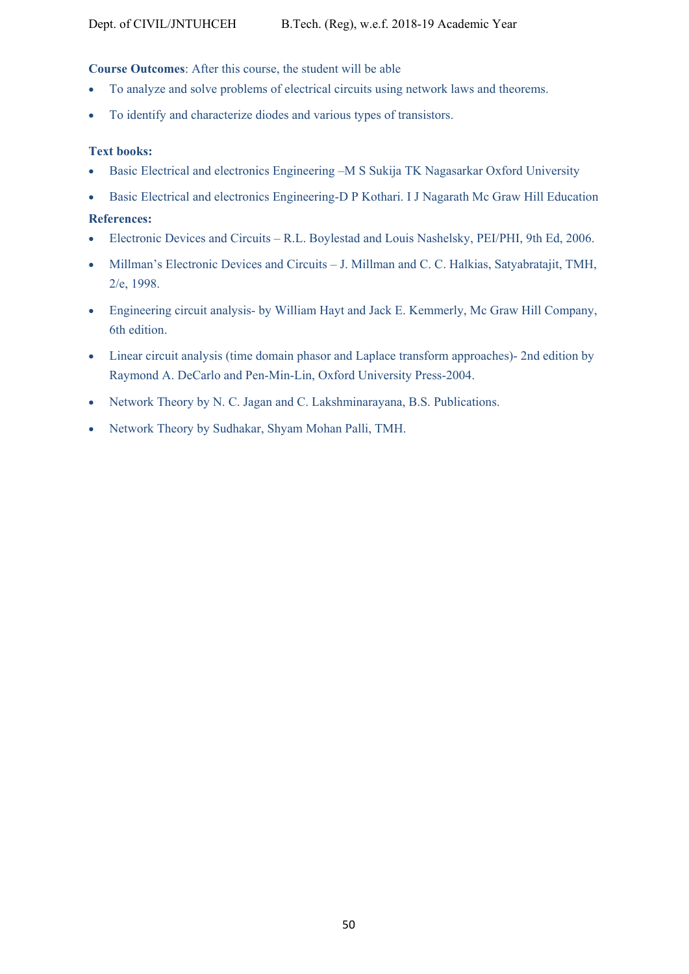### **Course Outcomes**: After this course, the student will be able

- To analyze and solve problems of electrical circuits using network laws and theorems.
- To identify and characterize diodes and various types of transistors.

#### **Text books:**

- Basic Electrical and electronics Engineering –M S Sukija TK Nagasarkar Oxford University
- Basic Electrical and electronics Engineering-D P Kothari. I J Nagarath Mc Graw Hill Education

#### **References:**

- Electronic Devices and Circuits R.L. Boylestad and Louis Nashelsky, PEI/PHI, 9th Ed, 2006.
- Millman's Electronic Devices and Circuits J. Millman and C. C. Halkias, Satyabratajit, TMH, 2/e, 1998.
- Engineering circuit analysis- by William Hayt and Jack E. Kemmerly, Mc Graw Hill Company, 6th edition.
- Linear circuit analysis (time domain phasor and Laplace transform approaches)- 2nd edition by Raymond A. DeCarlo and Pen-Min-Lin, Oxford University Press-2004.
- Network Theory by N. C. Jagan and C. Lakshminarayana, B.S. Publications.
- Network Theory by Sudhakar, Shyam Mohan Palli, TMH.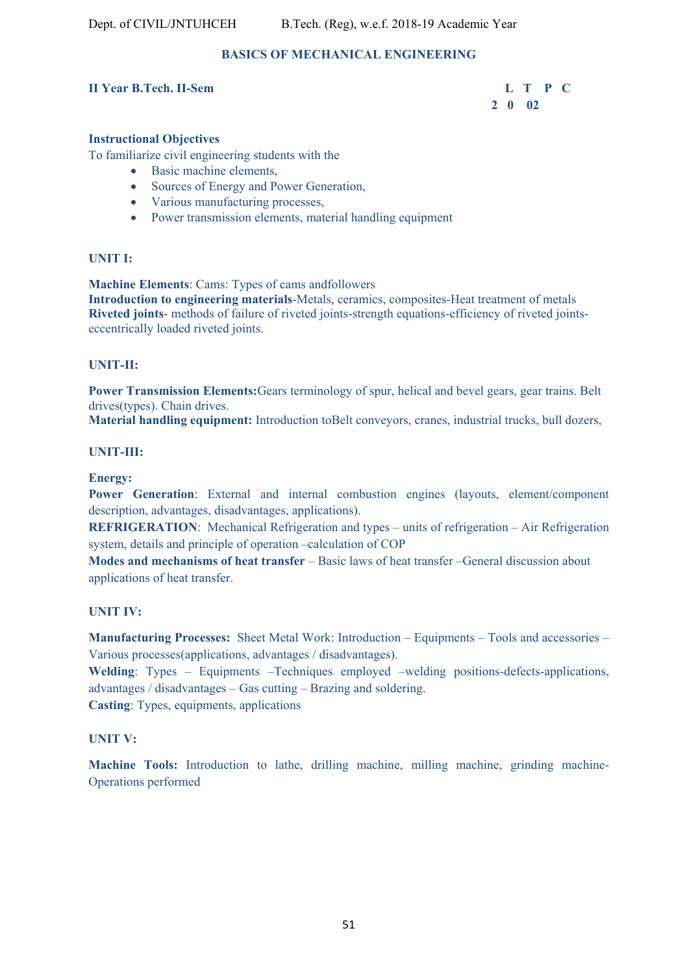# **BASICS OF MECHANICAL ENGINEERING**

#### **II Year B.Tech. II-Sem L T P C**

# **2 0 02**

# **Instructional Objectives**

To familiarize civil engineering students with the

- Basic machine elements,
- Sources of Energy and Power Generation,
- Various manufacturing processes,
- Power transmission elements, material handling equipment

# **UNIT I:**

**Machine Elements**: Cams: Types of cams andfollowers **Introduction to engineering materials**-Metals, ceramics, composites-Heat treatment of metals **Riveted joints**- methods of failure of riveted joints-strength equations-efficiency of riveted jointseccentrically loaded riveted joints.

#### **UNIT-II:**

**Power Transmission Elements:**Gears terminology of spur, helical and bevel gears, gear trains. Belt drives(types). Chain drives.

**Material handling equipment:** Introduction toBelt conveyors, cranes, industrial trucks, bull dozers,

#### **UNIT-III:**

**Energy:** 

**Power Generation**: External and internal combustion engines (layouts, element/component description, advantages, disadvantages, applications).

**REFRIGERATION**: Mechanical Refrigeration and types – units of refrigeration – Air Refrigeration system, details and principle of operation –calculation of COP

**Modes and mechanisms of heat transfer** – Basic laws of heat transfer –General discussion about applications of heat transfer.

#### **UNIT IV:**

**Manufacturing Processes:** Sheet Metal Work: Introduction – Equipments – Tools and accessories – Various processes(applications, advantages / disadvantages).

**Welding**: Types – Equipments –Techniques employed –welding positions-defects-applications, advantages / disadvantages – Gas cutting – Brazing and soldering. **Casting**: Types, equipments, applications

#### **UNIT V:**

**Machine Tools:** Introduction to lathe, drilling machine, milling machine, grinding machine-Operations performed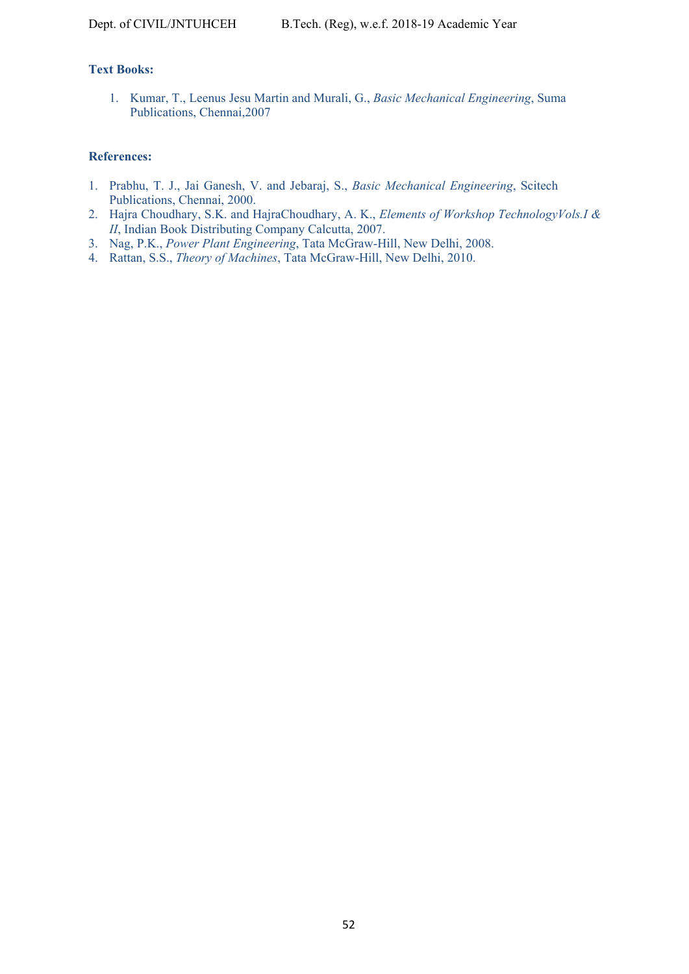# **Text Books:**

1. Kumar, T., Leenus Jesu Martin and Murali, G., *Basic Mechanical Engineering*, Suma Publications, Chennai,2007

#### **References:**

- 1. Prabhu, T. J., Jai Ganesh, V. and Jebaraj, S., *Basic Mechanical Engineering*, Scitech Publications, Chennai, 2000.
- 2. Hajra Choudhary, S.K. and HajraChoudhary, A. K., *Elements of Workshop TechnologyVols.I & II*, Indian Book Distributing Company Calcutta, 2007.
- 3. Nag, P.K., *Power Plant Engineering*, Tata McGraw-Hill, New Delhi, 2008.
- 4. Rattan, S.S., *Theory of Machines*, Tata McGraw-Hill, New Delhi, 2010.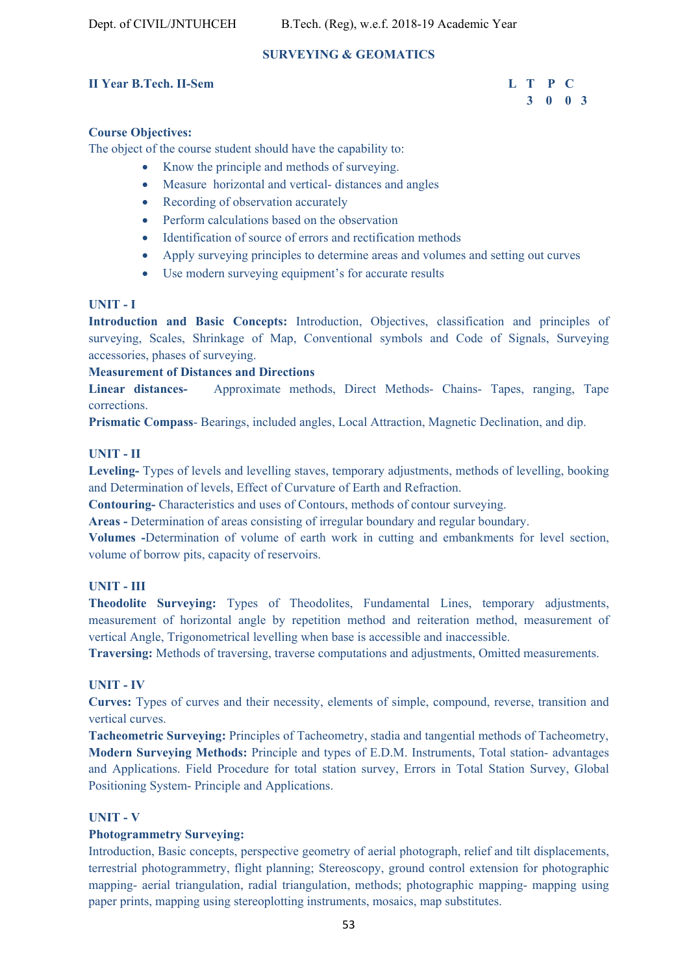# **SURVEYING & GEOMATICS**

#### **II Year B.Tech. II-Sem L T P C**

# **3 0 0 3**

#### **Course Objectives:**

The object of the course student should have the capability to:

- Know the principle and methods of surveying.
- Measure horizontal and vertical- distances and angles
- Recording of observation accurately
- Perform calculations based on the observation
- Identification of source of errors and rectification methods
- Apply surveying principles to determine areas and volumes and setting out curves
- Use modern surveying equipment's for accurate results

#### **UNIT - I**

**Introduction and Basic Concepts:** Introduction, Objectives, classification and principles of surveying, Scales, Shrinkage of Map, Conventional symbols and Code of Signals, Surveying accessories, phases of surveying.

#### **Measurement of Distances and Directions**

**Linear distances-** Approximate methods, Direct Methods- Chains- Tapes, ranging, Tape corrections.

**Prismatic Compass**- Bearings, included angles, Local Attraction, Magnetic Declination, and dip.

#### **UNIT - II**

**Leveling-** Types of levels and levelling staves, temporary adjustments, methods of levelling, booking and Determination of levels, Effect of Curvature of Earth and Refraction.

**Contouring-** Characteristics and uses of Contours, methods of contour surveying.

**Areas -** Determination of areas consisting of irregular boundary and regular boundary.

**Volumes -**Determination of volume of earth work in cutting and embankments for level section, volume of borrow pits, capacity of reservoirs.

#### **UNIT - III**

**Theodolite Surveying:** Types of Theodolites, Fundamental Lines, temporary adjustments, measurement of horizontal angle by repetition method and reiteration method, measurement of vertical Angle, Trigonometrical levelling when base is accessible and inaccessible.

**Traversing:** Methods of traversing, traverse computations and adjustments, Omitted measurements.

#### **UNIT - IV**

**Curves:** Types of curves and their necessity, elements of simple, compound, reverse, transition and vertical curves.

**Tacheometric Surveying:** Principles of Tacheometry, stadia and tangential methods of Tacheometry, **Modern Surveying Methods:** Principle and types of E.D.M. Instruments, Total station- advantages and Applications. Field Procedure for total station survey, Errors in Total Station Survey, Global Positioning System- Principle and Applications.

# **UNIT - V**

#### **Photogrammetry Surveying:**

Introduction, Basic concepts, perspective geometry of aerial photograph, relief and tilt displacements, terrestrial photogrammetry, flight planning; Stereoscopy, ground control extension for photographic mapping- aerial triangulation, radial triangulation, methods; photographic mapping- mapping using paper prints, mapping using stereoplotting instruments, mosaics, map substitutes.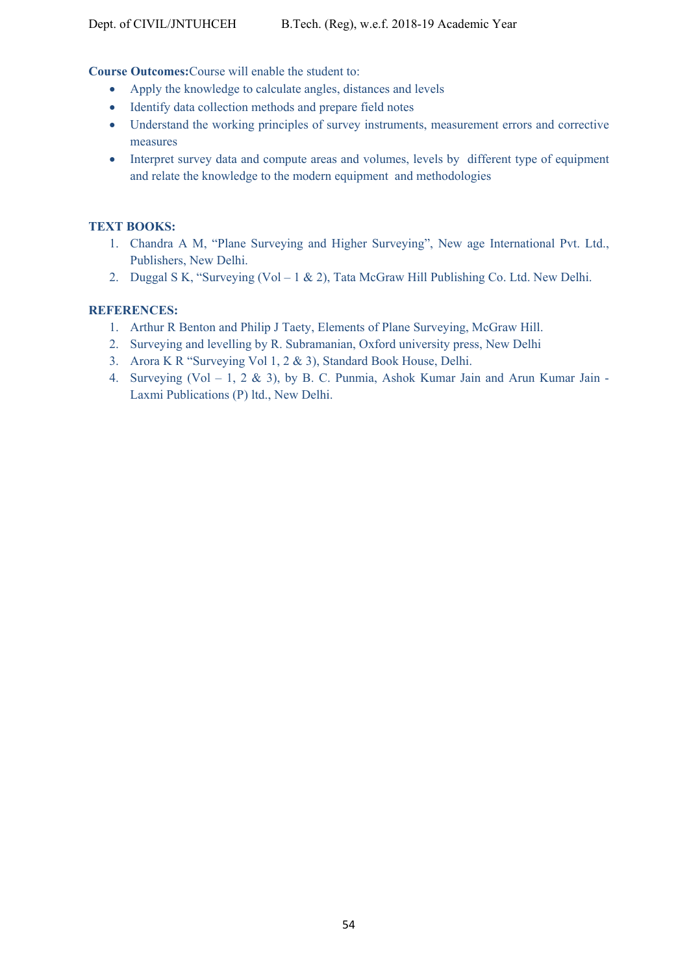**Course Outcomes:**Course will enable the student to:

- Apply the knowledge to calculate angles, distances and levels
- Identify data collection methods and prepare field notes
- Understand the working principles of survey instruments, measurement errors and corrective measures
- Interpret survey data and compute areas and volumes, levels by different type of equipment and relate the knowledge to the modern equipment and methodologies

### **TEXT BOOKS:**

- 1. Chandra A M, "Plane Surveying and Higher Surveying", New age International Pvt. Ltd., Publishers, New Delhi.
- 2. Duggal S K, "Surveying (Vol 1 & 2), Tata McGraw Hill Publishing Co. Ltd. New Delhi.

#### **REFERENCES:**

- 1. Arthur R Benton and Philip J Taety, Elements of Plane Surveying, McGraw Hill.
- 2. Surveying and levelling by R. Subramanian, Oxford university press, New Delhi
- 3. Arora K R "Surveying Vol 1, 2 & 3), Standard Book House, Delhi.
- 4. Surveying (Vol 1, 2 & 3), by B. C. Punmia, Ashok Kumar Jain and Arun Kumar Jain Laxmi Publications (P) ltd., New Delhi.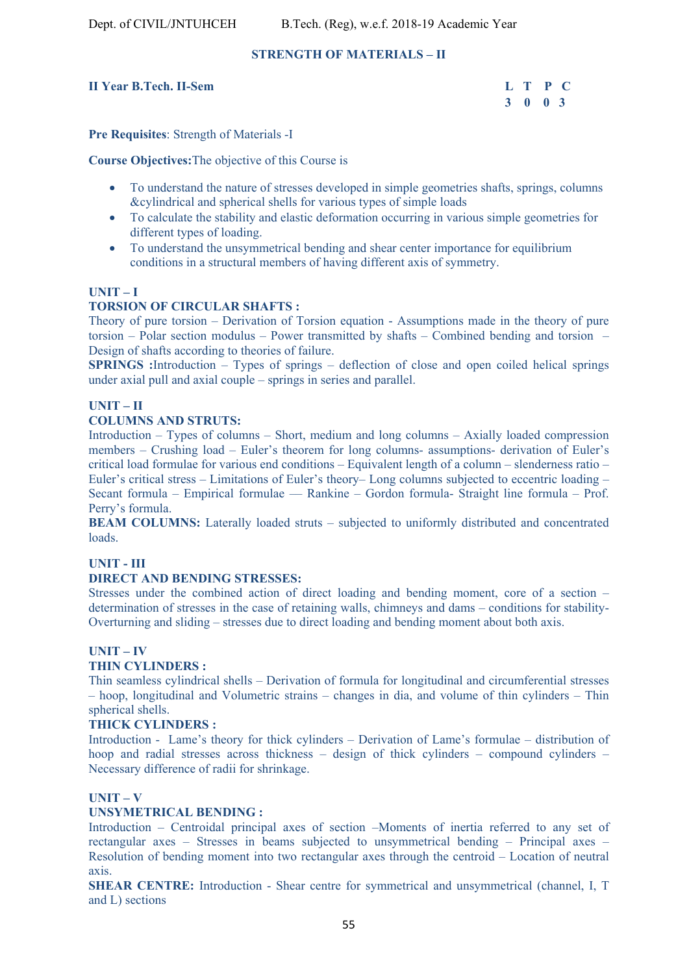### **STRENGTH OF MATERIALS – II**

#### **II Year B.Tech. II-Sem**

| <b>II Year B.Tech. II-Sem</b> |         | L T P C |  |
|-------------------------------|---------|---------|--|
|                               | 3 0 0 3 |         |  |

**Pre Requisites**: Strength of Materials -I

**Course Objectives:**The objective of this Course is

- To understand the nature of stresses developed in simple geometries shafts, springs, columns &cylindrical and spherical shells for various types of simple loads
- To calculate the stability and elastic deformation occurring in various simple geometries for different types of loading.
- To understand the unsymmetrical bending and shear center importance for equilibrium conditions in a structural members of having different axis of symmetry.

#### **UNIT – I**

#### **TORSION OF CIRCULAR SHAFTS :**

Theory of pure torsion – Derivation of Torsion equation - Assumptions made in the theory of pure torsion – Polar section modulus – Power transmitted by shafts – Combined bending and torsion – Design of shafts according to theories of failure.

**SPRINGS :**Introduction – Types of springs – deflection of close and open coiled helical springs under axial pull and axial couple – springs in series and parallel.

# **UNIT – II**

#### **COLUMNS AND STRUTS:**

Introduction – Types of columns – Short, medium and long columns – Axially loaded compression members – Crushing load – Euler's theorem for long columns- assumptions- derivation of Euler's critical load formulae for various end conditions – Equivalent length of a column – slenderness ratio – Euler's critical stress – Limitations of Euler's theory– Long columns subjected to eccentric loading – Secant formula – Empirical formulae –– Rankine – Gordon formula- Straight line formula – Prof. Perry's formula.

**BEAM COLUMNS:** Laterally loaded struts – subjected to uniformly distributed and concentrated loads.

# **UNIT - III**

#### **DIRECT AND BENDING STRESSES:**

Stresses under the combined action of direct loading and bending moment, core of a section – determination of stresses in the case of retaining walls, chimneys and dams – conditions for stability-Overturning and sliding – stresses due to direct loading and bending moment about both axis.

#### **UNIT – IV**

#### **THIN CYLINDERS :**

Thin seamless cylindrical shells – Derivation of formula for longitudinal and circumferential stresses – hoop, longitudinal and Volumetric strains – changes in dia, and volume of thin cylinders – Thin spherical shells.

#### **THICK CYLINDERS :**

Introduction - Lame's theory for thick cylinders – Derivation of Lame's formulae – distribution of hoop and radial stresses across thickness – design of thick cylinders – compound cylinders – Necessary difference of radii for shrinkage.

#### **UNIT – V**

#### **UNSYMETRICAL BENDING :**

Introduction – Centroidal principal axes of section –Moments of inertia referred to any set of rectangular axes – Stresses in beams subjected to unsymmetrical bending – Principal axes – Resolution of bending moment into two rectangular axes through the centroid – Location of neutral axis.

**SHEAR CENTRE:** Introduction - Shear centre for symmetrical and unsymmetrical (channel, I, T and L) sections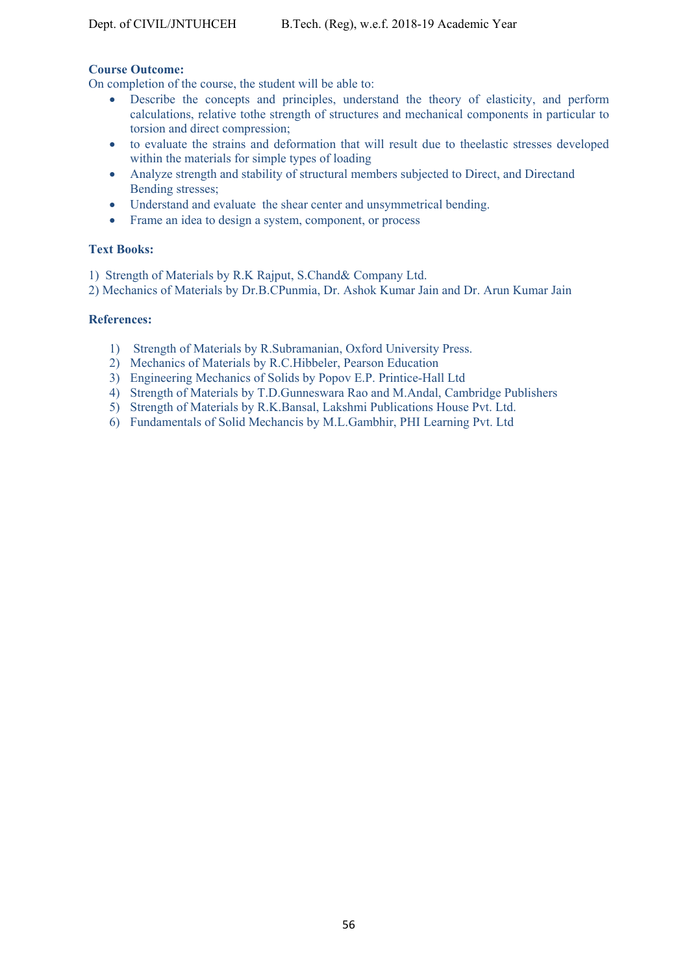# **Course Outcome:**

On completion of the course, the student will be able to:

- Describe the concepts and principles, understand the theory of elasticity, and perform calculations, relative tothe strength of structures and mechanical components in particular to torsion and direct compression;
- to evaluate the strains and deformation that will result due to theelastic stresses developed within the materials for simple types of loading
- Analyze strength and stability of structural members subjected to Direct, and Directand Bending stresses;
- Understand and evaluate the shear center and unsymmetrical bending.
- Frame an idea to design a system, component, or process

# **Text Books:**

1) Strength of Materials by R.K Rajput, S.Chand& Company Ltd.

2) Mechanics of Materials by Dr.B.CPunmia, Dr. Ashok Kumar Jain and Dr. Arun Kumar Jain

#### **References:**

- 1) Strength of Materials by R.Subramanian, Oxford University Press.
- 2) Mechanics of Materials by R.C.Hibbeler, Pearson Education
- 3) Engineering Mechanics of Solids by Popov E.P. Printice-Hall Ltd
- 4) Strength of Materials by T.D.Gunneswara Rao and M.Andal, Cambridge Publishers
- 5) Strength of Materials by R.K.Bansal, Lakshmi Publications House Pvt. Ltd.
- 6) Fundamentals of Solid Mechancis by M.L.Gambhir, PHI Learning Pvt. Ltd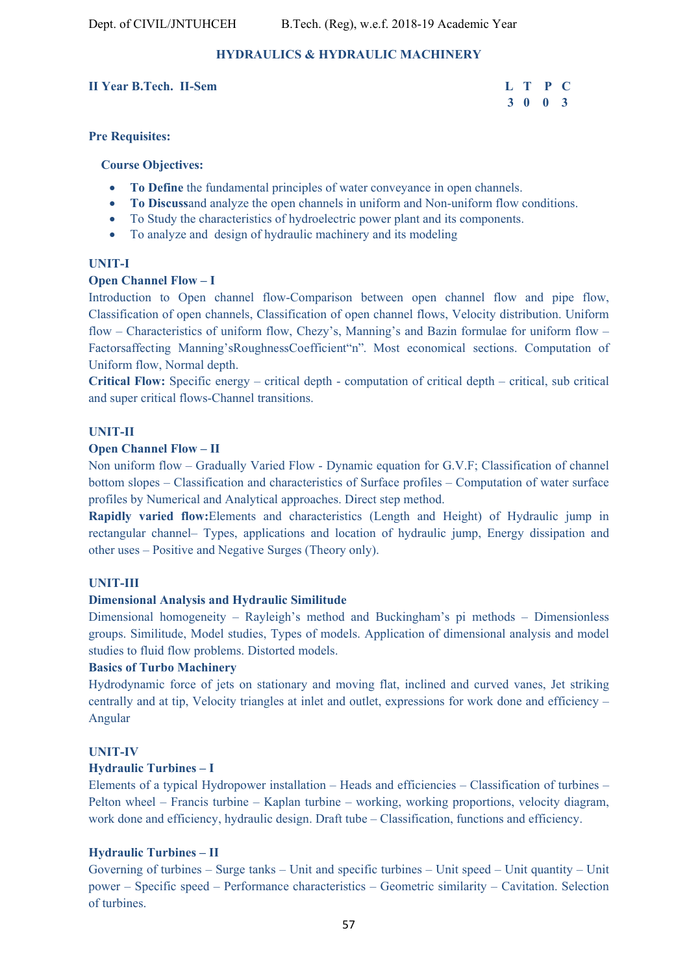# **HYDRAULICS & HYDRAULIC MACHINERY**

#### **II Year B.Tech. II-Sem L T P C**

# **3 0 0 3**

#### **Pre Requisites:**

#### **Course Objectives:**

- **To Define** the fundamental principles of water conveyance in open channels.
- **To Discuss**and analyze the open channels in uniform and Non-uniform flow conditions.
- To Study the characteristics of hydroelectric power plant and its components.
- To analyze and design of hydraulic machinery and its modeling

#### **UNIT-I**

#### **Open Channel Flow – I**

Introduction to Open channel flow-Comparison between open channel flow and pipe flow, Classification of open channels, Classification of open channel flows, Velocity distribution. Uniform flow – Characteristics of uniform flow, Chezy's, Manning's and Bazin formulae for uniform flow – Factorsaffecting Manning'sRoughnessCoefficient"n". Most economical sections. Computation of Uniform flow, Normal depth.

**Critical Flow:** Specific energy – critical depth - computation of critical depth – critical, sub critical and super critical flows-Channel transitions.

#### **UNIT-II**

#### **Open Channel Flow – II**

Non uniform flow – Gradually Varied Flow - Dynamic equation for G.V.F; Classification of channel bottom slopes – Classification and characteristics of Surface profiles – Computation of water surface profiles by Numerical and Analytical approaches. Direct step method.

**Rapidly varied flow:**Elements and characteristics (Length and Height) of Hydraulic jump in rectangular channel– Types, applications and location of hydraulic jump, Energy dissipation and other uses – Positive and Negative Surges (Theory only).

### **UNIT-III**

### **Dimensional Analysis and Hydraulic Similitude**

Dimensional homogeneity – Rayleigh's method and Buckingham's pi methods – Dimensionless groups. Similitude, Model studies, Types of models. Application of dimensional analysis and model studies to fluid flow problems. Distorted models.

### **Basics of Turbo Machinery**

Hydrodynamic force of jets on stationary and moving flat, inclined and curved vanes, Jet striking centrally and at tip, Velocity triangles at inlet and outlet, expressions for work done and efficiency – Angular

# **UNIT-IV**

### **Hydraulic Turbines – I**

Elements of a typical Hydropower installation – Heads and efficiencies – Classification of turbines – Pelton wheel – Francis turbine – Kaplan turbine – working, working proportions, velocity diagram, work done and efficiency, hydraulic design. Draft tube – Classification, functions and efficiency.

### **Hydraulic Turbines – II**

Governing of turbines – Surge tanks – Unit and specific turbines – Unit speed – Unit quantity – Unit power – Specific speed – Performance characteristics – Geometric similarity – Cavitation. Selection of turbines.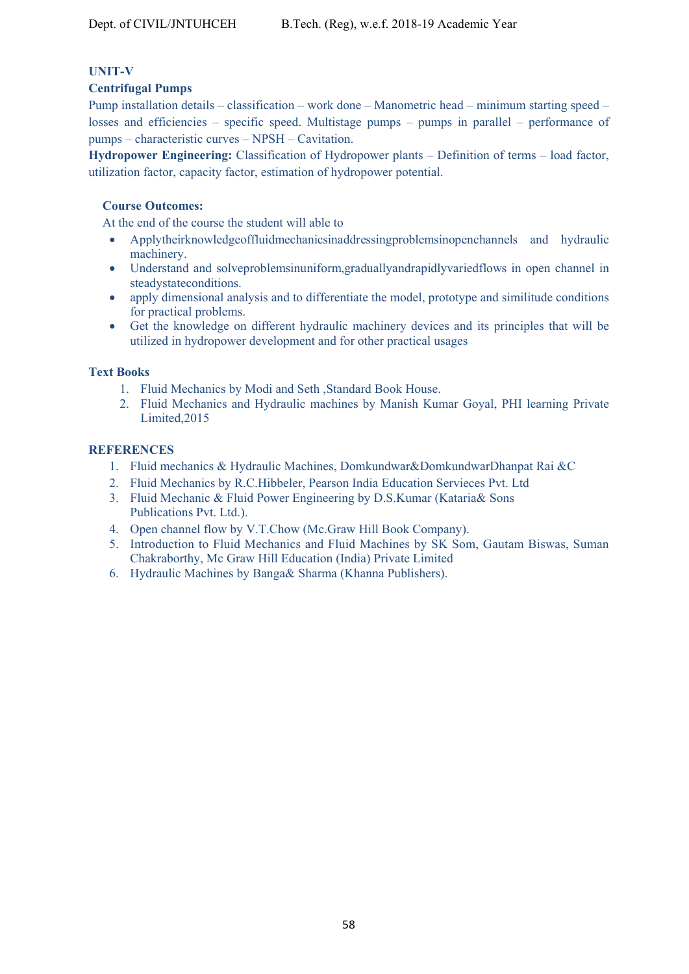# **UNIT-V**

#### **Centrifugal Pumps**

Pump installation details – classification – work done – Manometric head – minimum starting speed – losses and efficiencies – specific speed. Multistage pumps – pumps in parallel – performance of pumps – characteristic curves – NPSH – Cavitation.

**Hydropower Engineering:** Classification of Hydropower plants – Definition of terms – load factor, utilization factor, capacity factor, estimation of hydropower potential.

#### **Course Outcomes:**

At the end of the course the student will able to

- Applytheirknowledgeoffluidmechanicsinaddressingproblemsinopenchannels and hydraulic machinery.
- Understand and solveproblemsinuniform,graduallyandrapidlyvariedflows in open channel in steadystateconditions.
- apply dimensional analysis and to differentiate the model, prototype and similitude conditions for practical problems.
- Get the knowledge on different hydraulic machinery devices and its principles that will be utilized in hydropower development and for other practical usages

#### **Text Books**

- 1. Fluid Mechanics by Modi and Seth ,Standard Book House.
- 2. Fluid Mechanics and Hydraulic machines by Manish Kumar Goyal, PHI learning Private Limited,2015

#### **REFERENCES**

- 1. Fluid mechanics & Hydraulic Machines, Domkundwar&DomkundwarDhanpat Rai &C
- 2. Fluid Mechanics by R.C.Hibbeler, Pearson India Education Servieces Pvt. Ltd
- 3. Fluid Mechanic & Fluid Power Engineering by D.S.Kumar (Kataria& Sons Publications Pvt. Ltd.).
- 4. Open channel flow by V.T.Chow (Mc.Graw Hill Book Company).
- 5. Introduction to Fluid Mechanics and Fluid Machines by SK Som, Gautam Biswas, Suman Chakraborthy, Mc Graw Hill Education (India) Private Limited
- 6. Hydraulic Machines by Banga& Sharma (Khanna Publishers).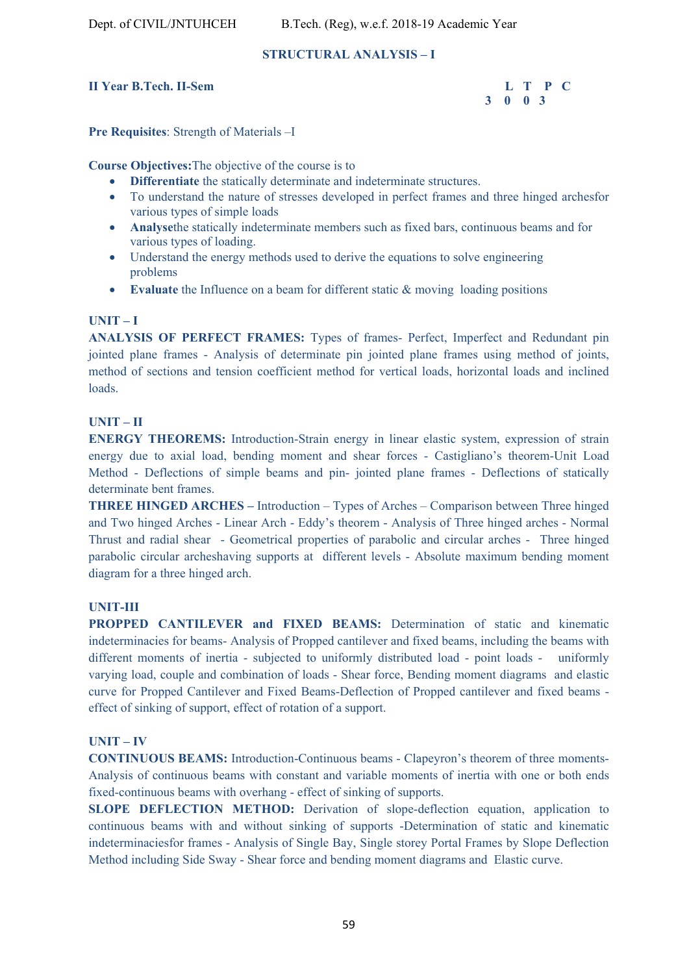#### **STRUCTURAL ANALYSIS – I**

#### **II Year B.Tech. II-Sem L T P C**

 **3 0 0 3** 

**Pre Requisites**: Strength of Materials –I

**Course Objectives:**The objective of the course is to

- **Differentiate** the statically determinate and indeterminate structures.
- To understand the nature of stresses developed in perfect frames and three hinged archesfor various types of simple loads
- **Analyse**the statically indeterminate members such as fixed bars, continuous beams and for various types of loading.
- Understand the energy methods used to derive the equations to solve engineering problems
- **Evaluate** the Influence on a beam for different static & moving loading positions

### **UNIT – I**

**ANALYSIS OF PERFECT FRAMES:** Types of frames- Perfect, Imperfect and Redundant pin jointed plane frames - Analysis of determinate pin jointed plane frames using method of joints, method of sections and tension coefficient method for vertical loads, horizontal loads and inclined loads.

#### **UNIT – II**

**ENERGY THEOREMS:** Introduction-Strain energy in linear elastic system, expression of strain energy due to axial load, bending moment and shear forces - Castigliano's theorem-Unit Load Method - Deflections of simple beams and pin- jointed plane frames - Deflections of statically determinate bent frames.

**THREE HINGED ARCHES –** Introduction – Types of Arches – Comparison between Three hinged and Two hinged Arches - Linear Arch - Eddy's theorem - Analysis of Three hinged arches - Normal Thrust and radial shear - Geometrical properties of parabolic and circular arches - Three hinged parabolic circular archeshaving supports at different levels - Absolute maximum bending moment diagram for a three hinged arch.

#### **UNIT-III**

**PROPPED CANTILEVER and FIXED BEAMS:** Determination of static and kinematic indeterminacies for beams- Analysis of Propped cantilever and fixed beams, including the beams with different moments of inertia - subjected to uniformly distributed load - point loads - uniformly varying load, couple and combination of loads - Shear force, Bending moment diagrams and elastic curve for Propped Cantilever and Fixed Beams-Deflection of Propped cantilever and fixed beams effect of sinking of support, effect of rotation of a support.

#### **UNIT – IV**

**CONTINUOUS BEAMS:** Introduction-Continuous beams - Clapeyron's theorem of three moments-Analysis of continuous beams with constant and variable moments of inertia with one or both ends fixed-continuous beams with overhang - effect of sinking of supports.

**SLOPE DEFLECTION METHOD:** Derivation of slope-deflection equation, application to continuous beams with and without sinking of supports -Determination of static and kinematic indeterminaciesfor frames - Analysis of Single Bay, Single storey Portal Frames by Slope Deflection Method including Side Sway - Shear force and bending moment diagrams and Elastic curve.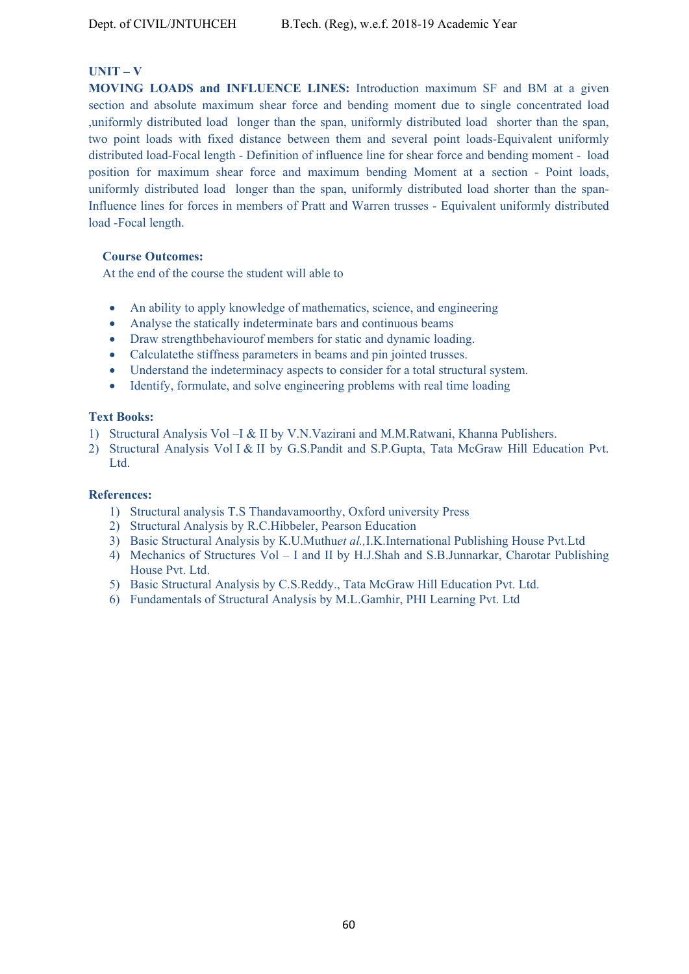#### **UNIT – V**

**MOVING LOADS and INFLUENCE LINES:** Introduction maximum SF and BM at a given section and absolute maximum shear force and bending moment due to single concentrated load ,uniformly distributed load longer than the span, uniformly distributed load shorter than the span, two point loads with fixed distance between them and several point loads-Equivalent uniformly distributed load-Focal length - Definition of influence line for shear force and bending moment - load position for maximum shear force and maximum bending Moment at a section - Point loads, uniformly distributed load longer than the span, uniformly distributed load shorter than the span-Influence lines for forces in members of Pratt and Warren trusses - Equivalent uniformly distributed load -Focal length.

#### **Course Outcomes:**

At the end of the course the student will able to

- An ability to apply knowledge of mathematics, science, and engineering
- Analyse the statically indeterminate bars and continuous beams
- Draw strengthbehaviourof members for static and dynamic loading.
- Calculatethe stiffness parameters in beams and pin jointed trusses.
- Understand the indeterminacy aspects to consider for a total structural system.
- Identify, formulate, and solve engineering problems with real time loading

#### **Text Books:**

- 1) Structural Analysis Vol –I & II by V.N.Vazirani and M.M.Ratwani, Khanna Publishers.
- 2) Structural Analysis Vol I & II by G.S.Pandit and S.P.Gupta, Tata McGraw Hill Education Pvt. Ltd.

#### **References:**

- 1) Structural analysis T.S Thandavamoorthy, Oxford university Press
- 2) Structural Analysis by R.C.Hibbeler, Pearson Education
- 3) Basic Structural Analysis by K.U.Muthu*et al.,*I.K.International Publishing House Pvt.Ltd
- 4) Mechanics of Structures Vol I and II by H.J.Shah and S.B.Junnarkar, Charotar Publishing House Pvt. Ltd.
- 5) Basic Structural Analysis by C.S.Reddy., Tata McGraw Hill Education Pvt. Ltd.
- 6) Fundamentals of Structural Analysis by M.L.Gamhir, PHI Learning Pvt. Ltd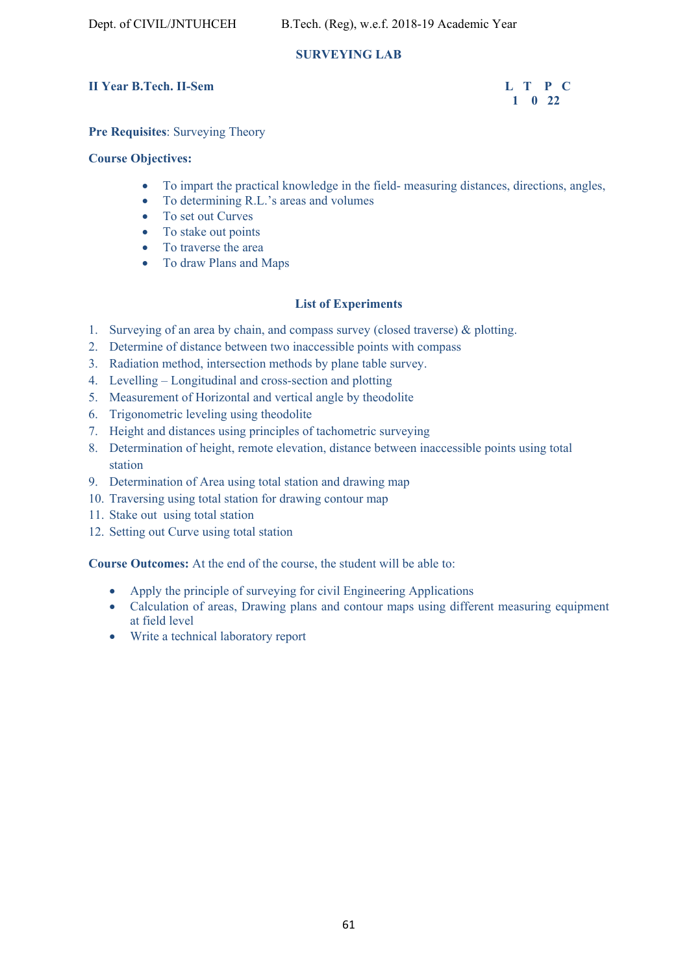# **SURVEYING LAB**

# **II** Year B.Tech. II-Sem L T P C

# **1 0 22**

# **Pre Requisites**: Surveying Theory

# **Course Objectives:**

- To impart the practical knowledge in the field- measuring distances, directions, angles,
- To determining R.L.'s areas and volumes
- To set out Curves
- To stake out points
- To traverse the area
- To draw Plans and Maps

# **List of Experiments**

- 1. Surveying of an area by chain, and compass survey (closed traverse) & plotting.
- 2. Determine of distance between two inaccessible points with compass
- 3. Radiation method, intersection methods by plane table survey.
- 4. Levelling Longitudinal and cross-section and plotting
- 5. Measurement of Horizontal and vertical angle by theodolite
- 6. Trigonometric leveling using theodolite
- 7. Height and distances using principles of tachometric surveying
- 8. Determination of height, remote elevation, distance between inaccessible points using total station
- 9. Determination of Area using total station and drawing map
- 10. Traversing using total station for drawing contour map
- 11. Stake out using total station
- 12. Setting out Curve using total station

**Course Outcomes:** At the end of the course, the student will be able to:

- Apply the principle of surveying for civil Engineering Applications
- Calculation of areas, Drawing plans and contour maps using different measuring equipment at field level
- Write a technical laboratory report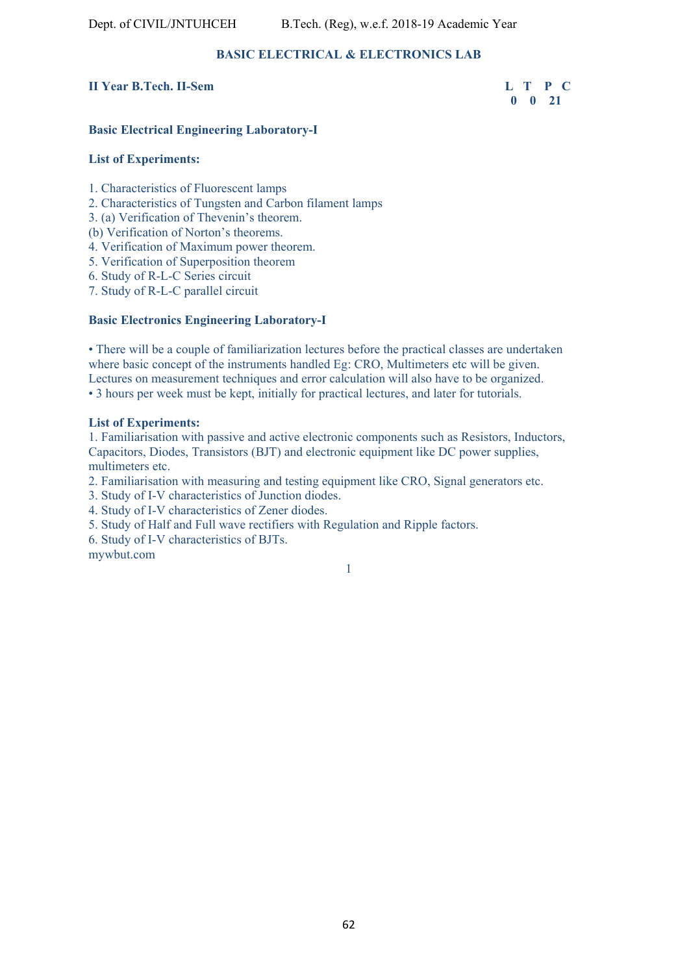# **BASIC ELECTRICAL & ELECTRONICS LAB**

#### **II Year B.Tech. II-Sem L T P C**

 **0 0 21** 

#### **Basic Electrical Engineering Laboratory-I**

#### **List of Experiments:**

1. Characteristics of Fluorescent lamps

- 2. Characteristics of Tungsten and Carbon filament lamps
- 3. (a) Verification of Thevenin's theorem.
- (b) Verification of Norton's theorems.
- 4. Verification of Maximum power theorem.
- 5. Verification of Superposition theorem
- 6. Study of R-L-C Series circuit
- 7. Study of R-L-C parallel circuit

#### **Basic Electronics Engineering Laboratory-I**

• There will be a couple of familiarization lectures before the practical classes are undertaken where basic concept of the instruments handled Eg: CRO, Multimeters etc will be given. Lectures on measurement techniques and error calculation will also have to be organized. • 3 hours per week must be kept, initially for practical lectures, and later for tutorials.

#### **List of Experiments:**

1. Familiarisation with passive and active electronic components such as Resistors, Inductors, Capacitors, Diodes, Transistors (BJT) and electronic equipment like DC power supplies, multimeters etc.

2. Familiarisation with measuring and testing equipment like CRO, Signal generators etc.

- 3. Study of I-V characteristics of Junction diodes.
- 4. Study of I-V characteristics of Zener diodes.
- 5. Study of Half and Full wave rectifiers with Regulation and Ripple factors.
- 6. Study of I-V characteristics of BJTs.

mywbut.com

1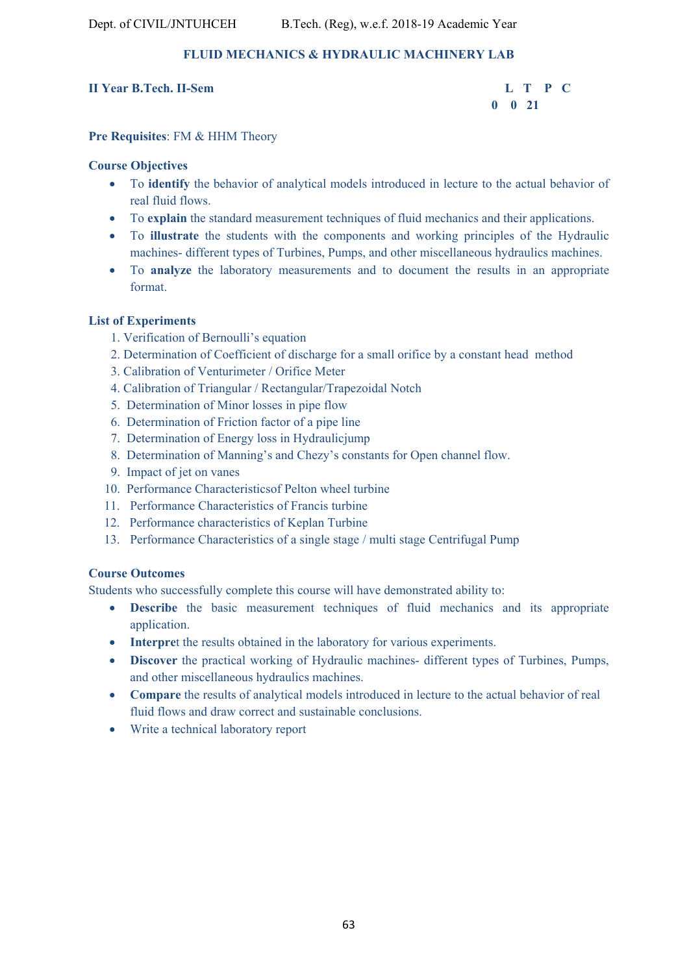# **FLUID MECHANICS & HYDRAULIC MACHINERY LAB**

# **II Year B.Tech. II-Sem L T P C**

 **0 0 21** 

# **Pre Requisites**: FM & HHM Theory

# **Course Objectives**

- To **identify** the behavior of analytical models introduced in lecture to the actual behavior of real fluid flows.
- To **explain** the standard measurement techniques of fluid mechanics and their applications.
- To **illustrate** the students with the components and working principles of the Hydraulic machines- different types of Turbines, Pumps, and other miscellaneous hydraulics machines.
- To **analyze** the laboratory measurements and to document the results in an appropriate format.

# **List of Experiments**

- 1. Verification of Bernoulli's equation
- 2. Determination of Coefficient of discharge for a small orifice by a constant head method
- 3. Calibration of Venturimeter / Orifice Meter
- 4. Calibration of Triangular / Rectangular/Trapezoidal Notch
- 5. Determination of Minor losses in pipe flow
- 6. Determination of Friction factor of a pipe line
- 7. Determination of Energy loss in Hydraulicjump
- 8. Determination of Manning's and Chezy's constants for Open channel flow.
- 9. Impact of jet on vanes
- 10. Performance Characteristicsof Pelton wheel turbine
- 11. Performance Characteristics of Francis turbine
- 12. Performance characteristics of Keplan Turbine
- 13. Performance Characteristics of a single stage / multi stage Centrifugal Pump

# **Course Outcomes**

Students who successfully complete this course will have demonstrated ability to:

- **Describe** the basic measurement techniques of fluid mechanics and its appropriate application.
- **Interpret** the results obtained in the laboratory for various experiments.
- **Discover** the practical working of Hydraulic machines- different types of Turbines, Pumps, and other miscellaneous hydraulics machines.
- **Compare** the results of analytical models introduced in lecture to the actual behavior of real fluid flows and draw correct and sustainable conclusions.
- Write a technical laboratory report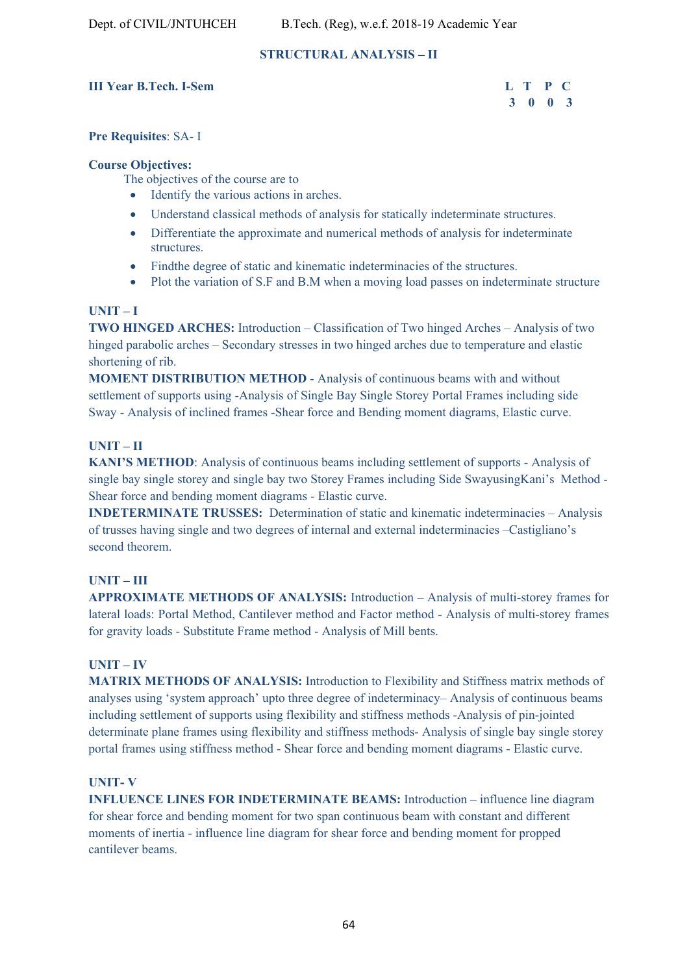# **STRUCTURAL ANALYSIS – II**

#### **III Year B.Tech. I-Sem L T P C**

# **3 0 0 3**

#### **Pre Requisites**: SA- I

#### **Course Objectives:**

The objectives of the course are to

- Identify the various actions in arches.
- Understand classical methods of analysis for statically indeterminate structures.
- Differentiate the approximate and numerical methods of analysis for indeterminate structures.
- Findthe degree of static and kinematic indeterminacies of the structures.
- Plot the variation of S.F and B.M when a moving load passes on indeterminate structure

### **UNIT – I**

**TWO HINGED ARCHES:** Introduction – Classification of Two hinged Arches – Analysis of two hinged parabolic arches – Secondary stresses in two hinged arches due to temperature and elastic shortening of rib.

**MOMENT DISTRIBUTION METHOD** - Analysis of continuous beams with and without settlement of supports using -Analysis of Single Bay Single Storey Portal Frames including side Sway - Analysis of inclined frames -Shear force and Bending moment diagrams, Elastic curve.

# **UNIT – II**

**KANI'S METHOD**: Analysis of continuous beams including settlement of supports - Analysis of single bay single storey and single bay two Storey Frames including Side SwayusingKani's Method - Shear force and bending moment diagrams - Elastic curve.

**INDETERMINATE TRUSSES:** Determination of static and kinematic indeterminacies – Analysis of trusses having single and two degrees of internal and external indeterminacies –Castigliano's second theorem.

### **UNIT – III**

**APPROXIMATE METHODS OF ANALYSIS:** Introduction – Analysis of multi-storey frames for lateral loads: Portal Method, Cantilever method and Factor method - Analysis of multi-storey frames for gravity loads - Substitute Frame method - Analysis of Mill bents.

#### **UNIT – IV**

**MATRIX METHODS OF ANALYSIS:** Introduction to Flexibility and Stiffness matrix methods of analyses using 'system approach' upto three degree of indeterminacy– Analysis of continuous beams including settlement of supports using flexibility and stiffness methods -Analysis of pin-jointed determinate plane frames using flexibility and stiffness methods- Analysis of single bay single storey portal frames using stiffness method - Shear force and bending moment diagrams - Elastic curve.

#### **UNIT- V**

**INFLUENCE LINES FOR INDETERMINATE BEAMS:** Introduction – influence line diagram for shear force and bending moment for two span continuous beam with constant and different moments of inertia - influence line diagram for shear force and bending moment for propped cantilever beams.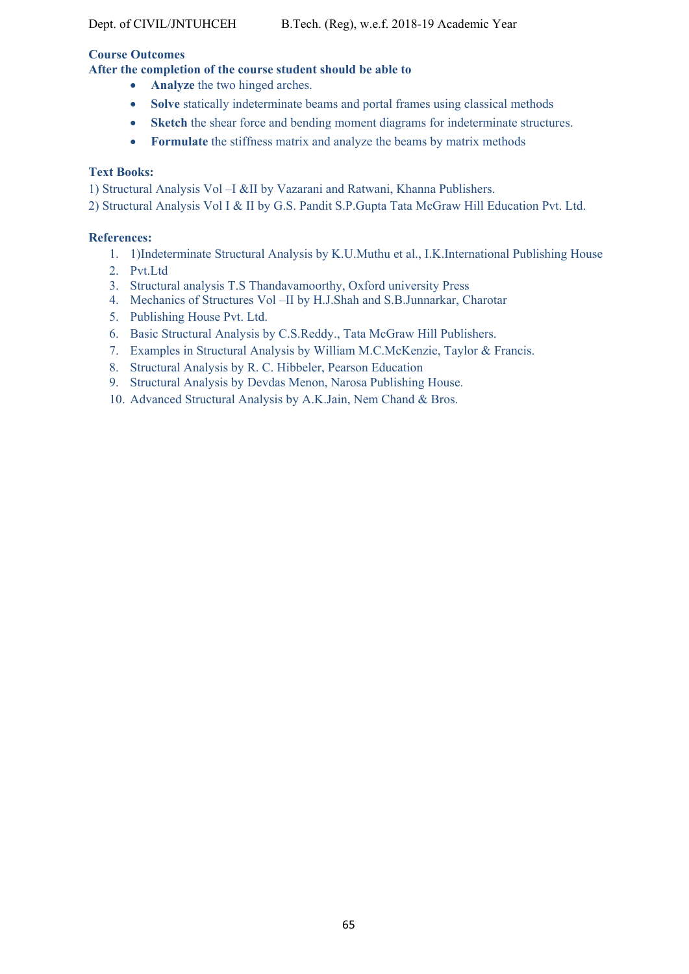### **Course Outcomes**

# **After the completion of the course student should be able to**

- **• Analyze** the two hinged arches.
- Solve statically indeterminate beams and portal frames using classical methods
- **Sketch** the shear force and bending moment diagrams for indeterminate structures.
- **Formulate** the stiffness matrix and analyze the beams by matrix methods

# **Text Books:**

1) Structural Analysis Vol –I &II by Vazarani and Ratwani, Khanna Publishers.

2) Structural Analysis Vol I & II by G.S. Pandit S.P.Gupta Tata McGraw Hill Education Pvt. Ltd.

### **References:**

- 1. 1)Indeterminate Structural Analysis by K.U.Muthu et al., I.K.International Publishing House
- 2. Pvt.Ltd
- 3. Structural analysis T.S Thandavamoorthy, Oxford university Press
- 4. Mechanics of Structures Vol –II by H.J.Shah and S.B.Junnarkar, Charotar
- 5. Publishing House Pvt. Ltd.
- 6. Basic Structural Analysis by C.S.Reddy., Tata McGraw Hill Publishers.
- 7. Examples in Structural Analysis by William M.C.McKenzie, Taylor & Francis.
- 8. Structural Analysis by R. C. Hibbeler, Pearson Education
- 9. Structural Analysis by Devdas Menon, Narosa Publishing House.
- 10. Advanced Structural Analysis by A.K.Jain, Nem Chand & Bros.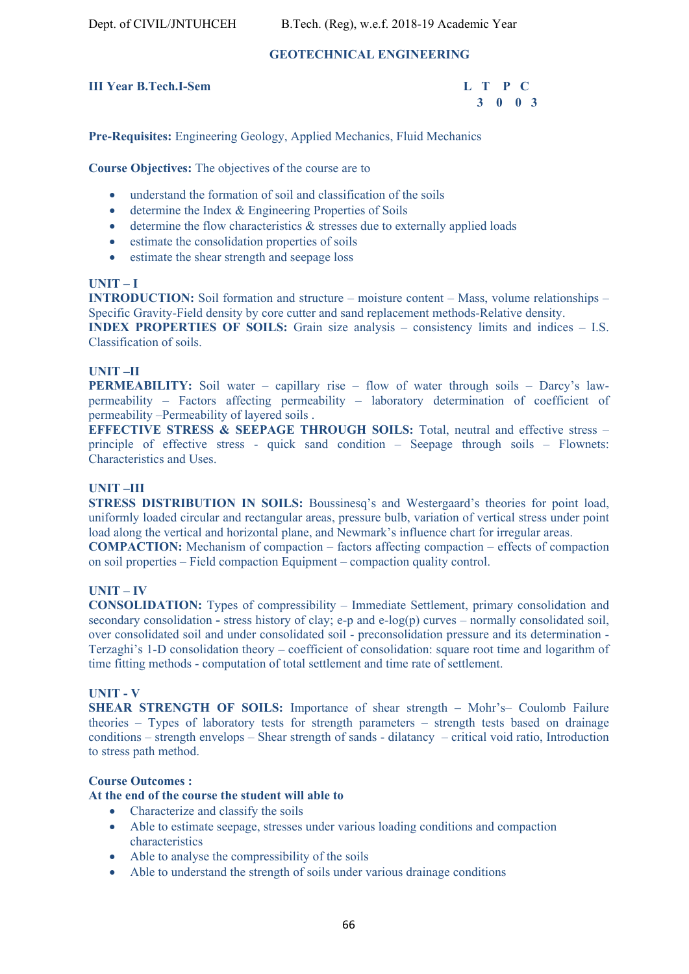# **GEOTECHNICAL ENGINEERING**

# **III Year B.Tech.I-Sem L T P C**



**Pre-Requisites:** Engineering Geology, Applied Mechanics, Fluid Mechanics

**Course Objectives:** The objectives of the course are to

- understand the formation of soil and classification of the soils
- determine the Index & Engineering Properties of Soils
- determine the flow characteristics & stresses due to externally applied loads
- estimate the consolidation properties of soils
- estimate the shear strength and seepage loss

#### **UNIT – I**

**INTRODUCTION:** Soil formation and structure – moisture content – Mass, volume relationships – Specific Gravity-Field density by core cutter and sand replacement methods-Relative density.

**INDEX PROPERTIES OF SOILS:** Grain size analysis – consistency limits and indices – I.S. Classification of soils.

#### **UNIT –II**

**PERMEABILITY:** Soil water – capillary rise – flow of water through soils – Darcy's lawpermeability – Factors affecting permeability – laboratory determination of coefficient of permeability –Permeability of layered soils .

**EFFECTIVE STRESS & SEEPAGE THROUGH SOILS:** Total, neutral and effective stress – principle of effective stress - quick sand condition – Seepage through soils – Flownets: Characteristics and Uses.

#### **UNIT –III**

**STRESS DISTRIBUTION IN SOILS:** Boussinesq's and Westergaard's theories for point load, uniformly loaded circular and rectangular areas, pressure bulb, variation of vertical stress under point load along the vertical and horizontal plane, and Newmark's influence chart for irregular areas.

**COMPACTION:** Mechanism of compaction – factors affecting compaction – effects of compaction on soil properties – Field compaction Equipment – compaction quality control.

#### **UNIT – IV**

**CONSOLIDATION:** Types of compressibility – Immediate Settlement, primary consolidation and secondary consolidation **-** stress history of clay; e-p and e-log(p) curves – normally consolidated soil, over consolidated soil and under consolidated soil - preconsolidation pressure and its determination - Terzaghi's 1-D consolidation theory – coefficient of consolidation: square root time and logarithm of time fitting methods - computation of total settlement and time rate of settlement.

#### **UNIT - V**

**SHEAR STRENGTH OF SOILS:** Importance of shear strength **–** Mohr's– Coulomb Failure theories – Types of laboratory tests for strength parameters – strength tests based on drainage conditions – strength envelops – Shear strength of sands - dilatancy – critical void ratio, Introduction to stress path method.

#### **Course Outcomes :**

#### **At the end of the course the student will able to**

- Characterize and classify the soils
- Able to estimate seepage, stresses under various loading conditions and compaction characteristics
- Able to analyse the compressibility of the soils
- Able to understand the strength of soils under various drainage conditions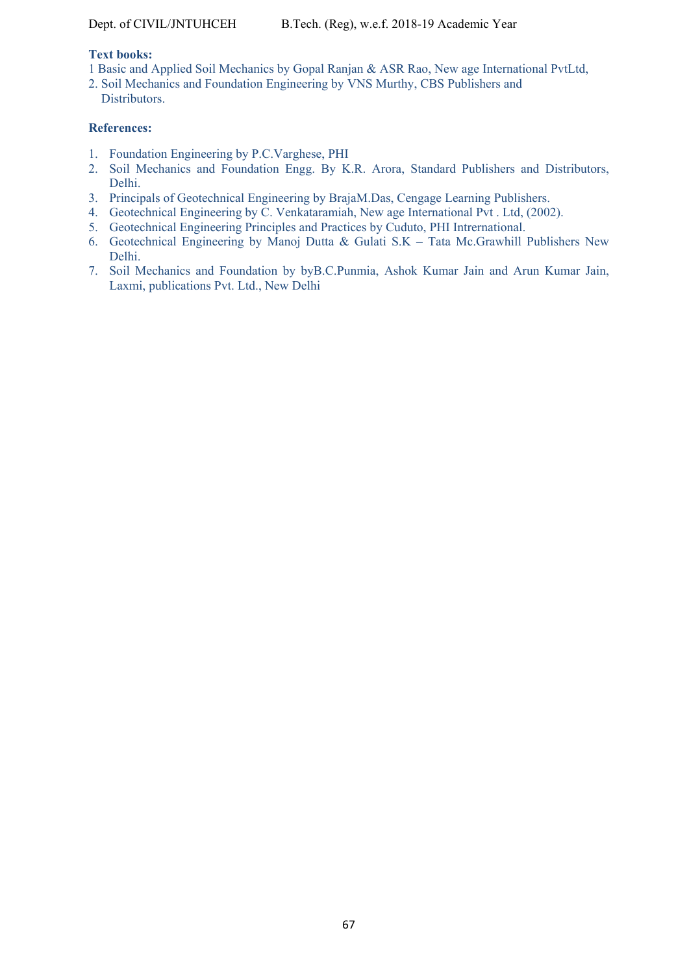#### **Text books:**

- 1 Basic and Applied Soil Mechanics by Gopal Ranjan & ASR Rao, New age International PvtLtd,
- 2. Soil Mechanics and Foundation Engineering by VNS Murthy, CBS Publishers and **Distributors**

#### **References:**

- 1. Foundation Engineering by P.C.Varghese, PHI
- 2. Soil Mechanics and Foundation Engg. By K.R. Arora, Standard Publishers and Distributors, Delhi.
- 3. Principals of Geotechnical Engineering by BrajaM.Das, Cengage Learning Publishers.
- 4. Geotechnical Engineering by C. Venkataramiah, New age International Pvt . Ltd, (2002).
- 5. Geotechnical Engineering Principles and Practices by Cuduto, PHI Intrernational.
- 6. Geotechnical Engineering by Manoj Dutta & Gulati S.K Tata Mc.Grawhill Publishers New Delhi.
- 7. Soil Mechanics and Foundation by byB.C.Punmia, Ashok Kumar Jain and Arun Kumar Jain, Laxmi, publications Pvt. Ltd., New Delhi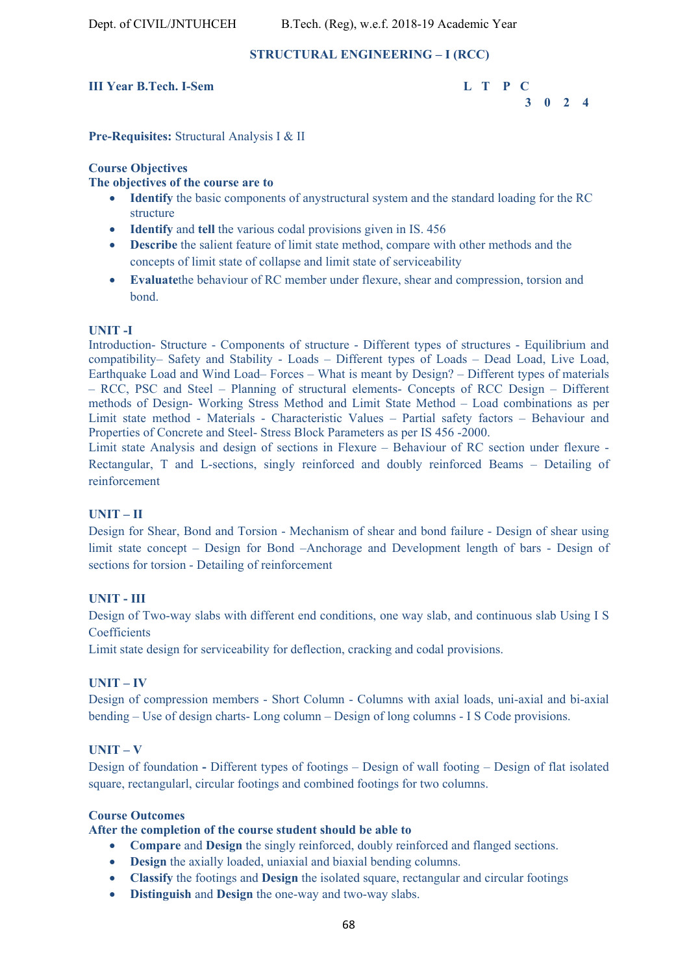#### **STRUCTURAL ENGINEERING – I (RCC)**

#### **III Year B.Tech. I-Sem L T P C**



**Pre-Requisites:** Structural Analysis I & II

#### **Course Objectives**

#### **The objectives of the course are to**

- **Identify** the basic components of anystructural system and the standard loading for the RC structure
- **Identify** and **tell** the various codal provisions given in IS. 456
- **Describe** the salient feature of limit state method, compare with other methods and the concepts of limit state of collapse and limit state of serviceability
- **Evaluate**the behaviour of RC member under flexure, shear and compression, torsion and bond.

#### **UNIT -I**

Introduction- Structure - Components of structure - Different types of structures - Equilibrium and compatibility– Safety and Stability - Loads – Different types of Loads – Dead Load, Live Load, Earthquake Load and Wind Load– Forces – What is meant by Design? – Different types of materials – RCC, PSC and Steel – Planning of structural elements- Concepts of RCC Design – Different methods of Design- Working Stress Method and Limit State Method – Load combinations as per Limit state method - Materials - Characteristic Values – Partial safety factors – Behaviour and Properties of Concrete and Steel- Stress Block Parameters as per IS 456 -2000.

Limit state Analysis and design of sections in Flexure – Behaviour of RC section under flexure - Rectangular, T and L-sections, singly reinforced and doubly reinforced Beams – Detailing of reinforcement

#### **UNIT – II**

Design for Shear, Bond and Torsion - Mechanism of shear and bond failure - Design of shear using limit state concept – Design for Bond –Anchorage and Development length of bars - Design of sections for torsion - Detailing of reinforcement

#### **UNIT - III**

Design of Two-way slabs with different end conditions, one way slab, and continuous slab Using I S **Coefficients** 

Limit state design for serviceability for deflection, cracking and codal provisions.

#### **UNIT – IV**

Design of compression members - Short Column - Columns with axial loads, uni-axial and bi-axial bending – Use of design charts- Long column – Design of long columns - I S Code provisions.

#### **UNIT – V**

Design of foundation **-** Different types of footings – Design of wall footing – Design of flat isolated square, rectangularl, circular footings and combined footings for two columns.

#### **Course Outcomes**

#### **After the completion of the course student should be able to**

- **Compare** and **Design** the singly reinforced, doubly reinforced and flanged sections.
- **Design** the axially loaded, uniaxial and biaxial bending columns.
- **Classify** the footings and **Design** the isolated square, rectangular and circular footings
- **Distinguish** and **Design** the one-way and two-way slabs.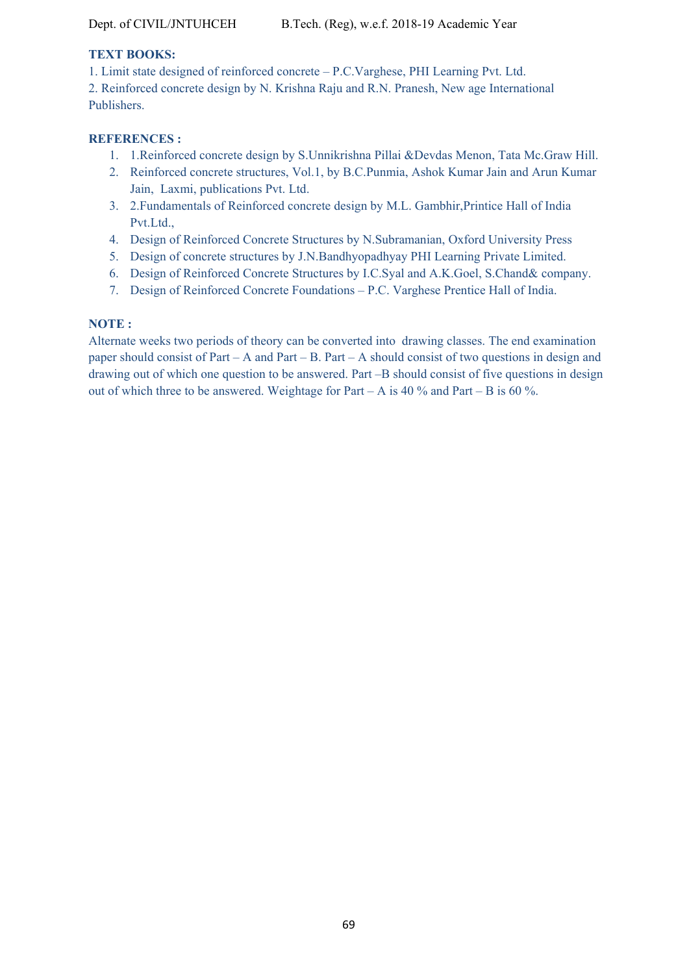# **TEXT BOOKS:**

1. Limit state designed of reinforced concrete – P.C.Varghese, PHI Learning Pvt. Ltd.

2. Reinforced concrete design by N. Krishna Raju and R.N. Pranesh, New age International Publishers.

### **REFERENCES :**

- 1. 1.Reinforced concrete design by S.Unnikrishna Pillai &Devdas Menon, Tata Mc.Graw Hill.
- 2. Reinforced concrete structures, Vol.1, by B.C.Punmia, Ashok Kumar Jain and Arun Kumar Jain, Laxmi, publications Pvt. Ltd.
- 3. 2.Fundamentals of Reinforced concrete design by M.L. Gambhir,Printice Hall of India Pvt.Ltd.,
- 4. Design of Reinforced Concrete Structures by N.Subramanian, Oxford University Press
- 5. Design of concrete structures by J.N.Bandhyopadhyay PHI Learning Private Limited.
- 6. Design of Reinforced Concrete Structures by I.C.Syal and A.K.Goel, S.Chand& company.
- 7. Design of Reinforced Concrete Foundations P.C. Varghese Prentice Hall of India.

# **NOTE :**

Alternate weeks two periods of theory can be converted into drawing classes. The end examination paper should consist of Part – A and Part – B. Part – A should consist of two questions in design and drawing out of which one question to be answered. Part –B should consist of five questions in design out of which three to be answered. Weightage for Part – A is 40 % and Part – B is 60 %.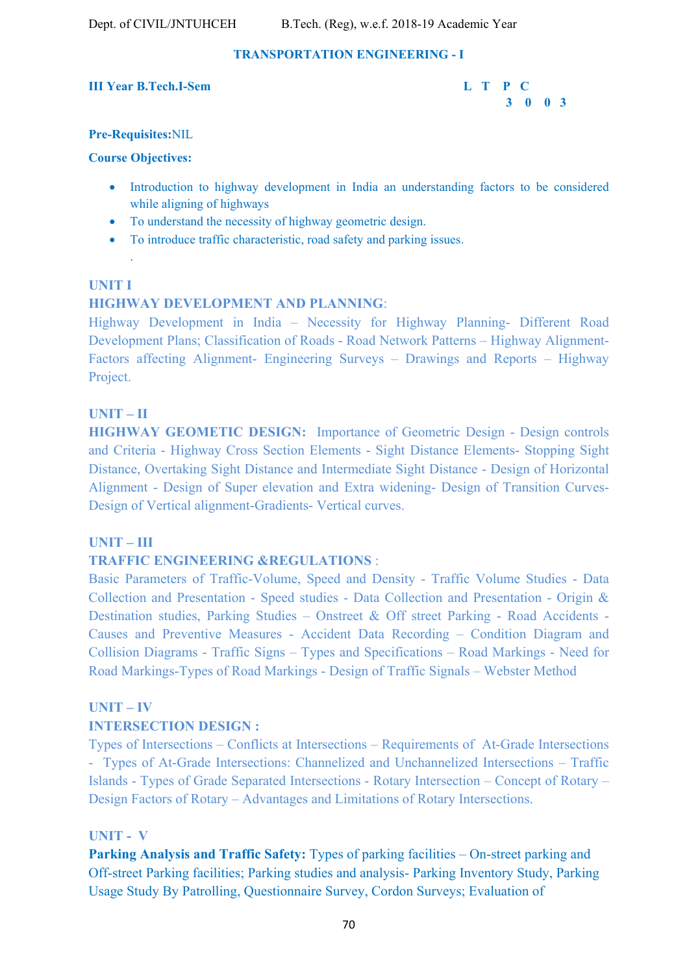# **TRANSPORTATION ENGINEERING - I**

#### **III Year B.Tech.I-Sem L T P C**



#### **Pre-Requisites:**NIL

#### **Course Objectives:**

.

- Introduction to highway development in India an understanding factors to be considered while aligning of highways
- To understand the necessity of highway geometric design.
- To introduce traffic characteristic, road safety and parking issues.

#### **UNIT I**

# **HIGHWAY DEVELOPMENT AND PLANNING**:

Highway Development in India – Necessity for Highway Planning- Different Road Development Plans; Classification of Roads - Road Network Patterns – Highway Alignment-Factors affecting Alignment- Engineering Surveys – Drawings and Reports – Highway Project.

#### **UNIT – II**

**HIGHWAY GEOMETIC DESIGN:** Importance of Geometric Design - Design controls and Criteria - Highway Cross Section Elements - Sight Distance Elements- Stopping Sight Distance, Overtaking Sight Distance and Intermediate Sight Distance - Design of Horizontal Alignment - Design of Super elevation and Extra widening- Design of Transition Curves-Design of Vertical alignment-Gradients- Vertical curves.

### **UNIT – III**

### **TRAFFIC ENGINEERING &REGULATIONS :**

Basic Parameters of Traffic-Volume, Speed and Density - Traffic Volume Studies - Data Collection and Presentation - Speed studies - Data Collection and Presentation - Origin & Destination studies, Parking Studies – Onstreet & Off street Parking - Road Accidents - Causes and Preventive Measures - Accident Data Recording – Condition Diagram and Collision Diagrams - Traffic Signs – Types and Specifications – Road Markings - Need for Road Markings-Types of Road Markings - Design of Traffic Signals – Webster Method

#### **UNIT – IV**

### **INTERSECTION DESIGN :**

Types of Intersections – Conflicts at Intersections – Requirements of At-Grade Intersections - Types of At-Grade Intersections: Channelized and Unchannelized Intersections – Traffic Islands - Types of Grade Separated Intersections - Rotary Intersection – Concept of Rotary – Design Factors of Rotary – Advantages and Limitations of Rotary Intersections.

### **UNIT - V**

**Parking Analysis and Traffic Safety:** Types of parking facilities – On-street parking and Off-street Parking facilities; Parking studies and analysis- Parking Inventory Study, Parking Usage Study By Patrolling, Questionnaire Survey, Cordon Surveys; Evaluation of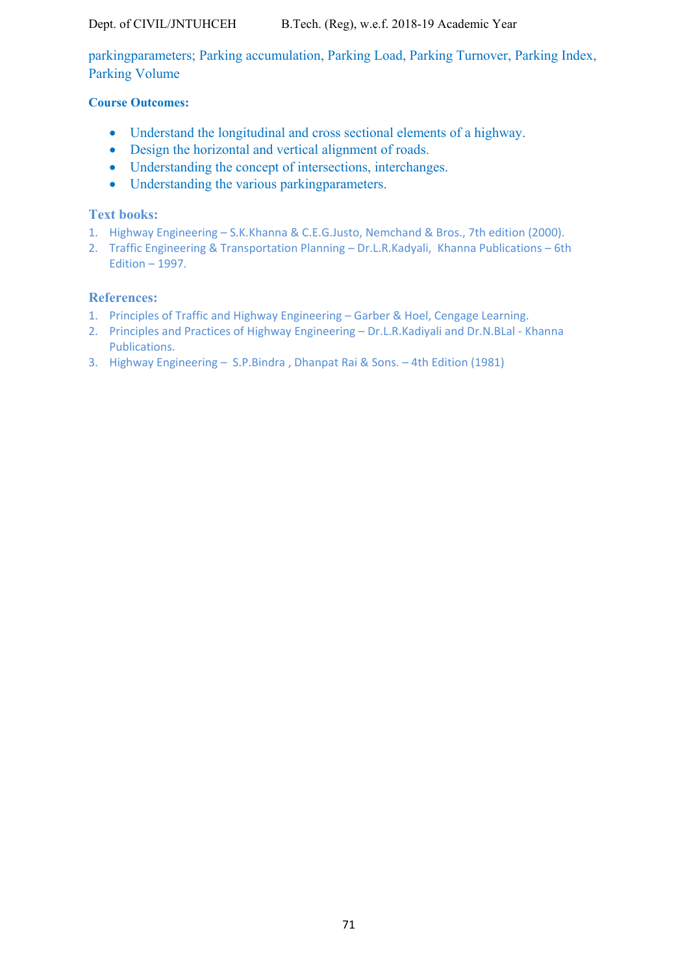Dept. of CIVIL/JNTUHCEH B.Tech. (Reg), w.e.f. 2018-19 Academic Year

parkingparameters; Parking accumulation, Parking Load, Parking Turnover, Parking Index, Parking Volume

# **Course Outcomes:**

- Understand the longitudinal and cross sectional elements of a highway.
- Design the horizontal and vertical alignment of roads.
- Understanding the concept of intersections, interchanges.
- Understanding the various parking parameters.

# **Text books:**

- 1. Highway Engineering S.K.Khanna & C.E.G.Justo, Nemchand & Bros., 7th edition (2000).
- 2. Traffic Engineering & Transportation Planning Dr.L.R.Kadyali, Khanna Publications 6th Edition – 1997.

# **References:**

- 1. Principles of Traffic and Highway Engineering Garber & Hoel, Cengage Learning.
- 2. Principles and Practices of Highway Engineering Dr.L.R.Kadiyali and Dr.N.BLal ‐ Khanna Publications.
- 3. Highway Engineering S.P.Bindra , Dhanpat Rai & Sons. 4th Edition (1981)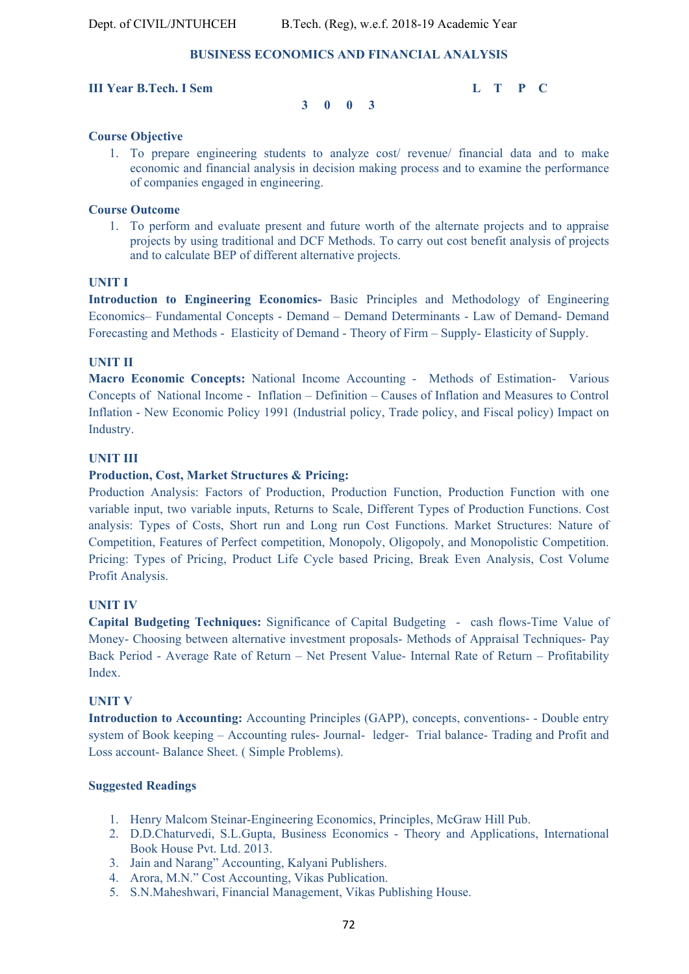#### **BUSINESS ECONOMICS AND FINANCIAL ANALYSIS**

#### **III Year B.Tech. I Sem L T P C**

 **3 0 0 3**

**Course Objective** 

1. To prepare engineering students to analyze cost/ revenue/ financial data and to make economic and financial analysis in decision making process and to examine the performance of companies engaged in engineering.

#### **Course Outcome**

1. To perform and evaluate present and future worth of the alternate projects and to appraise projects by using traditional and DCF Methods. To carry out cost benefit analysis of projects and to calculate BEP of different alternative projects.

#### **UNIT I**

**Introduction to Engineering Economics-** Basic Principles and Methodology of Engineering Economics– Fundamental Concepts - Demand – Demand Determinants - Law of Demand- Demand Forecasting and Methods - Elasticity of Demand - Theory of Firm – Supply- Elasticity of Supply.

#### **UNIT II**

**Macro Economic Concepts:** National Income Accounting - Methods of Estimation- Various Concepts of National Income - Inflation – Definition – Causes of Inflation and Measures to Control Inflation - New Economic Policy 1991 (Industrial policy, Trade policy, and Fiscal policy) Impact on Industry.

#### **UNIT III**

#### **Production, Cost, Market Structures & Pricing:**

Production Analysis: Factors of Production, Production Function, Production Function with one variable input, two variable inputs, Returns to Scale, Different Types of Production Functions. Cost analysis: Types of Costs, Short run and Long run Cost Functions. Market Structures: Nature of Competition, Features of Perfect competition, Monopoly, Oligopoly, and Monopolistic Competition. Pricing: Types of Pricing, Product Life Cycle based Pricing, Break Even Analysis, Cost Volume Profit Analysis.

#### **UNIT IV**

**Capital Budgeting Techniques:** Significance of Capital Budgeting - cash flows-Time Value of Money- Choosing between alternative investment proposals- Methods of Appraisal Techniques- Pay Back Period - Average Rate of Return – Net Present Value- Internal Rate of Return – Profitability Index.

#### **UNIT V**

**Introduction to Accounting:** Accounting Principles (GAPP), concepts, conventions- - Double entry system of Book keeping – Accounting rules- Journal- ledger- Trial balance- Trading and Profit and Loss account- Balance Sheet. ( Simple Problems).

#### **Suggested Readings**

- 1. Henry Malcom Steinar-Engineering Economics, Principles, McGraw Hill Pub.
- 2. D.D.Chaturvedi, S.L.Gupta, Business Economics Theory and Applications, International Book House Pvt. Ltd. 2013.
- 3. Jain and Narang" Accounting, Kalyani Publishers.
- 4. Arora, M.N." Cost Accounting, Vikas Publication.
- 5. S.N.Maheshwari, Financial Management, Vikas Publishing House.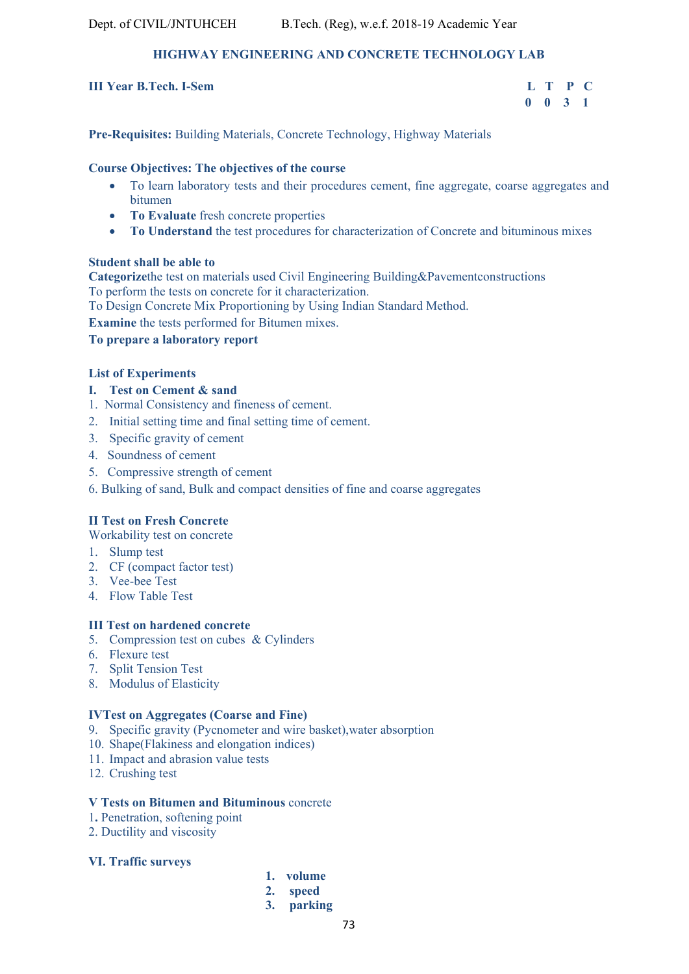# **HIGHWAY ENGINEERING AND CONCRETE TECHNOLOGY LAB**

## **III Year B.Tech. I-Sem**

| <b>Year B.Tech. I-Sem</b> | L T P C            |  |  |
|---------------------------|--------------------|--|--|
|                           | $0 \t 0 \t 3 \t 1$ |  |  |

**Pre-Requisites:** Building Materials, Concrete Technology, Highway Materials

## **Course Objectives: The objectives of the course**

- To learn laboratory tests and their procedures cement, fine aggregate, coarse aggregates and bitumen
- **To Evaluate** fresh concrete properties
- To Understand the test procedures for characterization of Concrete and bituminous mixes

## **Student shall be able to**

**Categorize**the test on materials used Civil Engineering Building&Pavementconstructions To perform the tests on concrete for it characterization.

To Design Concrete Mix Proportioning by Using Indian Standard Method.

**Examine** the tests performed for Bitumen mixes.

**To prepare a laboratory report** 

## **List of Experiments**

- **I. Test on Cement & sand**
- 1. Normal Consistency and fineness of cement.
- 2. Initial setting time and final setting time of cement.
- 3. Specific gravity of cement
- 4. Soundness of cement
- 5. Compressive strength of cement
- 6. Bulking of sand, Bulk and compact densities of fine and coarse aggregates

# **II Test on Fresh Concrete**

Workability test on concrete

- 1. Slump test
- 2. CF (compact factor test)
- 3. Vee-bee Test
- 4. Flow Table Test

## **III Test on hardened concrete**

- 5. Compression test on cubes & Cylinders
- 6. Flexure test
- 7. Split Tension Test
- 8. Modulus of Elasticity

## **IVTest on Aggregates (Coarse and Fine)**

- 9. Specific gravity (Pycnometer and wire basket),water absorption
- 10. Shape(Flakiness and elongation indices)
- 11. Impact and abrasion value tests
- 12. Crushing test

## **V Tests on Bitumen and Bituminous** concrete

- 1**.** Penetration, softening point
- 2. Ductility and viscosity

## **VI. Traffic surveys**

- **1. volume**
- **2. speed**
- **3. parking**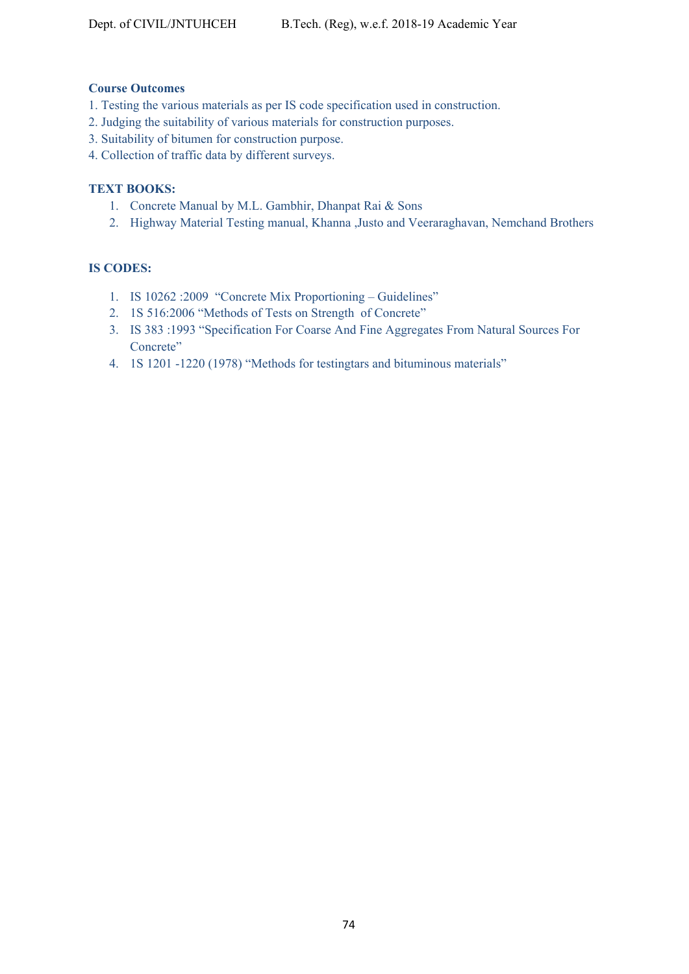## **Course Outcomes**

- 1. Testing the various materials as per IS code specification used in construction.
- 2. Judging the suitability of various materials for construction purposes.
- 3. Suitability of bitumen for construction purpose.
- 4. Collection of traffic data by different surveys.

## **TEXT BOOKS:**

- 1. Concrete Manual by M.L. Gambhir, Dhanpat Rai & Sons
- 2. Highway Material Testing manual, Khanna ,Justo and Veeraraghavan, Nemchand Brothers

# **IS CODES:**

- 1. IS 10262 :2009 "Concrete Mix Proportioning Guidelines"
- 2. 1S 516:2006 "Methods of Tests on Strength of Concrete"
- 3. IS 383 :1993 "Specification For Coarse And Fine Aggregates From Natural Sources For Concrete"
- 4. 1S 1201 -1220 (1978) "Methods for testingtars and bituminous materials"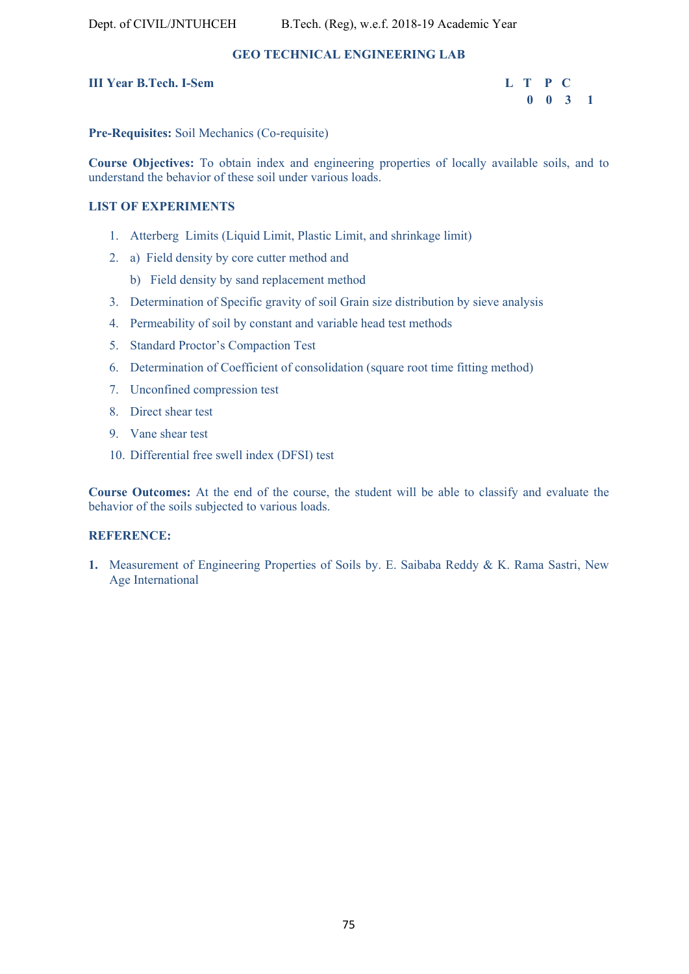# **GEO TECHNICAL ENGINEERING LAB**

# **III Year B.Tech. I-Sem L T P C**

 **0 0 3 1** 

**Pre-Requisites:** Soil Mechanics (Co-requisite)

**Course Objectives:** To obtain index and engineering properties of locally available soils, and to understand the behavior of these soil under various loads.

## **LIST OF EXPERIMENTS**

- 1. Atterberg Limits (Liquid Limit, Plastic Limit, and shrinkage limit)
- 2. a) Field density by core cutter method and
	- b) Field density by sand replacement method
- 3. Determination of Specific gravity of soil Grain size distribution by sieve analysis
- 4. Permeability of soil by constant and variable head test methods
- 5. Standard Proctor's Compaction Test
- 6. Determination of Coefficient of consolidation (square root time fitting method)
- 7. Unconfined compression test
- 8. Direct shear test
- 9. Vane shear test
- 10. Differential free swell index (DFSI) test

**Course Outcomes:** At the end of the course, the student will be able to classify and evaluate the behavior of the soils subjected to various loads.

## **REFERENCE:**

**1.** Measurement of Engineering Properties of Soils by. E. Saibaba Reddy & K. Rama Sastri, New Age International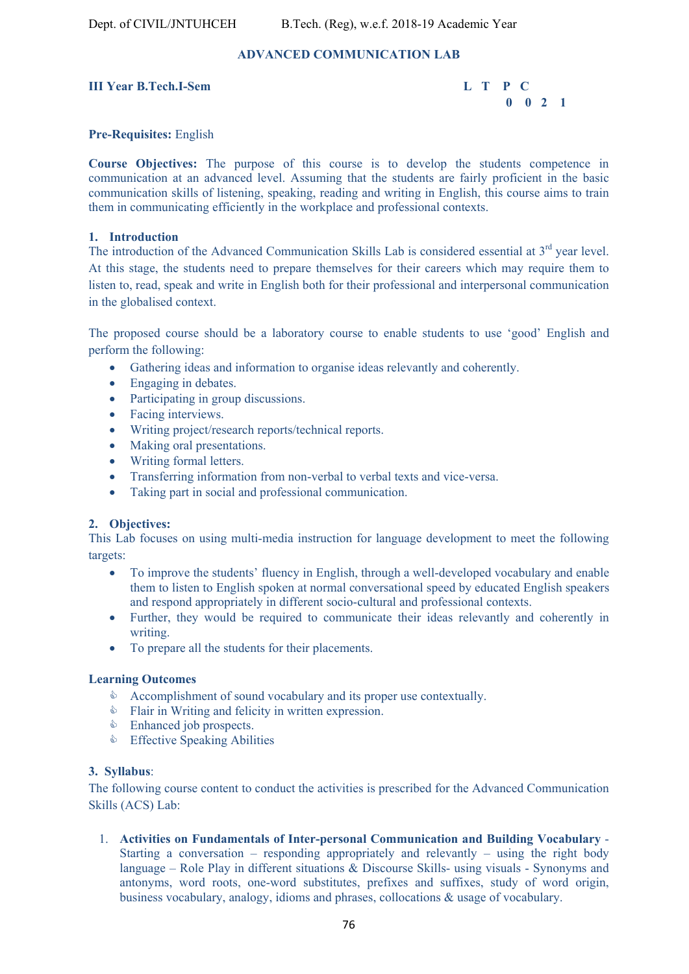# **ADVANCED COMMUNICATION LAB**

## **III Year B.Tech.I-Sem L T P C**

 **0 0 2 1** 

## **Pre-Requisites:** English

**Course Objectives:** The purpose of this course is to develop the students competence in communication at an advanced level. Assuming that the students are fairly proficient in the basic communication skills of listening, speaking, reading and writing in English, this course aims to train them in communicating efficiently in the workplace and professional contexts.

## **1. Introduction**

The introduction of the Advanced Communication Skills Lab is considered essential at 3<sup>rd</sup> year level. At this stage, the students need to prepare themselves for their careers which may require them to listen to, read, speak and write in English both for their professional and interpersonal communication in the globalised context.

The proposed course should be a laboratory course to enable students to use 'good' English and perform the following:

- Gathering ideas and information to organise ideas relevantly and coherently.
- Engaging in debates.
- Participating in group discussions.
- Facing interviews.
- Writing project/research reports/technical reports.
- Making oral presentations.
- Writing formal letters.
- Transferring information from non-verbal to verbal texts and vice-versa.
- Taking part in social and professional communication.

## **2. Objectives:**

This Lab focuses on using multi-media instruction for language development to meet the following targets:

- To improve the students' fluency in English, through a well-developed vocabulary and enable them to listen to English spoken at normal conversational speed by educated English speakers and respond appropriately in different socio-cultural and professional contexts.
- Further, they would be required to communicate their ideas relevantly and coherently in writing.
- To prepare all the students for their placements.

## **Learning Outcomes**

- $\Diamond$  Accomplishment of sound vocabulary and its proper use contextually.
- **Example 1** Flair in Writing and felicity in written expression.
- **Enhanced job prospects.**
- **Effective Speaking Abilities**

## **3. Syllabus**:

The following course content to conduct the activities is prescribed for the Advanced Communication Skills (ACS) Lab:

1. **Activities on Fundamentals of Inter-personal Communication and Building Vocabulary** - Starting a conversation – responding appropriately and relevantly – using the right body language – Role Play in different situations & Discourse Skills- using visuals - Synonyms and antonyms, word roots, one-word substitutes, prefixes and suffixes, study of word origin, business vocabulary, analogy, idioms and phrases, collocations & usage of vocabulary.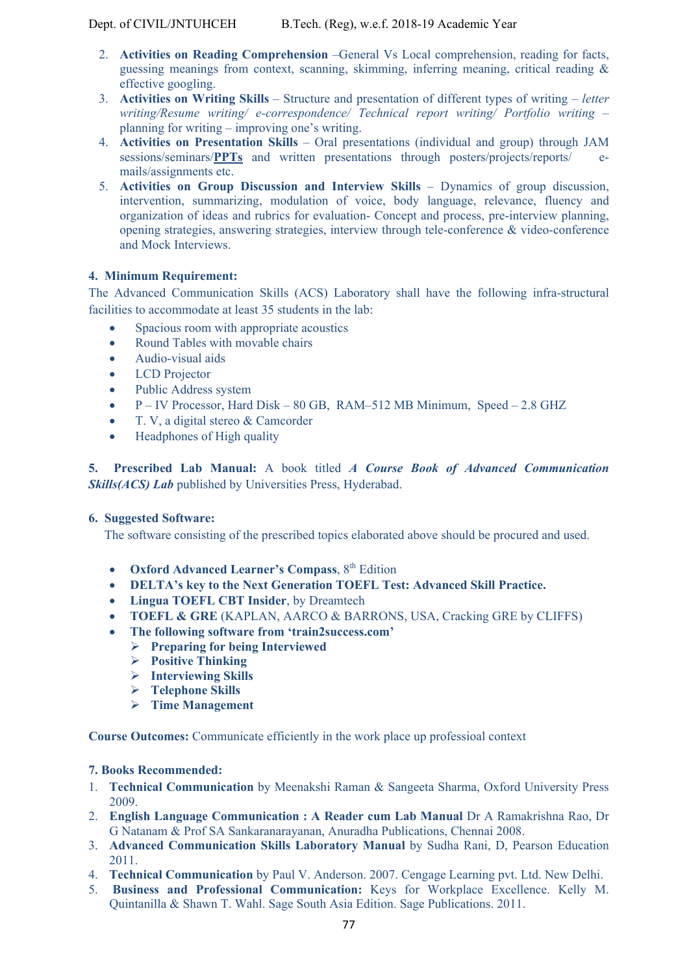- 2. **Activities on Reading Comprehension** –General Vs Local comprehension, reading for facts, guessing meanings from context, scanning, skimming, inferring meaning, critical reading & effective googling.
- 3. **Activities on Writing Skills** Structure and presentation of different types of writing *letter writing/Resume writing/ e-correspondence/ Technical report writing/ Portfolio writing* – planning for writing – improving one's writing.
- 4. **Activities on Presentation Skills** Oral presentations (individual and group) through JAM sessions/seminars/**PPTs** and written presentations through posters/projects/reports/ emails/assignments etc.
- 5. **Activities on Group Discussion and Interview Skills** Dynamics of group discussion, intervention, summarizing, modulation of voice, body language, relevance, fluency and organization of ideas and rubrics for evaluation- Concept and process, pre-interview planning, opening strategies, answering strategies, interview through tele-conference & video-conference and Mock Interviews.

# **4. Minimum Requirement:**

The Advanced Communication Skills (ACS) Laboratory shall have the following infra-structural facilities to accommodate at least 35 students in the lab:

- Spacious room with appropriate acoustics
- Round Tables with movable chairs
- Audio-visual aids
- LCD Projector
- Public Address system
- $\bullet$  P IV Processor, Hard Disk 80 GB, RAM–512 MB Minimum, Speed 2.8 GHZ
- T. V, a digital stereo & Camcorder
- Headphones of High quality

**5. Prescribed Lab Manual:** A book titled *A Course Book of Advanced Communication*  **Skills(ACS) Lab** published by Universities Press, Hyderabad.

# **6. Suggested Software:**

The software consisting of the prescribed topics elaborated above should be procured and used.

- **Oxford Advanced Learner's Compass, 8th Edition**
- **DELTA's key to the Next Generation TOEFL Test: Advanced Skill Practice.**
- **Lingua TOEFL CBT Insider**, by Dreamtech
- **TOEFL & GRE** (KAPLAN, AARCO & BARRONS, USA, Cracking GRE by CLIFFS)
- **The following software from 'train2success.com'**
	- **Preparing for being Interviewed**
	- **Positive Thinking**
	- **Interviewing Skills**
	- **Telephone Skills**
	- **Time Management**

**Course Outcomes:** Communicate efficiently in the work place up professioal context

## **7. Books Recommended:**

- 1. **Technical Communication** by Meenakshi Raman & Sangeeta Sharma, Oxford University Press 2009.
- 2. **English Language Communication : A Reader cum Lab Manual** Dr A Ramakrishna Rao, Dr G Natanam & Prof SA Sankaranarayanan, Anuradha Publications, Chennai 2008.
- 3. **Advanced Communication Skills Laboratory Manual** by Sudha Rani, D, Pearson Education 2011.
- 4. **Technical Communication** by Paul V. Anderson. 2007. Cengage Learning pvt. Ltd. New Delhi.
- 5. **Business and Professional Communication:** Keys for Workplace Excellence. Kelly M. Quintanilla & Shawn T. Wahl. Sage South Asia Edition. Sage Publications. 2011.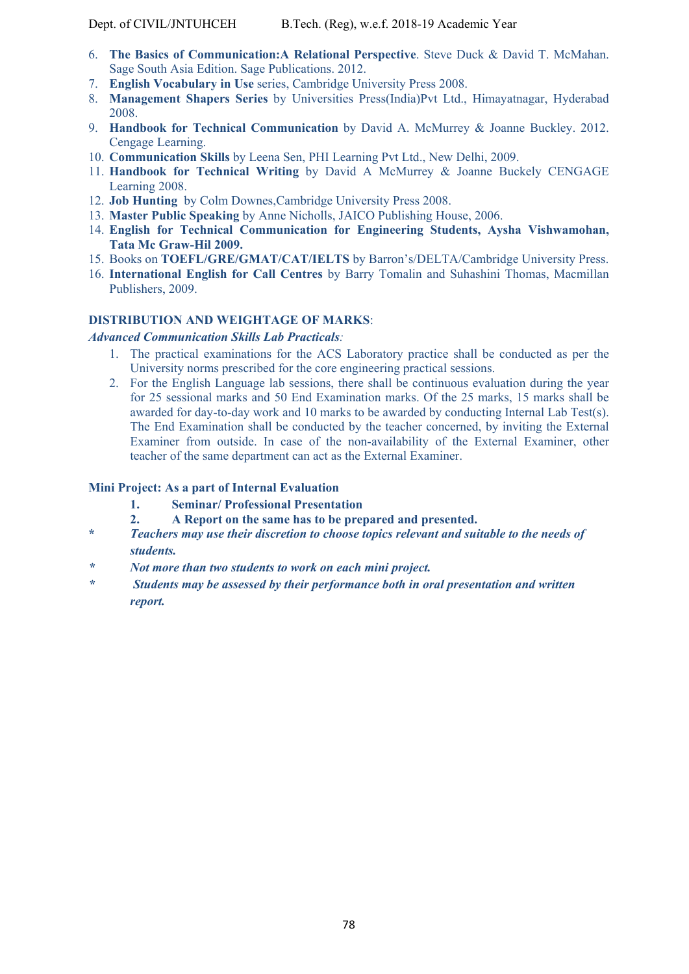- 6. **The Basics of Communication:A Relational Perspective**. Steve Duck & David T. McMahan. Sage South Asia Edition. Sage Publications. 2012.
- 7. **English Vocabulary in Use** series, Cambridge University Press 2008.
- 8. **Management Shapers Series** by Universities Press(India)Pvt Ltd., Himayatnagar, Hyderabad 2008.
- 9. **Handbook for Technical Communication** by David A. McMurrey & Joanne Buckley. 2012. Cengage Learning.
- 10. **Communication Skills** by Leena Sen, PHI Learning Pvt Ltd., New Delhi, 2009.
- 11. **Handbook for Technical Writing** by David A McMurrey & Joanne Buckely CENGAGE Learning 2008.
- 12. **Job Hunting** by Colm Downes,Cambridge University Press 2008.
- 13. **Master Public Speaking** by Anne Nicholls, JAICO Publishing House, 2006.
- 14. **English for Technical Communication for Engineering Students, Aysha Vishwamohan, Tata Mc Graw-Hil 2009.**
- 15. Books on **TOEFL/GRE/GMAT/CAT/IELTS** by Barron's/DELTA/Cambridge University Press.
- 16. **International English for Call Centres** by Barry Tomalin and Suhashini Thomas, Macmillan Publishers, 2009.

## **DISTRIBUTION AND WEIGHTAGE OF MARKS**:

## *Advanced Communication Skills Lab Practicals:*

- 1. The practical examinations for the ACS Laboratory practice shall be conducted as per the University norms prescribed for the core engineering practical sessions.
- 2. For the English Language lab sessions, there shall be continuous evaluation during the year for 25 sessional marks and 50 End Examination marks. Of the 25 marks, 15 marks shall be awarded for day-to-day work and 10 marks to be awarded by conducting Internal Lab Test(s). The End Examination shall be conducted by the teacher concerned, by inviting the External Examiner from outside. In case of the non-availability of the External Examiner, other teacher of the same department can act as the External Examiner.

## **Mini Project: As a part of Internal Evaluation**

- **1. Seminar/ Professional Presentation**
- **2. A Report on the same has to be prepared and presented.**
- **\*** *Teachers may use their discretion to choose topics relevant and suitable to the needs of students.*
- *\* Not more than two students to work on each mini project.*
- *\* Students may be assessed by their performance both in oral presentation and written report.*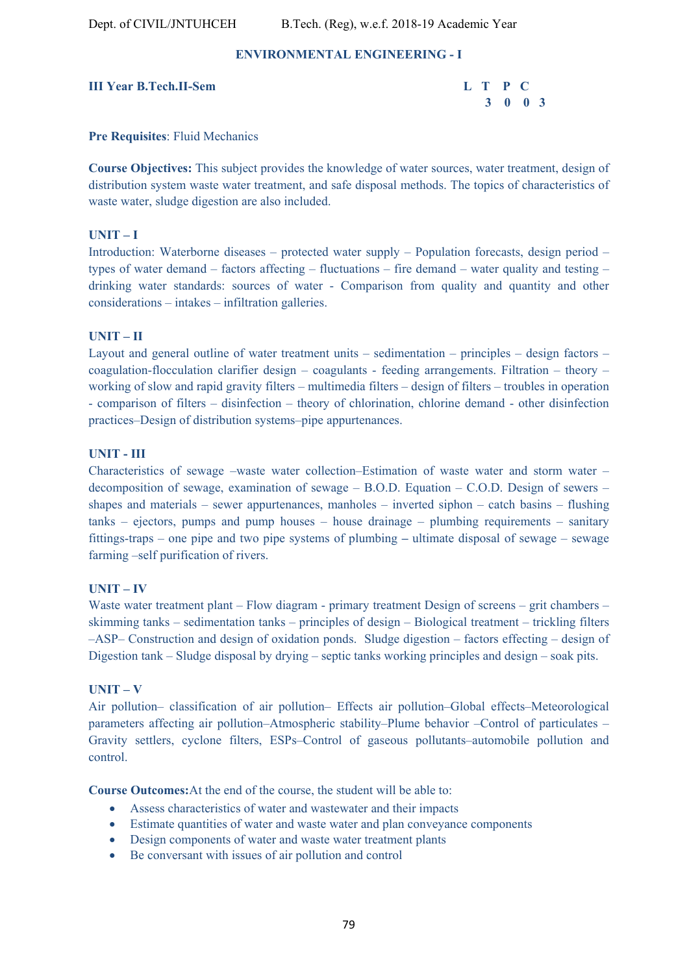## **ENVIRONMENTAL ENGINEERING - I**

## **III Year B.Tech.II-Sem**

| <b>Tech.II-Sem</b> | L T P C |  |  |
|--------------------|---------|--|--|
|                    | 3 0 0 3 |  |  |

## **Pre Requisites**: Fluid Mechanics

**Course Objectives:** This subject provides the knowledge of water sources, water treatment, design of distribution system waste water treatment, and safe disposal methods. The topics of characteristics of waste water, sludge digestion are also included.

## **UNIT – I**

Introduction: Waterborne diseases – protected water supply – Population forecasts, design period – types of water demand – factors affecting – fluctuations – fire demand – water quality and testing – drinking water standards: sources of water - Comparison from quality and quantity and other considerations – intakes – infiltration galleries.

## **UNIT – II**

Layout and general outline of water treatment units – sedimentation – principles – design factors – coagulation-flocculation clarifier design – coagulants - feeding arrangements. Filtration – theory – working of slow and rapid gravity filters – multimedia filters – design of filters – troubles in operation - comparison of filters – disinfection – theory of chlorination, chlorine demand - other disinfection practices–Design of distribution systems–pipe appurtenances.

## **UNIT - III**

Characteristics of sewage –waste water collection–Estimation of waste water and storm water – decomposition of sewage, examination of sewage – B.O.D. Equation – C.O.D. Design of sewers – shapes and materials – sewer appurtenances, manholes – inverted siphon – catch basins – flushing tanks – ejectors, pumps and pump houses – house drainage – plumbing requirements – sanitary fittings-traps – one pipe and two pipe systems of plumbing **–** ultimate disposal of sewage – sewage farming –self purification of rivers.

## **UNIT – IV**

Waste water treatment plant – Flow diagram - primary treatment Design of screens – grit chambers – skimming tanks – sedimentation tanks – principles of design – Biological treatment – trickling filters –ASP– Construction and design of oxidation ponds. Sludge digestion – factors effecting – design of Digestion tank – Sludge disposal by drying – septic tanks working principles and design – soak pits.

## **UNIT – V**

Air pollution– classification of air pollution– Effects air pollution–Global effects–Meteorological parameters affecting air pollution–Atmospheric stability–Plume behavior –Control of particulates – Gravity settlers, cyclone filters, ESPs–Control of gaseous pollutants–automobile pollution and control.

**Course Outcomes:**At the end of the course, the student will be able to:

- Assess characteristics of water and wastewater and their impacts
- Estimate quantities of water and waste water and plan conveyance components
- Design components of water and waste water treatment plants
- Be conversant with issues of air pollution and control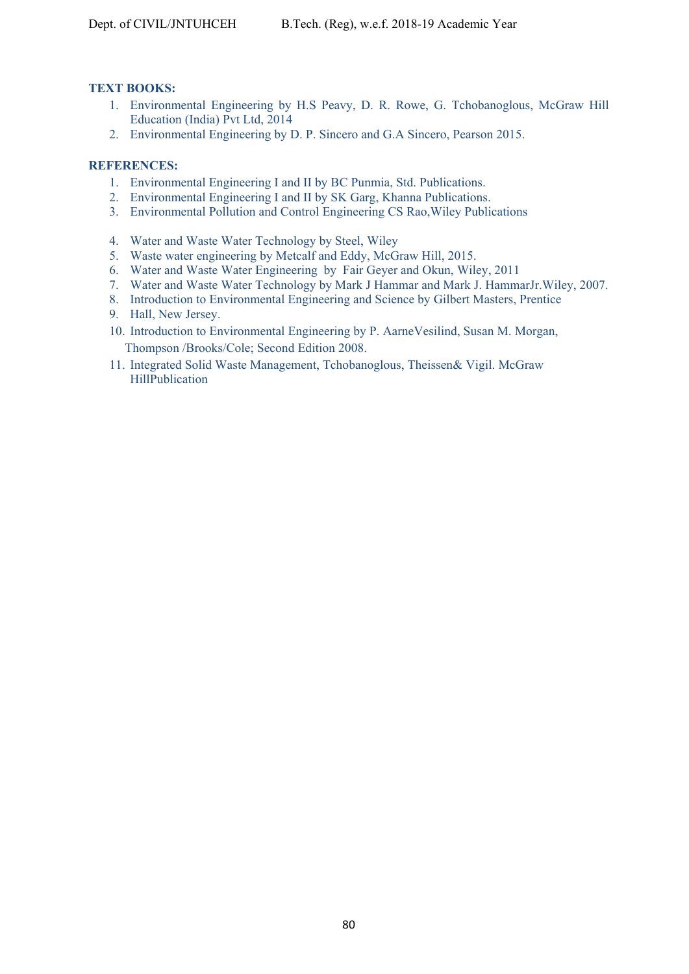# **TEXT BOOKS:**

- 1. Environmental Engineering by H.S Peavy, D. R. Rowe, G. Tchobanoglous, McGraw Hill Education (India) Pvt Ltd, 2014
- 2. Environmental Engineering by D. P. Sincero and G.A Sincero, Pearson 2015.

# **REFERENCES:**

- 1. Environmental Engineering I and II by BC Punmia, Std. Publications.
- 2. Environmental Engineering I and II by SK Garg, Khanna Publications.
- 3. Environmental Pollution and Control Engineering CS Rao,Wiley Publications
- 4. Water and Waste Water Technology by Steel, Wiley
- 5. Waste water engineering by Metcalf and Eddy, McGraw Hill, 2015.
- 6. Water and Waste Water Engineering by Fair Geyer and Okun, Wiley, 2011
- 7. Water and Waste Water Technology by Mark J Hammar and Mark J. HammarJr.Wiley, 2007.
- 8. Introduction to Environmental Engineering and Science by Gilbert Masters, Prentice
- 9. Hall, New Jersey.
- 10. Introduction to Environmental Engineering by P. AarneVesilind, Susan M. Morgan, Thompson /Brooks/Cole; Second Edition 2008.
- 11. Integrated Solid Waste Management, Tchobanoglous, Theissen& Vigil. McGraw HillPublication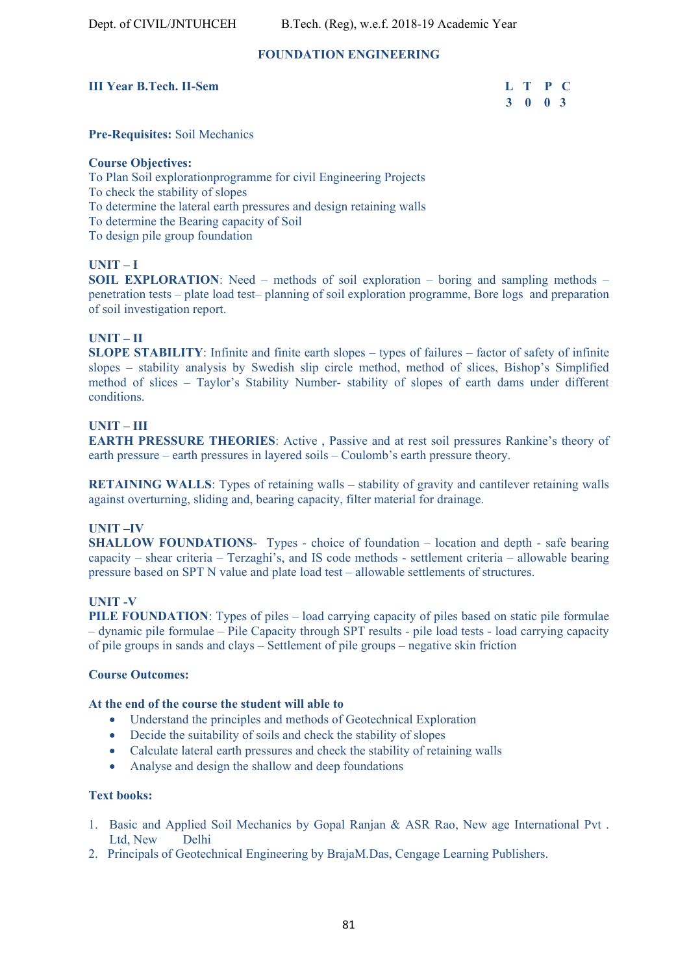## **FOUNDATION ENGINEERING**

## **III Year B.Tech. II-Sem**

| <b>B.Tech. II-Sem</b> | L T P C |  |  |
|-----------------------|---------|--|--|
|                       | 3 0 0 3 |  |  |

**Pre-Requisites:** Soil Mechanics

#### **Course Objectives:**

To Plan Soil explorationprogramme for civil Engineering Projects To check the stability of slopes To determine the lateral earth pressures and design retaining walls To determine the Bearing capacity of Soil To design pile group foundation

## **UNIT – I**

**SOIL EXPLORATION:** Need – methods of soil exploration – boring and sampling methods – penetration tests – plate load test– planning of soil exploration programme, Bore logs and preparation of soil investigation report.

## **UNIT – II**

**SLOPE STABILITY**: Infinite and finite earth slopes – types of failures – factor of safety of infinite slopes – stability analysis by Swedish slip circle method, method of slices, Bishop's Simplified method of slices – Taylor's Stability Number- stability of slopes of earth dams under different conditions.

## **UNIT – III**

**EARTH PRESSURE THEORIES**: Active , Passive and at rest soil pressures Rankine's theory of earth pressure – earth pressures in layered soils – Coulomb's earth pressure theory.

**RETAINING WALLS**: Types of retaining walls – stability of gravity and cantilever retaining walls against overturning, sliding and, bearing capacity, filter material for drainage.

## **UNIT –IV**

**SHALLOW FOUNDATIONS**- Types - choice of foundation – location and depth - safe bearing capacity – shear criteria – Terzaghi's, and IS code methods - settlement criteria – allowable bearing pressure based on SPT N value and plate load test – allowable settlements of structures.

## **UNIT -V**

**PILE FOUNDATION:** Types of piles – load carrying capacity of piles based on static pile formulae – dynamic pile formulae – Pile Capacity through SPT results - pile load tests - load carrying capacity of pile groups in sands and clays – Settlement of pile groups – negative skin friction

## **Course Outcomes:**

## **At the end of the course the student will able to**

- Understand the principles and methods of Geotechnical Exploration
- Decide the suitability of soils and check the stability of slopes
- Calculate lateral earth pressures and check the stability of retaining walls
- Analyse and design the shallow and deep foundations

## **Text books:**

- 1. Basic and Applied Soil Mechanics by Gopal Ranjan & ASR Rao, New age International Pvt . Ltd, New Delhi
- 2. Principals of Geotechnical Engineering by BrajaM.Das, Cengage Learning Publishers.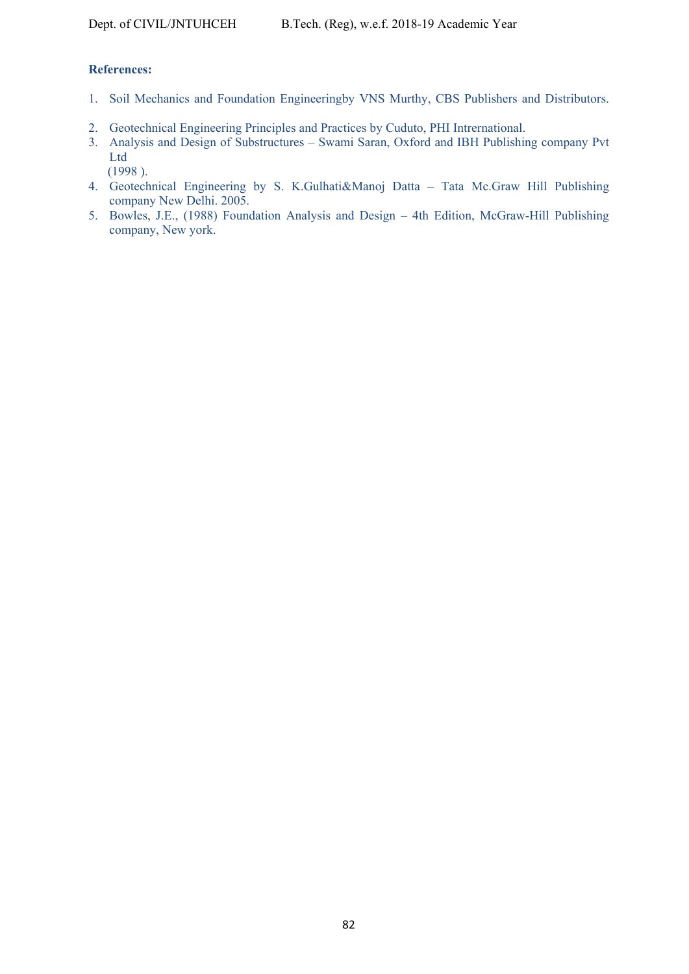# **References:**

- 1. Soil Mechanics and Foundation Engineeringby VNS Murthy, CBS Publishers and Distributors.
- 2. Geotechnical Engineering Principles and Practices by Cuduto, PHI Intrernational.
- 3. Analysis and Design of Substructures Swami Saran, Oxford and IBH Publishing company Pvt Ltd

(1998 ).

- 4. Geotechnical Engineering by S. K.Gulhati&Manoj Datta Tata Mc.Graw Hill Publishing company New Delhi. 2005.
- 5. Bowles, J.E., (1988) Foundation Analysis and Design 4th Edition, McGraw-Hill Publishing company, New york.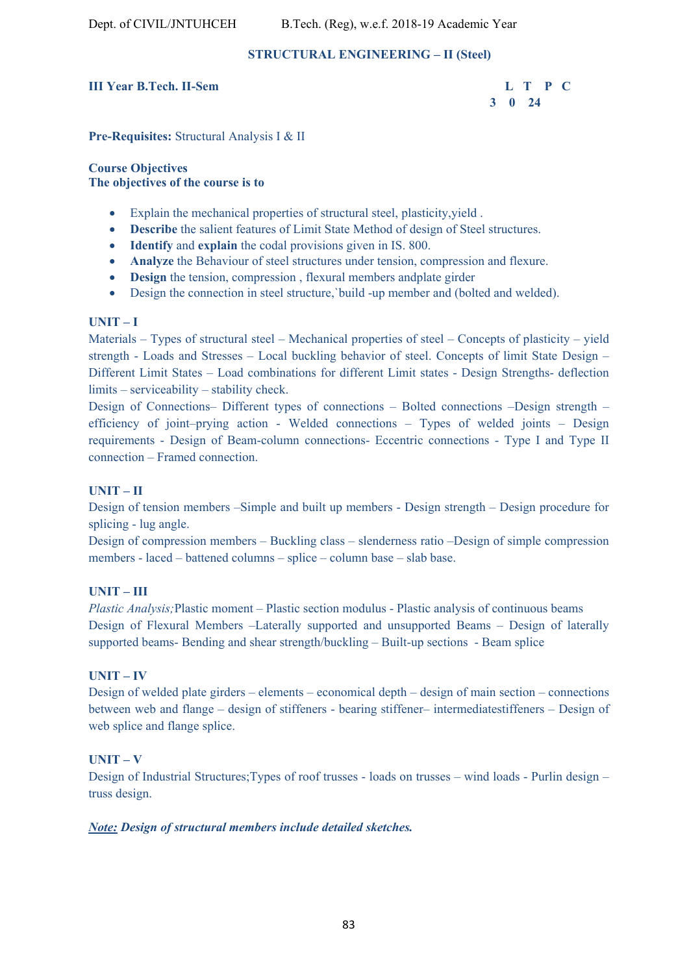# **STRUCTURAL ENGINEERING – II (Steel)**

# **III Year B.Tech. II-Sem L T P C**

 **3 0 24** 

**Pre-Requisites:** Structural Analysis I & II

**Course Objectives The objectives of the course is to** 

- Explain the mechanical properties of structural steel, plasticity,yield .
- **Describe** the salient features of Limit State Method of design of Steel structures.
- **Identify** and **explain** the codal provisions given in IS. 800.
- **Analyze** the Behaviour of steel structures under tension, compression and flexure.
- **Design** the tension, compression , flexural members andplate girder
- Design the connection in steel structure,`build -up member and (bolted and welded).

# **UNIT – I**

Materials – Types of structural steel – Mechanical properties of steel – Concepts of plasticity – yield strength - Loads and Stresses – Local buckling behavior of steel. Concepts of limit State Design – Different Limit States – Load combinations for different Limit states - Design Strengths- deflection limits – serviceability – stability check.

Design of Connections– Different types of connections – Bolted connections –Design strength – efficiency of joint–prying action - Welded connections – Types of welded joints – Design requirements - Design of Beam-column connections- Eccentric connections - Type I and Type II connection – Framed connection.

# **UNIT – II**

Design of tension members –Simple and built up members - Design strength – Design procedure for splicing - lug angle.

Design of compression members – Buckling class – slenderness ratio –Design of simple compression members - laced – battened columns – splice – column base – slab base.

# **UNIT – III**

*Plastic Analysis;*Plastic moment – Plastic section modulus - Plastic analysis of continuous beams Design of Flexural Members –Laterally supported and unsupported Beams – Design of laterally supported beams- Bending and shear strength/buckling – Built-up sections - Beam splice

## **UNIT – IV**

Design of welded plate girders – elements – economical depth – design of main section – connections between web and flange – design of stiffeners - bearing stiffener– intermediatestiffeners – Design of web splice and flange splice.

# **UNIT – V**

Design of Industrial Structures;Types of roof trusses - loads on trusses – wind loads - Purlin design – truss design.

# *Note: Design of structural members include detailed sketches.*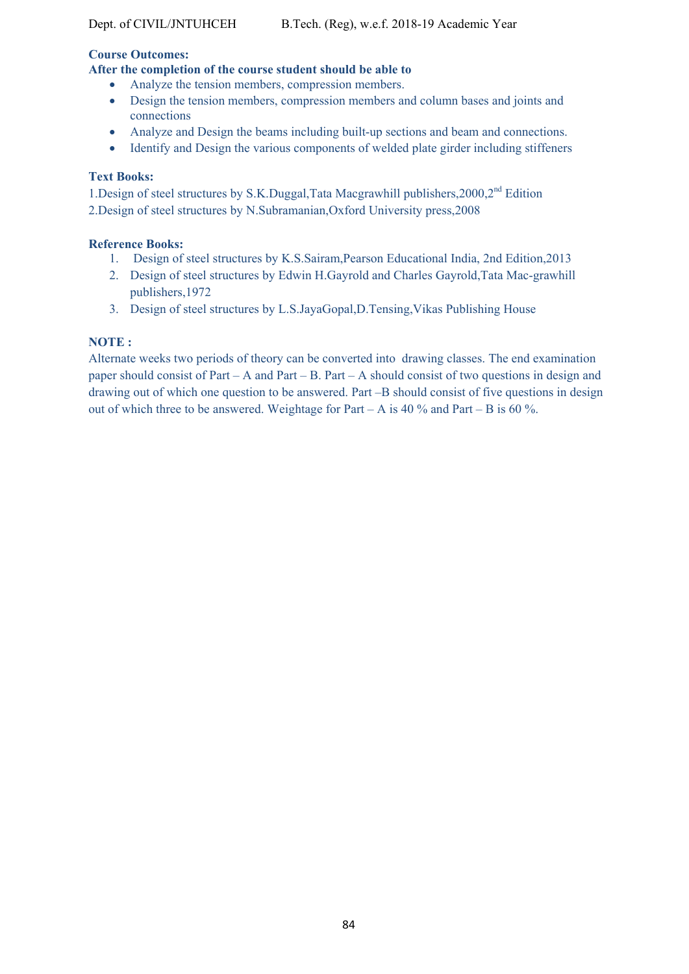# **Course Outcomes:**

# **After the completion of the course student should be able to**

- Analyze the tension members, compression members.
- Design the tension members, compression members and column bases and joints and connections
- Analyze and Design the beams including built-up sections and beam and connections.
- Identify and Design the various components of welded plate girder including stiffeners

# **Text Books:**

1.Design of steel structures by S.K.Duggal,Tata Macgrawhill publishers,2000,2<sup>nd</sup> Edition 2.Design of steel structures by N.Subramanian,Oxford University press,2008

# **Reference Books:**

- 1. Design of steel structures by K.S.Sairam,Pearson Educational India, 2nd Edition,2013
- 2. Design of steel structures by Edwin H.Gayrold and Charles Gayrold,Tata Mac-grawhill publishers,1972
- 3. Design of steel structures by L.S.JayaGopal,D.Tensing,Vikas Publishing House

# **NOTE :**

Alternate weeks two periods of theory can be converted into drawing classes. The end examination paper should consist of Part – A and Part – B. Part – A should consist of two questions in design and drawing out of which one question to be answered. Part –B should consist of five questions in design out of which three to be answered. Weightage for Part – A is 40 % and Part – B is 60 %.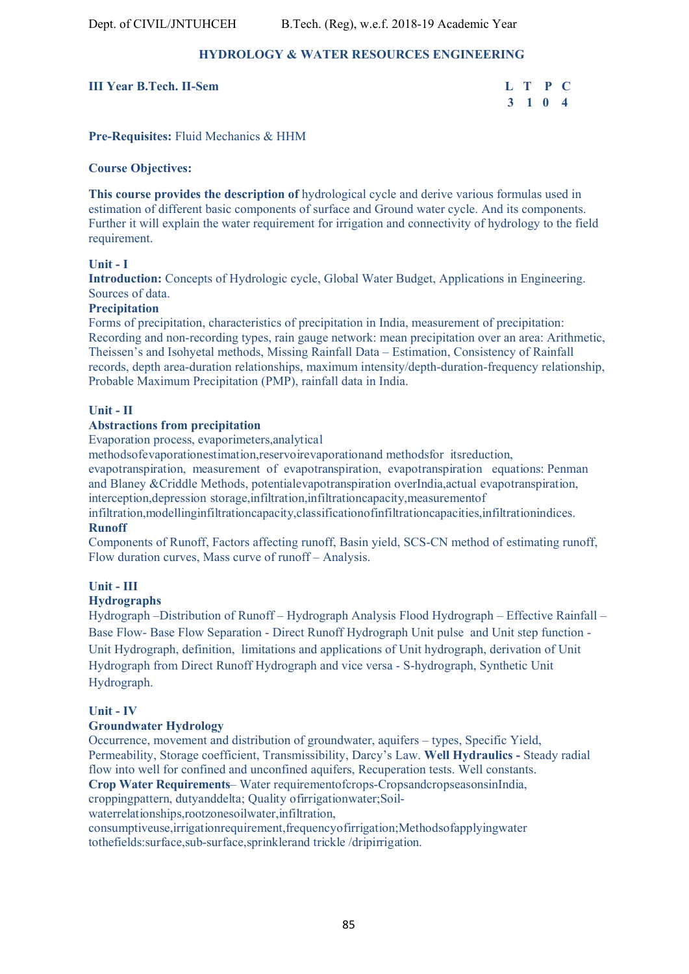# **HYDROLOGY & WATER RESOURCES ENGINEERING**

## **III Year B.Tech. II-Sem L T P C**

# **3 1 0 4**

**Pre-Requisites:** Fluid Mechanics & HHM

## **Course Objectives:**

**This course provides the description of** hydrological cycle and derive various formulas used in estimation of different basic components of surface and Ground water cycle. And its components. Further it will explain the water requirement for irrigation and connectivity of hydrology to the field requirement.

## **Unit - I**

**Introduction:** Concepts of Hydrologic cycle, Global Water Budget, Applications in Engineering. Sources of data.

## **Precipitation**

Forms of precipitation, characteristics of precipitation in India, measurement of precipitation: Recording and non-recording types, rain gauge network: mean precipitation over an area: Arithmetic, Theissen's and Isohyetal methods, Missing Rainfall Data – Estimation, Consistency of Rainfall records, depth area-duration relationships, maximum intensity/depth-duration-frequency relationship, Probable Maximum Precipitation (PMP), rainfall data in India.

## **Unit - II**

## **Abstractions from precipitation**

Evaporation process, evaporimeters,analytical

methodsofevaporationestimation,reservoirevaporationand methodsfor itsreduction,

evapotranspiration, measurement of evapotranspiration, evapotranspiration equations: Penman and Blaney &Criddle Methods, potentialevapotranspiration overIndia,actual evapotranspiration, interception,depression storage,infiltration,infiltrationcapacity,measurementof

infiltration,modellinginfiltrationcapacity,classificationofinfiltrationcapacities,infiltrationindices. **Runoff** 

Components of Runoff, Factors affecting runoff, Basin yield, SCS-CN method of estimating runoff, Flow duration curves, Mass curve of runoff – Analysis.

# **Unit - III**

## **Hydrographs**

Hydrograph –Distribution of Runoff – Hydrograph Analysis Flood Hydrograph – Effective Rainfall – Base Flow- Base Flow Separation - Direct Runoff Hydrograph Unit pulse and Unit step function - Unit Hydrograph, definition, limitations and applications of Unit hydrograph, derivation of Unit Hydrograph from Direct Runoff Hydrograph and vice versa - S-hydrograph, Synthetic Unit Hydrograph.

## **Unit - IV**

## **Groundwater Hydrology**

Occurrence, movement and distribution of groundwater, aquifers – types, Specific Yield, Permeability, Storage coefficient, Transmissibility, Darcy's Law. **Well Hydraulics -** Steady radial flow into well for confined and unconfined aquifers, Recuperation tests. Well constants. **Crop Water Requirements**– Water requirementofcrops-CropsandcropseasonsinIndia,

croppingpattern, dutyanddelta; Quality ofirrigationwater;Soil-

waterrelationships,rootzonesoilwater,infiltration,

consumptiveuse,irrigationrequirement,frequencyofirrigation;Methodsofapplyingwater tothefields:surface,sub-surface,sprinklerand trickle /dripirrigation.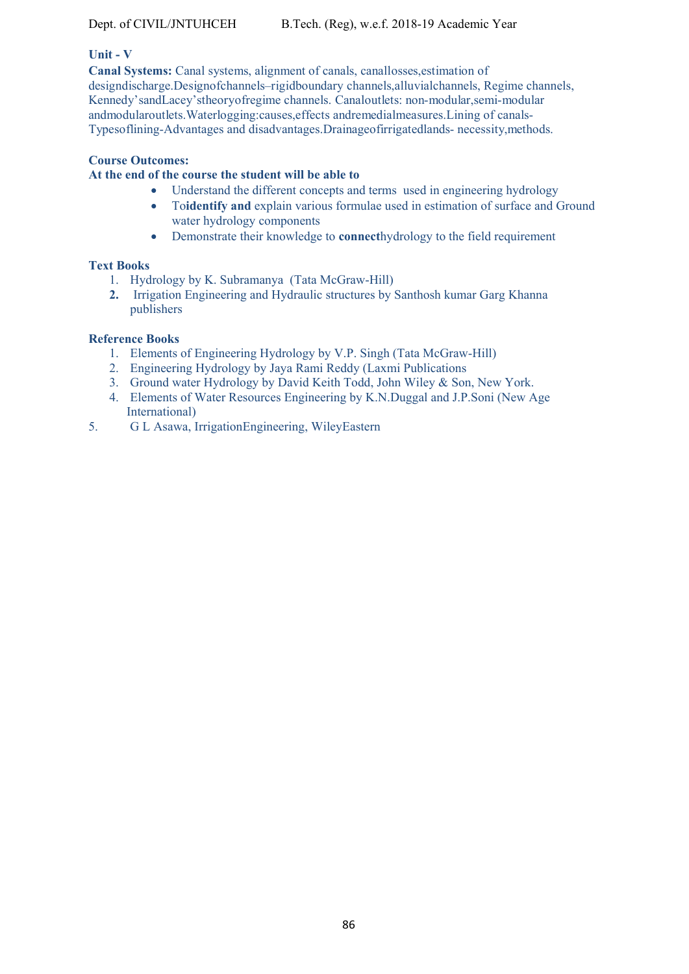# **Unit - V**

**Canal Systems:** Canal systems, alignment of canals, canallosses,estimation of designdischarge.Designofchannels–rigidboundary channels,alluvialchannels, Regime channels, Kennedy'sandLacey'stheoryofregime channels. Canaloutlets: non-modular,semi-modular andmodularoutlets.Waterlogging:causes,effects andremedialmeasures.Lining of canals-Typesoflining-Advantages and disadvantages.Drainageofirrigatedlands- necessity,methods.

## **Course Outcomes:**

## **At the end of the course the student will be able to**

- Understand the different concepts and terms used in engineering hydrology
- To**identify and** explain various formulae used in estimation of surface and Ground water hydrology components
- Demonstrate their knowledge to **connect**hydrology to the field requirement

## **Text Books**

- 1. Hydrology by K. Subramanya (Tata McGraw-Hill)
- **2.** Irrigation Engineering and Hydraulic structures by Santhosh kumar Garg Khanna publishers

## **Reference Books**

- 1. Elements of Engineering Hydrology by V.P. Singh (Tata McGraw-Hill)
- 2. Engineering Hydrology by Jaya Rami Reddy (Laxmi Publications
- 3. Ground water Hydrology by David Keith Todd, John Wiley & Son, New York.
- 4. Elements of Water Resources Engineering by K.N.Duggal and J.P.Soni (New Age International)
- 5. G L Asawa, IrrigationEngineering, WileyEastern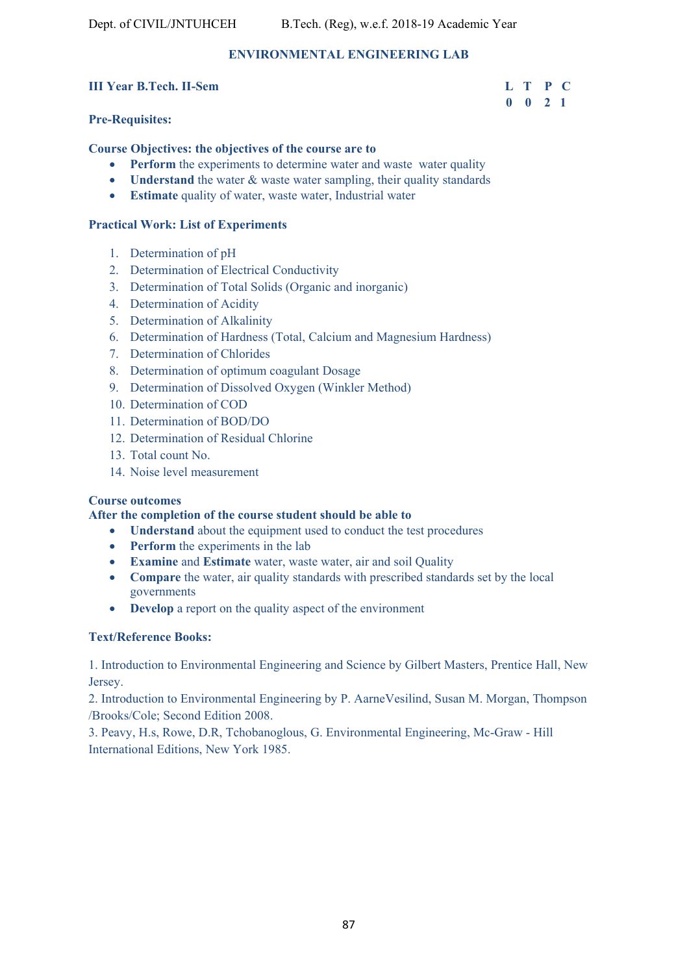# **ENVIRONMENTAL ENGINEERING LAB**

## **III Year B.Tech. II-Sem L T P C**

# **Pre-Requisites:**

## **Course Objectives: the objectives of the course are to**

- **Perform** the experiments to determine water and waste water quality
- **Understand** the water & waste water sampling, their quality standards
- **Estimate** quality of water, waste water, Industrial water

## **Practical Work: List of Experiments**

- 1. Determination of pH
- 2. Determination of Electrical Conductivity
- 3. Determination of Total Solids (Organic and inorganic)
- 4. Determination of Acidity
- 5. Determination of Alkalinity
- 6. Determination of Hardness (Total, Calcium and Magnesium Hardness)
- 7. Determination of Chlorides
- 8. Determination of optimum coagulant Dosage
- 9. Determination of Dissolved Oxygen (Winkler Method)
- 10. Determination of COD
- 11. Determination of BOD/DO
- 12. Determination of Residual Chlorine
- 13. Total count No.
- 14. Noise level measurement

## **Course outcomes**

## **After the completion of the course student should be able to**

- **Understand** about the equipment used to conduct the test procedures
- **Perform** the experiments in the lab
- **Examine** and **Estimate** water, waste water, air and soil Quality
- **Compare** the water, air quality standards with prescribed standards set by the local governments
- **Develop** a report on the quality aspect of the environment

## **Text/Reference Books:**

1. Introduction to Environmental Engineering and Science by Gilbert Masters, Prentice Hall, New Jersey.

2. Introduction to Environmental Engineering by P. AarneVesilind, Susan M. Morgan, Thompson /Brooks/Cole; Second Edition 2008.

3. Peavy, H.s, Rowe, D.R, Tchobanoglous, G. Environmental Engineering, Mc-Graw - Hill International Editions, New York 1985.

# **0 0 2 1**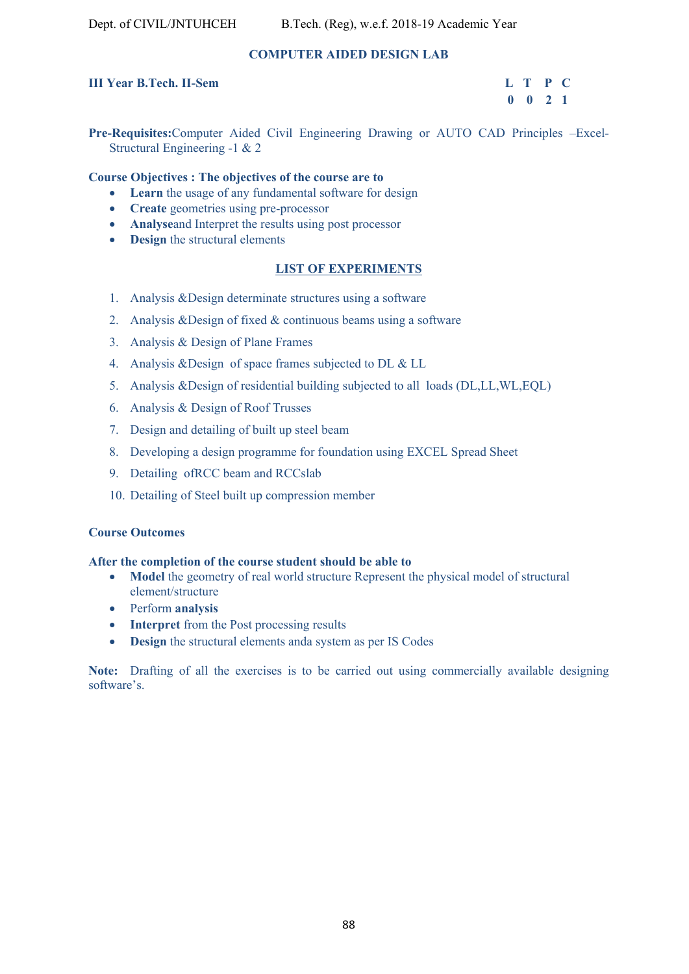# **COMPUTER AIDED DESIGN LAB**

# **III Year B.Tech. II-Sem L T P C**

# **0 0 2 1**

**Pre-Requisites:**Computer Aided Civil Engineering Drawing or AUTO CAD Principles –Excel-Structural Engineering -1 & 2

## **Course Objectives : The objectives of the course are to**

- **Learn** the usage of any fundamental software for design
- **Create** geometries using pre-processor
- **Analyse**and Interpret the results using post processor
- **• Design** the structural elements

# **LIST OF EXPERIMENTS**

- 1. Analysis &Design determinate structures using a software
- 2. Analysis &Design of fixed & continuous beams using a software
- 3. Analysis & Design of Plane Frames
- 4. Analysis &Design of space frames subjected to DL & LL
- 5. Analysis &Design of residential building subjected to all loads (DL,LL,WL,EQL)
- 6. Analysis & Design of Roof Trusses
- 7. Design and detailing of built up steel beam
- 8. Developing a design programme for foundation using EXCEL Spread Sheet
- 9. Detailing ofRCC beam and RCCslab
- 10. Detailing of Steel built up compression member

## **Course Outcomes**

## **After the completion of the course student should be able to**

- Model the geometry of real world structure Represent the physical model of structural element/structure
- Perform **analysis**
- **Interpret** from the Post processing results
- **Design** the structural elements anda system as per IS Codes

**Note:** Drafting of all the exercises is to be carried out using commercially available designing software's.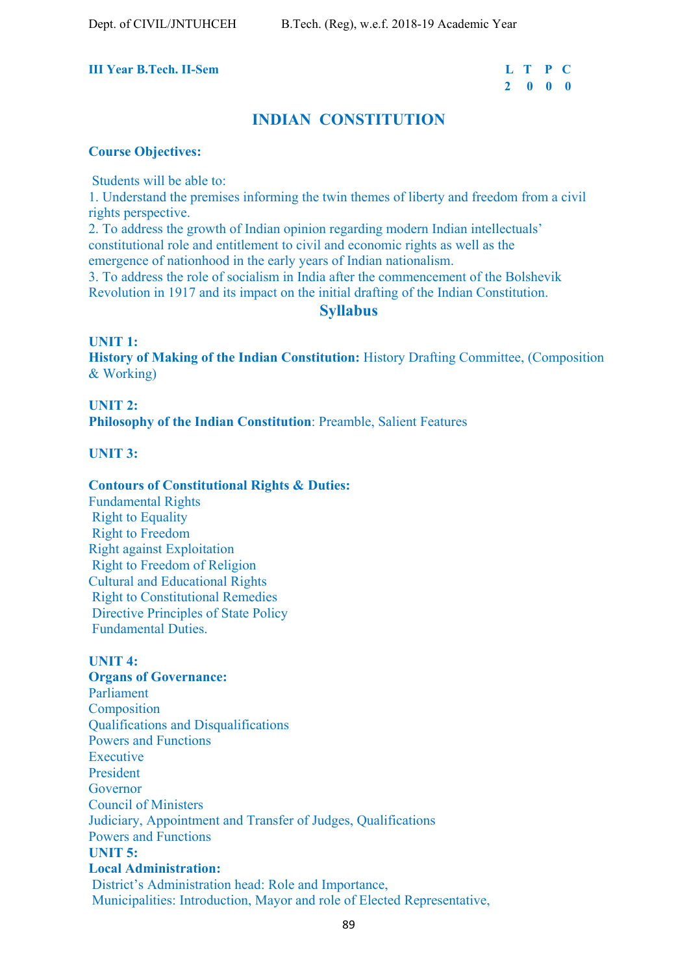# **III Year B.Tech. II-Sem**

| r B.Tech. II-Sem | L T P C |  |
|------------------|---------|--|
|                  | 2 0 0 0 |  |

# **INDIAN CONSTITUTION**

## **Course Objectives:**

Students will be able to:

1. Understand the premises informing the twin themes of liberty and freedom from a civil rights perspective.

2. To address the growth of Indian opinion regarding modern Indian intellectuals' constitutional role and entitlement to civil and economic rights as well as the emergence of nationhood in the early years of Indian nationalism.

3. To address the role of socialism in India after the commencement of the Bolshevik

Revolution in 1917 and its impact on the initial drafting of the Indian Constitution.

# **Syllabus**

**UNIT 1: History of Making of the Indian Constitution:** History Drafting Committee, (Composition & Working)

**UNIT 2: Philosophy of the Indian Constitution**: Preamble, Salient Features

**UNIT 3:** 

## **Contours of Constitutional Rights & Duties:**

Fundamental Rights Right to Equality Right to Freedom Right against Exploitation Right to Freedom of Religion Cultural and Educational Rights Right to Constitutional Remedies Directive Principles of State Policy Fundamental Duties.

# **UNIT 4:**

**Organs of Governance:** Parliament Composition Qualifications and Disqualifications Powers and Functions Executive President Governor Council of Ministers Judiciary, Appointment and Transfer of Judges, Qualifications Powers and Functions **UNIT 5: Local Administration:** District's Administration head: Role and Importance, Municipalities: Introduction, Mayor and role of Elected Representative,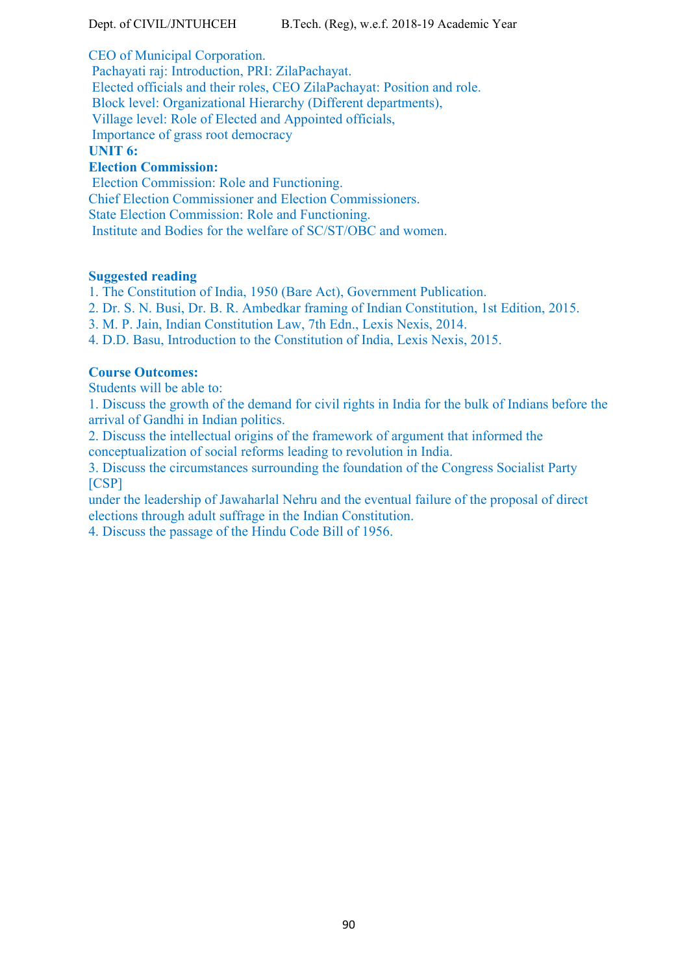CEO of Municipal Corporation.

 Pachayati raj: Introduction, PRI: ZilaPachayat. Elected officials and their roles, CEO ZilaPachayat: Position and role. Block level: Organizational Hierarchy (Different departments), Village level: Role of Elected and Appointed officials, Importance of grass root democracy **UNIT 6:** 

# **Election Commission:**

 Election Commission: Role and Functioning. Chief Election Commissioner and Election Commissioners. State Election Commission: Role and Functioning. Institute and Bodies for the welfare of SC/ST/OBC and women.

# **Suggested reading**

1. The Constitution of India, 1950 (Bare Act), Government Publication.

2. Dr. S. N. Busi, Dr. B. R. Ambedkar framing of Indian Constitution, 1st Edition, 2015.

3. M. P. Jain, Indian Constitution Law, 7th Edn., Lexis Nexis, 2014.

4. D.D. Basu, Introduction to the Constitution of India, Lexis Nexis, 2015.

# **Course Outcomes:**

Students will be able to:

1. Discuss the growth of the demand for civil rights in India for the bulk of Indians before the arrival of Gandhi in Indian politics.

2. Discuss the intellectual origins of the framework of argument that informed the conceptualization of social reforms leading to revolution in India.

3. Discuss the circumstances surrounding the foundation of the Congress Socialist Party [CSP]

under the leadership of Jawaharlal Nehru and the eventual failure of the proposal of direct elections through adult suffrage in the Indian Constitution.

4. Discuss the passage of the Hindu Code Bill of 1956.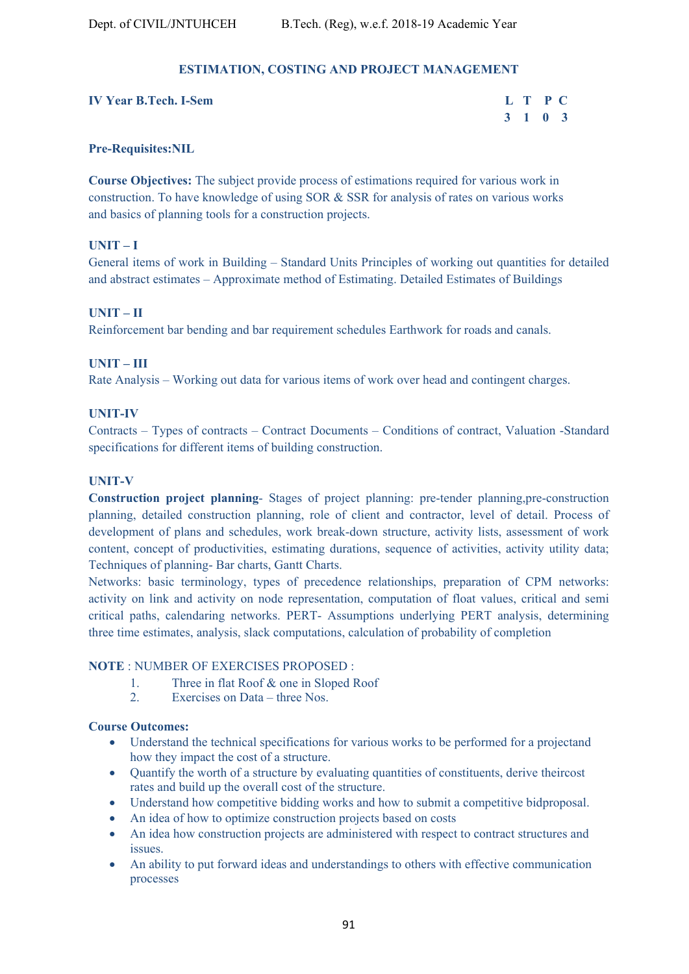# **ESTIMATION, COSTING AND PROJECT MANAGEMENT**

| <b>IV Year B.Tech. I-Sem</b> | L T P C |  |
|------------------------------|---------|--|
|                              | 3 1 0 3 |  |

## **Pre-Requisites:NIL**

**Course Objectives:** The subject provide process of estimations required for various work in construction. To have knowledge of using SOR & SSR for analysis of rates on various works and basics of planning tools for a construction projects.

# **UNIT – I**

General items of work in Building – Standard Units Principles of working out quantities for detailed and abstract estimates – Approximate method of Estimating. Detailed Estimates of Buildings

## **UNIT – II**

Reinforcement bar bending and bar requirement schedules Earthwork for roads and canals.

# **UNIT – III**

Rate Analysis – Working out data for various items of work over head and contingent charges.

## **UNIT-IV**

Contracts – Types of contracts – Contract Documents – Conditions of contract, Valuation -Standard specifications for different items of building construction.

## **UNIT-V**

**Construction project planning**- Stages of project planning: pre-tender planning,pre-construction planning, detailed construction planning, role of client and contractor, level of detail. Process of development of plans and schedules, work break-down structure, activity lists, assessment of work content, concept of productivities, estimating durations, sequence of activities, activity utility data; Techniques of planning- Bar charts, Gantt Charts.

Networks: basic terminology, types of precedence relationships, preparation of CPM networks: activity on link and activity on node representation, computation of float values, critical and semi critical paths, calendaring networks. PERT- Assumptions underlying PERT analysis, determining three time estimates, analysis, slack computations, calculation of probability of completion

## **NOTE** : NUMBER OF EXERCISES PROPOSED :

- 1. Three in flat Roof & one in Sloped Roof
- 2. Exercises on Data three Nos.

## **Course Outcomes:**

- Understand the technical specifications for various works to be performed for a projectand how they impact the cost of a structure.
- Quantify the worth of a structure by evaluating quantities of constituents, derive theircost rates and build up the overall cost of the structure.
- Understand how competitive bidding works and how to submit a competitive bidproposal.
- An idea of how to optimize construction projects based on costs
- An idea how construction projects are administered with respect to contract structures and issues.
- An ability to put forward ideas and understandings to others with effective communication processes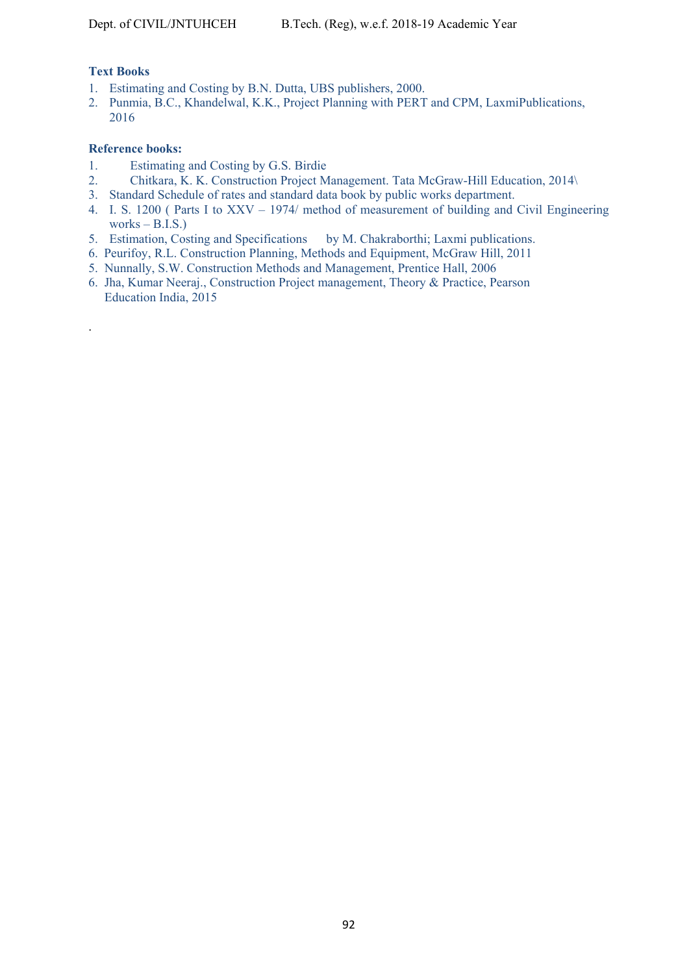# **Text Books**

.

- 1. Estimating and Costing by B.N. Dutta, UBS publishers, 2000.
- 2. Punmia, B.C., Khandelwal, K.K., Project Planning with PERT and CPM, LaxmiPublications, 2016

## **Reference books:**

- 1. Estimating and Costing by G.S. Birdie
- 2. Chitkara, K. K. Construction Project Management. Tata McGraw-Hill Education, 2014\
- 3. Standard Schedule of rates and standard data book by public works department.
- 4. I. S. 1200 ( Parts I to XXV 1974/ method of measurement of building and Civil Engineering works  $-$  B.I.S.)
- 5. Estimation, Costing and Specifications by M. Chakraborthi; Laxmi publications.
- 6. Peurifoy, R.L. Construction Planning, Methods and Equipment, McGraw Hill, 2011
- 5. Nunnally, S.W. Construction Methods and Management, Prentice Hall, 2006
- 6. Jha, Kumar Neeraj., Construction Project management, Theory & Practice, Pearson Education India, 2015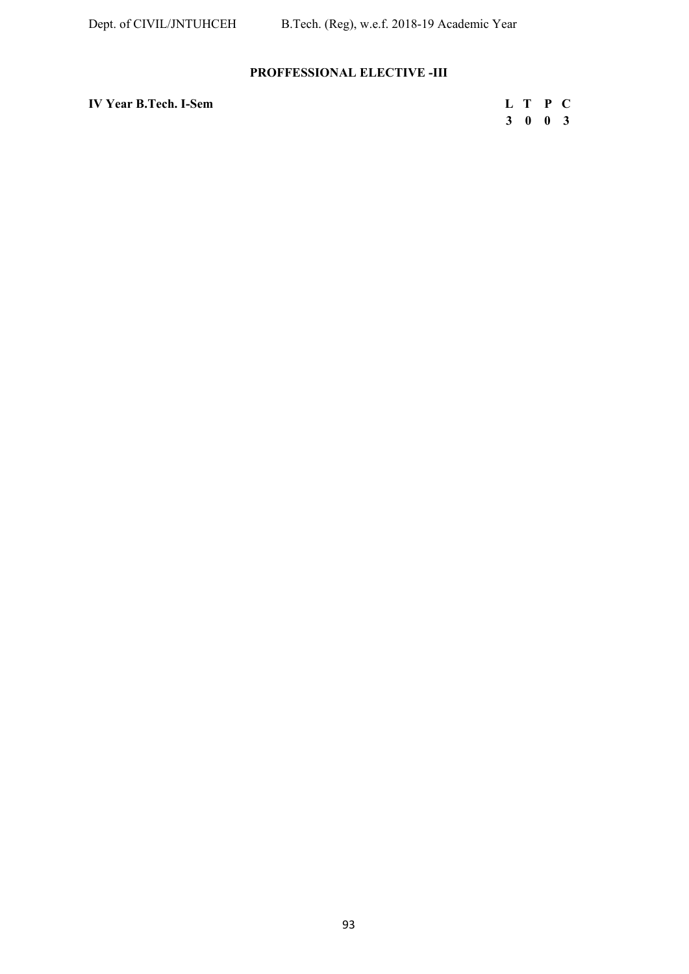# **PROFFESSIONAL ELECTIVE -III**

| <b>IV Year B.Tech. I-Sem</b> | L T P C |  |
|------------------------------|---------|--|
|                              |         |  |

| r B.Tech. I-Sem | L T P C |  |
|-----------------|---------|--|
|                 | 3 0 0 3 |  |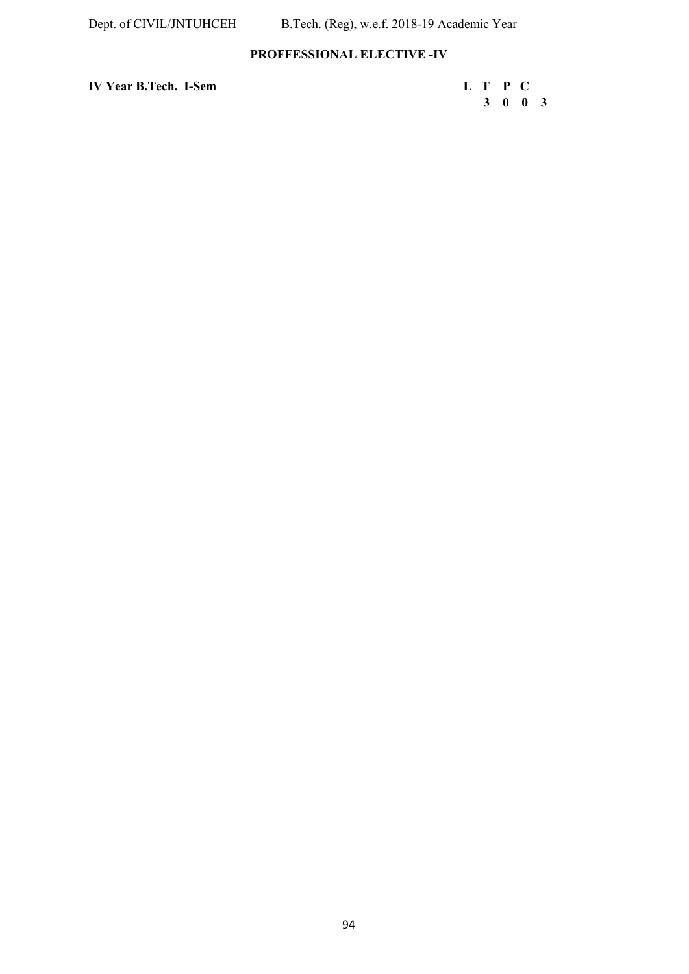# **PROFFESSIONAL ELECTIVE -IV**

**IV Year B.Tech. I-Sem L T P C** 

 **3 0 0 3**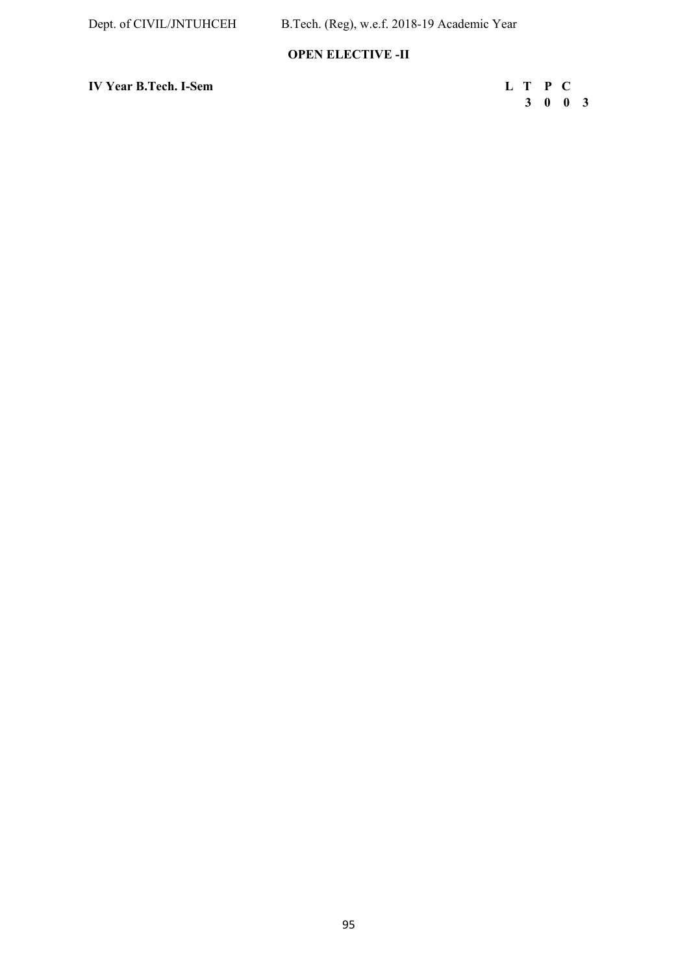# **OPEN ELECTIVE -II**

**IV Year B.Tech. I-Sem L T P C** 

 **3 0 0 3**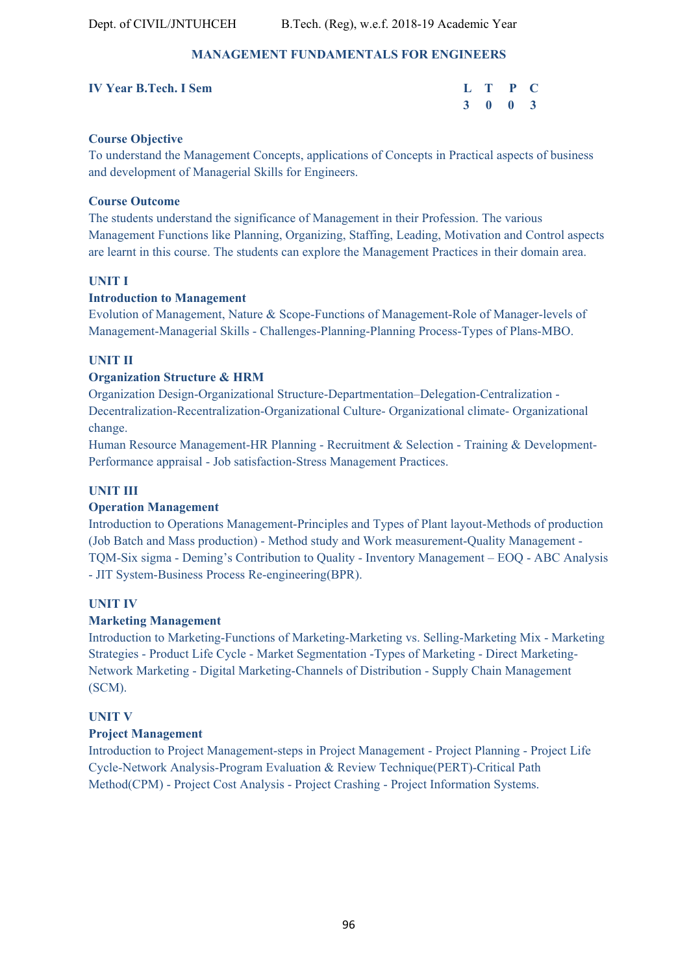# **MANAGEMENT FUNDAMENTALS FOR ENGINEERS**

| <b>IV Year B.Tech. I Sem</b> |  | L T P C |  |
|------------------------------|--|---------|--|
|                              |  | 3 0 0 3 |  |

# **Course Objective**

To understand the Management Concepts, applications of Concepts in Practical aspects of business and development of Managerial Skills for Engineers.

# **Course Outcome**

The students understand the significance of Management in their Profession. The various Management Functions like Planning, Organizing, Staffing, Leading, Motivation and Control aspects are learnt in this course. The students can explore the Management Practices in their domain area.

# **UNIT I**

## **Introduction to Management**

Evolution of Management, Nature & Scope-Functions of Management-Role of Manager-levels of Management-Managerial Skills - Challenges-Planning-Planning Process-Types of Plans-MBO.

# **UNIT II**

# **Organization Structure & HRM**

Organization Design-Organizational Structure-Departmentation–Delegation-Centralization - Decentralization-Recentralization-Organizational Culture- Organizational climate- Organizational change.

Human Resource Management-HR Planning - Recruitment & Selection - Training & Development-Performance appraisal - Job satisfaction-Stress Management Practices.

# **UNIT III**

# **Operation Management**

Introduction to Operations Management-Principles and Types of Plant layout-Methods of production (Job Batch and Mass production) - Method study and Work measurement-Quality Management - TQM-Six sigma - Deming's Contribution to Quality - Inventory Management – EOQ - ABC Analysis - JIT System-Business Process Re-engineering(BPR).

# **UNIT IV**

# **Marketing Management**

Introduction to Marketing-Functions of Marketing-Marketing vs. Selling-Marketing Mix - Marketing Strategies - Product Life Cycle - Market Segmentation -Types of Marketing - Direct Marketing-Network Marketing - Digital Marketing-Channels of Distribution - Supply Chain Management (SCM).

# **UNIT V**

# **Project Management**

Introduction to Project Management-steps in Project Management - Project Planning - Project Life Cycle-Network Analysis-Program Evaluation & Review Technique(PERT)-Critical Path Method(CPM) - Project Cost Analysis - Project Crashing - Project Information Systems.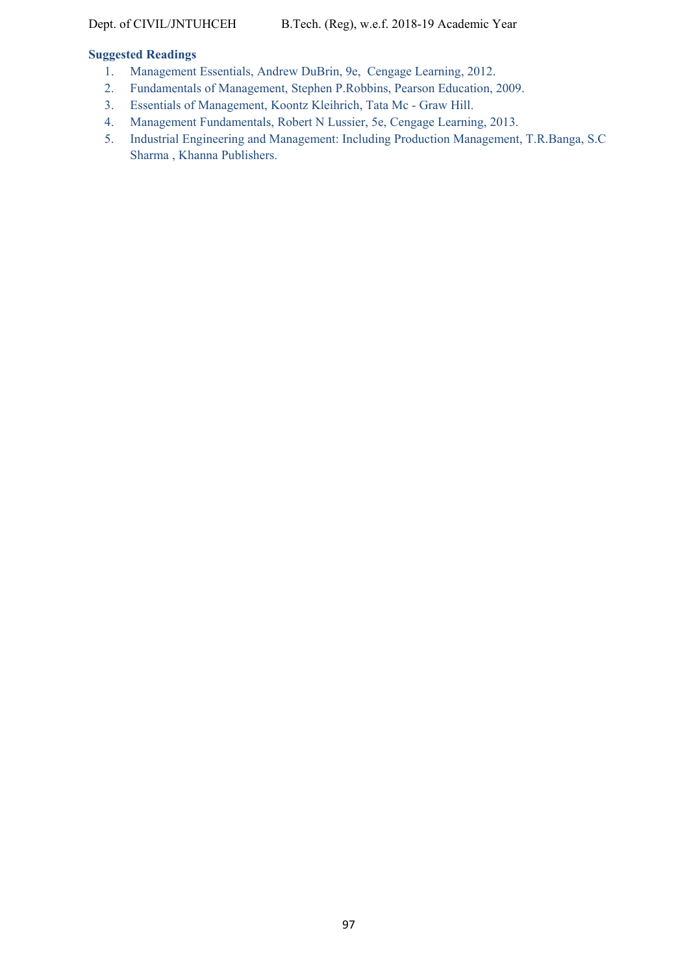## **Suggested Readings**

- 1. Management Essentials, Andrew DuBrin, 9e, Cengage Learning, 2012.
- 2. Fundamentals of Management, Stephen P.Robbins, Pearson Education, 2009.
- 3. Essentials of Management, Koontz Kleihrich, Tata Mc Graw Hill.
- 4. Management Fundamentals, Robert N Lussier, 5e, Cengage Learning, 2013.
- 5. Industrial Engineering and Management: Including Production Management, T.R.Banga, S.C Sharma , Khanna Publishers.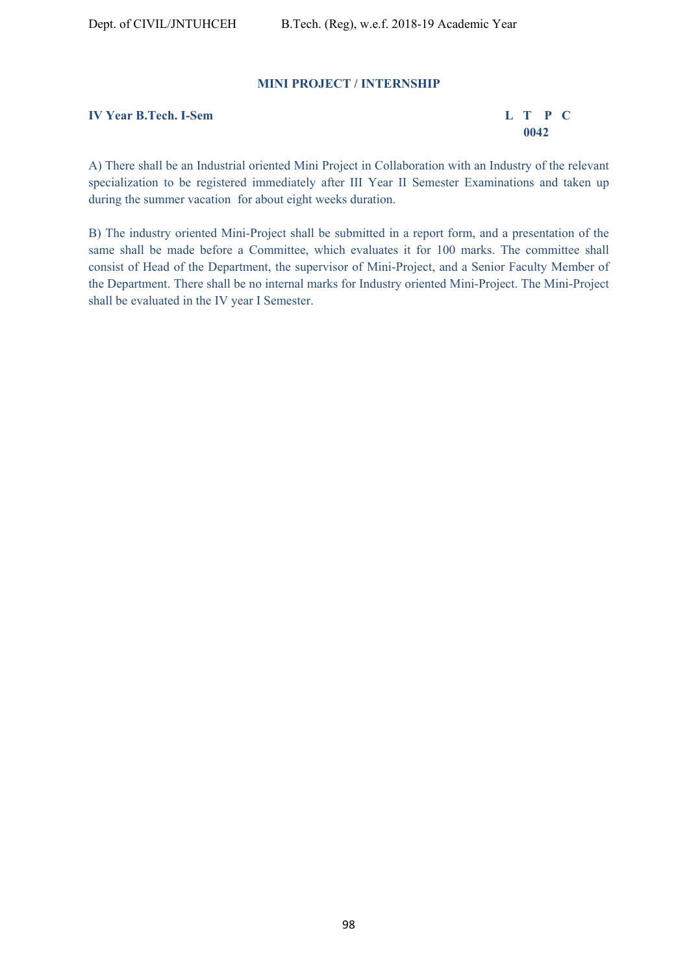## **MINI PROJECT / INTERNSHIP**

**IV Year B.Tech. I-Sem L T P C** 

 **0042** 

A) There shall be an Industrial oriented Mini Project in Collaboration with an Industry of the relevant specialization to be registered immediately after III Year II Semester Examinations and taken up during the summer vacation for about eight weeks duration.

B) The industry oriented Mini-Project shall be submitted in a report form, and a presentation of the same shall be made before a Committee, which evaluates it for 100 marks. The committee shall consist of Head of the Department, the supervisor of Mini-Project, and a Senior Faculty Member of the Department. There shall be no internal marks for Industry oriented Mini-Project. The Mini-Project shall be evaluated in the IV year I Semester.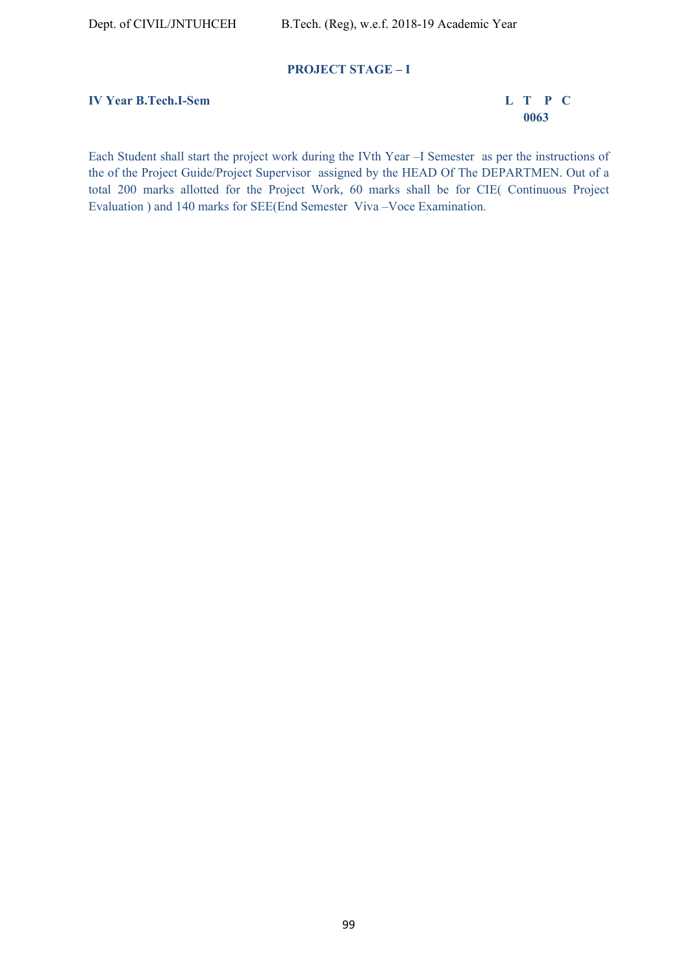## **PROJECT STAGE – I**

# **IV Year B.Tech.I-Sem L T P C**

 **0063** 

Each Student shall start the project work during the IVth Year –I Semester as per the instructions of the of the Project Guide/Project Supervisor assigned by the HEAD Of The DEPARTMEN. Out of a total 200 marks allotted for the Project Work, 60 marks shall be for CIE( Continuous Project Evaluation ) and 140 marks for SEE(End Semester Viva –Voce Examination.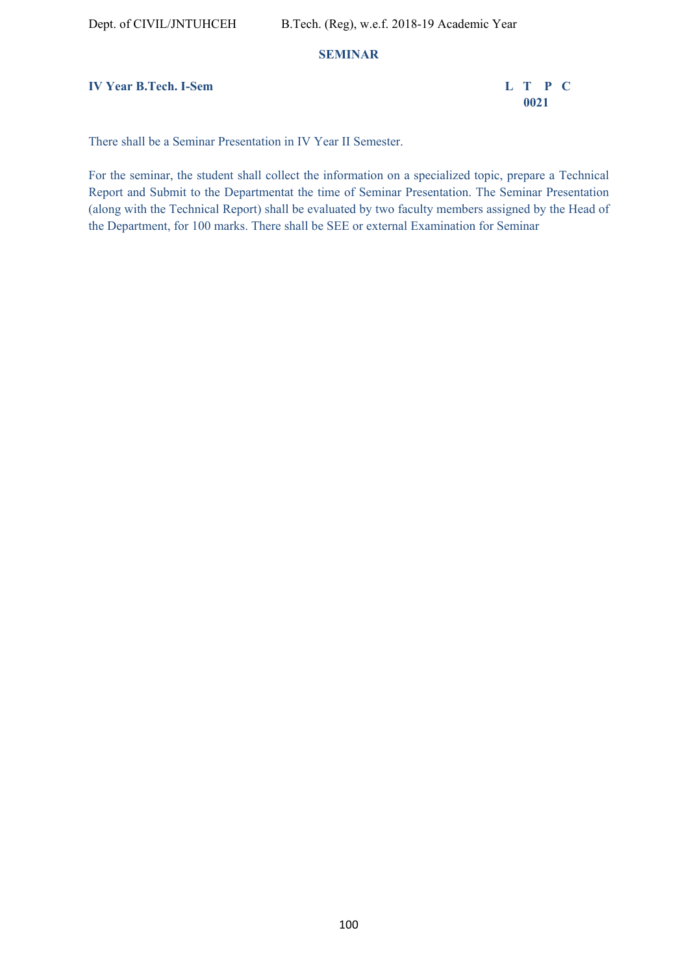## **SEMINAR**

**IV Year B.Tech. I-Sem L T P C** 

 **0021** 

There shall be a Seminar Presentation in IV Year II Semester.

For the seminar, the student shall collect the information on a specialized topic, prepare a Technical Report and Submit to the Departmentat the time of Seminar Presentation. The Seminar Presentation (along with the Technical Report) shall be evaluated by two faculty members assigned by the Head of the Department, for 100 marks. There shall be SEE or external Examination for Seminar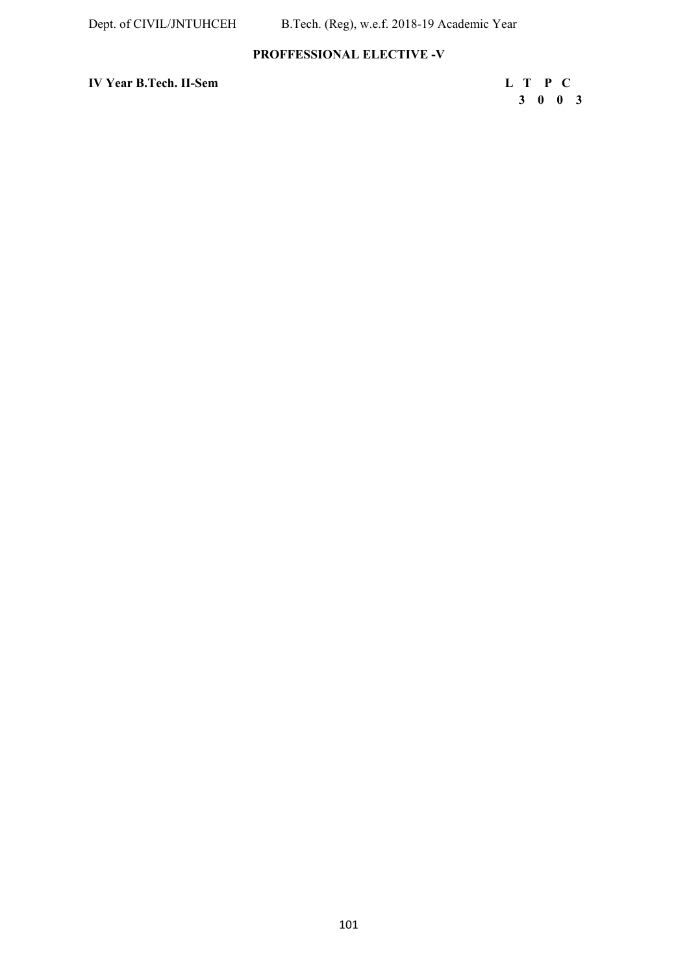# **PROFFESSIONAL ELECTIVE -V**

**IV Year B.Tech. II-Sem L T P C** 

 **3 0 0 3**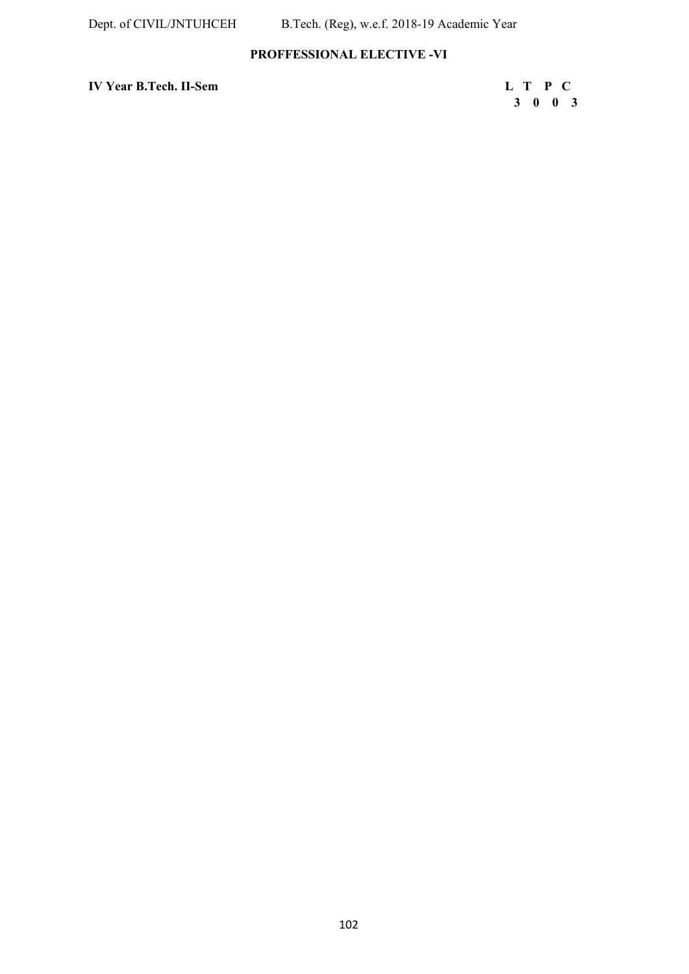# **PROFFESSIONAL ELECTIVE -VI**

**IV Year B.Tech. II-Sem L T P C** 

 **3 0 0 3**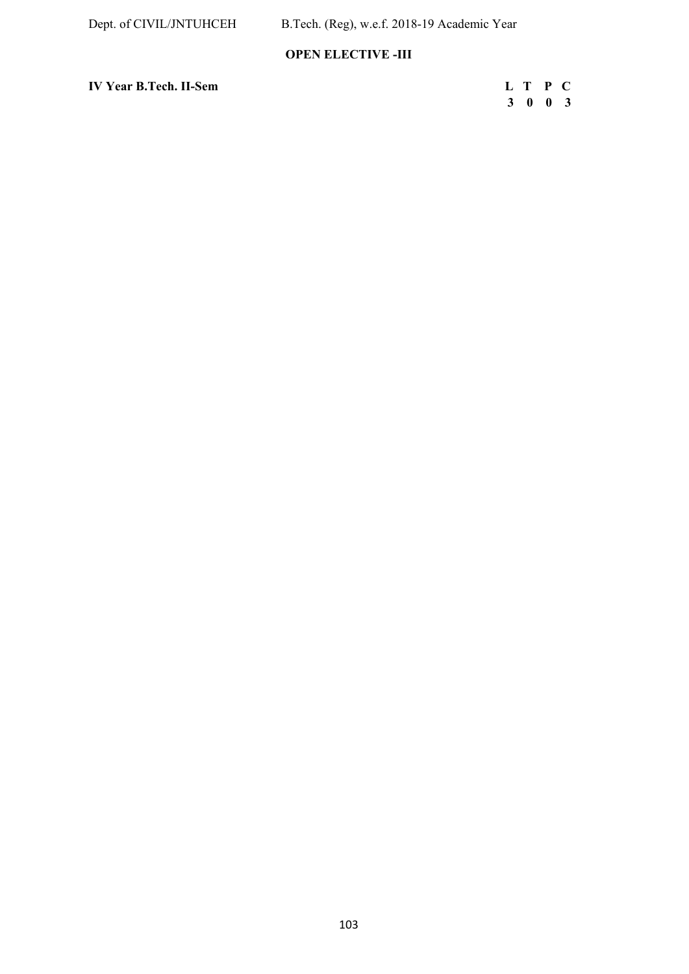# **OPEN ELECTIVE -III**

**IV Year B.Tech. II-Sem L T P C** 

| r B.Tech. II-Sem | L T P C         |  |
|------------------|-----------------|--|
|                  | $3 \t0 \t0 \t3$ |  |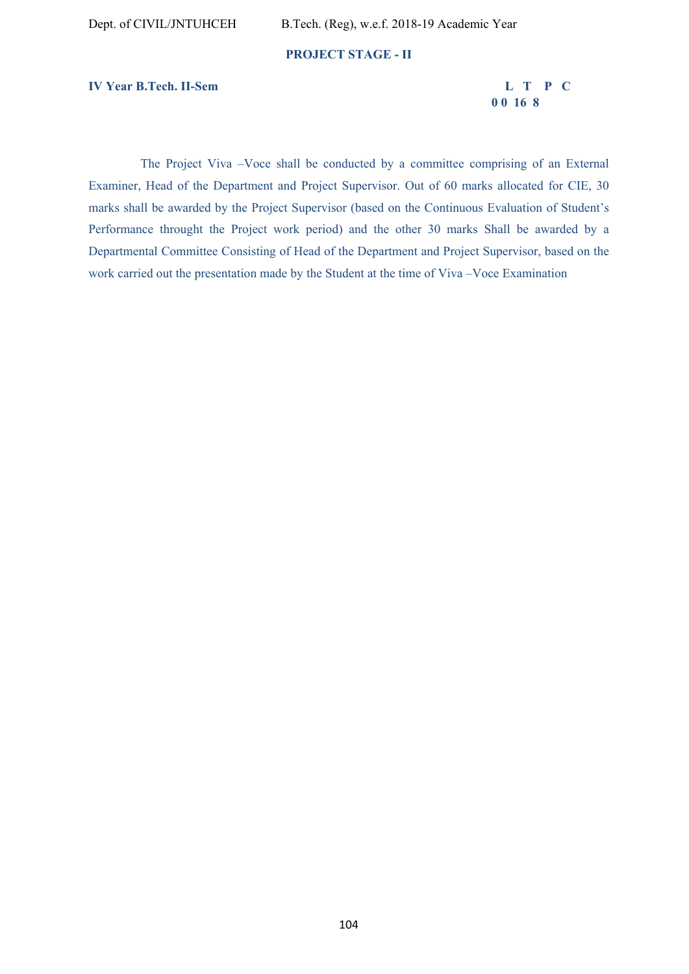#### **PROJECT STAGE - II**

**IV Year B.Tech. II-Sem L T P C** 

 **0 0 16 8** 

 The Project Viva –Voce shall be conducted by a committee comprising of an External Examiner, Head of the Department and Project Supervisor. Out of 60 marks allocated for CIE, 30 marks shall be awarded by the Project Supervisor (based on the Continuous Evaluation of Student's Performance throught the Project work period) and the other 30 marks Shall be awarded by a Departmental Committee Consisting of Head of the Department and Project Supervisor, based on the work carried out the presentation made by the Student at the time of Viva –Voce Examination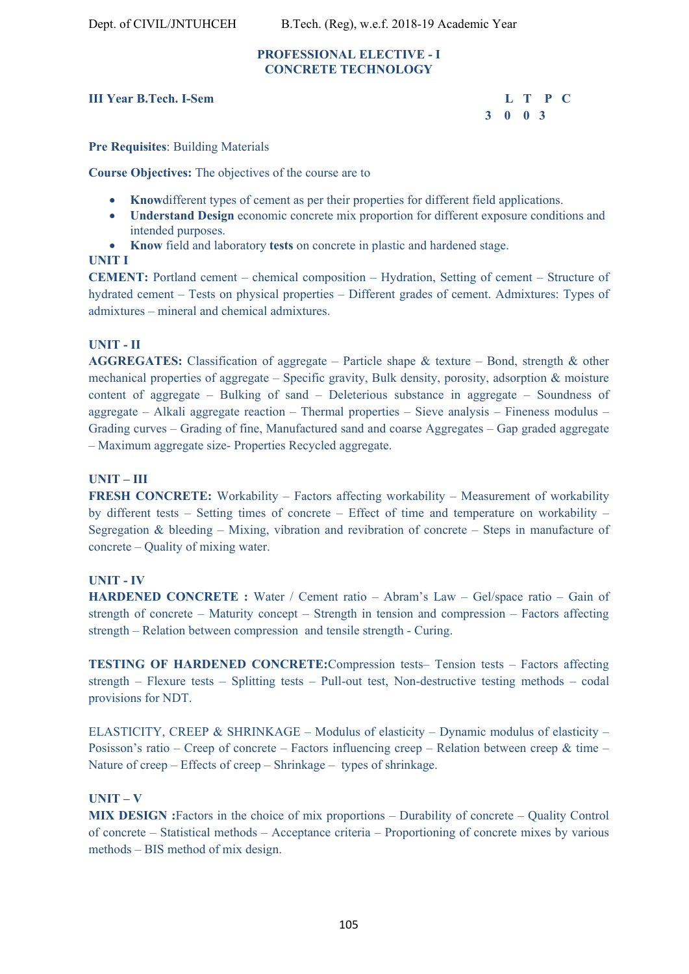# **PROFESSIONAL ELECTIVE - I CONCRETE TECHNOLOGY**

# **III Year B.Tech. I-Sem L T P C**

 **3 0 0 3** 

**Pre Requisites**: Building Materials

**Course Objectives:** The objectives of the course are to

- **Know**different types of cement as per their properties for different field applications.
- **Understand Design** economic concrete mix proportion for different exposure conditions and intended purposes.
- **Know** field and laboratory **tests** on concrete in plastic and hardened stage.

## **UNIT I**

**CEMENT:** Portland cement – chemical composition – Hydration, Setting of cement – Structure of hydrated cement – Tests on physical properties – Different grades of cement. Admixtures: Types of admixtures – mineral and chemical admixtures.

# **UNIT - II**

**AGGREGATES:** Classification of aggregate – Particle shape & texture – Bond, strength & other mechanical properties of aggregate – Specific gravity, Bulk density, porosity, adsorption & moisture content of aggregate – Bulking of sand – Deleterious substance in aggregate – Soundness of aggregate – Alkali aggregate reaction – Thermal properties – Sieve analysis – Fineness modulus – Grading curves – Grading of fine, Manufactured sand and coarse Aggregates – Gap graded aggregate – Maximum aggregate size- Properties Recycled aggregate.

# **UNIT – III**

**FRESH CONCRETE:** Workability – Factors affecting workability – Measurement of workability by different tests – Setting times of concrete – Effect of time and temperature on workability – Segregation & bleeding – Mixing, vibration and revibration of concrete – Steps in manufacture of concrete – Quality of mixing water.

# **UNIT - IV**

**HARDENED CONCRETE :** Water / Cement ratio – Abram's Law – Gel/space ratio – Gain of strength of concrete – Maturity concept – Strength in tension and compression – Factors affecting strength – Relation between compression and tensile strength - Curing.

**TESTING OF HARDENED CONCRETE:**Compression tests– Tension tests – Factors affecting strength – Flexure tests – Splitting tests – Pull-out test, Non-destructive testing methods – codal provisions for NDT.

ELASTICITY, CREEP & SHRINKAGE – Modulus of elasticity – Dynamic modulus of elasticity – Posisson's ratio – Creep of concrete – Factors influencing creep – Relation between creep & time – Nature of creep – Effects of creep – Shrinkage – types of shrinkage.

# **UNIT – V**

**MIX DESIGN :**Factors in the choice of mix proportions – Durability of concrete – Quality Control of concrete – Statistical methods – Acceptance criteria – Proportioning of concrete mixes by various methods – BIS method of mix design.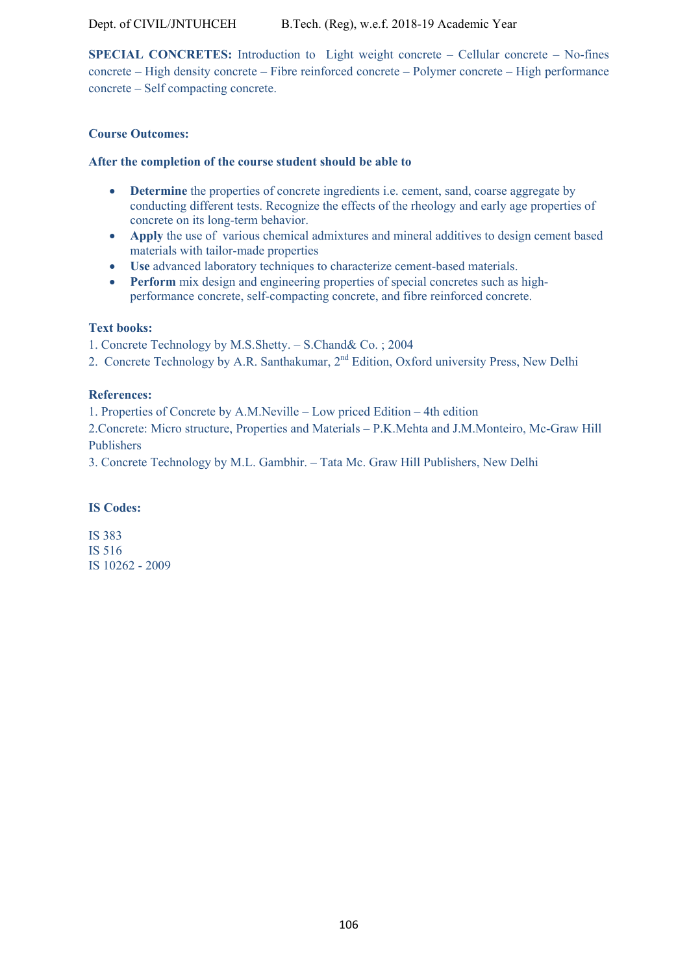**SPECIAL CONCRETES:** Introduction to Light weight concrete – Cellular concrete – No-fines concrete – High density concrete – Fibre reinforced concrete – Polymer concrete – High performance concrete – Self compacting concrete.

# **Course Outcomes:**

## **After the completion of the course student should be able to**

- **• Determine** the properties of concrete ingredients i.e. cement, sand, coarse aggregate by conducting different tests. Recognize the effects of the rheology and early age properties of concrete on its long-term behavior.
- **Apply** the use of various chemical admixtures and mineral additives to design cement based materials with tailor-made properties
- **Use** advanced laboratory techniques to characterize cement-based materials.
- **Perform** mix design and engineering properties of special concretes such as highperformance concrete, self-compacting concrete, and fibre reinforced concrete.

## **Text books:**

1. Concrete Technology by M.S.Shetty. – S.Chand& Co. ; 2004

2. Concrete Technology by A.R. Santhakumar, 2<sup>nd</sup> Edition, Oxford university Press, New Delhi

## **References:**

1. Properties of Concrete by A.M.Neville – Low priced Edition – 4th edition

2.Concrete: Micro structure, Properties and Materials – P.K.Mehta and J.M.Monteiro, Mc-Graw Hill Publishers

3. Concrete Technology by M.L. Gambhir. – Tata Mc. Graw Hill Publishers, New Delhi

## **IS Codes:**

IS 383 IS 516 IS 10262 - 2009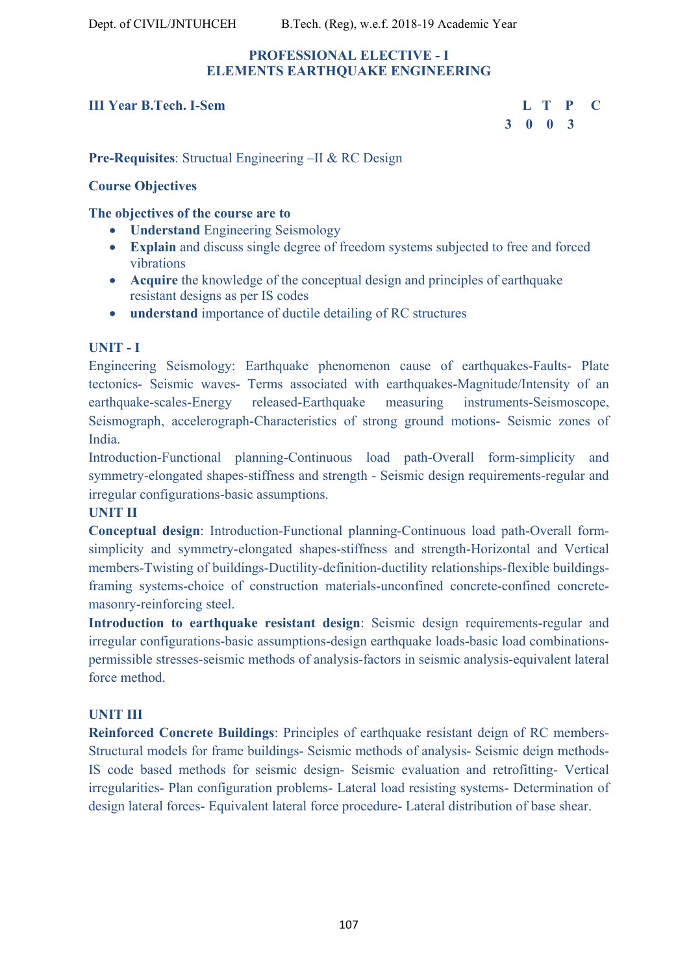# **PROFESSIONAL ELECTIVE - I ELEMENTS EARTHQUAKE ENGINEERING**

# **III Year B.Tech. I-Sem L T P C**

 **3 0 0 3** 

**Pre-Requisites**: Structual Engineering –II & RC Design

# **Course Objectives**

# **The objectives of the course are to**

- **Understand** Engineering Seismology
- **Explain** and discuss single degree of freedom systems subjected to free and forced vibrations
- **Acquire** the knowledge of the conceptual design and principles of earthquake resistant designs as per IS codes
- **understand** importance of ductile detailing of RC structures

# **UNIT - I**

Engineering Seismology: Earthquake phenomenon cause of earthquakes-Faults- Plate tectonics- Seismic waves- Terms associated with earthquakes-Magnitude/Intensity of an earthquake-scales-Energy released-Earthquake measuring instruments-Seismoscope, Seismograph, accelerograph-Characteristics of strong ground motions- Seismic zones of India.

Introduction-Functional planning-Continuous load path-Overall form-simplicity and symmetry-elongated shapes-stiffness and strength - Seismic design requirements-regular and irregular configurations-basic assumptions.

# **UNIT II**

**Conceptual design**: Introduction-Functional planning-Continuous load path-Overall formsimplicity and symmetry-elongated shapes-stiffness and strength-Horizontal and Vertical members-Twisting of buildings-Ductility-definition-ductility relationships-flexible buildingsframing systems-choice of construction materials-unconfined concrete-confined concretemasonry-reinforcing steel.

**Introduction to earthquake resistant design**: Seismic design requirements-regular and irregular configurations-basic assumptions-design earthquake loads-basic load combinationspermissible stresses-seismic methods of analysis-factors in seismic analysis-equivalent lateral force method.

# **UNIT III**

**Reinforced Concrete Buildings**: Principles of earthquake resistant deign of RC members-Structural models for frame buildings- Seismic methods of analysis- Seismic deign methods-IS code based methods for seismic design- Seismic evaluation and retrofitting- Vertical irregularities- Plan configuration problems- Lateral load resisting systems- Determination of design lateral forces- Equivalent lateral force procedure- Lateral distribution of base shear.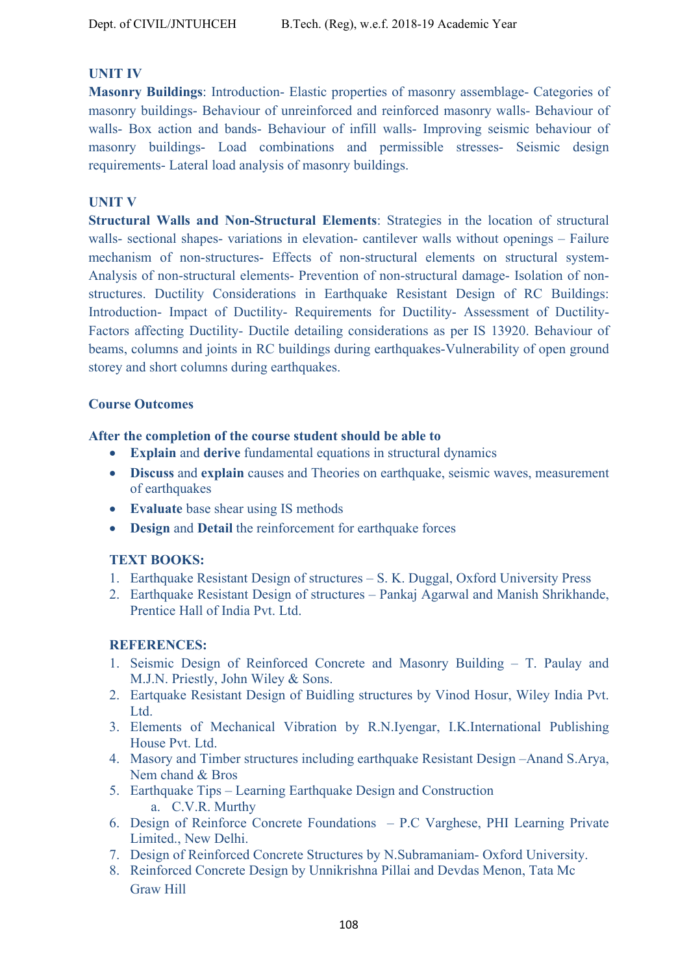# **UNIT IV**

**Masonry Buildings**: Introduction- Elastic properties of masonry assemblage- Categories of masonry buildings- Behaviour of unreinforced and reinforced masonry walls- Behaviour of walls- Box action and bands- Behaviour of infill walls- Improving seismic behaviour of masonry buildings- Load combinations and permissible stresses- Seismic design requirements- Lateral load analysis of masonry buildings.

# **UNIT V**

**Structural Walls and Non-Structural Elements**: Strategies in the location of structural walls- sectional shapes- variations in elevation- cantilever walls without openings – Failure mechanism of non-structures- Effects of non-structural elements on structural system-Analysis of non-structural elements- Prevention of non-structural damage- Isolation of nonstructures. Ductility Considerations in Earthquake Resistant Design of RC Buildings: Introduction- Impact of Ductility- Requirements for Ductility- Assessment of Ductility-Factors affecting Ductility- Ductile detailing considerations as per IS 13920. Behaviour of beams, columns and joints in RC buildings during earthquakes-Vulnerability of open ground storey and short columns during earthquakes.

# **Course Outcomes**

## **After the completion of the course student should be able to**

- **Explain** and **derive** fundamental equations in structural dynamics
- **Discuss** and **explain** causes and Theories on earthquake, seismic waves, measurement of earthquakes
- **Evaluate** base shear using IS methods
- **Design and Detail** the reinforcement for earthquake forces

# **TEXT BOOKS:**

- 1. Earthquake Resistant Design of structures S. K. Duggal, Oxford University Press
- 2. Earthquake Resistant Design of structures Pankaj Agarwal and Manish Shrikhande, Prentice Hall of India Pvt. Ltd.

# **REFERENCES:**

- 1. Seismic Design of Reinforced Concrete and Masonry Building T. Paulay and M.J.N. Priestly, John Wiley & Sons.
- 2. Eartquake Resistant Design of Buidling structures by Vinod Hosur, Wiley India Pvt. Ltd.
- 3. Elements of Mechanical Vibration by R.N.Iyengar, I.K.International Publishing House Pvt. Ltd.
- 4. Masory and Timber structures including earthquake Resistant Design –Anand S.Arya, Nem chand & Bros
- 5. Earthquake Tips Learning Earthquake Design and Construction a. C.V.R. Murthy
- 6. Design of Reinforce Concrete Foundations P.C Varghese, PHI Learning Private Limited., New Delhi.
- 7. Design of Reinforced Concrete Structures by N.Subramaniam- Oxford University.
- 8. Reinforced Concrete Design by Unnikrishna Pillai and Devdas Menon, Tata Mc Graw Hill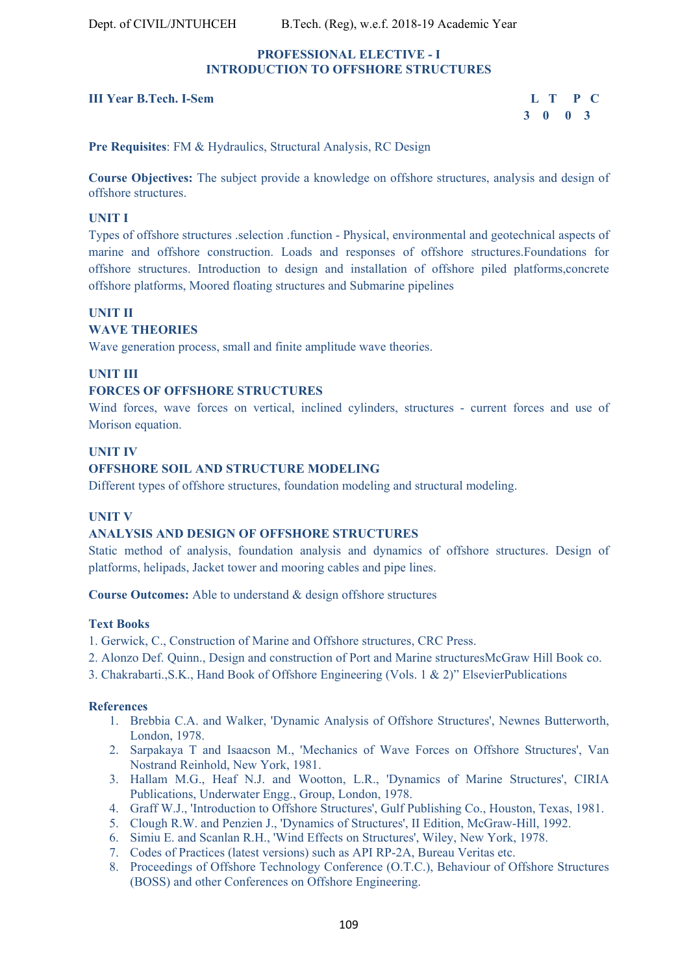#### **PROFESSIONAL ELECTIVE - I INTRODUCTION TO OFFSHORE STRUCTURES**

#### **III Year B.Tech. I-Sem L T P C**

 **3 0 0 3** 

**Pre Requisites**: FM & Hydraulics, Structural Analysis, RC Design

**Course Objectives:** The subject provide a knowledge on offshore structures, analysis and design of offshore structures.

#### **UNIT I**

Types of offshore structures .selection .function - Physical, environmental and geotechnical aspects of marine and offshore construction. Loads and responses of offshore structures.Foundations for offshore structures. Introduction to design and installation of offshore piled platforms,concrete offshore platforms, Moored floating structures and Submarine pipelines

#### **UNIT II**

### **WAVE THEORIES**

Wave generation process, small and finite amplitude wave theories.

#### **UNIT III**

#### **FORCES OF OFFSHORE STRUCTURES**

Wind forces, wave forces on vertical, inclined cylinders, structures - current forces and use of Morison equation.

#### **UNIT IV**

#### **OFFSHORE SOIL AND STRUCTURE MODELING**

Different types of offshore structures, foundation modeling and structural modeling.

#### **UNIT V**

#### **ANALYSIS AND DESIGN OF OFFSHORE STRUCTURES**

Static method of analysis, foundation analysis and dynamics of offshore structures. Design of platforms, helipads, Jacket tower and mooring cables and pipe lines.

**Course Outcomes:** Able to understand & design offshore structures

#### **Text Books**

- 1. Gerwick, C., Construction of Marine and Offshore structures, CRC Press.
- 2. Alonzo Def. Quinn., Design and construction of Port and Marine structuresMcGraw Hill Book co.
- 3. Chakrabarti.,S.K., Hand Book of Offshore Engineering (Vols. 1 & 2)" ElsevierPublications

#### **References**

- 1. Brebbia C.A. and Walker, 'Dynamic Analysis of Offshore Structures', Newnes Butterworth, London, 1978.
- 2. Sarpakaya T and Isaacson M., 'Mechanics of Wave Forces on Offshore Structures', Van Nostrand Reinhold, New York, 1981.
- 3. Hallam M.G., Heaf N.J. and Wootton, L.R., 'Dynamics of Marine Structures', CIRIA Publications, Underwater Engg., Group, London, 1978.
- 4. Graff W.J., 'Introduction to Offshore Structures', Gulf Publishing Co., Houston, Texas, 1981.
- 5. Clough R.W. and Penzien J., 'Dynamics of Structures', II Edition, McGraw-Hill, 1992.
- 6. Simiu E. and Scanlan R.H., 'Wind Effects on Structures', Wiley, New York, 1978.
- 7. Codes of Practices (latest versions) such as API RP-2A, Bureau Veritas etc.
- 8. Proceedings of Offshore Technology Conference (O.T.C.), Behaviour of Offshore Structures (BOSS) and other Conferences on Offshore Engineering.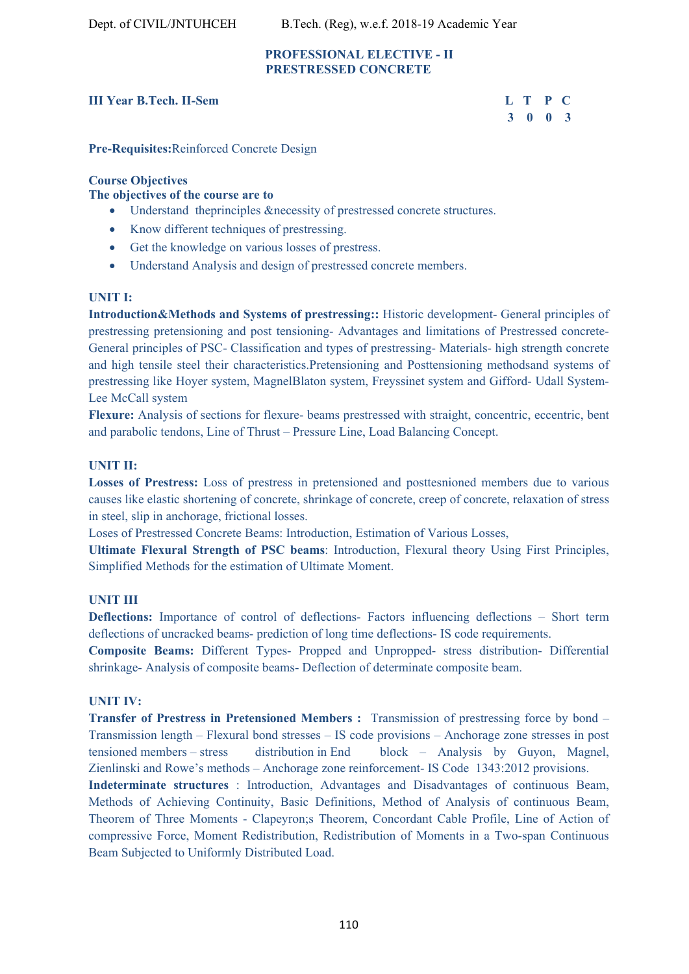Dept. of CIVIL/JNTUHCEH B.Tech. (Reg), w.e.f. 2018-19 Academic Year

#### **PROFESSIONAL ELECTIVE - II PRESTRESSED CONCRETE**

#### **III Year B.Tech. II-Sem**

| r B.Tech. II-Sem | L T P C |  |
|------------------|---------|--|
|                  | 3 0 0 3 |  |

**Pre-Requisites:**Reinforced Concrete Design

#### **Course Objectives**

#### **The objectives of the course are to**

- Understand theprinciples &necessity of prestressed concrete structures.
- Know different techniques of prestressing.
- Get the knowledge on various losses of prestress.
- Understand Analysis and design of prestressed concrete members.

#### **UNIT I:**

**Introduction&Methods and Systems of prestressing::** Historic development- General principles of prestressing pretensioning and post tensioning- Advantages and limitations of Prestressed concrete-General principles of PSC- Classification and types of prestressing- Materials- high strength concrete and high tensile steel their characteristics.Pretensioning and Posttensioning methodsand systems of prestressing like Hoyer system, MagnelBlaton system, Freyssinet system and Gifford- Udall System-Lee McCall system

**Flexure:** Analysis of sections for flexure- beams prestressed with straight, concentric, eccentric, bent and parabolic tendons, Line of Thrust – Pressure Line, Load Balancing Concept.

#### **UNIT II:**

**Losses of Prestress:** Loss of prestress in pretensioned and posttesnioned members due to various causes like elastic shortening of concrete, shrinkage of concrete, creep of concrete, relaxation of stress in steel, slip in anchorage, frictional losses.

Loses of Prestressed Concrete Beams: Introduction, Estimation of Various Losses,

**Ultimate Flexural Strength of PSC beams**: Introduction, Flexural theory Using First Principles, Simplified Methods for the estimation of Ultimate Moment.

#### **UNIT III**

**Deflections:** Importance of control of deflections- Factors influencing deflections – Short term deflections of uncracked beams- prediction of long time deflections- IS code requirements.

**Composite Beams:** Different Types- Propped and Unpropped- stress distribution- Differential shrinkage- Analysis of composite beams- Deflection of determinate composite beam.

#### **UNIT IV:**

**Transfer of Prestress in Pretensioned Members :** Transmission of prestressing force by bond – Transmission length – Flexural bond stresses – IS code provisions – Anchorage zone stresses in post tensioned members – stress distribution in End block – Analysis by Guyon, Magnel, Zienlinski and Rowe's methods – Anchorage zone reinforcement- IS Code 1343:2012 provisions.

**Indeterminate structures** : Introduction, Advantages and Disadvantages of continuous Beam, Methods of Achieving Continuity, Basic Definitions, Method of Analysis of continuous Beam, Theorem of Three Moments - Clapeyron;s Theorem, Concordant Cable Profile, Line of Action of compressive Force, Moment Redistribution, Redistribution of Moments in a Two-span Continuous Beam Subjected to Uniformly Distributed Load.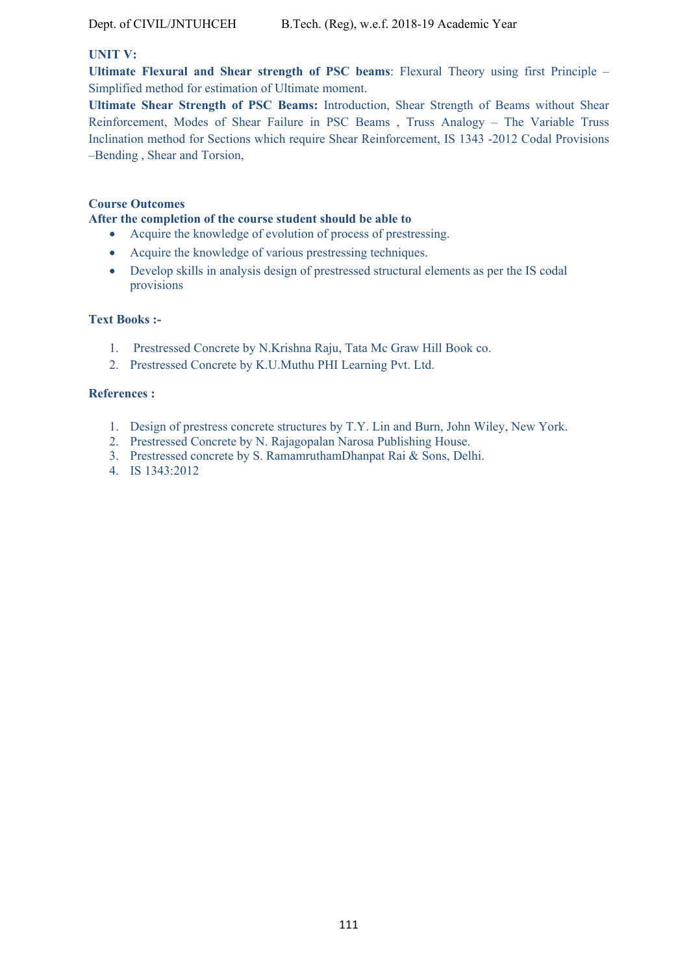#### **UNIT V:**

**Ultimate Flexural and Shear strength of PSC beams**: Flexural Theory using first Principle – Simplified method for estimation of Ultimate moment.

**Ultimate Shear Strength of PSC Beams:** Introduction, Shear Strength of Beams without Shear Reinforcement, Modes of Shear Failure in PSC Beams , Truss Analogy – The Variable Truss Inclination method for Sections which require Shear Reinforcement, IS 1343 -2012 Codal Provisions –Bending , Shear and Torsion,

#### **Course Outcomes**

#### **After the completion of the course student should be able to**

- Acquire the knowledge of evolution of process of prestressing.
- Acquire the knowledge of various prestressing techniques.
- Develop skills in analysis design of prestressed structural elements as per the IS codal provisions

#### **Text Books :-**

- 1. Prestressed Concrete by N.Krishna Raju, Tata Mc Graw Hill Book co.
- 2. Prestressed Concrete by K.U.Muthu PHI Learning Pvt. Ltd.

#### **References :**

- 1. Design of prestress concrete structures by T.Y. Lin and Burn, John Wiley, New York.
- 2. Prestressed Concrete by N. Rajagopalan Narosa Publishing House.
- 3. Prestressed concrete by S. RamamruthamDhanpat Rai & Sons, Delhi.
- 4. IS 1343:2012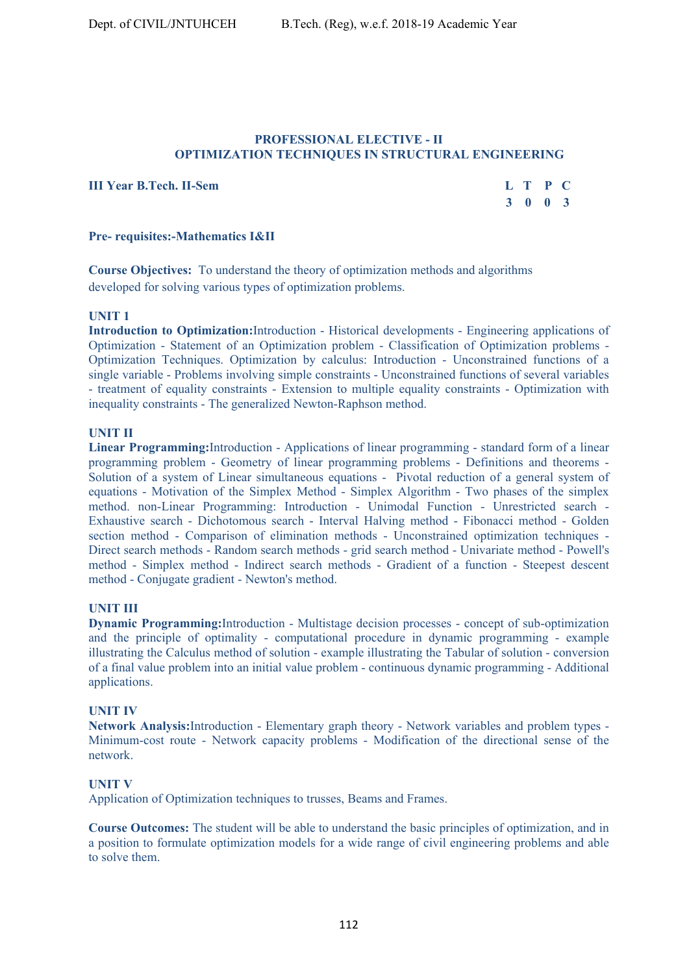#### **PROFESSIONAL ELECTIVE - II OPTIMIZATION TECHNIQUES IN STRUCTURAL ENGINEERING**

**III Year B.Tech. II-Sem** 

| r B.Tech. II-Sem | L T P C |  |
|------------------|---------|--|
|                  | 3 0 0 3 |  |

#### **Pre- requisites:-Mathematics I&II**

**Course Objectives:** To understand the theory of optimization methods and algorithms developed for solving various types of optimization problems.

#### **UNIT 1**

**Introduction to Optimization:**Introduction - Historical developments - Engineering applications of Optimization - Statement of an Optimization problem - Classification of Optimization problems - Optimization Techniques. Optimization by calculus: Introduction - Unconstrained functions of a single variable - Problems involving simple constraints - Unconstrained functions of several variables - treatment of equality constraints - Extension to multiple equality constraints - Optimization with inequality constraints - The generalized Newton-Raphson method.

#### **UNIT II**

**Linear Programming:**Introduction - Applications of linear programming - standard form of a linear programming problem - Geometry of linear programming problems - Definitions and theorems - Solution of a system of Linear simultaneous equations - Pivotal reduction of a general system of equations - Motivation of the Simplex Method - Simplex Algorithm - Two phases of the simplex method. non-Linear Programming: Introduction - Unimodal Function - Unrestricted search - Exhaustive search - Dichotomous search - Interval Halving method - Fibonacci method - Golden section method - Comparison of elimination methods - Unconstrained optimization techniques - Direct search methods - Random search methods - grid search method - Univariate method - Powell's method - Simplex method - Indirect search methods - Gradient of a function - Steepest descent method - Conjugate gradient - Newton's method.

#### **UNIT III**

**Dynamic Programming:**Introduction - Multistage decision processes - concept of sub-optimization and the principle of optimality - computational procedure in dynamic programming - example illustrating the Calculus method of solution - example illustrating the Tabular of solution - conversion of a final value problem into an initial value problem - continuous dynamic programming - Additional applications.

#### **UNIT IV**

**Network Analysis:**Introduction - Elementary graph theory - Network variables and problem types - Minimum-cost route - Network capacity problems - Modification of the directional sense of the network.

#### **UNIT V**

Application of Optimization techniques to trusses, Beams and Frames.

**Course Outcomes:** The student will be able to understand the basic principles of optimization, and in a position to formulate optimization models for a wide range of civil engineering problems and able to solve them.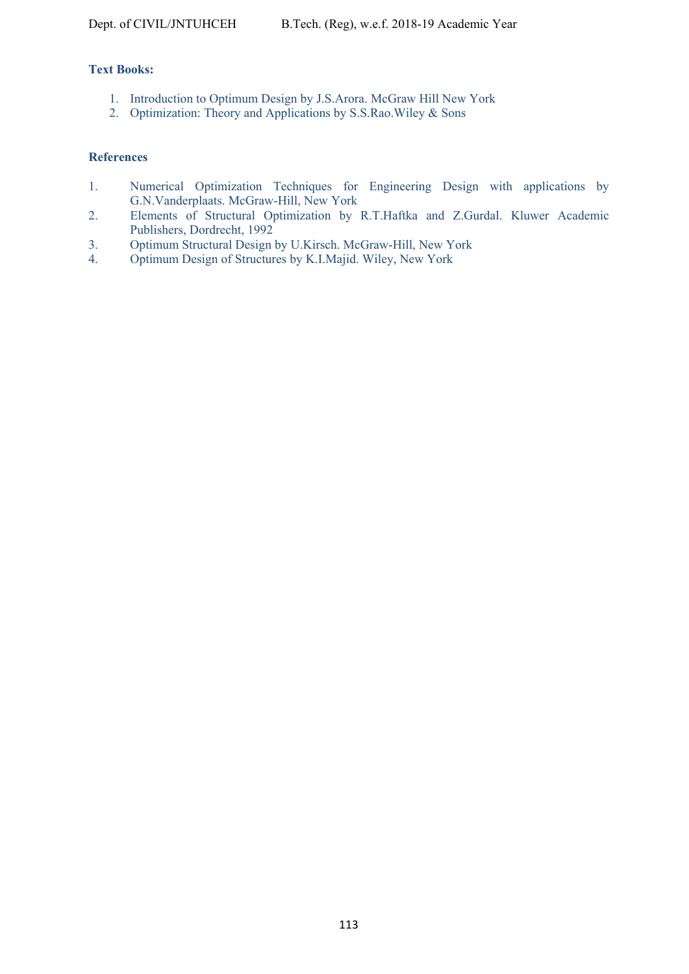### **Text Books:**

- 1. Introduction to Optimum Design by J.S.Arora. McGraw Hill New York
- 2. Optimization: Theory and Applications by S.S.Rao.Wiley & Sons

#### **References**

- 1. Numerical Optimization Techniques for Engineering Design with applications by G.N.Vanderplaats. McGraw-Hill, New York
- 2. Elements of Structural Optimization by R.T.Haftka and Z.Gurdal. Kluwer Academic Publishers, Dordrecht, 1992
- 3. Optimum Structural Design by U.Kirsch. McGraw-Hill, New York
- 4. Optimum Design of Structures by K.I.Majid. Wiley, New York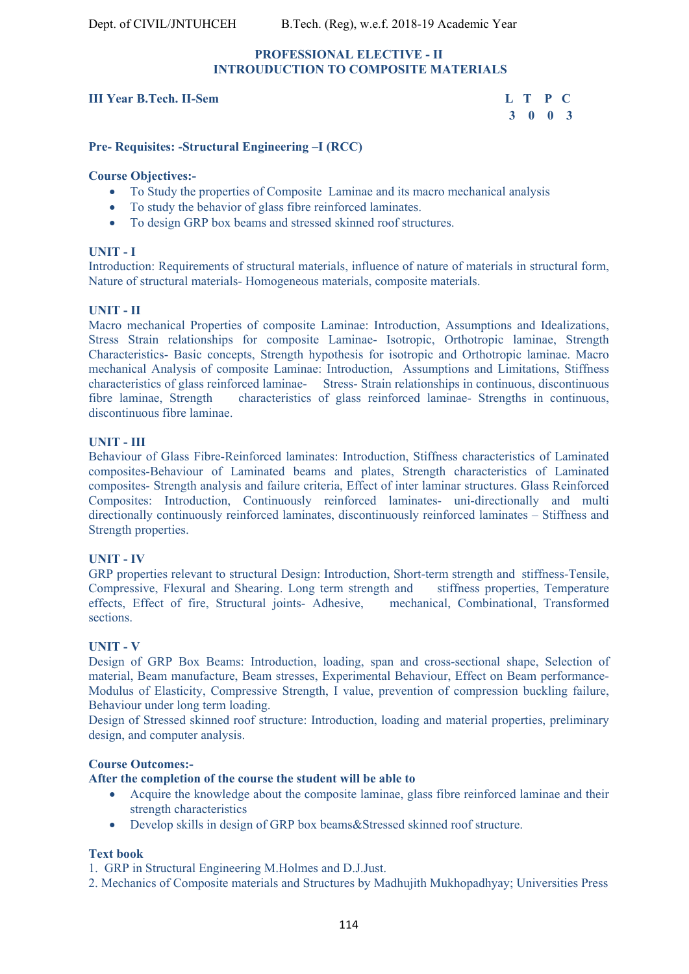#### **PROFESSIONAL ELECTIVE - II INTROUDUCTION TO COMPOSITE MATERIALS**

#### **III Year B.Tech. II-Sem L T P C**

# **3 0 0 3**

#### **Pre- Requisites: -Structural Engineering –I (RCC)**

#### **Course Objectives:-**

- To Study the properties of Composite Laminae and its macro mechanical analysis
- To study the behavior of glass fibre reinforced laminates.
- To design GRP box beams and stressed skinned roof structures.

#### **UNIT - I**

Introduction: Requirements of structural materials, influence of nature of materials in structural form, Nature of structural materials- Homogeneous materials, composite materials.

#### **UNIT - II**

Macro mechanical Properties of composite Laminae: Introduction, Assumptions and Idealizations, Stress Strain relationships for composite Laminae- Isotropic, Orthotropic laminae, Strength Characteristics- Basic concepts, Strength hypothesis for isotropic and Orthotropic laminae. Macro mechanical Analysis of composite Laminae: Introduction, Assumptions and Limitations, Stiffness characteristics of glass reinforced laminae- Stress- Strain relationships in continuous, discontinuous fibre laminae, Strength characteristics of glass reinforced laminae- Strengths in continuous, discontinuous fibre laminae.

#### **UNIT - III**

Behaviour of Glass Fibre-Reinforced laminates: Introduction, Stiffness characteristics of Laminated composites-Behaviour of Laminated beams and plates, Strength characteristics of Laminated composites- Strength analysis and failure criteria, Effect of inter laminar structures. Glass Reinforced Composites: Introduction, Continuously reinforced laminates- uni-directionally and multi directionally continuously reinforced laminates, discontinuously reinforced laminates – Stiffness and Strength properties.

#### **UNIT - IV**

GRP properties relevant to structural Design: Introduction, Short-term strength and stiffness-Tensile, Compressive, Flexural and Shearing. Long term strength and stiffness properties, Temperature effects, Effect of fire, Structural joints- Adhesive, mechanical, Combinational, Transformed sections.

#### **UNIT - V**

Design of GRP Box Beams: Introduction, loading, span and cross-sectional shape, Selection of material, Beam manufacture, Beam stresses, Experimental Behaviour, Effect on Beam performance-Modulus of Elasticity, Compressive Strength, I value, prevention of compression buckling failure, Behaviour under long term loading.

Design of Stressed skinned roof structure: Introduction, loading and material properties, preliminary design, and computer analysis.

#### **Course Outcomes:-**

#### **After the completion of the course the student will be able to**

- Acquire the knowledge about the composite laminae, glass fibre reinforced laminae and their strength characteristics
- Develop skills in design of GRP box beams&Stressed skinned roof structure.

#### **Text book**

1. GRP in Structural Engineering M.Holmes and D.J.Just.

2. Mechanics of Composite materials and Structures by Madhujith Mukhopadhyay; Universities Press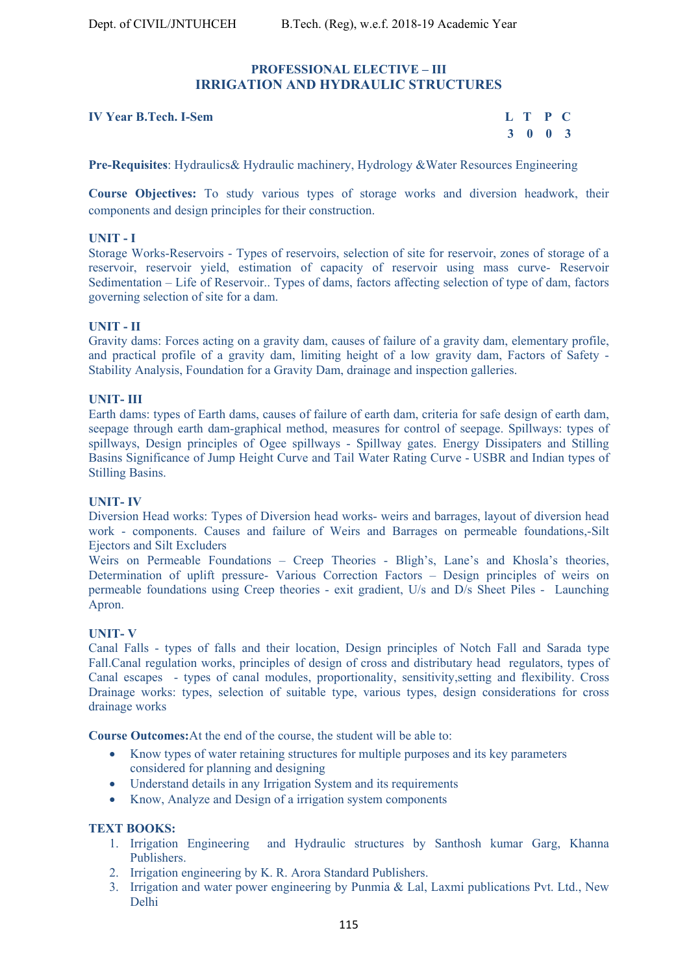#### **PROFESSIONAL ELECTIVE – III IRRIGATION AND HYDRAULIC STRUCTURES**

#### **IV Year B.Tech. I-Sem**

| r B.Tech. I-Sem | L T P C |  |
|-----------------|---------|--|
|                 | 3 0 0 3 |  |

**Pre-Requisites**: Hydraulics& Hydraulic machinery, Hydrology &Water Resources Engineering

**Course Objectives:** To study various types of storage works and diversion headwork, their components and design principles for their construction.

#### **UNIT - I**

Storage Works-Reservoirs - Types of reservoirs, selection of site for reservoir, zones of storage of a reservoir, reservoir yield, estimation of capacity of reservoir using mass curve- Reservoir Sedimentation – Life of Reservoir.. Types of dams, factors affecting selection of type of dam, factors governing selection of site for a dam.

#### **UNIT - II**

Gravity dams: Forces acting on a gravity dam, causes of failure of a gravity dam, elementary profile, and practical profile of a gravity dam, limiting height of a low gravity dam, Factors of Safety - Stability Analysis, Foundation for a Gravity Dam, drainage and inspection galleries.

#### **UNIT- III**

Earth dams: types of Earth dams, causes of failure of earth dam, criteria for safe design of earth dam, seepage through earth dam-graphical method, measures for control of seepage. Spillways: types of spillways, Design principles of Ogee spillways - Spillway gates. Energy Dissipaters and Stilling Basins Significance of Jump Height Curve and Tail Water Rating Curve - USBR and Indian types of Stilling Basins.

#### **UNIT- IV**

Diversion Head works: Types of Diversion head works- weirs and barrages, layout of diversion head work - components. Causes and failure of Weirs and Barrages on permeable foundations,-Silt Ejectors and Silt Excluders

Weirs on Permeable Foundations – Creep Theories - Bligh's, Lane's and Khosla's theories, Determination of uplift pressure- Various Correction Factors – Design principles of weirs on permeable foundations using Creep theories - exit gradient, U/s and D/s Sheet Piles - Launching Apron.

#### **UNIT- V**

Canal Falls - types of falls and their location, Design principles of Notch Fall and Sarada type Fall.Canal regulation works, principles of design of cross and distributary head regulators, types of Canal escapes - types of canal modules, proportionality, sensitivity,setting and flexibility. Cross Drainage works: types, selection of suitable type, various types, design considerations for cross drainage works

**Course Outcomes:**At the end of the course, the student will be able to:

- Know types of water retaining structures for multiple purposes and its key parameters considered for planning and designing
- Understand details in any Irrigation System and its requirements
- Know, Analyze and Design of a irrigation system components

- **TEXT BOOKS:**<br>1. Irrigation Engineering and Hydraulic structures by Santhosh kumar Garg, Khanna Publishers.
	- 2. Irrigation engineering by K. R. Arora Standard Publishers.
	- 3. Irrigation and water power engineering by Punmia & Lal, Laxmi publications Pvt. Ltd., New Delhi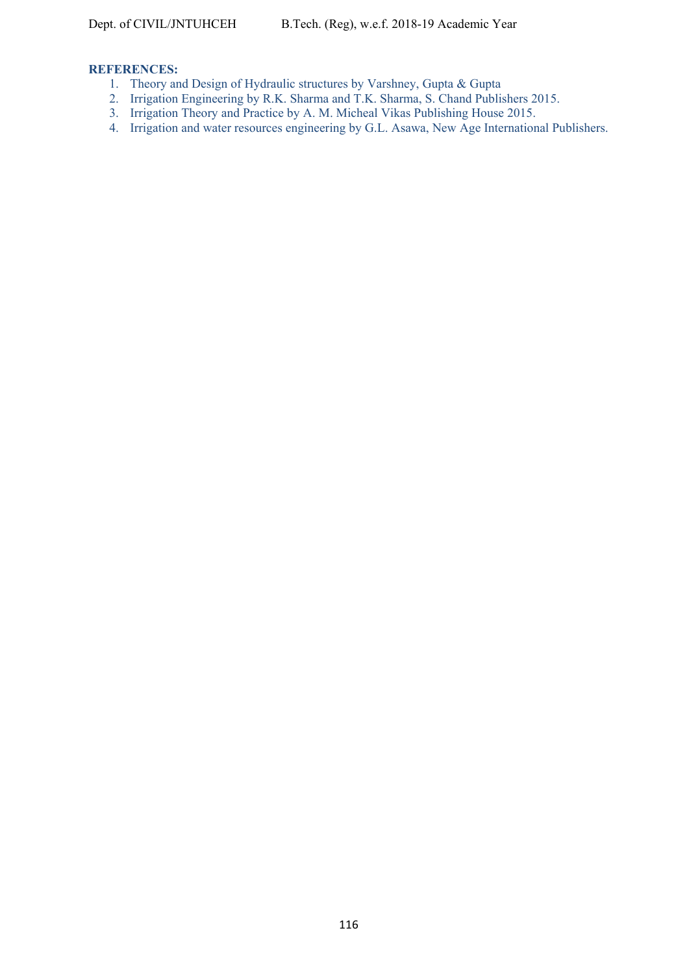# **REFERENCES:**

- 1. Theory and Design of Hydraulic structures by Varshney, Gupta & Gupta
- 2. Irrigation Engineering by R.K. Sharma and T.K. Sharma, S. Chand Publishers 2015.
- 3. Irrigation Theory and Practice by A. M. Micheal Vikas Publishing House 2015.
- 4. Irrigation and water resources engineering by G.L. Asawa, New Age International Publishers.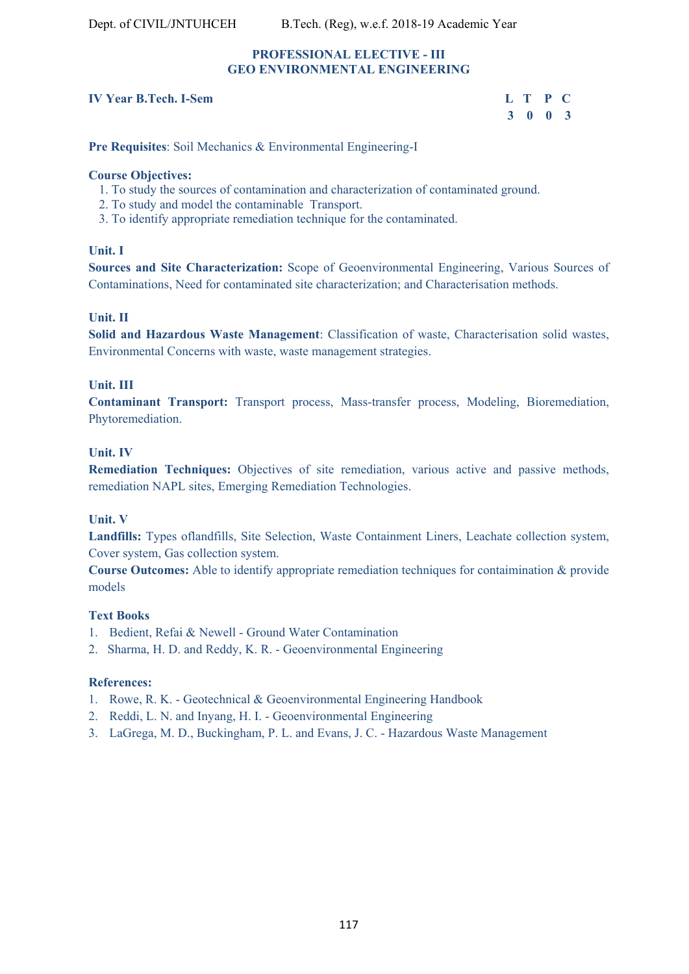#### **PROFESSIONAL ELECTIVE - III GEO ENVIRONMENTAL ENGINEERING**

#### **IV Year B Tech. L-Sem**

| r B.Tech. I-Sem | L T P C |  |
|-----------------|---------|--|
|                 | 3 0 0 3 |  |

**Pre Requisites**: Soil Mechanics & Environmental Engineering-I

#### **Course Objectives:**

- 1. To study the sources of contamination and characterization of contaminated ground.
- 2. To study and model the contaminable Transport.
- 3. To identify appropriate remediation technique for the contaminated.

#### **Unit. I**

**Sources and Site Characterization:** Scope of Geoenvironmental Engineering, Various Sources of Contaminations, Need for contaminated site characterization; and Characterisation methods.

### **Unit. II**

**Solid and Hazardous Waste Management**: Classification of waste, Characterisation solid wastes, Environmental Concerns with waste, waste management strategies.

#### **Unit. III**

**Contaminant Transport:** Transport process, Mass-transfer process, Modeling, Bioremediation, Phytoremediation.

#### **Unit. IV**

**Remediation Techniques:** Objectives of site remediation, various active and passive methods, remediation NAPL sites, Emerging Remediation Technologies.

### **Unit. V**

**Landfills:** Types oflandfills, Site Selection, Waste Containment Liners, Leachate collection system, Cover system, Gas collection system.

**Course Outcomes:** Able to identify appropriate remediation techniques for contaimination & provide models

#### **Text Books**

- 1. Bedient, Refai & Newell Ground Water Contamination
- 2. Sharma, H. D. and Reddy, K. R. Geoenvironmental Engineering

#### **References:**

- 1. Rowe, R. K. Geotechnical & Geoenvironmental Engineering Handbook
- 2. Reddi, L. N. and Inyang, H. I. Geoenvironmental Engineering
- 3. LaGrega, M. D., Buckingham, P. L. and Evans, J. C. Hazardous Waste Management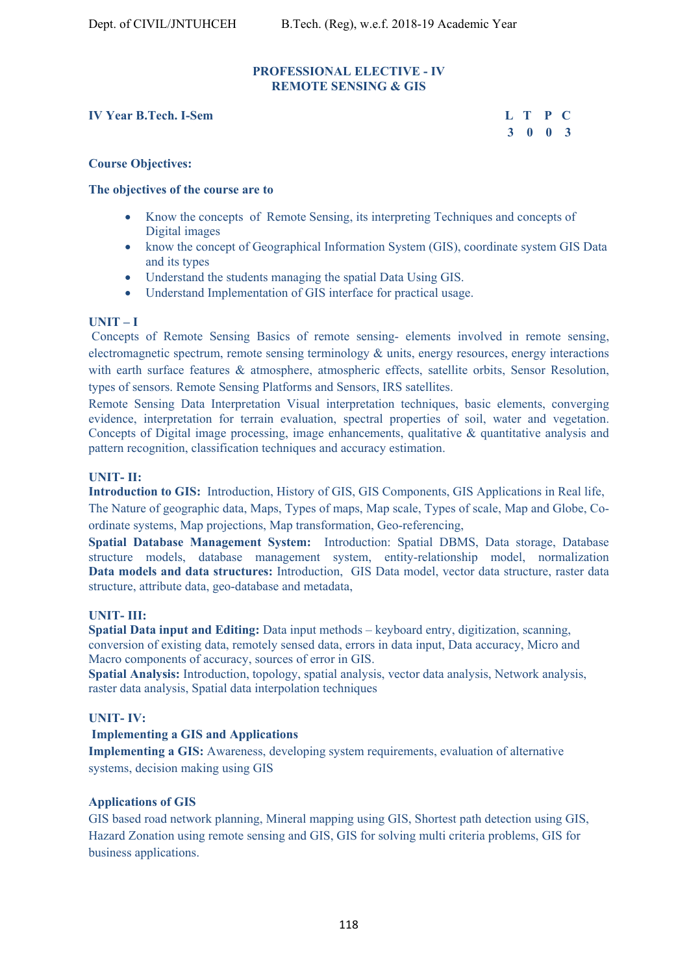#### **PROFESSIONAL ELECTIVE - IV REMOTE SENSING & GIS**

#### **IV Year B.Tech. I-Sem L T P C**

 **3 0 0 3** 

#### **Course Objectives:**

#### **The objectives of the course are to**

- Know the concepts of Remote Sensing, its interpreting Techniques and concepts of Digital images
- know the concept of Geographical Information System (GIS), coordinate system GIS Data and its types
- Understand the students managing the spatial Data Using GIS.
- Understand Implementation of GIS interface for practical usage.

#### **UNIT – I**

 Concepts of Remote Sensing Basics of remote sensing- elements involved in remote sensing, electromagnetic spectrum, remote sensing terminology  $\&$  units, energy resources, energy interactions with earth surface features & atmosphere, atmospheric effects, satellite orbits, Sensor Resolution, types of sensors. Remote Sensing Platforms and Sensors, IRS satellites.

Remote Sensing Data Interpretation Visual interpretation techniques, basic elements, converging evidence, interpretation for terrain evaluation, spectral properties of soil, water and vegetation. Concepts of Digital image processing, image enhancements, qualitative & quantitative analysis and pattern recognition, classification techniques and accuracy estimation.

#### **UNIT- II:**

**Introduction to GIS:** Introduction, History of GIS, GIS Components, GIS Applications in Real life, The Nature of geographic data, Maps, Types of maps, Map scale, Types of scale, Map and Globe, Coordinate systems, Map projections, Map transformation, Geo-referencing,

**Spatial Database Management System:** Introduction: Spatial DBMS, Data storage, Database structure models, database management system, entity-relationship model, normalization **Data models and data structures:** Introduction, GIS Data model, vector data structure, raster data structure, attribute data, geo-database and metadata,

#### **UNIT- III:**

**Spatial Data input and Editing:** Data input methods – keyboard entry, digitization, scanning, conversion of existing data, remotely sensed data, errors in data input, Data accuracy, Micro and Macro components of accuracy, sources of error in GIS.

**Spatial Analysis:** Introduction, topology, spatial analysis, vector data analysis, Network analysis, raster data analysis, Spatial data interpolation techniques

#### **UNIT- IV:**

#### **Implementing a GIS and Applications**

**Implementing a GIS:** Awareness, developing system requirements, evaluation of alternative systems, decision making using GIS

#### **Applications of GIS**

GIS based road network planning, Mineral mapping using GIS, Shortest path detection using GIS, Hazard Zonation using remote sensing and GIS, GIS for solving multi criteria problems, GIS for business applications.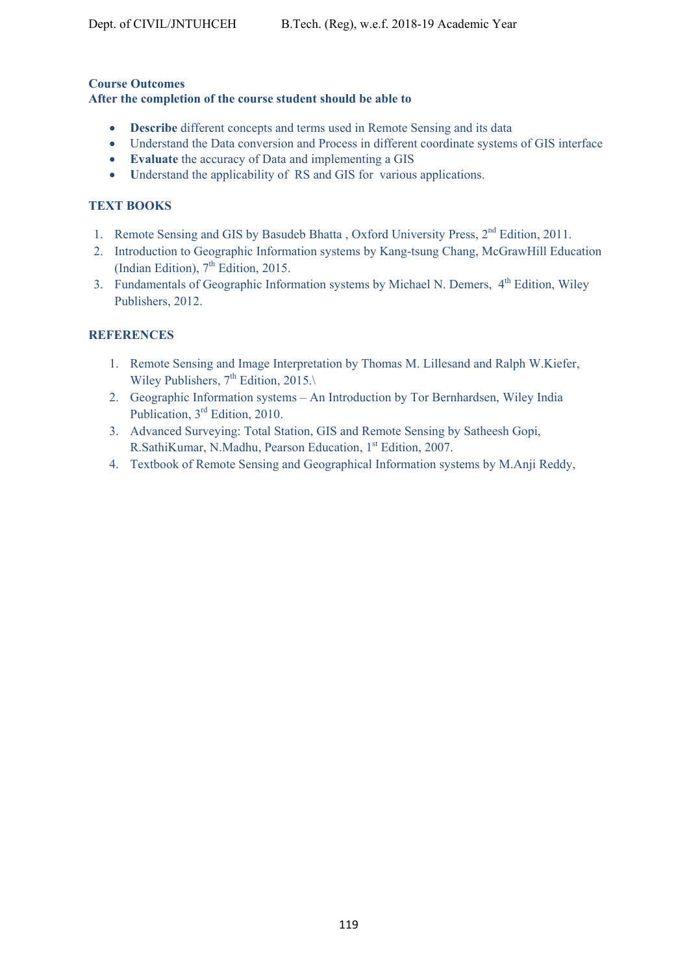### **Course Outcomes After the completion of the course student should be able to**

- **Describe** different concepts and terms used in Remote Sensing and its data
- Understand the Data conversion and Process in different coordinate systems of GIS interface
- **Evaluate** the accuracy of Data and implementing a GIS
- Understand the applicability of RS and GIS for various applications.

# **TEXT BOOKS**

- 1. Remote Sensing and GIS by Basudeb Bhatta, Oxford University Press, 2<sup>nd</sup> Edition, 2011.
- 2. Introduction to Geographic Information systems by Kang-tsung Chang, McGrawHill Education (Indian Edition),  $7<sup>th</sup>$  Edition, 2015.
- 3. Fundamentals of Geographic Information systems by Michael N. Demers, 4<sup>th</sup> Edition, Wiley Publishers, 2012.

# **REFERENCES**

- 1. Remote Sensing and Image Interpretation by Thomas M. Lillesand and Ralph W.Kiefer, Wiley Publishers,  $7<sup>th</sup>$  Edition, 2015.
- 2. Geographic Information systems An Introduction by Tor Bernhardsen, Wiley India Publication, 3rd Edition, 2010.
- 3. Advanced Surveying: Total Station, GIS and Remote Sensing by Satheesh Gopi, R.SathiKumar, N.Madhu, Pearson Education, 1st Edition, 2007.
- 4. Textbook of Remote Sensing and Geographical Information systems by M.Anji Reddy,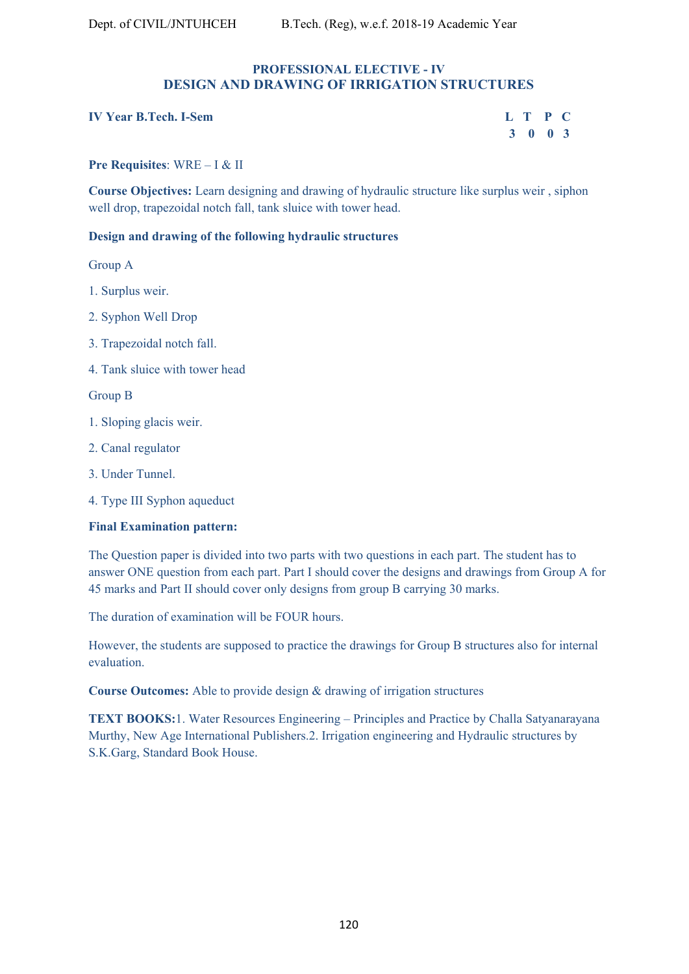#### **PROFESSIONAL ELECTIVE - IV DESIGN AND DRAWING OF IRRIGATION STRUCTURES**

#### **IV Year B.Tech. I-Sem L T P C**

| r B.Tech. I-Sem | L T P C |         |  |  |
|-----------------|---------|---------|--|--|
|                 |         | 3 0 0 3 |  |  |

#### **Pre Requisites**: WRE – I & II

**Course Objectives:** Learn designing and drawing of hydraulic structure like surplus weir , siphon well drop, trapezoidal notch fall, tank sluice with tower head.

#### **Design and drawing of the following hydraulic structures**

Group A

- 1. Surplus weir.
- 2. Syphon Well Drop
- 3. Trapezoidal notch fall.
- 4. Tank sluice with tower head

Group B

- 1. Sloping glacis weir.
- 2. Canal regulator
- 3. Under Tunnel.
- 4. Type III Syphon aqueduct

#### **Final Examination pattern:**

The Question paper is divided into two parts with two questions in each part. The student has to answer ONE question from each part. Part I should cover the designs and drawings from Group A for 45 marks and Part II should cover only designs from group B carrying 30 marks.

The duration of examination will be FOUR hours.

However, the students are supposed to practice the drawings for Group B structures also for internal evaluation.

**Course Outcomes:** Able to provide design & drawing of irrigation structures

**TEXT BOOKS:**1. Water Resources Engineering – Principles and Practice by Challa Satyanarayana Murthy, New Age International Publishers.2. Irrigation engineering and Hydraulic structures by S.K.Garg, Standard Book House.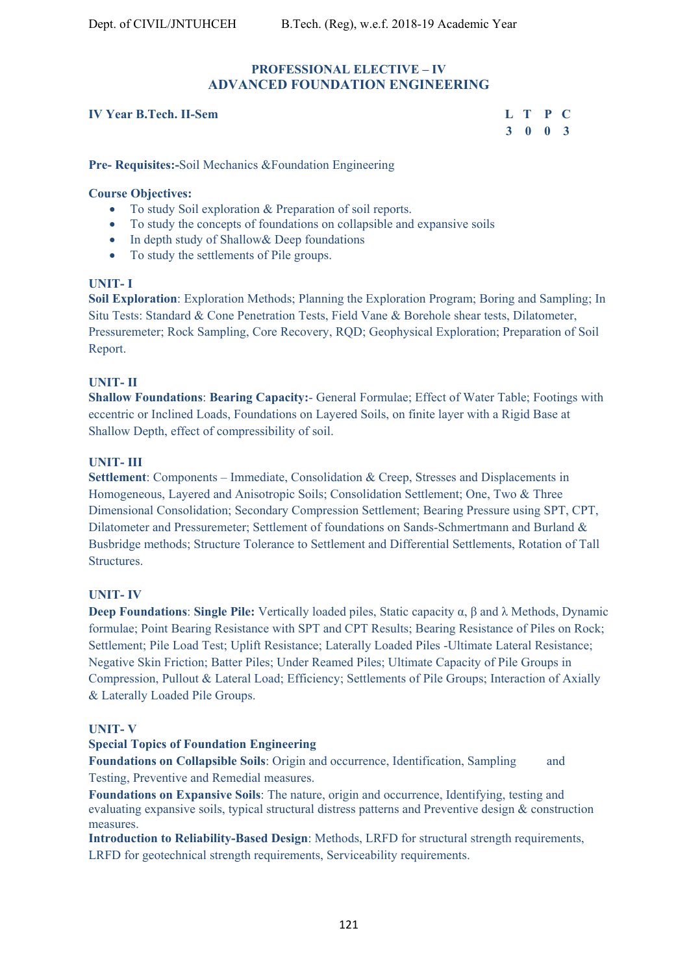#### **PROFESSIONAL ELECTIVE – IV ADVANCED FOUNDATION ENGINEERING**

#### **IV Year B.Tech. II-Sem L T P C**

 **3 0 0 3** 

**Pre- Requisites:-**Soil Mechanics &Foundation Engineering

# **Course Objectives:**

- To study Soil exploration & Preparation of soil reports.
- To study the concepts of foundations on collapsible and expansive soils
- In depth study of Shallow & Deep foundations
- To study the settlements of Pile groups.

# **UNIT- I**

**Soil Exploration**: Exploration Methods; Planning the Exploration Program; Boring and Sampling; In Situ Tests: Standard & Cone Penetration Tests, Field Vane & Borehole shear tests, Dilatometer, Pressuremeter; Rock Sampling, Core Recovery, RQD; Geophysical Exploration; Preparation of Soil Report.

#### **UNIT- II**

**Shallow Foundations**: **Bearing Capacity:**- General Formulae; Effect of Water Table; Footings with eccentric or Inclined Loads, Foundations on Layered Soils, on finite layer with a Rigid Base at Shallow Depth, effect of compressibility of soil.

#### **UNIT- III**

**Settlement**: Components – Immediate, Consolidation & Creep, Stresses and Displacements in Homogeneous, Layered and Anisotropic Soils; Consolidation Settlement; One, Two & Three Dimensional Consolidation; Secondary Compression Settlement; Bearing Pressure using SPT, CPT, Dilatometer and Pressuremeter; Settlement of foundations on Sands-Schmertmann and Burland & Busbridge methods; Structure Tolerance to Settlement and Differential Settlements, Rotation of Tall Structures.

#### **UNIT- IV**

**Deep Foundations**: **Single Pile:** Vertically loaded piles, Static capacity α, β and λ Methods, Dynamic formulae; Point Bearing Resistance with SPT and CPT Results; Bearing Resistance of Piles on Rock; Settlement; Pile Load Test; Uplift Resistance; Laterally Loaded Piles -Ultimate Lateral Resistance; Negative Skin Friction; Batter Piles; Under Reamed Piles; Ultimate Capacity of Pile Groups in Compression, Pullout & Lateral Load; Efficiency; Settlements of Pile Groups; Interaction of Axially & Laterally Loaded Pile Groups.

### **UNIT- V**

### **Special Topics of Foundation Engineering**

Foundations on Collapsible Soils: Origin and occurrence, Identification, Sampling and Testing, Preventive and Remedial measures.

**Foundations on Expansive Soils**: The nature, origin and occurrence, Identifying, testing and evaluating expansive soils, typical structural distress patterns and Preventive design & construction measures.

**Introduction to Reliability-Based Design**: Methods, LRFD for structural strength requirements, LRFD for geotechnical strength requirements, Serviceability requirements.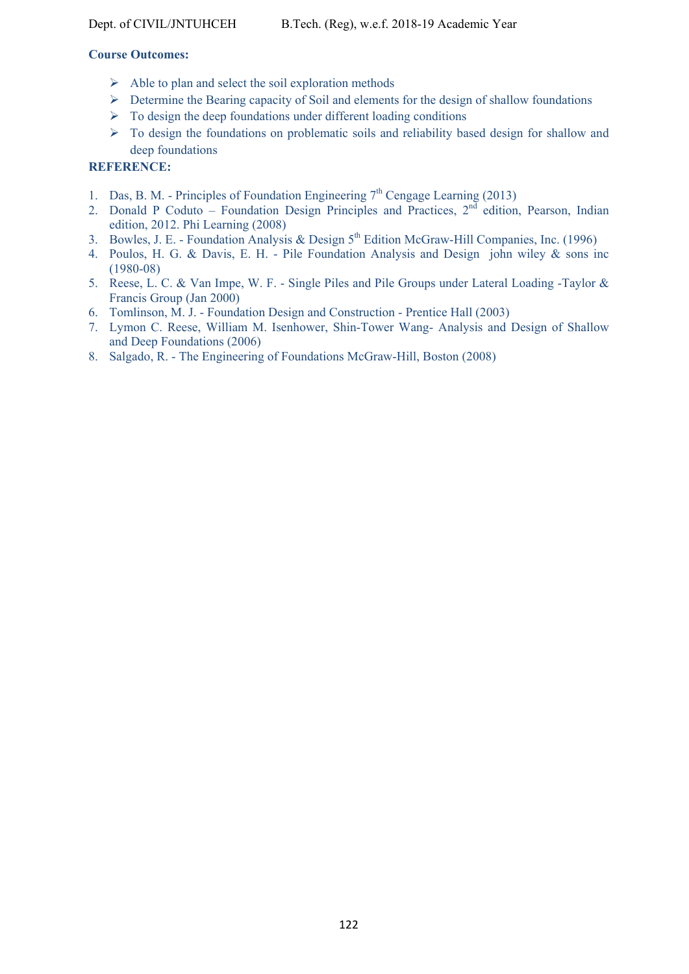### **Course Outcomes:**

- $\triangleright$  Able to plan and select the soil exploration methods
- Determine the Bearing capacity of Soil and elements for the design of shallow foundations
- $\triangleright$  To design the deep foundations under different loading conditions
- $\triangleright$  To design the foundations on problematic soils and reliability based design for shallow and deep foundations

# **REFERENCE:**

- 1. Das, B. M. Principles of Foundation Engineering  $7<sup>th</sup>$  Cengage Learning (2013)
- 2. Donald P Coduto Foundation Design Principles and Practices,  $2<sup>nd</sup>$  edition, Pearson, Indian edition, 2012. Phi Learning (2008)
- 3. Bowles, J. E. Foundation Analysis & Design  $5<sup>th</sup>$  Edition McGraw-Hill Companies, Inc. (1996)
- 4. Poulos, H. G. & Davis, E. H. Pile Foundation Analysis and Design john wiley & sons inc (1980-08)
- 5. Reese, L. C. & Van Impe, W. F. Single Piles and Pile Groups under Lateral Loading -Taylor & Francis Group (Jan 2000)
- 6. Tomlinson, M. J. Foundation Design and Construction Prentice Hall (2003)
- 7. Lymon C. Reese, William M. Isenhower, Shin-Tower Wang- Analysis and Design of Shallow and Deep Foundations (2006)
- 8. Salgado, R. The Engineering of Foundations McGraw-Hill, Boston (2008)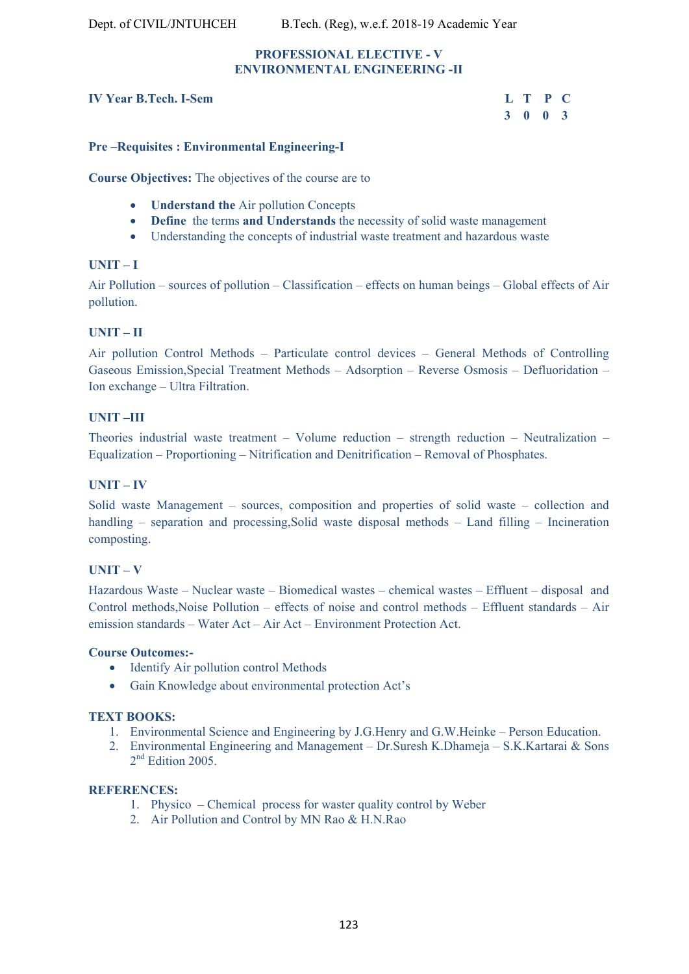#### **PROFESSIONAL ELECTIVE - V ENVIRONMENTAL ENGINEERING -II**

### **IV Year B Tech. L-Sem**

| r <b>B.Tech. I-Sem</b> |  | L T P C |  |
|------------------------|--|---------|--|
|                        |  | 3 0 0 3 |  |

#### **Pre –Requisites : Environmental Engineering-I**

**Course Objectives:** The objectives of the course are to

- **Understand the** Air pollution Concepts
- **Define** the terms **and Understands** the necessity of solid waste management
- Understanding the concepts of industrial waste treatment and hazardous waste

#### **UNIT – I**

Air Pollution – sources of pollution – Classification – effects on human beings – Global effects of Air pollution.

#### **UNIT – II**

Air pollution Control Methods – Particulate control devices – General Methods of Controlling Gaseous Emission,Special Treatment Methods – Adsorption – Reverse Osmosis – Defluoridation – Ion exchange – Ultra Filtration.

#### **UNIT –III**

Theories industrial waste treatment – Volume reduction – strength reduction – Neutralization – Equalization – Proportioning – Nitrification and Denitrification – Removal of Phosphates.

#### **UNIT – IV**

Solid waste Management – sources, composition and properties of solid waste – collection and handling – separation and processing, Solid waste disposal methods – Land filling – Incineration composting.

#### **UNIT – V**

Hazardous Waste – Nuclear waste – Biomedical wastes – chemical wastes – Effluent – disposal and Control methods,Noise Pollution – effects of noise and control methods – Effluent standards – Air emission standards – Water Act – Air Act – Environment Protection Act.

#### **Course Outcomes:-**

- Identify Air pollution control Methods
- Gain Knowledge about environmental protection Act's

#### **TEXT BOOKS:**

- 1. Environmental Science and Engineering by J.G.Henry and G.W.Heinke Person Education.
- 2. Environmental Engineering and Management Dr.Suresh K.Dhameja S.K.Kartarai & Sons 2<sup>nd</sup> Edition 2005.

#### **REFERENCES:**

- 1. Physico Chemical process for waster quality control by Weber
- 2. Air Pollution and Control by MN Rao & H.N.Rao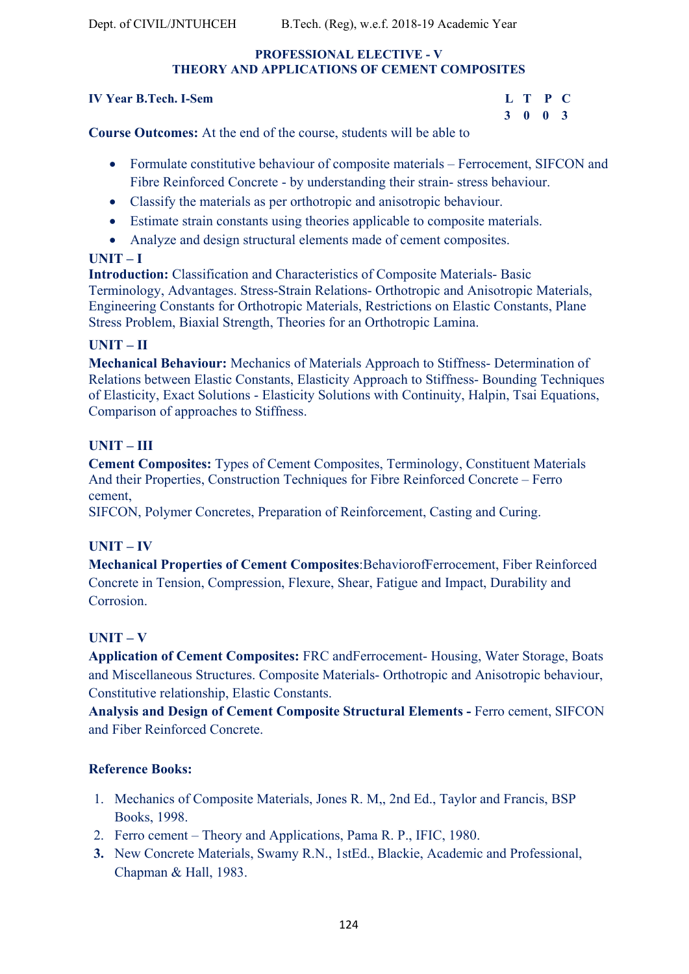### **PROFESSIONAL ELECTIVE - V THEORY AND APPLICATIONS OF CEMENT COMPOSITES**

#### **IV Year B. Tech. L-Sem.**

| r <b>B.Tech. I-Sem</b> |         | L T P C |  |
|------------------------|---------|---------|--|
|                        | 3 0 0 3 |         |  |

**Course Outcomes:** At the end of the course, students will be able to

- Formulate constitutive behaviour of composite materials Ferrocement, SIFCON and Fibre Reinforced Concrete - by understanding their strain- stress behaviour.
- Classify the materials as per orthotropic and anisotropic behaviour.
- Estimate strain constants using theories applicable to composite materials.
- Analyze and design structural elements made of cement composites.

# **UNIT – I**

**Introduction:** Classification and Characteristics of Composite Materials- Basic Terminology, Advantages. Stress-Strain Relations- Orthotropic and Anisotropic Materials, Engineering Constants for Orthotropic Materials, Restrictions on Elastic Constants, Plane Stress Problem, Biaxial Strength, Theories for an Orthotropic Lamina.

# **UNIT – II**

**Mechanical Behaviour:** Mechanics of Materials Approach to Stiffness- Determination of Relations between Elastic Constants, Elasticity Approach to Stiffness- Bounding Techniques of Elasticity, Exact Solutions - Elasticity Solutions with Continuity, Halpin, Tsai Equations, Comparison of approaches to Stiffness.

# **UNIT – III**

**Cement Composites:** Types of Cement Composites, Terminology, Constituent Materials And their Properties, Construction Techniques for Fibre Reinforced Concrete – Ferro cement,

SIFCON, Polymer Concretes, Preparation of Reinforcement, Casting and Curing.

# **UNIT – IV**

**Mechanical Properties of Cement Composites**:BehaviorofFerrocement, Fiber Reinforced Concrete in Tension, Compression, Flexure, Shear, Fatigue and Impact, Durability and Corrosion.

# **UNIT – V**

**Application of Cement Composites:** FRC andFerrocement- Housing, Water Storage, Boats and Miscellaneous Structures. Composite Materials- Orthotropic and Anisotropic behaviour, Constitutive relationship, Elastic Constants.

**Analysis and Design of Cement Composite Structural Elements -** Ferro cement, SIFCON and Fiber Reinforced Concrete.

# **Reference Books:**

- 1. Mechanics of Composite Materials, Jones R. M,, 2nd Ed., Taylor and Francis, BSP Books, 1998.
- 2. Ferro cement Theory and Applications, Pama R. P., IFIC, 1980.
- **3.** New Concrete Materials, Swamy R.N., 1stEd., Blackie, Academic and Professional, Chapman & Hall, 1983.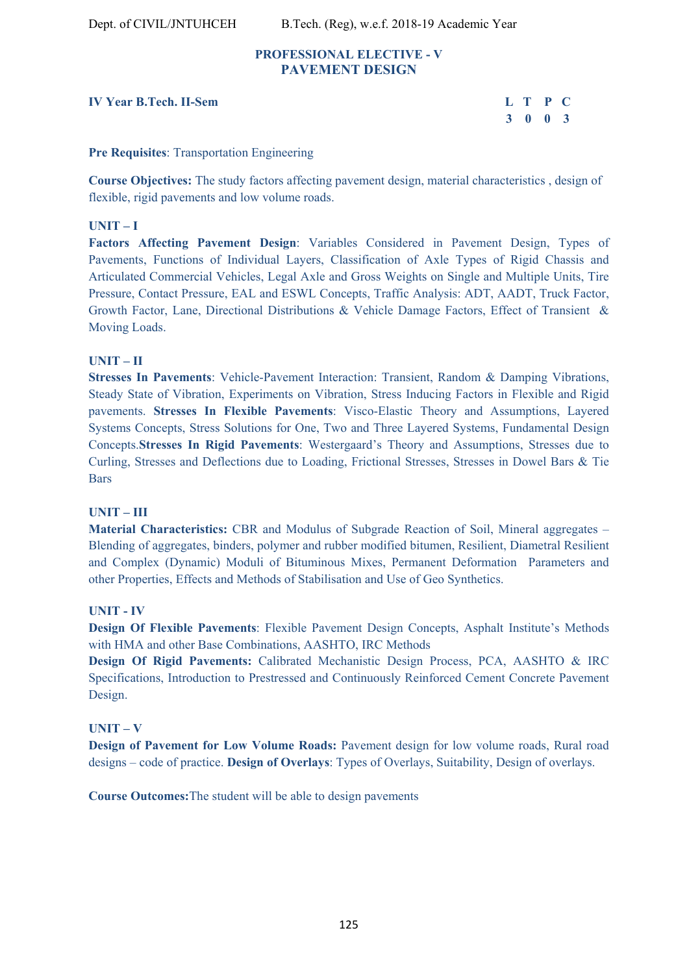Dept. of CIVIL/JNTUHCEH B.Tech. (Reg), w.e.f. 2018-19 Academic Year

#### **PROFESSIONAL ELECTIVE - V PAVEMENT DESIGN**

#### **IV Year B.Tech. II-Sem**

| r B.Tech. II-Sem | L T P C |  |
|------------------|---------|--|
|                  | 3 0 0 3 |  |

#### **Pre Requisites**: Transportation Engineering

**Course Objectives:** The study factors affecting pavement design, material characteristics , design of flexible, rigid pavements and low volume roads.

#### **UNIT – I**

**Factors Affecting Pavement Design**: Variables Considered in Pavement Design, Types of Pavements, Functions of Individual Layers, Classification of Axle Types of Rigid Chassis and Articulated Commercial Vehicles, Legal Axle and Gross Weights on Single and Multiple Units, Tire Pressure, Contact Pressure, EAL and ESWL Concepts, Traffic Analysis: ADT, AADT, Truck Factor, Growth Factor, Lane, Directional Distributions & Vehicle Damage Factors, Effect of Transient & Moving Loads.

### **UNIT – II**

**Stresses In Pavements**: Vehicle-Pavement Interaction: Transient, Random & Damping Vibrations, Steady State of Vibration, Experiments on Vibration, Stress Inducing Factors in Flexible and Rigid pavements. **Stresses In Flexible Pavements**: Visco-Elastic Theory and Assumptions, Layered Systems Concepts, Stress Solutions for One, Two and Three Layered Systems, Fundamental Design Concepts.**Stresses In Rigid Pavements**: Westergaard's Theory and Assumptions, Stresses due to Curling, Stresses and Deflections due to Loading, Frictional Stresses, Stresses in Dowel Bars & Tie Bars

#### **UNIT – III**

**Material Characteristics:** CBR and Modulus of Subgrade Reaction of Soil, Mineral aggregates – Blending of aggregates, binders, polymer and rubber modified bitumen, Resilient, Diametral Resilient and Complex (Dynamic) Moduli of Bituminous Mixes, Permanent Deformation Parameters and other Properties, Effects and Methods of Stabilisation and Use of Geo Synthetics.

### **UNIT - IV**

**Design Of Flexible Pavements**: Flexible Pavement Design Concepts, Asphalt Institute's Methods with HMA and other Base Combinations, AASHTO, IRC Methods

**Design Of Rigid Pavements:** Calibrated Mechanistic Design Process, PCA, AASHTO & IRC Specifications, Introduction to Prestressed and Continuously Reinforced Cement Concrete Pavement Design.

#### **UNIT – V**

**Design of Pavement for Low Volume Roads:** Pavement design for low volume roads, Rural road designs – code of practice. **Design of Overlays**: Types of Overlays, Suitability, Design of overlays.

**Course Outcomes:**The student will be able to design pavements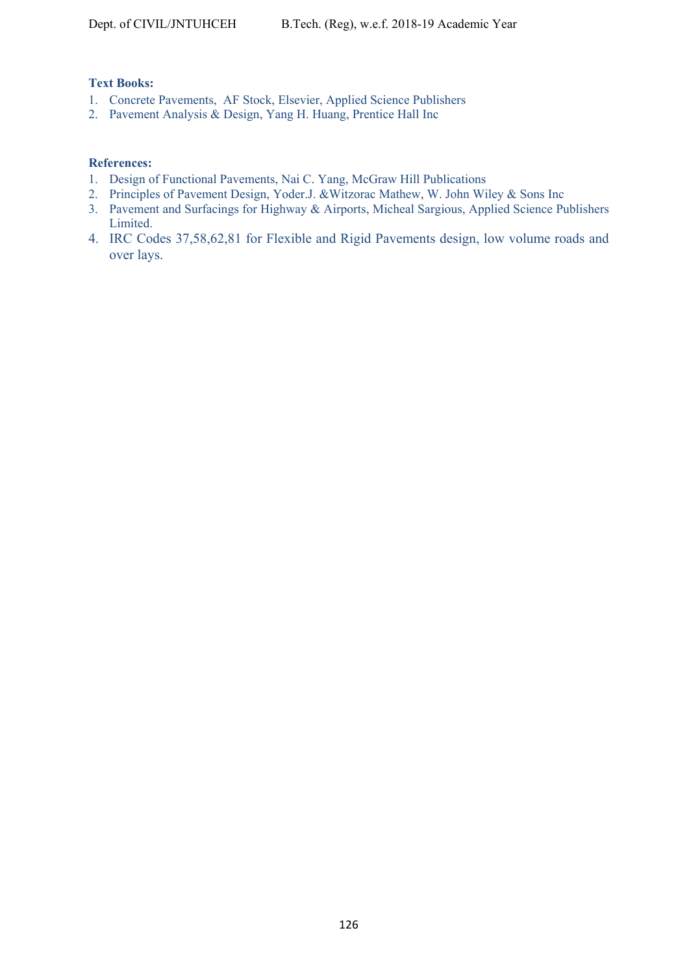#### **Text Books:**

- 1. Concrete Pavements, AF Stock, Elsevier, Applied Science Publishers
- 2. Pavement Analysis & Design, Yang H. Huang, Prentice Hall Inc

#### **References:**

- 1. Design of Functional Pavements, Nai C. Yang, McGraw Hill Publications
- 2. Principles of Pavement Design, Yoder.J. &Witzorac Mathew, W. John Wiley & Sons Inc
- 3. Pavement and Surfacings for Highway & Airports, Micheal Sargious, Applied Science Publishers Limited.
- 4. IRC Codes 37,58,62,81 for Flexible and Rigid Pavements design, low volume roads and over lays.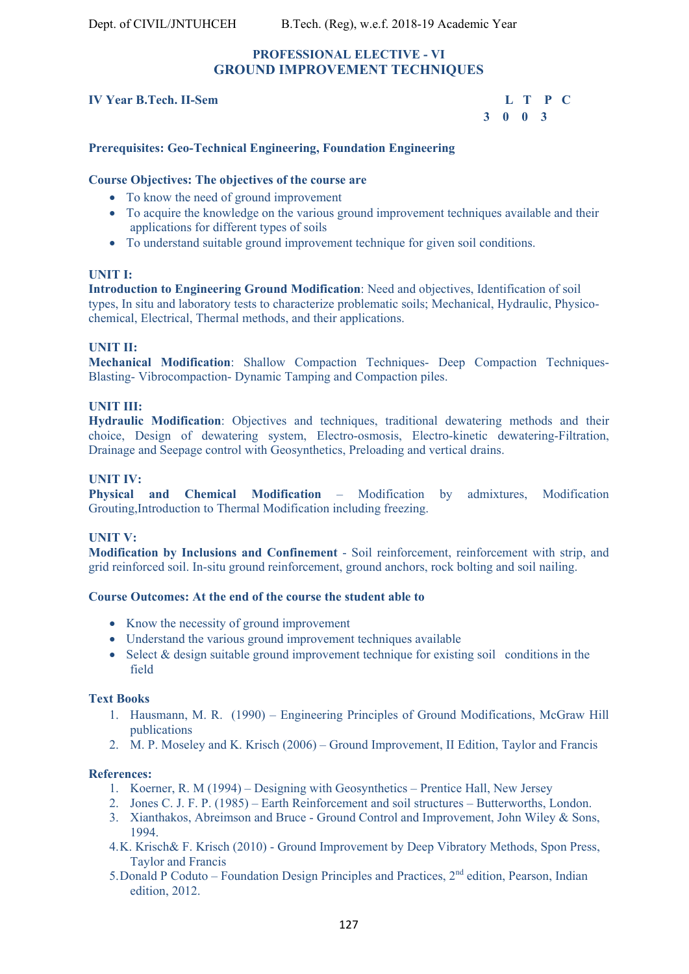# **PROFESSIONAL ELECTIVE - VI GROUND IMPROVEMENT TECHNIQUES**

#### **IV Year B.Tech. II-Sem**

| <b>Tech. II-Sem</b> |         |  | L T P C |  |
|---------------------|---------|--|---------|--|
|                     | 3 0 0 3 |  |         |  |

#### **Prerequisites: Geo-Technical Engineering, Foundation Engineering**

#### **Course Objectives: The objectives of the course are**

- To know the need of ground improvement
- To acquire the knowledge on the various ground improvement techniques available and their applications for different types of soils
- To understand suitable ground improvement technique for given soil conditions.

#### **UNIT I:**

**Introduction to Engineering Ground Modification**: Need and objectives, Identification of soil types, In situ and laboratory tests to characterize problematic soils; Mechanical, Hydraulic, Physicochemical, Electrical, Thermal methods, and their applications.

#### **UNIT II:**

**Mechanical Modification**: Shallow Compaction Techniques- Deep Compaction Techniques-Blasting- Vibrocompaction- Dynamic Tamping and Compaction piles.

#### **UNIT III:**

**Hydraulic Modification**: Objectives and techniques, traditional dewatering methods and their choice, Design of dewatering system, Electro-osmosis, Electro-kinetic dewatering-Filtration, Drainage and Seepage control with Geosynthetics, Preloading and vertical drains.

#### **UNIT IV:**

**Physical and Chemical Modification** – Modification by admixtures, Modification Grouting,Introduction to Thermal Modification including freezing.

#### **UNIT V:**

**Modification by Inclusions and Confinement** - Soil reinforcement, reinforcement with strip, and grid reinforced soil. In-situ ground reinforcement, ground anchors, rock bolting and soil nailing.

#### **Course Outcomes: At the end of the course the student able to**

- Know the necessity of ground improvement
- Understand the various ground improvement techniques available
- $\bullet$  Select & design suitable ground improvement technique for existing soil conditions in the field

#### **Text Books**

- 1. Hausmann, M. R. (1990) Engineering Principles of Ground Modifications, McGraw Hill publications
- 2. M. P. Moseley and K. Krisch (2006) Ground Improvement, II Edition, Taylor and Francis

#### **References:**

- 1. Koerner, R. M (1994) Designing with Geosynthetics Prentice Hall, New Jersey
- 2. Jones C. J. F. P. (1985) Earth Reinforcement and soil structures Butterworths, London.
- 3. Xianthakos, Abreimson and Bruce Ground Control and Improvement, John Wiley & Sons, 1994.
- 4.K. Krisch& F. Krisch (2010) Ground Improvement by Deep Vibratory Methods, Spon Press, Taylor and Francis
- 5. Donald P Coduto Foundation Design Principles and Practices,  $2<sup>nd</sup>$  edition, Pearson, Indian edition, 2012.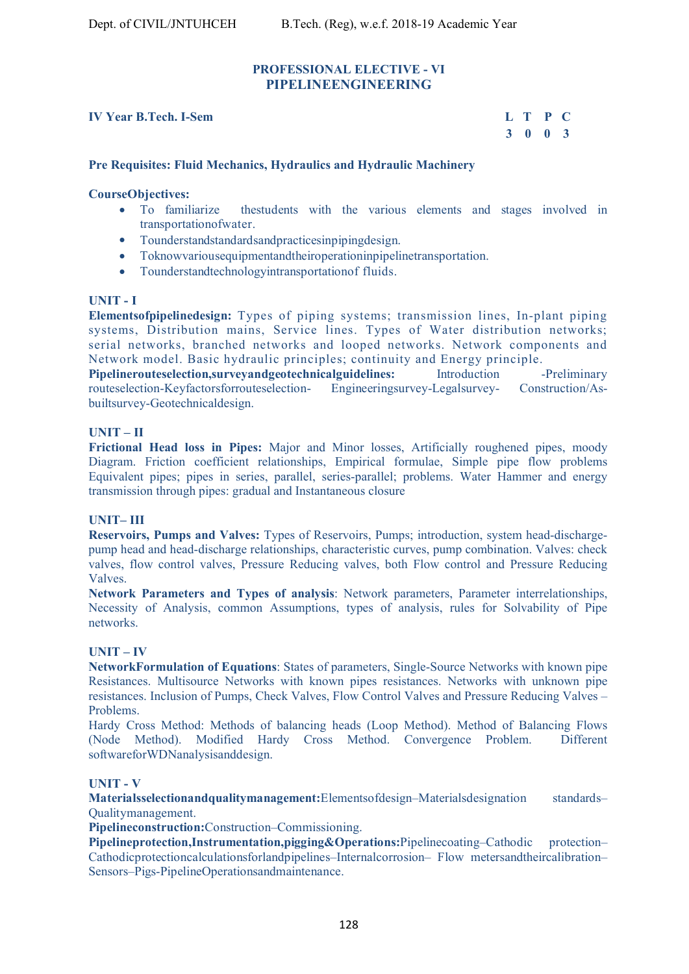### **PROFESSIONAL ELECTIVE - VI PIPELINEENGINEERING**

#### **IV Year B.Tech. I-Sem L T P C**

 **3 0 0 3** 

#### **Pre Requisites: Fluid Mechanics, Hydraulics and Hydraulic Machinery**

#### **CourseObjectives:**

- To familiarize thestudents with the various elements and stages involved in transportationofwater.
- Tounderstandstandardsandpracticesinpipingdesign.
- Toknowvariousequipmentandtheiroperationinpipelinetransportation.
- Tounderstandtechnologyintransportationof fluids.

#### **UNIT - I**

**Elementsofpipelinedesign:** Types of piping systems; transmission lines, In-plant piping systems, Distribution mains, Service lines. Types of Water distribution networks; serial networks, branched networks and looped networks. Network components and Network model. Basic hydraulic principles; continuity and Energy principle.

**Pipelinerouteselection,surveyandgeotechnicalguidelines:** Introduction -Preliminary routeselection-Keyfactorsforrouteselection- Engineeringsurvey-Legalsurvey- Construction/Asbuiltsurvey-Geotechnicaldesign.

#### **UNIT – II**

**Frictional Head loss in Pipes:** Major and Minor losses, Artificially roughened pipes, moody Diagram. Friction coefficient relationships, Empirical formulae, Simple pipe flow problems Equivalent pipes; pipes in series, parallel, series-parallel; problems. Water Hammer and energy transmission through pipes: gradual and Instantaneous closure

#### **UNIT– III**

**Reservoirs, Pumps and Valves:** Types of Reservoirs, Pumps; introduction, system head-dischargepump head and head-discharge relationships, characteristic curves, pump combination. Valves: check valves, flow control valves, Pressure Reducing valves, both Flow control and Pressure Reducing Valves.

**Network Parameters and Types of analysis**: Network parameters, Parameter interrelationships, Necessity of Analysis, common Assumptions, types of analysis, rules for Solvability of Pipe networks.

#### **UNIT – IV**

**NetworkFormulation of Equations**: States of parameters, Single-Source Networks with known pipe Resistances. Multisource Networks with known pipes resistances. Networks with unknown pipe resistances. Inclusion of Pumps, Check Valves, Flow Control Valves and Pressure Reducing Valves – Problems.

Hardy Cross Method: Methods of balancing heads (Loop Method). Method of Balancing Flows (Node Method). Modified Hardy Cross Method. Convergence Problem. Different softwareforWDNanalysisanddesign.

#### **UNIT - V**

**Materialsselectionandqualitymanagement:**Elementsofdesign–Materialsdesignation standards– Qualitymanagement.

**Pipelineconstruction:**Construction–Commissioning.

**Pipelineprotection,Instrumentation,pigging&Operations:**Pipelinecoating–Cathodic protection– Cathodicprotectioncalculationsforlandpipelines–Internalcorrosion– Flow metersandtheircalibration– Sensors–Pigs-PipelineOperationsandmaintenance.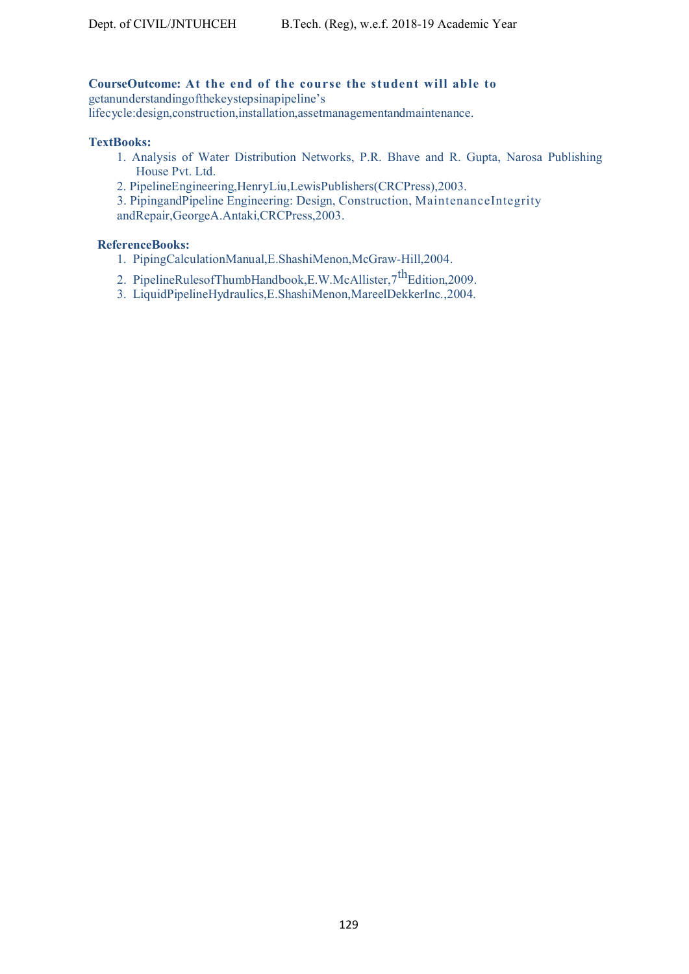# **CourseOutcome: At the end of the course the student will able to**

getanunderstandingofthekeystepsinapipeline's

lifecycle:design,construction,installation,assetmanagementandmaintenance.

#### **TextBooks:**

- 1. Analysis of Water Distribution Networks, P.R. Bhave and R. Gupta, Narosa Publishing House Pvt. Ltd.
- 2. PipelineEngineering,HenryLiu,LewisPublishers(CRCPress),2003.
- 3. PipingandPipeline Engineering: Design, Construction, MaintenanceIntegrity andRepair,GeorgeA.Antaki,CRCPress,2003.

#### **ReferenceBooks:**

- 1. PipingCalculationManual,E.ShashiMenon,McGraw-Hill,2004.
- 2. PipelineRulesofThumbHandbook,E.W.McAllister, $7^{th}$ Edition,2009.
- 3. LiquidPipelineHydraulics,E.ShashiMenon,MareelDekkerInc.,2004.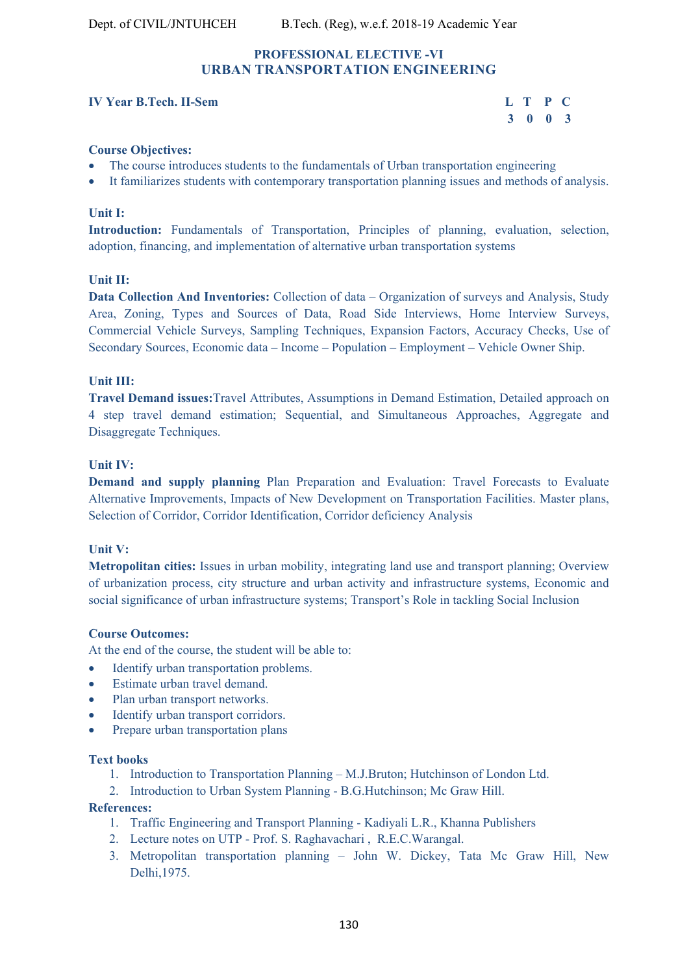# **PROFESSIONAL ELECTIVE -VI URBAN TRANSPORTATION ENGINEERING**

#### **IV Year B.Tech. II-Sem**

| r B.Tech. II-Sem | L T P C                     |  |
|------------------|-----------------------------|--|
|                  | $3 \quad 0 \quad 0 \quad 3$ |  |

#### **Course Objectives:**

- The course introduces students to the fundamentals of Urban transportation engineering
- It familiarizes students with contemporary transportation planning issues and methods of analysis.

#### **Unit I:**

**Introduction:** Fundamentals of Transportation, Principles of planning, evaluation, selection, adoption, financing, and implementation of alternative urban transportation systems

#### **Unit II:**

**Data Collection And Inventories:** Collection of data – Organization of surveys and Analysis, Study Area, Zoning, Types and Sources of Data, Road Side Interviews, Home Interview Surveys, Commercial Vehicle Surveys, Sampling Techniques, Expansion Factors, Accuracy Checks, Use of Secondary Sources, Economic data – Income – Population – Employment – Vehicle Owner Ship.

#### **Unit III:**

**Travel Demand issues:**Travel Attributes, Assumptions in Demand Estimation, Detailed approach on 4 step travel demand estimation; Sequential, and Simultaneous Approaches, Aggregate and Disaggregate Techniques.

#### **Unit IV:**

**Demand and supply planning** Plan Preparation and Evaluation: Travel Forecasts to Evaluate Alternative Improvements, Impacts of New Development on Transportation Facilities. Master plans, Selection of Corridor, Corridor Identification, Corridor deficiency Analysis

#### **Unit V:**

**Metropolitan cities:** Issues in urban mobility, integrating land use and transport planning; Overview of urbanization process, city structure and urban activity and infrastructure systems, Economic and social significance of urban infrastructure systems; Transport's Role in tackling Social Inclusion

#### **Course Outcomes:**

At the end of the course, the student will be able to:

- Identify urban transportation problems.
- Estimate urban travel demand.
- Plan urban transport networks.
- Identify urban transport corridors.
- Prepare urban transportation plans

#### **Text books**

- 1. Introduction to Transportation Planning M.J.Bruton; Hutchinson of London Ltd.
- 2. Introduction to Urban System Planning B.G.Hutchinson; Mc Graw Hill.

#### **References:**

- 1. Traffic Engineering and Transport Planning Kadiyali L.R., Khanna Publishers
- 2. Lecture notes on UTP Prof. S. Raghavachari , R.E.C.Warangal.
- 3. Metropolitan transportation planning John W. Dickey, Tata Mc Graw Hill, New Delhi,1975.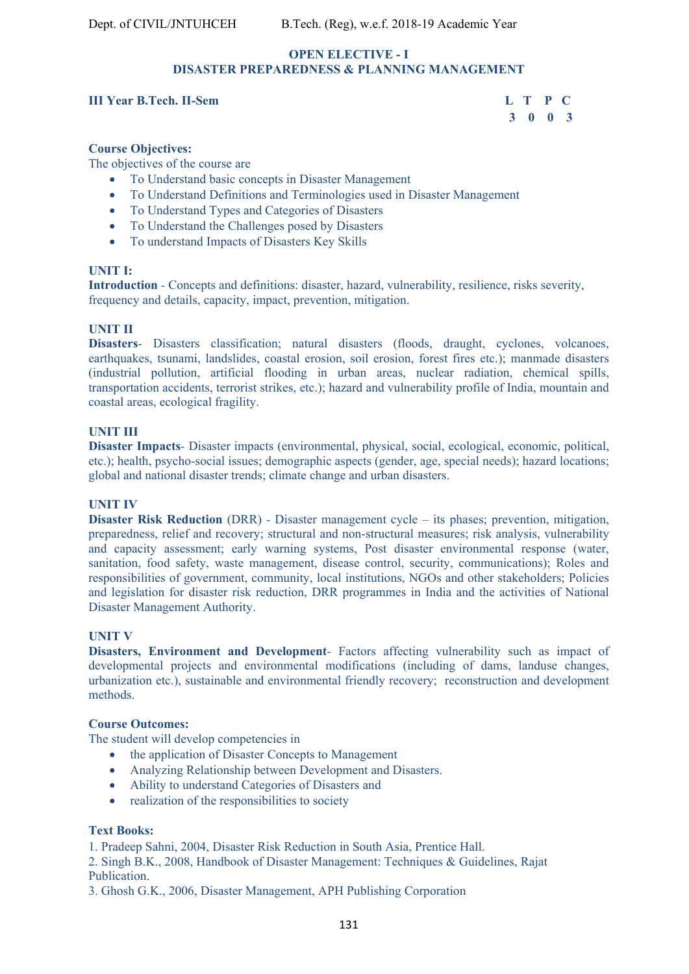#### **OPEN ELECTIVE - I DISASTER PREPAREDNESS & PLANNING MANAGEMENT**

#### **III Year B.Tech. II-Sem L T P C**

# **3 0 0 3**

#### **Course Objectives:**

The objectives of the course are

- To Understand basic concepts in Disaster Management
- To Understand Definitions and Terminologies used in Disaster Management
- To Understand Types and Categories of Disasters
- To Understand the Challenges posed by Disasters
- To understand Impacts of Disasters Key Skills

#### **UNIT I:**

**Introduction** *-* Concepts and definitions: disaster, hazard, vulnerability, resilience, risks severity, frequency and details, capacity, impact, prevention, mitigation.

#### **UNIT II**

**Disasters***-* Disasters classification; natural disasters (floods, draught, cyclones, volcanoes, earthquakes, tsunami, landslides, coastal erosion, soil erosion, forest fires etc.); manmade disasters (industrial pollution, artificial flooding in urban areas, nuclear radiation, chemical spills, transportation accidents, terrorist strikes, etc.); hazard and vulnerability profile of India, mountain and coastal areas, ecological fragility.

#### **UNIT III**

**Disaster Impacts***-* Disaster impacts (environmental, physical, social, ecological, economic, political, etc.); health, psycho-social issues; demographic aspects (gender, age, special needs); hazard locations; global and national disaster trends; climate change and urban disasters.

#### **UNIT IV**

**Disaster Risk Reduction** (DRR) *-* Disaster management cycle – its phases; prevention, mitigation, preparedness, relief and recovery; structural and non-structural measures; risk analysis, vulnerability and capacity assessment; early warning systems, Post disaster environmental response (water, sanitation, food safety, waste management, disease control, security, communications); Roles and responsibilities of government, community, local institutions, NGOs and other stakeholders; Policies and legislation for disaster risk reduction, DRR programmes in India and the activities of National Disaster Management Authority.

#### **UNIT V**

**Disasters, Environment and Development**- Factors affecting vulnerability such as impact of developmental projects and environmental modifications (including of dams, landuse changes, urbanization etc.), sustainable and environmental friendly recovery; reconstruction and development methods.

#### **Course Outcomes:**

The student will develop competencies in

- the application of Disaster Concepts to Management
- Analyzing Relationship between Development and Disasters.
- Ability to understand Categories of Disasters and
- realization of the responsibilities to society

#### **Text Books:**

1. Pradeep Sahni, 2004, Disaster Risk Reduction in South Asia, Prentice Hall.

2. Singh B.K., 2008, Handbook of Disaster Management: Techniques & Guidelines, Rajat Publication.

3. Ghosh G.K., 2006, Disaster Management, APH Publishing Corporation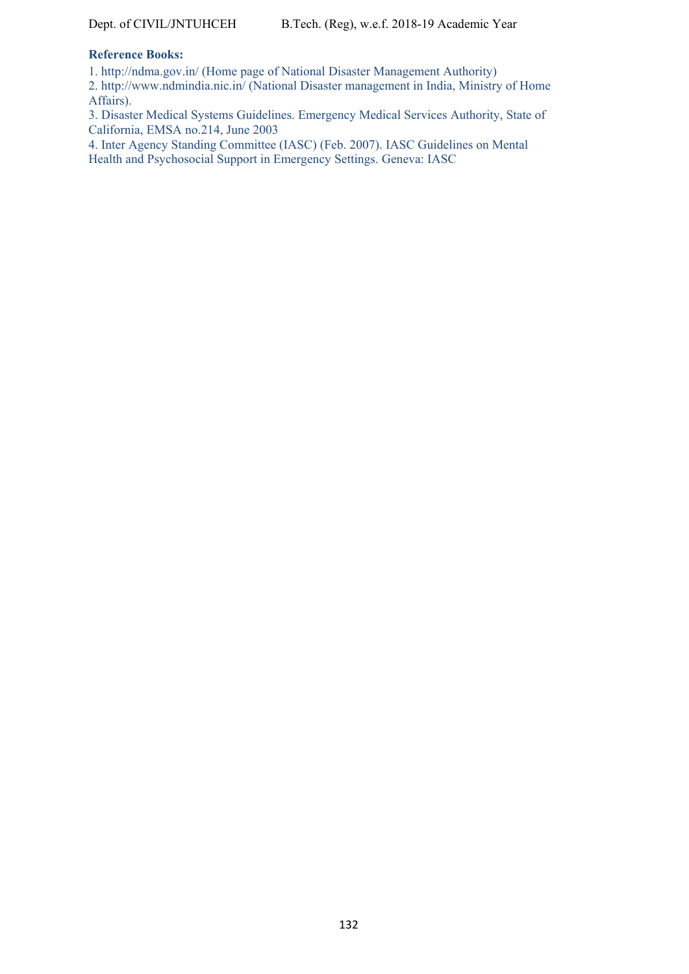#### **Reference Books:**

1. http://ndma.gov.in/ (Home page of National Disaster Management Authority)

2. http://www.ndmindia.nic.in/ (National Disaster management in India, Ministry of Home Affairs).

3. Disaster Medical Systems Guidelines. Emergency Medical Services Authority, State of California, EMSA no.214, June 2003

4. Inter Agency Standing Committee (IASC) (Feb. 2007). IASC Guidelines on Mental Health and Psychosocial Support in Emergency Settings. Geneva: IASC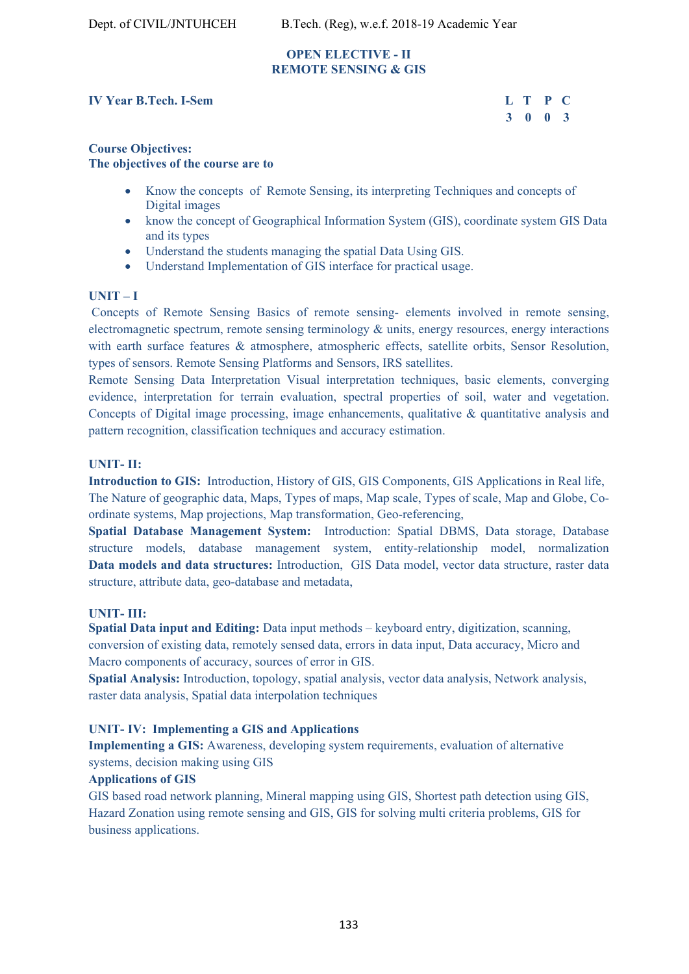#### **OPEN ELECTIVE - II REMOTE SENSING & GIS**

#### **IV Year B.Tech. I-Sem**

| r B.Tech. I-Sem | L T P C |  |
|-----------------|---------|--|
|                 | 3 0 0 3 |  |

#### **Course Objectives: The objectives of the course are to**

- Know the concepts of Remote Sensing, its interpreting Techniques and concepts of Digital images
- know the concept of Geographical Information System (GIS), coordinate system GIS Data and its types
- Understand the students managing the spatial Data Using GIS.
- Understand Implementation of GIS interface for practical usage.

#### **UNIT – I**

 Concepts of Remote Sensing Basics of remote sensing- elements involved in remote sensing, electromagnetic spectrum, remote sensing terminology  $\&$  units, energy resources, energy interactions with earth surface features & atmosphere, atmospheric effects, satellite orbits, Sensor Resolution, types of sensors. Remote Sensing Platforms and Sensors, IRS satellites.

Remote Sensing Data Interpretation Visual interpretation techniques, basic elements, converging evidence, interpretation for terrain evaluation, spectral properties of soil, water and vegetation. Concepts of Digital image processing, image enhancements, qualitative & quantitative analysis and pattern recognition, classification techniques and accuracy estimation.

#### **UNIT- II:**

**Introduction to GIS:** Introduction, History of GIS, GIS Components, GIS Applications in Real life, The Nature of geographic data, Maps, Types of maps, Map scale, Types of scale, Map and Globe, Coordinate systems, Map projections, Map transformation, Geo-referencing,

**Spatial Database Management System:** Introduction: Spatial DBMS, Data storage, Database structure models, database management system, entity-relationship model, normalization **Data models and data structures:** Introduction, GIS Data model, vector data structure, raster data structure, attribute data, geo-database and metadata,

#### **UNIT- III:**

**Spatial Data input and Editing:** Data input methods – keyboard entry, digitization, scanning, conversion of existing data, remotely sensed data, errors in data input, Data accuracy, Micro and Macro components of accuracy, sources of error in GIS.

**Spatial Analysis:** Introduction, topology, spatial analysis, vector data analysis, Network analysis, raster data analysis, Spatial data interpolation techniques

## **UNIT- IV: Implementing a GIS and Applications**

**Implementing a GIS:** Awareness, developing system requirements, evaluation of alternative systems, decision making using GIS

#### **Applications of GIS**

GIS based road network planning, Mineral mapping using GIS, Shortest path detection using GIS, Hazard Zonation using remote sensing and GIS, GIS for solving multi criteria problems, GIS for business applications.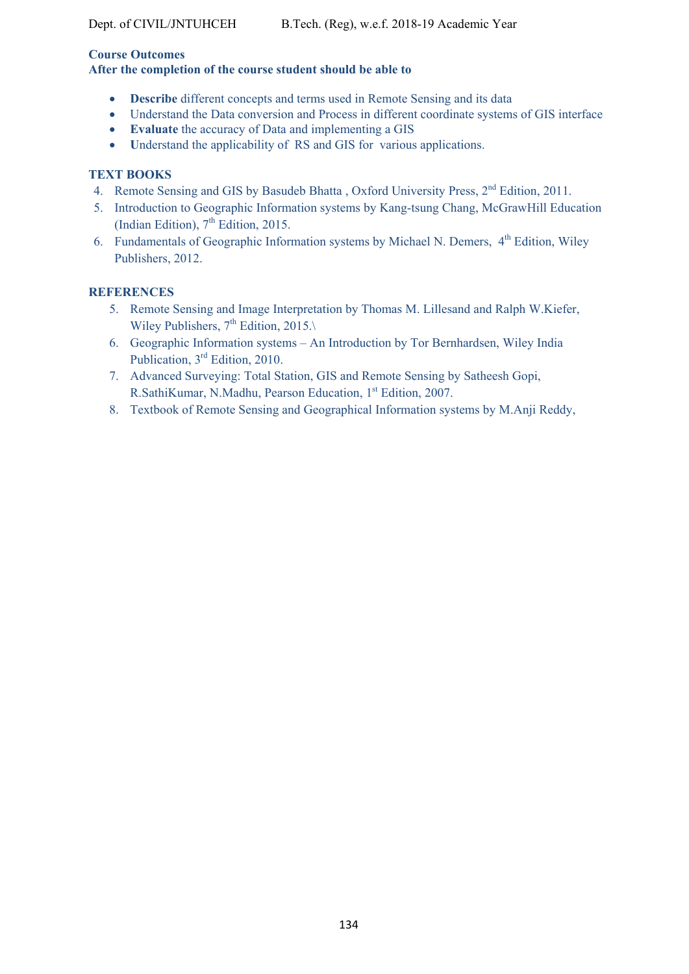#### **Course Outcomes**

**After the completion of the course student should be able to** 

- **Describe** different concepts and terms used in Remote Sensing and its data
- Understand the Data conversion and Process in different coordinate systems of GIS interface
- **Evaluate** the accuracy of Data and implementing a GIS
- Understand the applicability of RS and GIS for various applications.

# **TEXT BOOKS**

- 4. Remote Sensing and GIS by Basudeb Bhatta, Oxford University Press,  $2^{nd}$  Edition, 2011.
- 5. Introduction to Geographic Information systems by Kang-tsung Chang, McGrawHill Education (Indian Edition),  $7<sup>th</sup>$  Edition, 2015.
- 6. Fundamentals of Geographic Information systems by Michael N. Demers,  $4<sup>th</sup>$  Edition, Wiley Publishers, 2012.

# **REFERENCES**

- 5. Remote Sensing and Image Interpretation by Thomas M. Lillesand and Ralph W.Kiefer, Wiley Publishers,  $7<sup>th</sup>$  Edition, 2015. $\setminus$
- 6. Geographic Information systems An Introduction by Tor Bernhardsen, Wiley India Publication, 3<sup>rd</sup> Edition, 2010.
- 7. Advanced Surveying: Total Station, GIS and Remote Sensing by Satheesh Gopi, R.SathiKumar, N.Madhu, Pearson Education, 1st Edition, 2007.
- 8. Textbook of Remote Sensing and Geographical Information systems by M.Anji Reddy,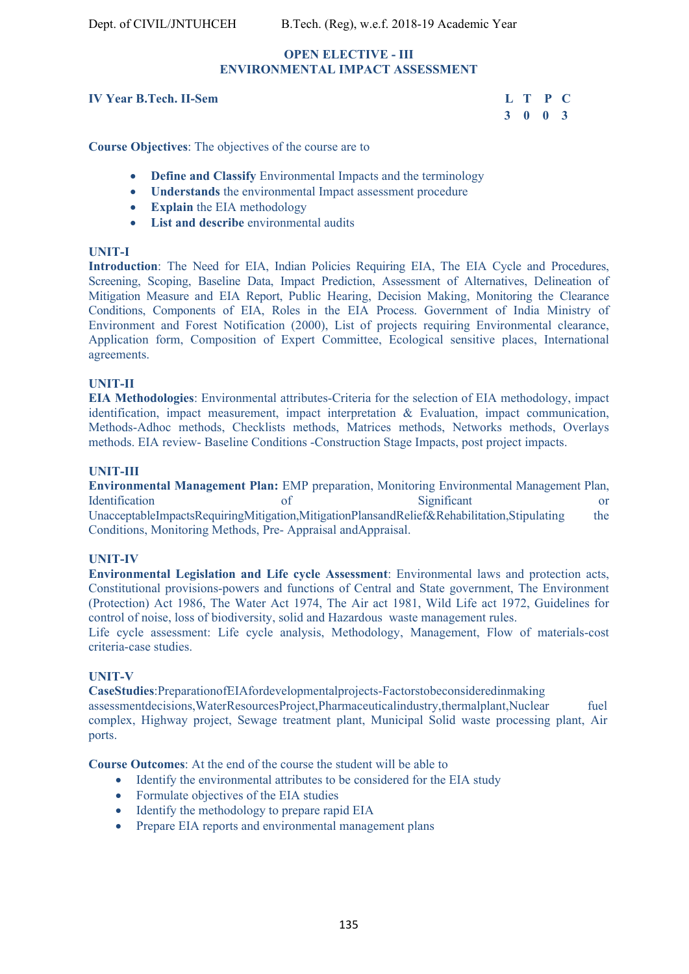#### **OPEN ELECTIVE - III ENVIRONMENTAL IMPACT ASSESSMENT**

#### **IV Year B.Tech. II-Sem L T P C**

# **3 0 0 3**

**Course Objectives**: The objectives of the course are to

- **Define and Classify** Environmental Impacts and the terminology
- **Understands** the environmental Impact assessment procedure
- **Explain** the EIA methodology
- **List and describe** environmental audits

#### **UNIT-I**

**Introduction**: The Need for EIA, Indian Policies Requiring EIA, The EIA Cycle and Procedures, Screening, Scoping, Baseline Data, Impact Prediction, Assessment of Alternatives, Delineation of Mitigation Measure and EIA Report, Public Hearing, Decision Making, Monitoring the Clearance Conditions, Components of EIA, Roles in the EIA Process. Government of India Ministry of Environment and Forest Notification (2000), List of projects requiring Environmental clearance, Application form, Composition of Expert Committee, Ecological sensitive places, International agreements.

#### **UNIT-II**

**EIA Methodologies**: Environmental attributes-Criteria for the selection of EIA methodology, impact identification, impact measurement, impact interpretation & Evaluation, impact communication, Methods-Adhoc methods, Checklists methods, Matrices methods, Networks methods, Overlays methods. EIA review- Baseline Conditions -Construction Stage Impacts, post project impacts.

#### **UNIT-III**

**Environmental Management Plan:** EMP preparation, Monitoring Environmental Management Plan, Identification of Significant or UnacceptableImpactsRequiringMitigation,MitigationPlansandRelief&Rehabilitation,Stipulating the Conditions, Monitoring Methods, Pre- Appraisal andAppraisal.

#### **UNIT-IV**

**Environmental Legislation and Life cycle Assessment**: Environmental laws and protection acts, Constitutional provisions-powers and functions of Central and State government, The Environment (Protection) Act 1986, The Water Act 1974, The Air act 1981, Wild Life act 1972, Guidelines for control of noise, loss of biodiversity, solid and Hazardous waste management rules.

Life cycle assessment: Life cycle analysis, Methodology, Management, Flow of materials-cost criteria-case studies.

#### **UNIT-V**

**CaseStudies**:PreparationofEIAfordevelopmentalprojects-Factorstobeconsideredinmaking assessmentdecisions,WaterResourcesProject,Pharmaceuticalindustry,thermalplant,Nuclear fuel complex, Highway project, Sewage treatment plant, Municipal Solid waste processing plant, Air ports.

**Course Outcomes**: At the end of the course the student will be able to

- Identify the environmental attributes to be considered for the EIA study
- Formulate objectives of the EIA studies
- Identify the methodology to prepare rapid EIA
- Prepare EIA reports and environmental management plans